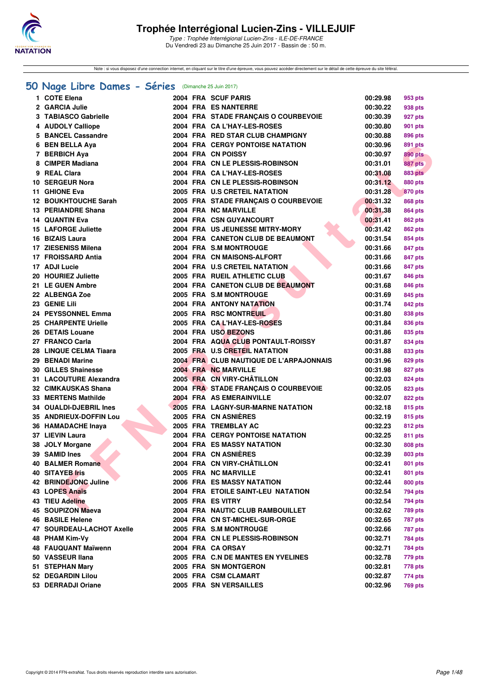

Note : si vous disposez d'une connection internet, en cliquant sur le titre d'une épreuve, vous pouvez accéder directement sur le détail de cette épreuve du site féféral.

#### **[50 Nage Libre Dames - Séries](http://www.ffnatation.fr/webffn/resultats.php?idact=nat&go=epr&idcpt=47281&idepr=1)** (Dimanche 25 Juin 2017)

| 1 COTE Elena                |  | 2004 FRA SCUF PARIS                                              | 00:29.98 | 953 pts        |
|-----------------------------|--|------------------------------------------------------------------|----------|----------------|
| 2 GARCIA Julie              |  | 2004 FRA ES NANTERRE                                             | 00:30.22 | 938 pts        |
| 3 TABIASCO Gabrielle        |  | 2004 FRA STADE FRANÇAIS O COURBEVOIE                             | 00:30.39 | 927 pts        |
| 4 AUDOLY Calliope           |  | 2004 FRA CA L'HAY-LES-ROSES                                      | 00:30.80 | 901 pts        |
| 5 BANCEL Cassandre          |  | 2004 FRA RED STAR CLUB CHAMPIGNY                                 | 00:30.88 | 896 pts        |
| 6 BEN BELLA Aya             |  | <b>2004 FRA CERGY PONTOISE NATATION</b>                          | 00:30.96 | 891 pts        |
| 7 BERBICH Aya               |  | 2004 FRA CN POISSY                                               | 00:30.97 | 890 pts        |
| 8 CIMPER Madiana            |  | 2004 FRA CN LE PLESSIS-ROBINSON                                  | 00:31.01 | 887 pts        |
| 9 REAL Clara                |  | 2004 FRA CA L'HAY-LES-ROSES                                      | 00:31.08 | <b>883 pts</b> |
| 10 SERGEUR Nora             |  | 2004 FRA CN LE PLESSIS-ROBINSON                                  | 00:31.12 | 880 pts        |
| 11 GHIONE Eva               |  | 2005 FRA U.S CRETEIL NATATION                                    | 00:31.28 | 870 pts        |
| <b>12 BOUKHTOUCHE Sarah</b> |  | 2005 FRA STADE FRANÇAIS O COURBEVOIE                             | 00:31.32 | 868 pts        |
| 13 PERIANDRE Shana          |  | 2004 FRA NC MARVILLE                                             | 00:31.38 | 864 pts        |
| <b>14 QUANTIN Eva</b>       |  | 2004 FRA CSN GUYANCOURT                                          | 00:31.41 | 862 pts        |
| <b>15 LAFORGE Juliette</b>  |  | 2004 FRA US JEUNESSE MITRY-MORY                                  | 00:31.42 | 862 pts        |
| 16 BIZAIS Laura             |  | 2004 FRA CANETON CLUB DE BEAUMONT                                | 00:31.54 | 854 pts        |
| 17 ZIESENISS Milena         |  | 2004 FRA S.M MONTROUGE                                           | 00:31.66 | 847 pts        |
| 17 FROISSARD Antia          |  | 2004 FRA CN MAISONS-ALFORT                                       | 00:31.66 | 847 pts        |
| 17 ADJI Lucie               |  | 2004 FRA U.S CRETEIL NATATION                                    | 00:31.66 | 847 pts        |
| 20 HOURIEZ Juliette         |  | 2005 FRA RUEIL ATHLETIC CLUB                                     | 00:31.67 | 846 pts        |
| 21 LE GUEN Ambre            |  | 2004 FRA CANETON CLUB DE BEAUMONT                                | 00:31.68 | 846 pts        |
| 22 ALBENGA Zoe              |  | 2005 FRA S.M MONTROUGE                                           | 00:31.69 | 845 pts        |
| 23 GENIE Lili               |  | <b>2004 FRA ANTONY NATATION</b>                                  | 00:31.74 | 842 pts        |
| 24 PEYSSONNEL Emma          |  | 2005 FRA RSC MONTREUIL                                           | 00:31.80 | 838 pts        |
| 25 CHARPENTE Urielle        |  | 2005 FRA CAL'HAY-LES-ROSES                                       | 00:31.84 | 836 pts        |
| 26 DETAIS Louane            |  | 2004 FRA USO BEZONS                                              | 00:31.86 | 835 pts        |
| 27 FRANCO Carla             |  | 2004 FRA AQUA CLUB PONTAULT-ROISSY                               | 00:31.87 | 834 pts        |
| 28 LINQUE CELMA Tiaara      |  | 2005 FRA U.S CRETEIL NATATION                                    | 00:31.88 | 833 pts        |
| 29 BENADI Marine            |  | 2004 FRA CLUB NAUTIQUE DE L'ARPAJONNAIS                          | 00:31.96 | 829 pts        |
| <b>30 GILLES Shainesse</b>  |  | 2004 FRA NC MARVILLE                                             | 00:31.98 | 827 pts        |
| 31 LACOUTURE Alexandra      |  | 2005 FRA CN VIRY-CHÂTILLON                                       | 00:32.03 |                |
| 32 CIMKAUSKAS Shana         |  |                                                                  |          | 824 pts        |
|                             |  | 2004 FRA STADE FRANÇAIS O COURBEVOIE<br>2004 FRA AS EMERAINVILLE | 00:32.05 | 823 pts        |
| 33 MERTENS Mathilde         |  |                                                                  | 00:32.07 | 822 pts        |
| 34 OUALDI-DJEBRIL Ines      |  | 2005 FRA LAGNY-SUR-MARNE NATATION                                | 00:32.18 | 815 pts        |
| 35 ANDRIEUX-DOFFIN Lou      |  | 2005 FRA CN ASNIERES                                             | 00:32.19 | 815 pts        |
| 36 HAMADACHE Inaya          |  | 2005 FRA TREMBLAY AC                                             | 00:32.23 | 812 pts        |
| 37 LIEVIN Laura             |  | <b>2004 FRA CERGY PONTOISE NATATION</b>                          | 00:32.25 | 811 pts        |
| 38 JOLY Morgane             |  | 2004 FRA ES MASSY NATATION                                       | 00:32.30 | 808 pts        |
| 39 SAMID Ines               |  | 2004 FRA CN ASNIERES                                             | 00:32.39 | 803 pts        |
| <b>40 BALMER Romane</b>     |  | 2004 FRA CN VIRY-CHÂTILLON                                       | 00:32.41 | <b>801 pts</b> |
| 40 SITAYEB Iris             |  | 2005 FRA NC MARVILLE                                             | 00:32.41 | 801 pts        |
| 42 BRINDEJONC Juline        |  | 2006 FRA ES MASSY NATATION                                       | 00:32.44 | 800 pts        |
| 43 LOPES Anaïs              |  | 2004 FRA ETOILE SAINT-LEU NATATION                               | 00:32.54 | 794 pts        |
| <b>43 TIEU Adeline</b>      |  | 2005 FRA ES VITRY                                                | 00:32.54 | 794 pts        |
| 45 SOUPIZON Maeva           |  | 2004 FRA NAUTIC CLUB RAMBOUILLET                                 | 00:32.62 | <b>789 pts</b> |
| <b>46 BASILE Helene</b>     |  | 2004 FRA CN ST-MICHEL-SUR-ORGE                                   | 00:32.65 | <b>787 pts</b> |
| 47 SOURDEAU-LACHOT Axelle   |  | 2005 FRA S.M MONTROUGE                                           | 00:32.66 | <b>787 pts</b> |
| 48 PHAM Kim-Vy              |  | 2004 FRA CN LE PLESSIS-ROBINSON                                  | 00:32.71 | <b>784 pts</b> |
| <b>48 FAUQUANT Maïwenn</b>  |  | 2004 FRA CA ORSAY                                                | 00:32.71 | 784 pts        |
| 50 VASSEUR Ilana            |  | 2005 FRA C.N DE MANTES EN YVELINES                               | 00:32.78 | 779 pts        |
| 51 STEPHAN Mary             |  | 2005 FRA SN MONTGERON                                            | 00:32.81 | 778 pts        |
| 52 DEGARDIN Lilou           |  | 2005 FRA CSM CLAMART                                             | 00:32.87 | 774 pts        |
| 53 DERRADJI Oriane          |  | 2005 FRA SN VERSAILLES                                           | 00:32.96 | <b>769 pts</b> |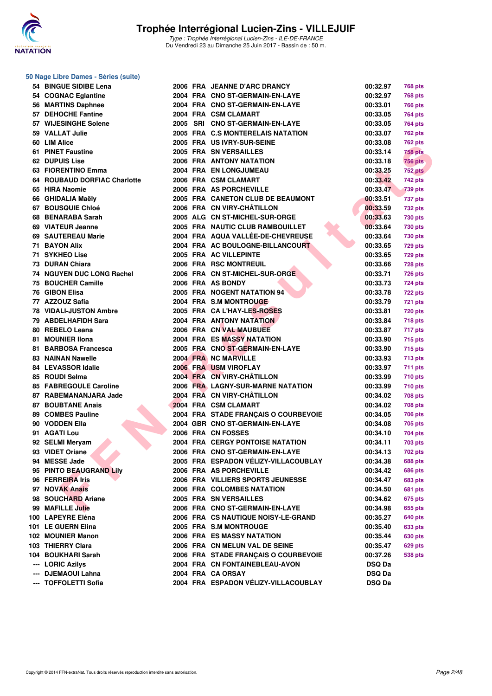

#### **50 Nage Libre Dames - Séries (suite)**

| 54 BINGUE SIDIBE Lena         |  | 2006 FRA JEANNE D'ARC DRANCY         | 00:32.97      | <b>768 pts</b> |
|-------------------------------|--|--------------------------------------|---------------|----------------|
| 54 COGNAC Eglantine           |  | 2004 FRA CNO ST-GERMAIN-EN-LAYE      | 00:32.97      | 768 pts        |
| 56 MARTINS Daphnee            |  | 2004 FRA CNO ST-GERMAIN-EN-LAYE      | 00:33.01      | <b>766 pts</b> |
| 57 DEHOCHE Fantine            |  | 2004 FRA CSM CLAMART                 | 00:33.05      | <b>764 pts</b> |
| 57 WIJESINGHE Solene          |  | 2005 SRI CNO ST-GERMAIN-EN-LAYE      | 00:33.05      | 764 pts        |
| 59 VALLAT Julie               |  | 2005 FRA C.S MONTERELAIS NATATION    | 00:33.07      | 762 pts        |
| 60 LIM Alice                  |  | 2005 FRA US IVRY-SUR-SEINE           | 00:33.08      | 762 pts        |
| 61 PINET Faustine             |  | 2005 FRA SN VERSAILLES               | 00:33.14      | 758 pts        |
| 62 DUPUIS Lise                |  | <b>2006 FRA ANTONY NATATION</b>      | 00:33.18      | <b>756 pts</b> |
| 63 FIORENTINO Emma            |  | 2004 FRA EN LONGJUMEAU               | 00:33.25      | <b>752 pts</b> |
| 64 ROUBAUD DORFIAC Charlotte  |  | 2006 FRA CSM CLAMART                 | 00:33.42      | 742 pts        |
| 65 HIRA Naomie                |  | 2006 FRA AS PORCHEVILLE              | 00:33.47      | <b>739 pts</b> |
| 66 GHIDALIA Maëly             |  | 2005 FRA CANETON CLUB DE BEAUMONT    | 00:33.51      | 737 pts        |
| 67 BOUSQUIE Chloé             |  | 2006 FRA CN VIRY-CHÂTILLON           | 00:33.59      | 732 pts        |
| 68 BENARABA Sarah             |  | 2005 ALG CN ST-MICHEL-SUR-ORGE       | 00:33.63      | <b>730 pts</b> |
| 69 VIATEUR Jeanne             |  | 2005 FRA NAUTIC CLUB RAMBOUILLET     | 00:33.64      | 730 pts        |
| 69 SAUTEREAU Marie            |  | 2004 FRA AQUA VALLÉE-DE-CHEVREUSE    | 00:33.64      | 730 pts        |
| <b>71 BAYON Alix</b>          |  | 2004 FRA AC BOULOGNE-BILLANCOURT     | 00:33.65      | <b>729 pts</b> |
| 71 SYKHEO Lise                |  | 2005 FRA AC VILLEPINTE               | 00:33.65      | 729 pts        |
| 73 DURAN Chiara               |  | 2006 FRA RSC MONTREUIL               | 00:33.66      |                |
| 74 NGUYEN DUC LONG Rachel     |  | 2006 FRA CN ST-MICHEL-SUR-ORGE       | 00:33.71      | 728 pts        |
| 75 BOUCHER Camille            |  | 2006 FRA AS BONDY                    |               | 726 pts        |
| 76 GIBON Elisa                |  |                                      | 00:33.73      | 724 pts        |
|                               |  | 2005 FRA NOGENT NATATION 94          | 00:33.78      | <b>722 pts</b> |
| 77 AZZOUZ Safia               |  | 2004 FRA S.M MONTROUGE               | 00:33.79      | <b>721 pts</b> |
| <b>78 VIDALI-JUSTON Ambre</b> |  | 2005 FRA CA L'HAY-LES-ROSES          | 00:33.81      | <b>720 pts</b> |
| 79 ABDELHAFIDH Sara           |  | <b>2004 FRA ANTONY NATATION</b>      | 00:33.84      | <b>718 pts</b> |
| 80 REBELO Leana               |  | 2006 FRA CN VAL MAUBUEE              | 00:33.87      | 717 pts        |
| 81 MOUNIER IIona              |  | 2004 FRA ES MASSY NATATION           | 00:33.90      | 715 pts        |
| 81 BARBOSA Francesca          |  | 2005 FRA CNO ST-GERMAIN-EN-LAYE      | 00:33.90      | 715 pts        |
| <b>83 NAINAN Nawelle</b>      |  | 2004 FRA NC MARVILLE                 | 00:33.93      | 713 pts        |
| <b>84 LEVASSOR Idalie</b>     |  | 2006 FRA USM VIROFLAY                | 00:33.97      | 711 pts        |
| 85 ROUDI Selma                |  | 2004 FRA CN VIRY-CHÂTILLON           | 00:33.99      | 710 pts        |
| 85 FABREGOULE Caroline        |  | 2006 FRA LAGNY-SUR-MARNE NATATION    | 00:33.99      | 710 pts        |
| 87 RABEMANANJARA Jade         |  | 2004 FRA CN VIRY-CHÂTILLON           | 00:34.02      | 708 pts        |
| <b>87 BOUBTANE Anais</b>      |  | 2004 FRA CSM CLAMART                 | 00:34.02      | 708 pts        |
| 89 COMBES Pauline             |  | 2004 FRA STADE FRANÇAIS O COURBEVOIE | 00:34.05      | 706 pts        |
| 90 VODDEN Ella                |  | 2004 GBR CNO ST-GERMAIN-EN-LAYE      | 00:34.08      | 705 pts        |
| 91 AGATI Lou                  |  | 2006 FRA CN FOSSES                   | 00:34.10      | 704 pts        |
| 92 SELMI Meryam               |  | 2004 FRA CERGY PONTOISE NATATION     | 00:34.11      | 703 pts        |
| 93 VIDET Oriane               |  | 2006 FRA CNO ST-GERMAIN-EN-LAYE      | 00:34.13      | <b>702 pts</b> |
| 94 MESSE Jade                 |  | 2005 FRA ESPADON VÉLIZY-VILLACOUBLAY | 00:34.38      | <b>688 pts</b> |
| 95 PINTO BEAUGRAND Lily       |  | 2006 FRA AS PORCHEVILLE              | 00:34.42      | <b>686 pts</b> |
| 96 FERREIRA Iris              |  | 2006 FRA VILLIERS SPORTS JEUNESSE    | 00:34.47      | 683 pts        |
| 97 NOVAK Anais                |  | 2006 FRA COLOMBES NATATION           | 00:34.50      | 681 pts        |
| 98 SOUCHARD Ariane            |  | 2005 FRA SN VERSAILLES               | 00:34.62      | 675 pts        |
| 99 MAFILLE Julie              |  | 2006 FRA CNO ST-GERMAIN-EN-LAYE      | 00:34.98      | 655 pts        |
| 100 LAPEYRE Eléna             |  | 2006 FRA CS NAUTIQUE NOISY-LE-GRAND  | 00:35.27      | 640 pts        |
| 101 LE GUERN Elina            |  | 2005 FRA S.M MONTROUGE               | 00:35.40      | 633 pts        |
| 102 MOUNIER Manon             |  | 2006 FRA ES MASSY NATATION           | 00:35.44      | 630 pts        |
| 103 THIERRY Clara             |  | 2006 FRA CN MELUN VAL DE SEINE       | 00:35.47      | 629 pts        |
| 104 BOUKHARI Sarah            |  | 2006 FRA STADE FRANÇAIS O COURBEVOIE | 00:37.26      | 538 pts        |
| --- LORIC Azilys              |  | 2004 FRA CN FONTAINEBLEAU-AVON       | <b>DSQ Da</b> |                |
| --- DJEMAOUI Lahna            |  | 2004 FRA CA ORSAY                    | <b>DSQ Da</b> |                |
| --- TOFFOLETTI Sofia          |  | 2004 FRA ESPADON VÉLIZY-VILLACOUBLAY | <b>DSQ Da</b> |                |
|                               |  |                                      |               |                |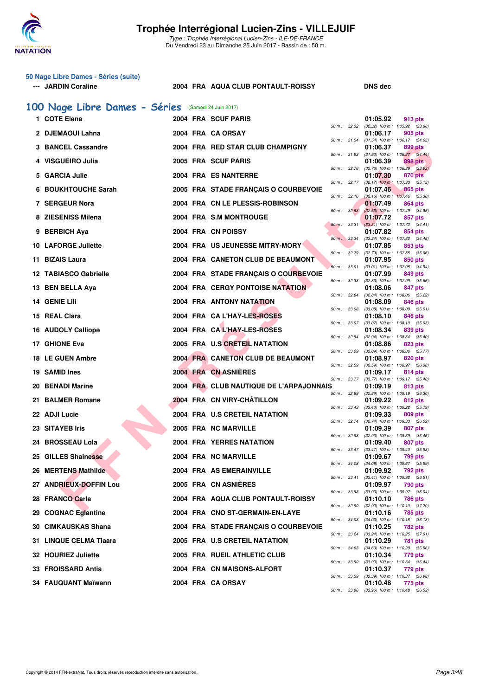

### **50 Nage Libre Dames - Séries (suite)**

#### **--- JARDIN Coraline 2004 FRA AQUA CLUB PONTAULT-ROISSY DNS dec**

### **[100 Nage Libre Dames - Séries](http://www.ffnatation.fr/webffn/resultats.php?idact=nat&go=epr&idcpt=47281&idepr=2)** (Samedi 24 Juin 2017)

| 1. | <b>COTE Elena</b>            |  | 2004 FRA SCUF PARIS                     |              |              | 01:05.92 | 913 pts                                               |
|----|------------------------------|--|-----------------------------------------|--------------|--------------|----------|-------------------------------------------------------|
|    | 2 DJEMAOUI Lahna             |  | 2004 FRA CA ORSAY                       |              | 50 m : 32.32 | 01:06.17 | $(32.32)$ 100 m : 1:05.92 $(33.60)$<br>905 pts        |
| з  | <b>BANCEL Cassandre</b>      |  | 2004 FRA RED STAR CLUB CHAMPIGNY        |              | 50 m : 31.54 | 01:06.37 | $(31.54)$ 100 m : 1:06.17 $(34.63)$<br>899 pts        |
|    | <b>VISGUEIRO Julia</b>       |  | 2005 FRA SCUF PARIS                     | 50 m: 31.93  |              | 01:06.39 | $(31.93)$ 100 m : 1:06.37 $(34.44)$<br>898 pts        |
| 5  | <b>GARCIA Julie</b>          |  | 2004 FRA ES NANTERRE                    | 50 m : 32.76 |              | 01:07.30 | $(32.76)$ 100 m : 1:06.39 $(33.63)$<br>870 pts        |
| 6  | <b>BOUKHTOUCHE Sarah</b>     |  | 2005 FRA STADE FRANÇAIS O COURBEVOIE    |              | 50 m : 32.17 | 01:07.46 | $(32.17)$ 100 m : 1:07.30 $(35.13)$<br>865 pts        |
|    | 7 SERGEUR Nora               |  | 2004 FRA CN LE PLESSIS-ROBINSON         |              | 50 m: 32.16  | 01:07.49 | $(32.16)$ 100 m : 1:07.46 $(35.30)$<br>864 pts        |
|    | 8 ZIESENISS Milena           |  | 2004 FRA S.M MONTROUGE                  | 50 m: 32.53  |              | 01:07.72 | $(32.53)$ 100 m : 1:07.49 $(34.96)$<br>857 pts        |
|    | 9 BERBICH Aya                |  | 2004 FRA CN POISSY                      | 50 m: 33.31  |              | 01:07.82 | $(33.31)$ 100 m : 1:07.72 $(34.41)$<br>854 pts        |
|    | 10 LAFORGE Juliette          |  | 2004 FRA US JEUNESSE MITRY-MORY         | 50 m : 33.34 |              | 01:07.85 | $(33.34)$ 100 m : 1:07.82 $(34.48)$<br>853 pts        |
|    |                              |  |                                         | 50 m : 32.79 |              |          | $(32.79)$ 100 m : 1:07.85 $(35.06)$                   |
| 11 | <b>BIZAIS Laura</b>          |  | 2004 FRA CANETON CLUB DE BEAUMONT       | 50 m: 33.01  |              | 01:07.95 | 850 pts<br>(33.01) 100 m: 1:07.95 (34.94)             |
|    | <b>12 TABIASCO Gabrielle</b> |  | 2004 FRA STADE FRANÇAIS O COURBEVOIE    | 50 m: 32.33  |              | 01:07.99 | 849 pts<br>$(32.33)$ 100 m : 1:07.99 $(35.66)$        |
|    | 13 BEN BELLA Aya             |  | <b>2004 FRA CERGY PONTOISE NATATION</b> | 50 m : 32.84 |              | 01:08.06 | 847 pts<br>(32.84) 100 m: 1:08.06 (35.22)             |
|    | 14 GENIE Lili                |  | <b>2004 FRA ANTONY NATATION</b>         | 50 m: 33.08  |              | 01:08.09 | 846 pts<br>$(33.08)$ 100 m : 1:08.09 $(35.01)$        |
|    | 15 REAL Clara                |  | 2004 FRA CA L'HAY-LES-ROSES             | 50 m : 33.07 |              | 01:08.10 | 846 pts<br>$(33.07)$ 100 m : 1:08.10 $(35.03)$        |
|    | 16 AUDOLY Calliope           |  | 2004 FRA CAL'HAY-LES-ROSES              | 50 m : 32.94 |              | 01:08.34 | 839 pts<br>$(32.94)$ 100 m : 1:08.34 $(35.40)$        |
|    | 17 GHIONE Eva                |  | 2005 FRA U.S CRETEIL NATATION           | 50 m : 33.09 |              | 01:08.86 | 823 pts<br>(33.09) 100 m : 1:08.86 (35.77)            |
|    | 18 LE GUEN Ambre             |  | 2004 FRA CANETON CLUB DE BEAUMONT       | 50 m : 32.59 |              | 01:08.97 | 820 pts<br>(32.59) 100 m: 1:08.97 (36.38)             |
|    | 19 SAMID Ines                |  | 2004 FRA CN ASNIÈRES                    |              |              | 01:09.17 | 814 pts                                               |
|    | 20 BENADI Marine             |  | 2004 FRA CLUB NAUTIQUE DE L'ARPAJONNAIS |              | 50 m : 33.77 | 01:09.19 | $(33.77)$ 100 m : 1:09.17 $(35.40)$<br>813 pts        |
|    | 21 BALMER Romane             |  | 2004 FRA CN VIRY-CHÂTILLON              |              | 50 m : 32.89 | 01:09.22 | $(32.89)$ 100 m : 1:09.19 $(36.30)$<br>812 pts        |
|    | 22 ADJI Lucie                |  | 2004 FRA U.S CRETEIL NATATION           | 50 m: 33.43  |              | 01:09.33 | $(33.43)$ 100 m : 1:09.22 $(35.79)$<br>809 pts        |
|    | 23 SITAYEB Iris              |  | 2005 FRA NC MARVILLE                    | 50 m: 32.74  |              | 01:09.39 | (32.74) 100 m : 1:09.33 (36.59)<br>807 pts            |
| 24 | <b>BROSSEAU Lola</b>         |  | <b>2004 FRA YERRES NATATION</b>         | 50 m: 32.93  |              | 01:09.40 | $(32.93)$ 100 m : 1:09.39 $(36.46)$<br>807 pts        |
|    | 25 GILLES Shainesse          |  | 2004 FRA NC MARVILLE                    |              | 50 m : 33.47 | 01:09.67 | $(33.47)$ 100 m : 1:09.40 $(35.93)$<br>799 pts        |
|    | 26 MERTENS Mathilde          |  | 2004 FRA AS EMERAINVILLE                | 50 m : 34.08 |              | 01:09.92 | $(34.08)$ 100 m : 1:09.67 $(35.59)$<br>792 pts        |
|    | 27 ANDRIEUX-DOFFIN Lou       |  | 2005 FRA CN ASNIERES                    |              | 50 m : 33.41 | 01:09.97 | $(33.41)$ 100 m : 1:09.92 $(36.51)$<br>790 pts        |
|    | 28 FRANCO Carla              |  | 2004 FRA AQUA CLUB PONTAULT-ROISSY      |              |              | 01:10.10 | 50 m: 33.93 (33.93) 100 m: 1:09.97 (36.04)<br>786 pts |
|    | 29 COGNAC Eglantine          |  | 2004 FRA CNO ST-GERMAIN-EN-LAYE         | 50 m : 32.90 |              |          | (32.90) 100 m: 1:10.10 (37.20)                        |
|    |                              |  |                                         |              | 50 m : 34.03 | 01:10.16 | 785 pts<br>$(34.03)$ 100 m : 1:10.16 $(36.13)$        |
|    | 30 CIMKAUSKAS Shana          |  | 2004 FRA STADE FRANÇAIS O COURBEVOIE    |              | 50 m : 33.24 | 01:10.25 | 782 pts<br>$(33.24)$ 100 m : 1:10.25 $(37.01)$        |
|    | 31 LINQUE CELMA Tiaara       |  | 2005 FRA U.S CRETEIL NATATION           |              | 50 m : 34.63 | 01:10.29 | 781 pts<br>$(34.63)$ 100 m : 1:10.29 $(35.66)$        |
|    | 32 HOURIEZ Juliette          |  | 2005 FRA RUEIL ATHLETIC CLUB            |              | 50 m : 33.90 | 01:10.34 | 779 pts<br>$(33.90)$ 100 m : 1:10.34 $(36.44)$        |
|    | 33 FROISSARD Antia           |  | 2004 FRA CN MAISONS-ALFORT              |              | 50 m : 33.39 | 01:10.37 | 779 pts<br>$(33.39)$ 100 m : 1:10.37 $(36.98)$        |
|    | 34 FAUQUANT Maïwenn          |  | 2004 FRA CA ORSAY                       |              |              | 01:10.48 | 775 pts<br>50 m: 33.96 (33.96) 100 m: 1:10.48 (36.52) |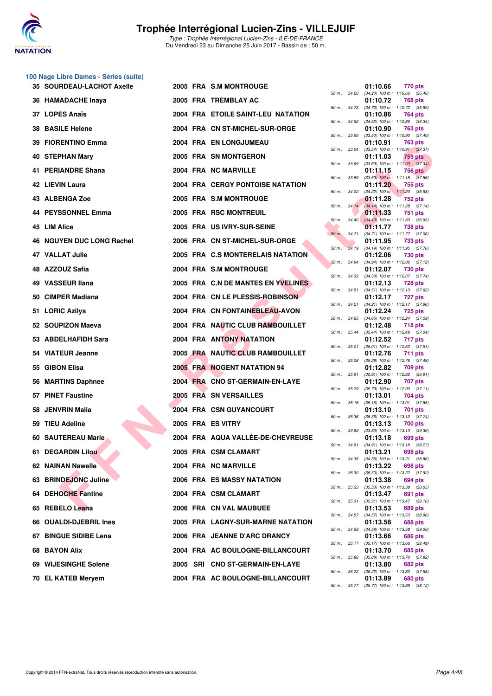

#### **100 Nage Libre Dames - Séries (suite)**

| <b>35 SOURDEAU-LACHOT Axelle</b> |  | 2005 FRA S.M MONTROUGE                  |              |                        | 01:10.66 | 770 pts                                                        |
|----------------------------------|--|-----------------------------------------|--------------|------------------------|----------|----------------------------------------------------------------|
| 36 HAMADACHE Inaya               |  | 2005 FRA TREMBLAY AC                    |              |                        | 01:10.72 | 50 m : 34.20 (34.20) 100 m : 1:10.66 (36.46)<br><b>768 pts</b> |
| 37 LOPES Anaïs                   |  | 2004 FRA ETOILE SAINT-LEU NATATION      |              |                        | 01:10.86 | 50 m: 34.73 (34.73) 100 m: 1:10.72 (35.99)<br>764 pts          |
| <b>38 BASILE Helene</b>          |  | 2004 FRA CN ST-MICHEL-SUR-ORGE          |              | 50 m : 34.52           | 01:10.90 | (34.52) 100 m: 1:10.86 (36.34)<br>763 pts                      |
| 39 FIORENTINO Emma               |  | 2004 FRA EN LONGJUMEAU                  |              | 50 m : 33.50           | 01:10.91 | $(33.50)$ 100 m : 1:10.90 $(37.40)$<br><b>763 pts</b>          |
| 40 STEPHAN Mary                  |  | 2005 FRA SN MONTGERON                   | 50 m : 33.54 |                        | 01:11.03 | $(33.54)$ 100 m : 1:10.91 $(37.37)$<br>759 pts                 |
| 41 PERIANDRE Shana               |  | 2004 FRA NC MARVILLE                    | 50 m : 33.69 |                        | 01:11.15 | $(33.69)$ 100 m : 1:11.03 $(37.34)$<br><b>756 pts</b>          |
| <b>42 LIEVIN Laura</b>           |  | <b>2004 FRA CERGY PONTOISE NATATION</b> | 50 m : 33.59 |                        | 01:11.20 | $(33.59)$ 100 m : 1:11.15 $(37.56)$<br>755 pts                 |
| 43 ALBENGA Zoe                   |  | 2005 FRA S.M MONTROUGE                  |              |                        | 01:11.28 | 50 m : 34.22 (34.22) 100 m : 1:11.20 (36.98)<br>752 pts        |
| <b>44 PEYSSONNEL Emma</b>        |  | 2005 FRA RSC MONTREUIL                  |              |                        | 01:11.33 | 50 m: 34.14 (34.14) 100 m: 1:11.28 (37.14)<br>751 pts          |
| 45 LIM Alice                     |  | 2005 FRA US IVRY-SUR-SEINE              |              |                        | 01:11.77 | 50 m: 34.40 (34.40) 100 m: 1:11.33 (36.93)<br>738 pts          |
| 46 NGUYEN DUC LONG Rachel        |  | 2006 FRA CN ST-MICHEL-SUR-ORGE          |              | 50 m : 34.71           | 01:11.95 | $(34.71)$ 100 m : 1:11.77 $(37.06)$<br>733 pts                 |
| 47 VALLAT Julie                  |  | 2005 FRA C.S MONTERELAIS NATATION       | 50 m: 34.19  |                        | 01:12.06 | $(34.19)$ 100 m : 1:11.95 $(37.76)$<br>730 pts                 |
| 48 AZZOUZ Safia                  |  | 2004 FRA S.M MONTROUGE                  |              | $50 \text{ m}$ : 34.94 |          | (34.94) 100 m: 1:12.06 (37.12)                                 |
|                                  |  |                                         |              |                        | 01:12.07 | 730 pts<br>50 m: 34.33 (34.33) 100 m: 1:12.07 (37.74)          |
| 49 VASSEUR Ilana                 |  | 2005 FRA C.N DE MANTES EN YVELINES      |              | 50 m : 34.51           | 01:12.13 | <b>728 pts</b><br>$(34.51)$ 100 m : 1:12.13 $(37.62)$          |
| 50 CIMPER Madiana                |  | 2004 FRA CN LE PLESSIS-ROBINSON         |              |                        | 01:12.17 | <b>727 pts</b><br>50 m: 34.21 (34.21) 100 m: 1:12.17 (37.96)   |
| 51 LORIC Azilys                  |  | 2004 FRA CN FONTAINEBLEAU-AVON          |              |                        | 01:12.24 | <b>725 pts</b><br>50 m: 34.65 (34.65) 100 m: 1:12.24 (37.59)   |
| 52 SOUPIZON Maeva                |  | 2004 FRA NAUTIC CLUB RAMBOUILLET        | 50 m : 35.44 |                        | 01:12.48 | 718 pts<br>$(35.44)$ 100 m : 1:12.48 $(37.04)$                 |
| 53 ABDELHAFIDH Sara              |  | 2004 FRA ANTONY NATATION                |              | 50 m : 35.01           | 01:12.52 | 717 pts<br>$(35.01)$ 100 m : 1:12.52 $(37.51)$                 |
| 54 VIATEUR Jeanne                |  | 2005 FRA NAUTIC CLUB RAMBOUILLET        |              | 50 m : 35.28           | 01:12.76 | 711 pts<br>$(35.28)$ 100 m : 1:12.76 $(37.48)$                 |
| 55 GIBON Elisa                   |  | 2005 FRA NOGENT NATATION 94             |              | 50 m : 35.91           | 01:12.82 | 709 pts<br>$(35.91)$ 100 m : 1:12.82 $(36.91)$                 |
| 56 MARTINS Daphnee               |  | 2004 FRA CNO ST-GERMAIN-EN-LAYE         |              | 50 m : 35.79           | 01:12.90 | 707 pts<br>$(35.79)$ 100 m : 1:12.90 $(37.11)$                 |
| 57 PINET Faustine                |  | 2005 FRA SN VERSAILLES                  |              |                        | 01:13.01 | 704 pts<br>50 m: 35.16 (35.16) 100 m: 1:13.01 (37.85)          |
| 58 JENVRIN Malia                 |  | 2004 FRA CSN GUYANCOURT                 | 50 m: 35.36  |                        | 01:13.10 | 701 pts<br>$(35.36)$ 100 m : 1:13.10 $(37.74)$                 |
| 59 TIEU Adeline                  |  | 2005 FRA ES VITRY                       |              |                        | 01:13.13 | 700 pts                                                        |
| <b>60 SAUTEREAU Marie</b>        |  | 2004 FRA AQUA VALLEE-DE-CHEVREUSE       |              |                        | 01:13.18 | 50 m: 33.83 (33.83) 100 m: 1:13.13 (39.30)<br>699 pts          |
| 61 DEGARDIN Lilou                |  | 2005 FRA CSM CLAMART                    |              |                        | 01:13.21 | 50 m: 34.91 (34.91) 100 m: 1:13.18 (38.27)<br>698 pts          |
| 62 NAINAN Nawelle                |  | 2004 FRA NC MARVILLE                    |              |                        | 01:13.22 | 50 m : 34.35 (34.35) 100 m : 1:13.21 (38.86)<br><b>698 pts</b> |
| 63 BRINDEJONC Juline             |  | 2006 FRA ES MASSY NATATION              |              | 50 m : 35.30           | 01:13.38 | $(35.30)$ 100 m : 1:13.22 $(37.92)$<br>694 pts                 |
| 64 DEHOCHE Fantine               |  | 2004 FRA CSM CLAMART                    | 50 m : 35.33 |                        | 01:13.47 | $(35.33)$ 100 m : 1:13.38 $(38.05)$<br>691 pts                 |
| 65 REBELO Leana                  |  | 2006 FRA CN VAL MAUBUEE                 | 50 m : 35.31 |                        | 01:13.53 | $(35.31)$ 100 m : 1:13.47 $(38.16)$<br>689 pts                 |
| 66 OUALDI-DJEBRIL Ines           |  | 2005 FRA LAGNY-SUR-MARNE NATATION       |              | 50 m : 34.57           | 01:13.58 | $(34.57)$ 100 m : 1:13.53 $(38.96)$<br>688 pts                 |
| 67 BINGUE SIDIBE Lena            |  | 2006 FRA JEANNE D'ARC DRANCY            |              | 50 m : 34.58           | 01:13.66 | $(34.58)$ 100 m : 1:13.58 $(39.00)$<br>686 pts                 |
| 68 BAYON Alix                    |  | 2004 FRA AC BOULOGNE-BILLANCOURT        |              | 50 m : 35.17           | 01:13.70 | $(35.17)$ 100 m : 1:13.66 $(38.49)$<br>685 pts                 |
| 69 WIJESINGHE Solene             |  | 2005 SRI CNO ST-GERMAIN-EN-LAYE         |              | 50 m : 35.88           | 01:13.80 | (35.88) 100 m: 1:13.70 (37.82)<br>682 pts                      |
| 70 EL KATEB Meryem               |  | 2004 FRA AC BOULOGNE-BILLANCOURT        |              |                        | 01:13.89 | 50 m : 36.22 (36.22) 100 m : 1:13.80 (37.58)<br>680 pts        |
|                                  |  |                                         |              |                        |          |                                                                |

| $50 m$ : | 34.20 | 01:10.66<br>$(34.20)$ 100 m : | 770 pts<br>1:10.66<br>(36.46)        |
|----------|-------|-------------------------------|--------------------------------------|
|          |       | 01:10.72                      | <b>768 pts</b>                       |
| $50 m$ : | 34.73 | $(34.73) 100 m$ :<br>01:10.86 | 1:10.72<br>(35.99)<br>764 pts        |
| $50 m$ : | 34.52 | $(34.52)$ 100 m :             | 1:10.86<br>(36.34)                   |
| 50 m :   | 33.50 | 01:10.90<br>$(33.50)$ 100 m : | 763 pts<br>1:10.90<br>(37.40)        |
|          |       | 01:10.91                      | <b>763 pts</b>                       |
| 50 m :   | 33.54 | $(33.54) 100 m$ :<br>01:11.03 | (37.37)<br>1:10.91<br><b>759 pts</b> |
| $50 m$ : | 33.69 | $(33.69) 100 m$ :             | 1:11.03<br>(37.34)                   |
|          |       | 01:11.15                      | <b>756 pts</b>                       |
| 50 m :   | 33.59 | $(33.59)$ 100 m :<br>01:11.20 | 1:11.15<br>(37.56)<br>755 pts        |
| $50 m$ : | 34.22 | $(34.22)$ 100 m :             | 1:11.20<br>(36.98)                   |
| $50 m$ : | 34.14 | 01:11.28<br>$(34.14) 100 m$ : | 752 pts<br>1:11.28<br>(37.14)        |
|          |       | 01:11.33                      | 751 pts                              |
| 50 m :   | 34.40 | $(34.40)$ 100 m :<br>01:11.77 | 1:11.33<br>(36.93)<br>738 pts        |
| $50 m$ : | 34.71 | $(34.71) 100 m$ :             | 1:11.77<br>(37.06)                   |
| 50 m :   | 34.19 | 01:11.95<br>$(34.19) 100 m$ : | <b>733 pts</b><br>1:11.95<br>(37.76) |
|          |       | 01:12.06                      | <b>730 pts</b>                       |
| 50 m :   | 34.94 | $(34.94) 100 m$ :<br>01:12.07 | 1:12.06<br>(37.12)<br><b>730 pts</b> |
| $50 m$ : | 34.33 | $(34.33) 100 m$ :             | (37.74)<br>1:12.07                   |
| $50 m$ : | 34.51 | 01:12.13<br>$(34.51)$ 100 m : | <b>728 pts</b><br>(37.62)            |
|          |       | 01:12.17                      | 1:12.13<br>727 pts                   |
| $50 m$ : | 34.21 | $(34.21)$ 100 m :             | 1:12.17<br>(37.96)                   |
| 50 m :   | 34.65 | 01:12.24<br>$(34.65)$ 100 m : | <b>725 pts</b><br>1:12.24<br>(37.59) |
|          |       | 01:12.48                      | <b>718 pts</b>                       |
| $50 m$ : | 35.44 | $(35.44) 100 m$ :<br>01:12.52 | 1:12.48<br>(37.04)<br>717 pts        |
| 50 m :   | 35.01 | $(35.01)$ 100 m :             | 1:12.52<br>(37.51)                   |
| $50 m$ : | 35.28 | 01:12.76<br>$(35.28) 100 m$ : | <b>711 pts</b><br>1:12.76<br>(37.48) |
|          |       | 01:12.82                      | 709 pts                              |
| $50 m$ : | 35.91 | $(35.91)$ 100 m :<br>01:12.90 | 1:12.82<br>(36.91)<br>707<br>pts     |
| $50 m$ : | 35.79 | $(35.79)$ 100 m :             | (37.11)<br>1:12.90                   |
| $50 m$ : | 35.16 | 01:13.01<br>$(35.16) 100 m$ : | 704 pts<br>1:13.01<br>(37.85)        |
|          |       | 01:13.10                      | 701 pts                              |
| 50 m :   | 35.36 | $(35.36) 100 m$ :<br>01:13.13 | 1:13.10<br>(37.74)<br>700 pts        |
| 50 m :   | 33.83 | $(33.83) 100 m$ :             | 1:13.13<br>(39.30)                   |
| $50 m$ : | 34.91 | 01:13.18<br>$(34.91)$ 100 m : | 699 pts<br>1:13.18<br>(38.27)        |
|          |       | 01:13.21                      | 698 pts                              |
| $50 m$ : | 34.35 | $(34.35) 100 m$ :<br>01:13.22 | 1:13.21<br>(38.86)<br>698 pts        |
| $50 m$ : | 35.30 | $(35.30)$ 100 m :             | 1:13.22<br>(37.92)                   |
| $50 m$ : | 35.33 | 01:13.38<br>$(35.33) 100 m$ : | 694 pts<br>1:13.38<br>(38.05)        |
|          |       | 01:13.47                      | 691 pts                              |
| $50 m$ : | 35.31 | $(35.31) 100 m$ :<br>01:13.53 | 1:13.47<br>(38.16)<br><b>689 pts</b> |
| $50 m$ : | 34.57 | $(34.57) 100 m$ :             | 1:13.53<br>(38.96)                   |
|          |       | 01:13.58                      | <b>688 pts</b>                       |
| $50 m$ : | 34.58 | $(34.58) 100 m$ :<br>01:13.66 | 1:13.58<br>(39.00)<br>686 pts        |
| $50 m$ : | 35.17 | $(35.17) 100 m$ :             | 1:13.66<br>(38.49)                   |
| $50 m$ : | 35.88 | 01:13.70<br>(35.88) 100 m :   | 685 pts<br>1:13.70<br>(37.82)        |
|          |       | 01:13.80                      | <b>682 pts</b>                       |
| $50 m$ : | 36.22 | (36.22) 100 m :<br>01:13.89   | 1:13.80<br>(37.58)<br>680 pts        |
| 50 m :   | 35.77 | $(35.77)$ 100 m :             | 1:13.89<br>(38.12)                   |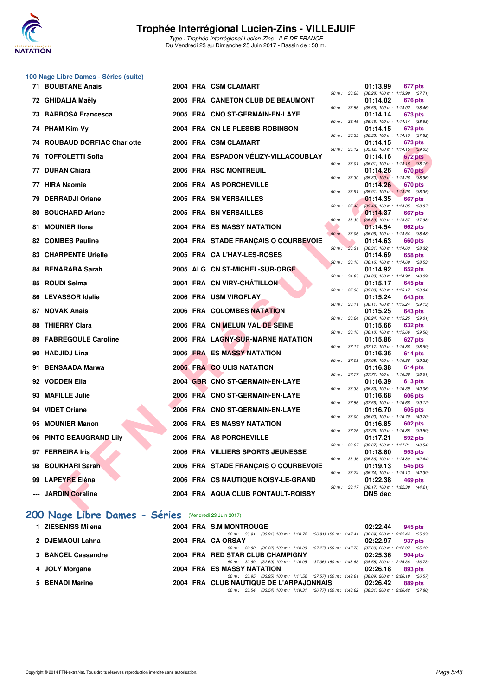

**100 Nage Libre Dames - Séries (suite)**

#### **Trophée Interrégional Lucien-Zins - VILLEJUIF**

Type : Trophée Interrégional Lucien-Zins - ILE-DE-FRANCE Du Vendredi 23 au Dimanche 25 Juin 2017 - Bassin de : 50 m.

| <b>71 BOUBTANE Anais</b>         |  | 2004 FRA CSM CLAMART                 |              |              | 01:13.99                                              | 677 pts |  |
|----------------------------------|--|--------------------------------------|--------------|--------------|-------------------------------------------------------|---------|--|
| 72 GHIDALIA Maëly                |  | 2005 FRA CANETON CLUB DE BEAUMONT    | 50 m : 36.28 |              | $(36.28)$ 100 m : 1:13.99 $(37.71)$<br>01:14.02       | 676 pts |  |
| 73 BARBOSA Francesca             |  | 2005 FRA CNO ST-GERMAIN-EN-LAYE      | 50 m: 35.56  |              | $(35.56)$ 100 m : 1:14.02 $(38.46)$<br>01:14.14       | 673 pts |  |
| 74 PHAM Kim-Vy                   |  | 2004 FRA CN LE PLESSIS-ROBINSON      | 50 m : 35.46 |              | $(35.46)$ 100 m : 1:14.14 $(38.68)$<br>01:14.15       | 673 pts |  |
| 74 ROUBAUD DORFIAC Charlotte     |  | 2006 FRA CSM CLAMART                 | 50 m: 36.33  |              | $(36.33)$ 100 m : 1:14.15 $(37.82)$<br>01:14.15       | 673 pts |  |
|                                  |  |                                      | 50 m: 35.12  |              | $(35.12)$ 100 m : 1:14.15 $(39.03)$                   |         |  |
| <b>76 TOFFOLETTI Sofia</b>       |  | 2004 FRA ESPADON VÉLIZY-VILLACOUBLAY | 50 m: 36.01  |              | 01:14.16<br>$(36.01)$ 100 m : 1:14.16 $(38.15)$       | 672 pts |  |
| 77 DURAN Chiara                  |  | 2006 FRA RSC MONTREUIL               | 50 m : 35.30 |              | 01:14.26                                              | 670 pts |  |
| 77 HIRA Naomie                   |  | 2006 FRA AS PORCHEVILLE              |              |              | $(35.30)$ 100 m : 1:14.26 $(38.96)$<br>01:14.26       | 670 pts |  |
| 79 DERRADJI Oriane               |  | 2005 FRA SN VERSAILLES               |              | 50 m : 35.91 | $(35.91)$ 100 m : 1:14.26 $(38.35)$<br>01:14.35       | 667 pts |  |
| 80 SOUCHARD Ariane               |  | 2005 FRA SN VERSAILLES               |              | 50 m : 35.48 | $(35.48)$ 100 m : 1:14.35 $(38.87)$<br>01:14.37       | 667 pts |  |
|                                  |  |                                      | 50 m: 36.39  |              | $(36.39)$ 100 m : 1:14.37 $(37.98)$                   |         |  |
| 81 MOUNIER IIona                 |  | 2004 FRA ES MASSY NATATION           | 50 m : 36.06 |              | 01:14.54<br>$(36.06)$ 100 m : 1:14.54 $(38.48)$       | 662 pts |  |
| <b>82 COMBES Pauline</b>         |  | 2004 FRA STADE FRANÇAIS O COURBEVOIE |              |              | 01:14.63                                              | 660 pts |  |
| <b>83 CHARPENTE Urielle</b>      |  | 2005 FRA CA L'HAY-LES-ROSES          | 50 m: 36.31  |              | (36.31) 100 m: 1:14.63 (38.32)<br>01:14.69            | 658 pts |  |
|                                  |  |                                      | 50 m: 36.16  |              | $(36.16)$ 100 m : 1:14.69 $(38.53)$                   |         |  |
| 84 BENARABA Sarah                |  | 2005 ALG CN ST-MICHEL-SUR-ORGE       | 50 m: 34.83  |              | 01:14.92<br>$(34.83)$ 100 m : 1:14.92 $(40.09)$       | 652 pts |  |
| 85 ROUDI Selma                   |  | 2004 FRA CN VIRY-CHÂTILLON           |              |              | 01:15.17                                              | 645 pts |  |
| 86 LEVASSOR Idalie               |  | 2006 FRA USM VIROFLAY                | 50 m: 35.33  |              | $(35.33)$ 100 m : 1:15.17 $(39.84)$<br>01:15.24       | 643 pts |  |
|                                  |  |                                      | 50 m : 36.11 |              | $(36.11)$ 100 m : 1:15.24 $(39.13)$                   |         |  |
| 87 NOVAK Anais                   |  | 2006 FRA COLOMBES NATATION           | 50 m: 36.24  |              | 01:15.25<br>(36.24) 100 m: 1:15.25 (39.01)            | 643 pts |  |
| <b>88 THIERRY Clara</b>          |  | 2006 FRA CN MELUN VAL DE SEINE       |              |              | 01:15.66                                              | 632 pts |  |
| 89 FABREGOULE Caroline           |  | 2006 FRA LAGNY-SUR-MARNE NATATION    | 50 m: 36.10  |              | $(36.10)$ 100 m : 1:15.66 $(39.56)$<br>01:15.86       | 627 pts |  |
|                                  |  |                                      |              | 50 m : 37.17 | $(37.17)$ 100 m : 1:15.86 $(38.69)$                   |         |  |
| 90 HADJIDJ Lina                  |  | 2006 FRA ES MASSY NATATION           | 50 m : 37.08 |              | 01:16.36<br>(37.08) 100 m: 1:16.36 (39.28)            | 614 pts |  |
| 91 BENSAADA Marwa                |  | 2006 FRA CO ULIS NATATION            |              |              | 01:16.38                                              | 614 pts |  |
| 92 VODDEN Ella                   |  | 2004 GBR CNO ST-GERMAIN-EN-LAYE      | 50 m: 37.77  |              | $(37.77)$ 100 m : 1:16.38 $(38.61)$<br>01:16.39       | 613 pts |  |
|                                  |  |                                      |              | 50 m : 36.33 | $(36.33)$ 100 m : 1:16.39 $(40.06)$                   |         |  |
| 93 MAFILLE Julie                 |  | 2006 FRA CNO ST-GERMAIN-EN-LAYE      | 50 m : 37.56 |              | 01:16.68                                              | 606 pts |  |
| 94 VIDET Oriane                  |  | 2006 FRA CNO ST-GERMAIN-EN-LAYE      |              |              | $(37.56)$ 100 m : 1:16.68 $(39.12)$<br>01:16.70       | 605 pts |  |
| 95 MOUNIER Manon                 |  | <b>2006 FRA ES MASSY NATATION</b>    | 50 m: 36.00  |              | $(36.00)$ 100 m : 1:16.70 $(40.70)$                   |         |  |
|                                  |  |                                      | 50 m: 37.26  |              | 01:16.85<br>$(37.26)$ 100 m : 1:16.85 $(39.59)$       | 602 pts |  |
| 96 PINTO BEAUGRAND Lily          |  | 2006 FRA AS PORCHEVILLE              |              |              | 01:17.21                                              | 592 pts |  |
| 97 FERREIRA Iris                 |  | 2006 FRA VILLIERS SPORTS JEUNESSE    | 50 m: 36.67  |              | (36.67) 100 m: 1:17.21 (40.54)<br>01:18.80            | 553 pts |  |
|                                  |  |                                      | 50 m : 36.36 |              | $(36.36)$ 100 m : 1:18.80 $(42.44)$                   |         |  |
| 98 BOUKHARI Sarah                |  | 2006 FRA STADE FRANÇAIS O COURBEVOIE | 50 m : 36.74 |              | 01:19.13<br>(36.74) 100 m: 1:19.13 (42.39)            | 545 pts |  |
| 99 LAPEYRE Eléna                 |  | 2006 FRA CS NAUTIQUE NOISY-LE-GRAND  |              |              | 01:22.38                                              | 469 pts |  |
| --- JARDIN Coraline              |  | 2004 FRA AQUA CLUB PONTAULT-ROISSY   |              |              | 50 m: 38.17 (38.17) 100 m: 1:22.38 (44.21)<br>DNS dec |         |  |
| $\mathbf{r}$ and<br>- - -<br>. . |  |                                      |              |              |                                                       |         |  |

### **[200 Nage Libre Dames - Séries](http://www.ffnatation.fr/webffn/resultats.php?idact=nat&go=epr&idcpt=47281&idepr=3)** (Vendredi 23 Juin 2017)

| 1 ZIESENISS Milena |  | 2004 FRA S.M MONTROUGE                                                                               | 02:22.44 | 945 pts                                        |
|--------------------|--|------------------------------------------------------------------------------------------------------|----------|------------------------------------------------|
| 2 DJEMAOUI Lahna   |  | (33.91) 100 m : 1:10.72 (36.81) 150 m : 1:47.41<br>50 m : 33.91<br>2004 FRA CA ORSAY                 | 02:22.97 | $(36.69)$ 200 m : 2:22.44 $(35.03)$<br>937 pts |
| 3 BANCEL Cassandre |  | (37.27) 150 m : 1:47.78<br>50 m: 32.82 (32.82) 100 m: 1:10.09<br>2004 FRA RED STAR CLUB CHAMPIGNY    | 02:25.36 | $(37.69)$ 200 m : 2:22.97 $(35.19)$<br>904 pts |
| 4 JOLY Morgane     |  | (37.36) 150 m : 1:48.63<br>50 m: 32.69 (32.69) 100 m: 1:10.05<br>2004 FRA ES MASSY NATATION          | 02:26.18 | $(38.58)$ 200 m : 2:25.36 $(36.73)$<br>893 pts |
| 5 BENADI Marine    |  | 50 m: 33.95 (33.95) 100 m: 1:11.52 (37.57) 150 m: 1:49.61<br>2004 FRA CLUB NAUTIQUE DE L'ARPAJONNAIS | 02:26.42 | $(38.09)$ 200 m : 2:26.18 $(36.57)$<br>889 pts |
|                    |  | 50 m: 33.54 (33.54) 100 m: 1:10.31 (36.77) 150 m: 1:48.62 (38.31) 200 m: 2:26.42 (37.80)             |          |                                                |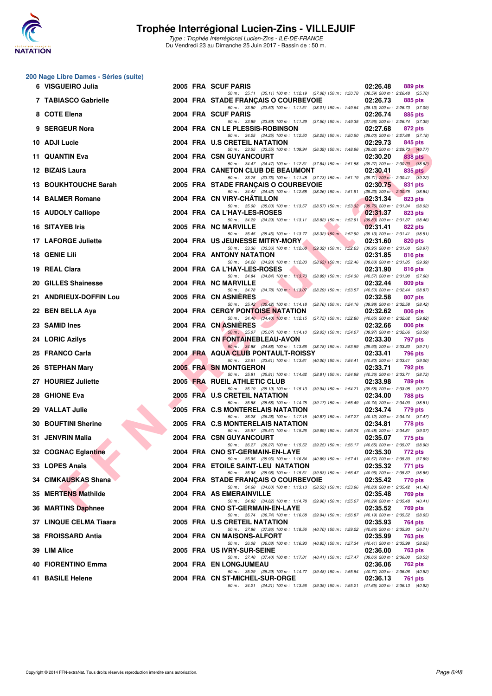

Type : Trophée Interrégional Lucien-Zins - ILE-DE-FRANCE Du Vendredi 23 au Dimanche 25 Juin 2017 - Bassin de : 50 m.

### **200 Nage Libre Dames - Séries (suite)**

| 6 VISGUEIRO Julia       |  | 2005 FRA SCUF PARIS                                                                                                                                                                                                             | 02:26.48 | 889 pts                                        |
|-------------------------|--|---------------------------------------------------------------------------------------------------------------------------------------------------------------------------------------------------------------------------------|----------|------------------------------------------------|
| 7 TABIASCO Gabrielle    |  | 50 m: 35.11 (35.11) 100 m: 1:12.19 (37.08) 150 m: 1:50.78 (38.59) 200 m: 2:26.48 (35.70)<br>2004 FRA STADE FRANÇAIS O COURBEVOIE                                                                                                | 02:26.73 | 885 pts                                        |
| 8 COTE Elena            |  | 50 m: 33.50 (33.50) 100 m: 1:11.51 (38.01) 150 m: 1:49.64 (38.13) 200 m: 2:26.73 (37.09)<br>2004 FRA SCUF PARIS                                                                                                                 | 02:26.74 | 885 pts                                        |
| 9 SERGEUR Nora          |  | 50 m: 33.89 (33.89) 100 m: 1:11.39 (37.50) 150 m: 1:49.35 (37.96) 200 m: 2:26.74 (37.39)<br>2004 FRA CN LE PLESSIS-ROBINSON                                                                                                     | 02:27.68 | 872 pts                                        |
| 10 ADJI Lucie           |  | 50 m: 34.25 (34.25) 100 m: 1:12.50 (38.25) 150 m: 1:50.50 (38.00) 200 m: 2:27.68 (37.18)<br>2004 FRA U.S CRETEIL NATATION                                                                                                       | 02:29.73 | 845 pts                                        |
| 11 QUANTIN Eva          |  | 50 m: 33.55 (33.55) 100 m: 1:09.94 (36.39) 150 m: 1:48.96 (39.02) 200 m: 2:29.73 (40.77)<br>2004 FRA CSN GUYANCOURT                                                                                                             | 02:30.20 | 838 pts                                        |
| 12 BIZAIS Laura         |  | 50 m: 34.47 (34.47) 100 m: 1:12.31 (37.84) 150 m: 1:51.58 (39.27) 200 m: 2:30.20 (38.62)<br>2004 FRA CANETON CLUB DE BEAUMONT                                                                                                   | 02:30.41 | 835 pts                                        |
| 13 BOUKHTOUCHE Sarah    |  | 50 m: 33.75 (33.75) 100 m: 1:11.48 (37.73) 150 m: 1:51.19 (39.71) 200 m: 2:30.41 (39.22)<br>2005 FRA STADE FRANÇAIS O COURBEVOIE                                                                                                | 02:30.75 | 831 pts                                        |
| <b>14 BALMER Romane</b> |  | 50 m: 34.42 (34.42) 100 m: 1:12.68 (38.26) 150 m: 1:51.91 (39.23) 200 m: 2:30.75 (38.84)<br>2004 FRA CN VIRY-CHATILLON                                                                                                          | 02:31.34 | 823 pts                                        |
| 15 AUDOLY Calliope      |  | 50 m: 35.00 (35.00) 100 m: 1:13.57 (38.57) 150 m: 1:53.32 (39.75) 200 m: 2:31.34 (38.02)<br>2004 FRA CA L'HAY-LES-ROSES                                                                                                         | 02:31.37 | 823 pts                                        |
| <b>16 SITAYEB Iris</b>  |  | 50 m: 34.29 (34.29) 100 m: 1:13.11 (38.82) 150 m: 1:52.91 (39.80) 200 m: 2:31.37 (38.46)<br>2005 FRA NC MARVILLE                                                                                                                | 02:31.41 | 822 pts                                        |
| 17 LAFORGE Juliette     |  | 50 m: 35.45 (35.45) 100 m: 1:13.77 (38.32) 150 m: 1:52.90 (39.13) 200 m: 2:31.41 (38.51)<br>2004 FRA US JEUNESSE MITRY-MORY                                                                                                     | 02:31.60 | 820 pts                                        |
| 18 GENIE Lili           |  | 50 m: 33.36 (33.36) 100 m: 1:12.68 (39.32) 150 m: 1:52.63 (39.95) 200 m: 2:31.60 (38.97)<br><b>2004 FRA ANTONY NATATION</b>                                                                                                     | 02:31.85 | 816 pts                                        |
| 19 REAL Clara           |  | 50 m: 34.20 (34.20) 100 m: 1:12.83 (38.63) 150 m: 1:52.46 (39.63) 200 m: 2:31.85 (39.39)<br>2004 FRA CA L'HAY-LES-ROSES<br>50 m: 34.84 (34.84) 100 m: 1:13.73 (38.89) 150 m: 1:54.30 (40.57) 200 m: 2:31.90 (37.60)             | 02:31.90 | 816 pts                                        |
| 20 GILLES Shainesse     |  | 2004 FRA NC MARVILLE<br>50 m: 34.78 (34.78) 100 m: 1:13.07 (38.29) 150 m: 1:53.57 (40.50) 200 m: 2:32.44 (38.87)                                                                                                                | 02:32.44 | 809 pts                                        |
| 21 ANDRIEUX-DOFFIN Lou  |  | 2005 FRA CN ASNIERES                                                                                                                                                                                                            | 02:32.58 | 807 pts                                        |
| 22 BEN BELLA Aya        |  | 50 m: 35.42 (35.42) 100 m: 1:14.18 (38.76) 150 m: 1:54.16 (39.98) 200 m: 2:32.58 (38.42)<br><b>2004 FRA CERGY PONTOISE NATATION</b><br>50 m: 34.40 (34.40) 100 m: 1:12.15 (37.75) 150 m: 1:52.80 (40.65) 200 m: 2:32.62 (39.82) | 02:32.62 | 806 pts                                        |
| 23 SAMID Ines           |  | 2004 FRA CN ASNIERES<br>50 m: 35.07 (35.07) 100 m: 1:14.10 (39.03) 150 m: 1:54.07 (39.97) 200 m: 2:32.66 (38.59)                                                                                                                | 02:32.66 | 806 pts                                        |
| 24 LORIC Azilys         |  | 2004 FRA CN FONTAINEBLEAU-AVON<br>50 m: 34.88 (34.88) 100 m: 1:13.66 (38.78) 150 m: 1:53.59 (39.93) 200 m: 2:33.30 (39.71)                                                                                                      | 02:33.30 | 797 pts                                        |
| 25 FRANCO Carla         |  | 2004 FRA AQUA CLUB PONTAULT-ROISSY                                                                                                                                                                                              | 02:33.41 | <b>796 pts</b>                                 |
| 26 STEPHAN Mary         |  | 50 m: 33.61 (33.61) 100 m: 1:13.61 (40.00) 150 m: 1:54.41 (40.80) 200 m: 2:33.41 (39.00)<br>2005 FRA SN MONTGERON<br>50 m: 35.81 (35.81) 100 m: 1:14.62 (38.81) 150 m: 1:54.98 (40.36) 200 m: 2:33.71 (38.73)                   | 02:33.71 | <b>792 pts</b>                                 |
| 27 HOURIEZ Juliette     |  | 2005 FRA RUEIL ATHLETIC CLUB<br>50 m: 35.19 (35.19) 100 m: 1:15.13 (39.94) 150 m: 1:54.71 (39.58) 200 m: 2:33.98 (39.27)                                                                                                        | 02:33.98 | 789 pts                                        |
| 28 GHIONE Eva           |  | 2005 FRA U.S CRETEIL NATATION<br>50 m: 35.58 (35.58) 100 m: 1:14.75 (39.17) 150 m: 1:55.49 (40.74) 200 m: 2:34.00 (38.51)                                                                                                       | 02:34.00 | 788 pts                                        |
| 29 VALLAT Julie         |  | 2005 FRA C.S MONTERELAIS NATATION<br>50 m: 36.28 (36.28) 100 m: 1:17.15 (40.87) 150 m: 1:57.27 (40.12) 200 m: 2:34.74 (37.47)                                                                                                   | 02:34.74 | 779 pts                                        |
| 30 BOUFTINI Sherine     |  | 2005 FRA C.S MONTERELAIS NATATION<br>50 m: 35.57 (35.57) 100 m: 1:15.26 (39.69) 150 m: 1:55.74 (40.48) 200 m: 2:34.81 (39.07)                                                                                                   | 02:34.81 | 778 pts                                        |
| 31 JENVRIN Malia        |  | 2004 FRA CSN GUYANCOURT<br>50 m: 36.27 (36.27) 100 m: 1:15.52 (39.25) 150 m: 1:56.17 (40.65) 200 m: 2:35.07 (38.90)                                                                                                             | 02:35.07 | 775 pts                                        |
| 32 COGNAC Eglantine     |  | 2004 FRA CNO ST-GERMAIN-EN-LAYE<br>50 m: 35.95 (35.95) 100 m: 1:16.84 (40.89) 150 m: 1:57.41 (40.57) 200 m: 2:35.30 (37.89)                                                                                                     | 02:35.30 | 772 pts                                        |
| 33 LOPES Anaïs          |  | 2004 FRA ETOILE SAINT-LEU NATATION<br>50 m : 35.98 (35.98) 100 m : 1:15.51 (39.53) 150 m : 1:56.47 (40.96) 200 m : 2:35.32 (38.85)                                                                                              | 02:35.32 | 771 pts                                        |
| 34 CIMKAUSKAS Shana     |  | 2004 FRA STADE FRANÇAIS O COURBEVOIE<br>50 m: 34.60 (34.60) 100 m: 1:13.13 (38.53) 150 m: 1:53.96 (40.83) 200 m: 2:35.42 (41.46)                                                                                                | 02:35.42 | 770 pts                                        |
| 35 MERTENS Mathilde     |  | 2004 FRA AS EMERAINVILLE<br>50 m: 34.82 (34.82) 100 m: 1:14.78 (39.96) 150 m: 1:55.07 (40.29) 200 m: 2:35.48 (40.41)                                                                                                            | 02:35.48 | 769 pts                                        |
| 36 MARTINS Daphnee      |  | 2004 FRA CNO ST-GERMAIN-EN-LAYE<br>50 m: 36.74 (36.74) 100 m: 1:16.68<br>$(39.94)$ 150 m : 1:56.87                                                                                                                              | 02:35.52 | 769 pts<br>$(40.19)$ 200 m : 2:35.52 $(38.65)$ |
| 37 LINQUE CELMA Tiaara  |  | 2005 FRA U.S CRETEIL NATATION                                                                                                                                                                                                   | 02:35.93 | 764 pts                                        |
| 38 FROISSARD Antia      |  | 50 m : 37.86 (37.86) 100 m : 1:18.56 (40.70) 150 m : 1:59.22<br>2004 FRA CN MAISONS-ALFORT<br>50 m: 36.08 (36.08) 100 m: 1:16.93 (40.85) 150 m: 1:57.34 (40.41) 200 m: 2:35.99 (38.65)                                          | 02:35.99 | (40.66) 200 m : 2:35.93 (36.71)<br>763 pts     |
| 39 LIM Alice            |  | 2005 FRA US IVRY-SUR-SEINE<br>50 m: 37.40 (37.40) 100 m: 1:17.81 (40.41) 150 m: 1:57.47 (39.66) 200 m: 2:36.00 (38.53)                                                                                                          | 02:36.00 | 763 pts                                        |
| 40 FIORENTINO Emma      |  | 2004 FRA EN LONGJUMEAU<br>50 m: 35.29 (35.29) 100 m: 1:14.77 (39.48) 150 m: 1:55.54 (40.77) 200 m: 2:36.06 (40.52)                                                                                                              | 02:36.06 | 762 pts                                        |
| 41 BASILE Helene        |  | 2004 FRA CN ST-MICHEL-SUR-ORGE<br>50 m: 34.21 (34.21) 100 m: 1:13.56 (39.35) 150 m: 1:55.21 (41.65) 200 m: 2:36.13 (40.92)                                                                                                      | 02:36.13 | 761 pts                                        |
|                         |  |                                                                                                                                                                                                                                 |          |                                                |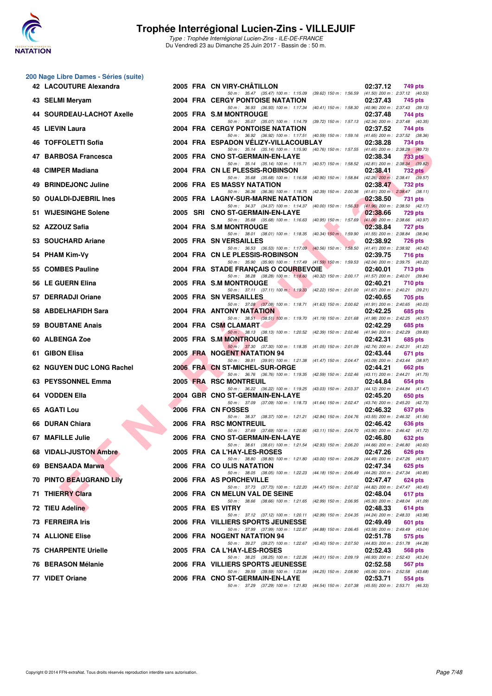

#### **200 Nage Libre Dames - Séries (suite)**

| 42 LACOUTURE Alexandra         |      | 2005 FRA CN VIRY-CHATILLON                                                                                                          | 02:37.12<br>749 pts                                                            |  |
|--------------------------------|------|-------------------------------------------------------------------------------------------------------------------------------------|--------------------------------------------------------------------------------|--|
| 43 SELMI Meryam                |      | 50 m: 35.47 (35.47) 100 m: 1:15.09 (39.62) 150 m: 1:56.59 (41.50) 200 m: 2:37.12 (40.53)<br><b>2004 FRA CERGY PONTOISE NATATION</b> | 02:37.43<br>745 pts                                                            |  |
| 44 SOURDEAU-LACHOT Axelle      |      | 50 m: 36.93 (36.93) 100 m: 1:17.34 (40.41) 150 m: 1:58.30 (40.96) 200 m: 2:37.43 (39.13)<br>2005 FRA S.M MONTROUGE                  | 02:37.48<br>744 pts                                                            |  |
| 45 LIEVIN Laura                |      | 50 m: 35.07 (35.07) 100 m: 1:14.79 (39.72) 150 m: 1:57.13 (42.34) 200 m: 2:37.48 (40.35)<br><b>2004 FRA CERGY PONTOISE NATATION</b> | 02:37.52<br>744 pts                                                            |  |
| <b>46 TOFFOLETTI Sofia</b>     |      | 50 m: 36.92 (36.92) 100 m: 1:17.51 (40.59) 150 m: 1:59.16 (41.65) 200 m: 2:37.52 (38.36)<br>2004 FRA ESPADON VELIZY-VILLACOUBLAY    | 02:38.28<br>734 pts                                                            |  |
| 47 BARBOSA Francesca           |      | 50 m: 35.14 (35.14) 100 m: 1:15.90 (40.76) 150 m: 1:57.55 (41.65) 200 m: 2:38.28 (40.73)<br>2005 FRA CNO ST-GERMAIN-EN-LAYE         | 02:38.34<br>733 pts                                                            |  |
| 48 CIMPER Madiana              |      | 50 m: 35.14 (35.14) 100 m: 1:15.71 (40.57) 150 m: 1:58.52 (42.81) 200 m: 2:38.34 (39.82)<br>2004 FRA CN LE PLESSIS-ROBINSON         | 02:38.41<br><b>732 pts</b>                                                     |  |
| 49 BRINDEJONC Juline           |      | 50 m: 35.68 (35.68) 100 m: 1:16.58 (40.90) 150 m: 1:58.84 (42.26) 200 m: 2:38.41 (39.57)<br>2006 FRA ES MASSY NATATION              | 02:38.47<br>732 pts                                                            |  |
| 50 OUALDI-DJEBRIL Ines         |      | 50 m: 36.36 (36.36) 100 m: 1:18.75 (42.39) 150 m: 2:00.36 (41.61) 200 m: 2:38.47 (38.11)<br>2005 FRA LAGNY-SUR-MARNE NATATION       | 02:38.50<br><b>731 pts</b>                                                     |  |
| 51 WIJESINGHE Solene           | 2005 | 50 m: 34.37 (34.37) 100 m: 1:14.37 (40.00) 150 m: 1:56.33 (41.96) 200 m: 2:38.50 (42.17)<br>SRI CNO ST-GERMAIN-EN-LAYE              | 02:38.66<br>729 pts                                                            |  |
| 52 AZZOUZ Safia                |      | 50 m: 35.68 (35.68) 100 m: 1:16.63 (40.95) 150 m: 1:57.69 (41.06) 200 m: 2:38.66 (40.97)<br>2004 FRA S.M MONTROUGE                  | 02:38.84<br>727 pts                                                            |  |
| 53 SOUCHARD Ariane             |      | 50 m: 38.01 (38.01) 100 m: 1:18.35 (40.34) 150 m: 1:59.90 (41.55) 200 m: 2:38.84 (38.94)<br>2005 FRA SN VERSAILLES                  | 02:38.92<br><b>726 pts</b>                                                     |  |
| 54 PHAM Kim-Vy                 |      | 50 m: 36.53 (36.53) 100 m: 1:17.09 (40.56) 150 m: 1:58.50 (41.41) 200 m: 2:38.92 (40.42)<br>2004 FRA CN LE PLESSIS-ROBINSON         | 02:39.75<br><b>716 pts</b>                                                     |  |
| 55 COMBES Pauline              |      | 50 m: 35.90 (35.90) 100 m: 1:17.49 (41.59) 150 m: 1:59.53 (42.04) 200 m: 2:39.75 (40.22)                                            |                                                                                |  |
|                                |      | 2004 FRA STADE FRANÇAIS O COURBEVOIE<br>50 m: 38.28 (38.28) 100 m: 1:18.60 (40.32) 150 m: 2:00.17 (41.57) 200 m: 2:40.01 (39.84)    | 02:40.01<br>713 pts                                                            |  |
| 56 LE GUERN Elina              |      | 2005 FRA S.M MONTROUGE<br>50 m: 37.11 (37.11) 100 m: 1:19.33 (42.22) 150 m: 2:01.00 (41.67) 200 m: 2:40.21 (39.21)                  | 02:40.21<br><b>710 pts</b>                                                     |  |
| 57 DERRADJI Oriane             |      | 2005 FRA SN VERSAILLES<br>50 m: 37.08 (37.08) 100 m: 1:18.71 (41.63) 150 m: 2:00.62 (41.91) 200 m: 2:40.65 (40.03)                  | 02:40.65<br>705 pts                                                            |  |
| 58 ABDELHAFIDH Sara            |      | 2004 FRA ANTONY NATATION<br>50 m: 38.51 (38.51) 100 m: 1:19.70 (41.19) 150 m: 2:01.68 (41.98) 200 m: 2:42.25 (40.57)                | 02:42.25<br>685 pts                                                            |  |
| 59 BOUBTANE Anais              |      | 2004 FRA CSM CLAMART<br>50 m : 38.13 (38.13) 100 m : 1:20.52 (42.39) 150 m : 2:02.46 (41.94) 200 m : 2:42.29 (39.83)                | 02:42.29<br>685 pts                                                            |  |
| 60 ALBENGA Zoe                 |      | 2005 FRA S.M MONTROUGE<br>50 m: 37.30 (37.30) 100 m: 1:18.35 (41.05) 150 m: 2:01.09 (42.74) 200 m: 2:42.31 (41.22)                  | 02:42.31<br>685 pts                                                            |  |
| 61 GIBON Elisa                 |      | 2005 FRA NOGENT NATATION 94<br>50 m: 39.91 (39.91) 100 m: 1:21.38 (41.47) 150 m: 2:04.47 (43.09) 200 m: 2:43.44 (38.97)             | 02:43.44<br>671 pts                                                            |  |
| 62 NGUYEN DUC LONG Rachel      |      | 2006 FRA CN ST-MICHEL-SUR-ORGE<br>50 m: 36.76 (36.76) 100 m: 1:19.35 (42.59) 150 m: 2:02.46 (43.11) 200 m: 2:44.21 (41.75)          | 02:44.21<br>662 pts                                                            |  |
| 63 PEYSSONNEL Emma             |      | 2005 FRA RSC MONTREUIL<br>50 m: 36.22 (36.22) 100 m: 1:19.25 (43.03) 150 m: 2:03.37 (44.12) 200 m: 2:44.84 (41.47)                  | 02:44.84<br>654 pts                                                            |  |
| 64 VODDEN Ella                 |      | 2004 GBR CNO ST-GERMAIN-EN-LAYE<br>50 m: 37.09 (37.09) 100 m: 1:18.73 (41.64) 150 m: 2:02.47 (43.74) 200 m: 2:45.20 (42.73)         | 02:45.20<br>650 pts                                                            |  |
| 65 AGATI Lou                   |      | 2006 FRA CN FOSSES                                                                                                                  | 02:46.32<br>637 pts                                                            |  |
| 66 DURAN Chiara                |      | 50 m: 38.37 (38.37) 100 m: 1:21.21 (42.84) 150 m: 2:04.76 (43.55) 200 m: 2:46.32 (41.56)<br>2006 FRA RSC MONTREUIL                  | 02:46.42<br>636 pts                                                            |  |
| 67 MAFILLE Julie               |      | 50 m: 37.69 (37.69) 100 m: 1:20.80 (43.11) 150 m: 2:04.70 (43.90) 200 m: 2:46.42 (41.72)<br>2006 FRA CNO ST-GERMAIN-EN-LAYE         | 02:46.80<br>632 pts                                                            |  |
| 68 VIDALI-JUSTON Ambre         |      | 50 m: 38.61 (38.61) 100 m: 1:21.54 (42.93) 150 m: 2:06.20 (44.66) 200 m: 2:46.80 (40.60)<br>2005 FRA CA L'HAY-LES-ROSES             | 02:47.26<br><b>626 pts</b>                                                     |  |
| 69 BENSAADA Marwa              |      | 50 m: 38.80 (38.80) 100 m: 1:21.80 (43.00) 150 m: 2:06.29<br>2006 FRA CO ULIS NATATION                                              | (44.49) 200 m : 2:47.26 (40.97)<br>02:47.34<br>625 pts                         |  |
| <b>70 PINTO BEAUGRAND Lily</b> |      | 50 m: 38.05 (38.05) 100 m: 1:22.23 (44.18) 150 m: 2:06.49 (44.26) 200 m: 2:47.34 (40.85)<br>2006 FRA AS PORCHEVILLE                 | 02:47.47<br>624 pts                                                            |  |
| <b>71 THIERRY Clara</b>        |      | 50 m: 37.73 (37.73) 100 m: 1:22.20 (44.47) 150 m: 2:07.02 (44.82) 200 m: 2:47.47 (40.45)<br>2006 FRA CN MELUN VAL DE SEINE          | 02:48.04<br>617 pts                                                            |  |
| 72 TIEU Adeline                |      | 50 m: 38.66 (38.66) 100 m: 1:21.65 (42.99) 150 m: 2:06.95 (45.30) 200 m: 2:48.04 (41.09)<br>2005 FRA ES VITRY                       | 02:48.33<br>614 pts                                                            |  |
| 73 FERREIRA Iris               |      | 50 m: 37.12 (37.12) 100 m: 1:20.11<br>2006 FRA VILLIERS SPORTS JEUNESSE                                                             | (42.99) 150 m : 2:04.35 (44.24) 200 m : 2:48.33 (43.98)<br>02:49.49<br>601 pts |  |
| <b>74 ALLIONE Elise</b>        |      | 50 m : 37.99 (37.99) 100 m : 1:22.87<br>(44.88) 150 m : 2:06.45<br>2006 FRA NOGENT NATATION 94                                      | (43.58) 200 m : 2:49.49 (43.04)<br>02:51.78<br>575 pts                         |  |
| <b>75 CHARPENTE Urielle</b>    |      | 50 m : 39.27 (39.27) 100 m : 1:22.67 (43.40) 150 m : 2:07.50<br>2005 FRA CA L'HAY-LES-ROSES                                         | (44.83) 200 m : 2:51.78 (44.28)<br>02:52.43<br>568 pts                         |  |
| 76 BERASON Mélanie             |      | 50 m: 38.25 (38.25) 100 m: 1:22.26<br>2006 FRA VILLIERS SPORTS JEUNESSE                                                             | (44.01) 150 m : 2:09.19 (46.93) 200 m : 2:52.43 (43.24)<br>02:52.58<br>567 pts |  |
| 77 VIDET Oriane                |      | 50 m : 39.59 (39.59) 100 m : 1:23.84 (44.25) 150 m : 2:08.90 (45.06) 200 m : 2:52.58 (43.68)                                        |                                                                                |  |
|                                |      | 2006 FRA CNO ST-GERMAIN-EN-LAYE<br>50 m: 37.29 (37.29) 100 m: 1:21.83 (44.54) 150 m: 2:07.38 (45.55) 200 m: 2:53.71 (46.33)         | 02:53.71<br>554 pts                                                            |  |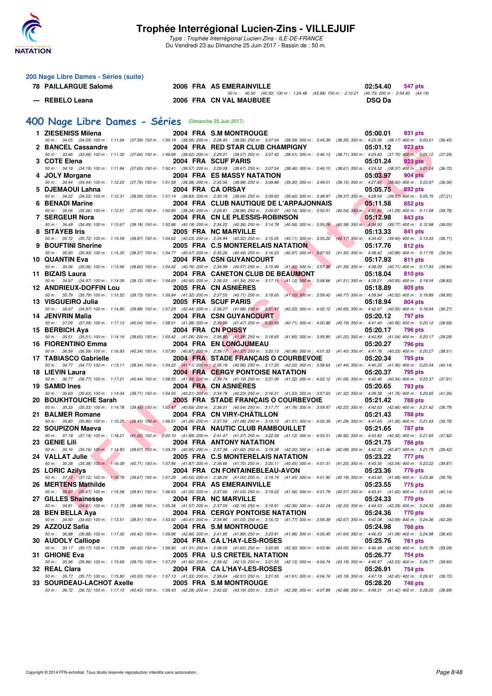

Type : Trophée Interrégional Lucien-Zins - ILE-DE-FRANCE Du Vendredi 23 au Dimanche 25 Juin 2017 - Bassin de : 50 m.

| 200 Nage Libre Dames - Séries (suite)                                                                                                                                                                                     |  |                                                                                                                                                                                                                                      |  |               |                |         |
|---------------------------------------------------------------------------------------------------------------------------------------------------------------------------------------------------------------------------|--|--------------------------------------------------------------------------------------------------------------------------------------------------------------------------------------------------------------------------------------|--|---------------|----------------|---------|
| 78 PAILLARGUE Salomé                                                                                                                                                                                                      |  | 2006 FRA AS EMERAINVILLE<br>$50 m: 40.50 (40.50) 100 m: 1.24.48 (43.98) 150 m: 2.10.21 (45.73) 200 m: 2.54.40 (44.19)$                                                                                                               |  | 02:54.40      | 547 pts        |         |
| --- REBELO Leana                                                                                                                                                                                                          |  | 2006 FRA CN VAL MAUBUEE                                                                                                                                                                                                              |  | <b>DSQ Da</b> |                |         |
| 400 Nage Libre Dames - Séries (Dimanche 25 Juin 2017)                                                                                                                                                                     |  |                                                                                                                                                                                                                                      |  |               |                |         |
| 1 ZIESENISS Milena                                                                                                                                                                                                        |  | 2004 FRA S.M MONTROUGE                                                                                                                                                                                                               |  | 05:00.01      | 931 pts        |         |
| 50 m: 34.05 (34.05) 100 m: 1:11.64 (37.59) 150 m: 1:50.19 (38.55) 200 m: 2:28.45 (38.26) 250 m: 3:07.04 (38.59) 300 m: 3:45.39 (38.35) 350 m: 4:23.56 (38.17) 400 m: 5:00.01 (36.45)<br>2 BANCEL Cassandre                |  | 2004 FRA RED STAR CLUB CHAMPIGNY                                                                                                                                                                                                     |  | 05:01.12      | 923 pts        |         |
| 50 m: 33.66 (33.66) 100 m: 1:11.32 (37.66) 150 m: 1:49.94 (38.62) 200 m: 2:29.01 (39.07) 250 m: 3:07.42 (38.41) 300 m: 3:46.13 (38.71) 350 m: 4:23.83 (37.70) 400 m: 5:01.12 (37.29)                                      |  |                                                                                                                                                                                                                                      |  |               |                |         |
| 3 COTE Elena<br>50 m: 34.19 (34.19) 100 m: 1:11.84 (37.65) 150 m: 1:50.41 (38.57) 200 m: 2:29.08 (38.67) 250 m: 3:07.54 (38.46) 300 m: 3:46.15 (38.61) 350 m: 4:24.52 (38.37) 400 m: 5:01.24                              |  | 2004 FRA SCUF PARIS                                                                                                                                                                                                                  |  | 05:01.24      | 923 pts        | (36.72) |
| 4 JOLY Morgane<br>50 m: 34.44 (34.44) 100 m: 1:12.20 (37.76) 150 m: 1:51.58 (39.38) 200 m: 2:30.56 (38.98) 250 m: 3:09.86 (39.30) 300 m: 3:49.01 (39.15) 350 m: 4:27.61 (38.60) 400 m: 5:03.97 (36.36)                    |  | <b>2004 FRA ES MASSY NATATION</b>                                                                                                                                                                                                    |  | 05:03.97      | 904 pts        |         |
| 5 DJEMAOUI Lahna                                                                                                                                                                                                          |  | 2004 FRA CA ORSAY                                                                                                                                                                                                                    |  | 05:05.75      | 892 pts        |         |
| 50 m: 34.22 (34.22) 100 m: 1:12.31 (38.09) 150 m: 1:51.14 (38.83) 200 m: 2:30.18 (39.04) 250 m: 3:09.60 (39.42) 300 m: 3:48.97 (39.37) 350 m: 4:28.54 (39.57) 400 m: 5:05.75 (37.21)<br>6 BENADI Marine                   |  | 2004 FRA CLUB NAUTIQUE DE L'ARPAJONNAIS                                                                                                                                                                                              |  | 05:11.58      | 852 pts        |         |
| 50 m: 35.06 (35.06) 100 m: 1:12.51 (37.45) 150 m: 1:50.85 (38.34) 200 m: 2:29.81 (38.96) 250 m: 3:09.97 (40.16) 300 m: 3:50.51 (40.54) 350 m: 4:31.80 (41.29) 400 m: 5:11.58 (39.78)                                      |  |                                                                                                                                                                                                                                      |  |               |                |         |
| 7 SERGEUR Nora<br>50 m : 34.49 (34.49) 100 m : 1:13.67 (39.18) 150 m : 1:53.86 (40.19) 200 m : 2:34.22 (40.36) 250 m : 3:14.78 (40.56) 300 m : 3:55.16 (40.38) 350 m : 4:34.93 (39.77) 400 m : 5:12.98 (38.05)            |  | 2004 FRA CN LE PLESSIS-ROBINSON                                                                                                                                                                                                      |  | 05:12.98      | 843 pts        |         |
| 8 SITAYEB Iris<br>50 m : 35.72 (35.72) 100 m : 1:14.59 (38.87) 150 m : 1:54.62 (40.03) 200 m : 2:34.94 (40.32) 250 m : 3:15.05 (40.11) 300 m : 3:55.22 (40.17) 350 m : 4:34.62 (39.40) 400 m : 5:13.33 (38.71)            |  | 2005 FRA NC MARVILLE                                                                                                                                                                                                                 |  | 05:13.33      | 841 pts        |         |
| 9 BOUFTINI Sherine                                                                                                                                                                                                        |  | 2005 FRA C.S MONTERELAIS NATATION                                                                                                                                                                                                    |  | 05:17.76      | 812 pts        |         |
| 50 m: 35.93 (35.93) 100 m: 1:14.30 (38.37) 150 m: 1:54.77 (40.47) 200 m: 2:35.26 (40.49) 250 m: 3:16.23 (40.97) 300 m: 3:57.53 (41.30) 350 m: 4:38.42 (40.89) 400 m: 5:17.76 (39.34)<br>10 QUANTIN Eva                    |  | <b>2004 FRA CSN GUYANCOURT</b>                                                                                                                                                                                                       |  | 05:17.93      | 811 pts        |         |
| 50 m : 35.06 (35.06) 100 m : 1:13.66 (38.60) 150 m : 1:54.42 (40.76) 200 m : 2:34.99 (40.57) 250 m : 3:15.99 (41.00) 300 m : 3:57.38 (41.39) 350 m : 4:38.09 (40.71) 400 m : 5:17.93 (39.84)                              |  |                                                                                                                                                                                                                                      |  |               |                |         |
| 11 BIZAIS Laura<br>50 m: 34.97 (34.97) 100 m: 1:14.09 (39.12) 150 m: 1:54.69 (40.60) 200 m: 2:36.03 (41.34) 250 m: 3:17.15 (41.12) 300 m: 3:58.66 (41.51) 350 m: 4:39.21 (40.55) 400 m: 5:18.04 (38.83)                   |  | <b>2004 FRA CANETON CLUB DE BEAUMONT</b>                                                                                                                                                                                             |  | 05:18.04      | 810 pts        |         |
| <b>12 ANDRIEUX-DOFFIN Lou</b><br>50 m: 35.79 (35.79) 100 m: 1:15.52 (39.73) 150 m: 1:56.84 (41.32) 200 m: 2:37.55 (40.71) 250 m: 3:18.65 (41.10) 300 m: 3:59.42 (40.77) 350 m: 4:39.94 (40.52) 400 m: 5:18.89 (38.95)     |  | 2005 FRA CN ASNIERES                                                                                                                                                                                                                 |  | 05:18.89      | 805 pts        |         |
| 13 VISGUEIRO Julia                                                                                                                                                                                                        |  | 2005 FRA SCUF PARIS                                                                                                                                                                                                                  |  | 05:18.94      | <b>804 pts</b> |         |
| 50 m: 34.97 (34.97) 100 m: 1:14.85 (39.88) 150 m: 1:57.29 (42.44) 200 m: 2:39.27 (41.98) 25 <mark>0 m: 3:21.47</mark> (42.20) 300 m: 4:02.12 (40.65) 350 m: 4:42.67 (40.55) 400 m: 5:18.94 (36.27)<br>14 JENVRIN Malia    |  | <b>2004 FRA CSN GUYANCOURT</b>                                                                                                                                                                                                       |  | 05:20.12      | <b>797 pts</b> |         |
| 50 m : 37.09 (37.09) 100 m : 1:17.13 (40.04) 150 m : 1:58.51 (41.38) 200 m : 2:39.98 (41.47) 250 m : 3:20.69 (40.71) 300 m : 4:00.88 (40.19) 350 m : 4:41.44 (40.56) 400 m : 5:20.12 (38.68)                              |  |                                                                                                                                                                                                                                      |  |               |                |         |
| 15 BERBICH Aya<br>50 m: 35.51 (35.51) 100 m: 1:14.16 (38.65) 150 m: 1:55.42 (41.26) 200 m: 2:36.80 (41.38) 250 m: 3:18.65 (41.85) 300 m: 3:59.85 (41.20) 350 m: 4:40.89 (41.04) 400 m: 5:20.17 (39.28)                    |  | 2004 FRA CN POISSY                                                                                                                                                                                                                   |  | 05:20.17      | 796 pts        |         |
| 16 FIORENTINO Emma                                                                                                                                                                                                        |  | 2004 FRA EN LONGJUMEAU                                                                                                                                                                                                               |  | 05:20.27      | 796 pts        |         |
| 50 m: 36.59 (36.59) 100 m: 1:16.93 (40.34) 150 m: 1:57.80 (40.87) 200 m: 2:39.17 (41.37) 250 m: 3:20.13 (40.96) 300 m: 4:01.53 (41.40) 350 m: 4:41.76 (40.23) 400 m: 5:20.27 (38.51)<br>17 TABIASCO Gabrielle             |  | 2004 FRA STADE FRANÇAIS O COURBEVOIE                                                                                                                                                                                                 |  | 05:20.34      | 795 pts        |         |
| 50 m: 34.77 (34.77) 100 m: 1:13.11 (38.34) 150 m: 1:54.22 (41.11) 200 m: 2:35.18 (40.96) 250 m: 3:17.20 (42.02) 300 m: 3:58.64 (41.44) 350 m: 4:40.20 (41.56) 400 m: 5:20.34 (40.14)<br>18 LIEVIN Laura                   |  | <b>2004 FRA CERGY PONTOISE NATATION</b>                                                                                                                                                                                              |  | 05:20.37      | 795 pts        |         |
| 50 m: 36.77 (36.77) 100 m: 1:17.21 (40.44) 150 m: 1:58.55 (41.34) 200 m: 2:39.74 (41.19) 250 m: 3:21.06 (41.32) 300 m: 4:02.12 (41.06) 350 m: 4:42.46 (40.34) 400 m: 5:20.37 (37.91)                                      |  |                                                                                                                                                                                                                                      |  |               |                |         |
| 19 SAMID Ines<br>50 m: 35.63 (35.63) 100 m: 1:14.34 (38.71) 150 m: 1:54.55 (40.21) 200 m: 2:34.78 (40.23) 250 m: 3:16.31 (41.53) 300 m: 3:57.63 (41.32) 350 m: 4:39.39 (41.76) 400 m: 5:20.65 (41.26)                     |  | 2004 FRA CN ASNIERES                                                                                                                                                                                                                 |  | 05:20.65      | 793 pts        |         |
| 20 BOUKHTOUCHE Sarah<br>50 m : 35.33 (35.33) 100 m : 1:14.78 (39.45) 150 m : 1:55.47 (40.69) 200 m : 2:36.01 (40.54) 250 m : 3:17.77 (41.76) 300 m : 3:59.97 (42.20) 350 m : 4:42.63 (42.66) 400 m : 5:21.42 (38.79)      |  | <b>2005 FRA STADE FRANCAIS O COURBEVOIE</b>                                                                                                                                                                                          |  | 05:21.42      | <b>788 pts</b> |         |
| 21 BALMER Romane                                                                                                                                                                                                          |  | 2004 FRA CN VIRY-CHATILLON                                                                                                                                                                                                           |  | 05:21.43      | <b>788 pts</b> |         |
| 50 m: 35.80 (35.80) 100 m: 1:15.25 (39.45) 150 m: 1:56.51 (41.26) 200 m: 2:37.59 (41.08) 250 m: 3:19.10 (41.51) 300 m: 4:00.39 (41.29) 350 m: 4:41.65 (41.26) 400 m: 5:21.43 (39.78)<br>22 SOUPIZON Maeva                 |  | 2004 FRA NAUTIC CLUB RAMBOUILLET                                                                                                                                                                                                     |  | 05:21.65      | 787 pts        |         |
| 50 m: 37.19 (37.19) 100 m: 1:18.21 (41.02) 150 m: 2:00.10 (41.89) 200 m: 2:41.47 (41.37) 250 m: 3:22.59 (41.12) 300 m: 4:03.51 (40.92) 350 m: 4:43.83 (40.32) 400 m: 5:21.65 (37.82)                                      |  |                                                                                                                                                                                                                                      |  |               |                |         |
| 23 GENIE Lili<br>50 m : 35.16 (35.16) 100 m : 1:14.83 (39.67) 150 m : 1:55.78 (40.95) 200 m : 2:37.38 (41.60) 250 m : 3:19.38 (42.00) 300 m : 4:01.46 (42.08) 350 m : 4:42.33 (40.87) 400 m : 5:21.75 (39.42)             |  | <b>EXAMPLE 2004 FRA ANTONY NATATION CONTRACT OF SECOND CONTRACT OF SECOND CONTRACT OF SECOND CONTRACT OF SECOND CONTRACT OF SECOND CONTRACT OF SECOND CONTRACT OF SECOND SECOND SECOND SECOND SECOND SECOND SECOND SECOND SECOND</b> |  |               | <b>786 pts</b> |         |
| 24 VALLAT Julie<br>50 m: 35.38 (35.38) 100 m: 1:16.09 (40.71) 150 m: 1:57.96 (41.87) 200 m: 2:39.66 (41.70) 250 m: 3:20.11 (40.45) 300 m: 4:01.31 (41.20) 350 m: 4:43.35 (42.04) 400 m: 5:23.22 (39.87)                   |  | 2005 FRA C.S MONTERELAIS NATATION                                                                                                                                                                                                    |  | 05:23.22      | 777 pts        |         |
| 25 LORIC Azilvs                                                                                                                                                                                                           |  | 2004 FRA CN FONTAINEBLEAU-AVON                                                                                                                                                                                                       |  | 05:23.36      | 776 pts        |         |
| 50 m: 37.12 (37.12) 100 m: 1:16.79 (39.67) 150 m: 1:57.29 (40.50) 200 m: 2:38.29 (41.00) 250 m: 3:19.74 (41.45) 300 m: 4:01.92 (42.18) 350 m: 4:43.60 (41.68) 400 m: 5:23.36 (39.76)<br>26 MERTENS Mathilde               |  | 2004 FRA AS EMERAINVILLE                                                                                                                                                                                                             |  | 05:23.55      | 775 pts        |         |
| 50 m: 35.67 (35.67) 100 m: 1:15.58 (39.91) 150 m: 1:56.63 (41.05) 200 m: 2:37.66 (41.03) 250 m: 3:19.22 (41.56) 300 m: 4:01.79 (42.57) 350 m: 4:43.41 (41.62) 400 m: 5:23.55 (40.14)                                      |  |                                                                                                                                                                                                                                      |  |               |                |         |
| 27 GILLES Shainesse<br>50 m: 34.81 (34.81) 100 m: 1:13.79 (38.98) 150 m: 1:55.36 (41.57) 200 m: 2:37.55 (42.19) 250 m: 3:19.91 (42.36) 300 m: 4:02.24 (42.33) 350 m: 4:44.53 (42.29) 400 m: 5:24.33 (39.80)               |  | 2004 FRA NC MARVILLE                                                                                                                                                                                                                 |  | 05:24.33      | 770 pts        |         |
| 28 BEN BELLA Aya                                                                                                                                                                                                          |  | 2004 FRA CERGY PONTOISE NATATION                                                                                                                                                                                                     |  | 05:24.36      | 770 pts        |         |
| 50 m : 34.60 (34.60) 100 m : 1:13.51 (38.91) 150 m : 1:53.92 (40.41) 200 m : 2:34.95 (41.03) 250 m : 3:16.72 (41.77) 300 m : 3:59.39 (42.67) 350 m : 4:42.08 (42.69) 400 m : 5:24.36 (42.28)<br>29 AZZOUZ Safia           |  | 2004 FRA S.M MONTROUGE                                                                                                                                                                                                               |  | 05:24.98      | 766 pts        |         |
| 50 m: 36.88 (36.88) 100 m: 1:17.30 (40.42) 150 m: 1:59.96 (42.66) 200 m: 2:41.85 (41.89) 250 m: 3:23.81 (41.96) 300 m: 4:05.45 (41.64) 350 m: 4:46.53 (41.08) 400 m: 5:24.98 (38.45)                                      |  |                                                                                                                                                                                                                                      |  |               |                |         |
| 30 AUDOLY Calliope<br>50 m: 35.17 (35.17) 100 m: 1:15.59 (40.42) 150 m: 1:56.90 (41.31) 200 m: 2:38.55 (41.65) 250 m: 3:20.85 (42.30) 300 m: 4:03.90 (43.05) 350 m: 4:46.48 (42.58) 400 m: 5:25.76 (39.28)                |  | 2004 FRA CA L'HAY-LES-ROSES                                                                                                                                                                                                          |  | 05:25.76      | <b>761 pts</b> |         |
| 31 GHIONE Eva<br>50 m: 35.96 (35.96) 100 m: 1:15.69 (39.73) 150 m: 1:57.29 (41.60) 200 m: 2:39.42 (42.13) 250 m: 3:21.55 (42.13) 300 m: 4:04.74 (43.19) 350 m: 4:46.97 (42.23) 400 m: 5:26.77 (39.80)                     |  | 2005 FRA U.S CRETEIL NATATION                                                                                                                                                                                                        |  | 05:26.77      | 754 pts        |         |
| 32 REAL Clara                                                                                                                                                                                                             |  | 2004 FRA CA L'HAY-LES-ROSES                                                                                                                                                                                                          |  | 05:26.91      | 754 pts        |         |
| 50 m : 35.77 (35.77) 100 m : 1:15.80 (40.03) 150 m : 1:57.13 (41.33) 200 m : 2:39.64 (42.51) 250 m : 3:21.55 (41.91) 300 m : 4:04.74 (43.19) 350 m : 4:47.19 (42.45) 400 m : 5:26.91 (39.72)<br>33 SOURDEAU-LACHOT Axelle |  | 2005 FRA S.M MONTROUGE                                                                                                                                                                                                               |  | 05:28.20      | 746 pts        |         |
| 50 m: 36.72 (36.72) 100 m: 1:17.15 (40.43) 150 m: 1:59.43 (42.28) 200 m: 2:42.62 (43.19) 250 m: 3:25.01 (42.39) 300 m: 4:07.89 (42.88) 350 m: 4:49.31 (41.42) 400 m: 5:26.20 (38.89)                                      |  |                                                                                                                                                                                                                                      |  |               |                |         |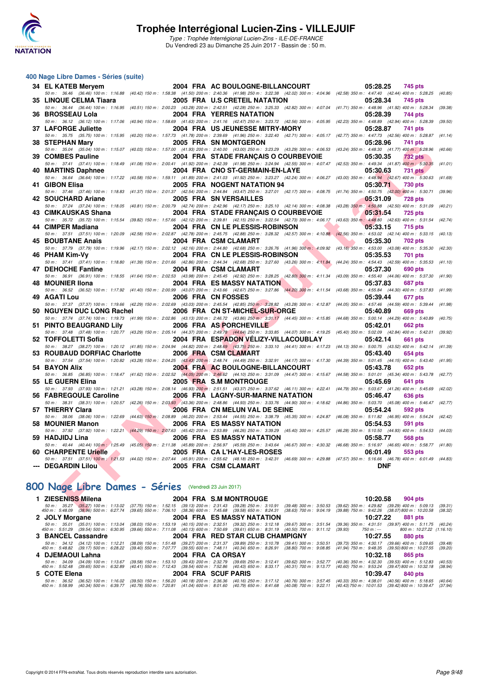

#### **400 Nage Libre Dames - Séries (suite)**

| 34 EL KATEB Meryem                                    |                                 | 2004 FRA AC BOULOGNE-BILLANCOURT     |                                     | 05:28.25<br>745 pts                                                                                                                                                                                                        |         |
|-------------------------------------------------------|---------------------------------|--------------------------------------|-------------------------------------|----------------------------------------------------------------------------------------------------------------------------------------------------------------------------------------------------------------------------|---------|
|                                                       |                                 |                                      |                                     | 50 m: 36.46 (36.46) 100 m: 1:16.88 (40.42) 150 m: 1:58.38 (41.50) 200 m: 2:40.36 (41.98) 250 m: 3:22.38 (42.02) 300 m: 4:04.96 (42.58) 350 m: 4:47.40 (42.44) 400 m: 5:28.25 (40.85)                                       |         |
| 35 LINQUE CELMA Tiaara                                |                                 | 2005 FRA U.S CRETEIL NATATION        |                                     | 05:28.34<br>745 pts                                                                                                                                                                                                        |         |
|                                                       |                                 |                                      |                                     | 50 m: 36.44 (36.44) 100 m: 1:16.95 (40.51) 150 m: 2:00.23 (43.28) 200 m: 2:42.51 (42.28) 250 m: 3:25.33 (42.82) 300 m: 4:07.04 (41.71) 350 m: 4:48.96 (41.92) 400 m: 5:28.34 (39.38)                                       |         |
| 36 BROSSEAU Lola                                      |                                 | 2004 FRA YERRES NATATION             |                                     | 05:28.39<br>744 pts<br>50 m : 36.12 (36.12) 100 m : 1:17.06 (40.94) 150 m : 1:58.69 (41.63) 200 m : 2:41.16 (42.47) 250 m : 3:23.72 (42.56) 300 m : 4:05.95 (42.23) 350 m : 4:48.89 (42.94) 400 m : 5:28.39                | (39.50) |
| 37 LAFORGE Juliette                                   |                                 | 2004 FRA US JEUNESSE MITRY-MORY      |                                     | 05:28.87<br>741 pts                                                                                                                                                                                                        |         |
|                                                       |                                 |                                      |                                     | 50 m: 35.75 (35.75) 100 m: 1:15.95 (40.20) 150 m: 1:57.73 (41.78) 200 m: 2:39.69 (41.96) 250 m: 3:22.40 (42.71) 300 m: 4:05.17 (42.77) 350 m: 4:47.73 (42.56) 400 m: 5:28.87 (41.14)                                       |         |
| 38 STEPHAN Mary                                       |                                 | 2005 FRA SN MONTGERON                |                                     | 05:28.96<br>741 pts                                                                                                                                                                                                        |         |
|                                                       |                                 |                                      |                                     | 50 m: 35.04 (35.04) 100 m: 1:15.07 (40.03) 150 m: 1:57.00 (41.93) 200 m: 2:40.00 (43.00) 250 m: 3:23.29 (43.29) 300 m: 4:06.53 (43.24) 350 m: 4:48.30 (41.77) 400 m: 5:28.96 (40.66)                                       |         |
| 39 COMBES Pauline                                     |                                 | 2004 FRA STADE FRANCAIS O COURBEVOIE |                                     | 05:30.35<br><b>732 pts</b>                                                                                                                                                                                                 |         |
|                                                       |                                 |                                      |                                     | 50 m: 37.41 (37.41) 100 m: 1:18.49 (41.08) 150 m: 2:00.41 (41.92) 200 m: 2:42.39 (41.98) 250 m: 3:24.94 (42.55) 300 m: 4:07.47 (42.53) 350 m: 4:49.34 (41.87) 400 m: 5:30.35 (41.01)                                       |         |
| 40 MARTINS Daphnee                                    |                                 | 2004 FRA CNO ST-GERMAIN-EN-LAYE      |                                     | 05:30.63<br><b>731 pts</b>                                                                                                                                                                                                 |         |
|                                                       |                                 |                                      |                                     | 50 m: 36.64 (36.64) 100 m: 1:17.22 (40.58) 150 m: 1:59.11 (41.89) 200 m: 2:41.03 (41.92) 250 m: 3:23.27 (42.24) 300 m: 4:06.27 (43.00) 350 m: 4:48.94 (42.67) 400 m: 5:30.63 (41.69)                                       |         |
| 41 GIBON Elisa                                        |                                 | 2005 FRA NOGENT NATATION 94          |                                     | 05:30.71<br>730 pts<br>50 m: 37.46 (37.46) 100 m: 1:18.83 (41.37) 150 m: 2:01.37 (42.54) 200 m: 2:44.84 (43.47) 250 m: 3:27.01 (42.17) 300 m: 4:08.75 (41.74) 350 m: 4:50.75 (42.00) 400 m: 5:30.71 (39.96)                |         |
| 42 SOUCHARD Ariane                                    |                                 | 2005 FRA SN VERSAILLES               |                                     | 05:31.09<br><b>728 pts</b>                                                                                                                                                                                                 |         |
|                                                       |                                 |                                      |                                     | 50 m: 37.24 (37.24) 100 m: 1:18.05 (40.81) 150 m: 2:00.79 (42.74) 200 m: 2:42.96 (42.17) 250 m: 3:25.10 (42.14) 300 m: 4:08.38 (43.28) 350 m: 4:50.88 (42.50) 400 m: 5:31.09 (40.21)                                       |         |
| 43 CIMKAUSKAS Shana                                   |                                 | 2004 FRA STADE FRANÇAIS O COURBEVOIE |                                     | 05:31.54<br>725 pts                                                                                                                                                                                                        |         |
|                                                       |                                 |                                      |                                     | 50 m: 35.72 (35.72) 100 m: 1:15.54 (39.82) 150 m: 1:57.66 (42.12) 200 m: 2:39.81 (42.15) 250 m: 3:22.54 (42.73) 300 m: 4:06.17 (43.63) 350 m: 4:48.80 (42.63) 400 m: 5:31.54 (42.74)                                       |         |
| 44 CIMPER Madiana                                     |                                 | 2004 FRA CN LE PLESSIS-ROBINSON      | <u>and the second second second</u> | 05:33.15<br>715 pts                                                                                                                                                                                                        |         |
|                                                       |                                 |                                      |                                     | 50 m: 37.51 (37.51) 100 m: 1:20.09 (42.58) 150 m: 2:02.87 (42.78) 200 m: 2:45.75 (42.88) 250 m: 3:28.32 (42.57) 300 m: 4:10.88 (42.56) 350 m: 4:53.02 (42.14) 400 m: 5:33.15 (40.13)                                       |         |
| 45 BOUBTANE Anais                                     |                                 | 2004 FRA CSM CLAMART                 |                                     | 05:35.30<br>702 pts                                                                                                                                                                                                        |         |
|                                                       |                                 |                                      |                                     | 50 m: 37.79 (37.79) 100 m: 1:19.96 (42.17) 150 m: 2:02.12 (42.16) 200 m: 2:44.80 (42.68) 250 m: 3:26.76 (41.96) 300 m: 4:09.92 (43.16) 350 m: 4:53.00 (43.08) 400 m: 5:35.30 (42.30)                                       |         |
| 46 PHAM Kim-Vv                                        |                                 | 2004 FRA CN LE PLESSIS-ROBINSON      | <b>The Common Service</b>           | 05:35.53<br>701 pts                                                                                                                                                                                                        |         |
| 47 DEHOCHE Fantine                                    |                                 | 2004 FRA CSM CLAMART                 | <b>Contract Contract Contract</b>   | 50 m: 37.41 (37.41) 100 m: 1:18.80 (41.39) 150 m: 2:01.66 (42.86) 200 m: 2:44.34 (42.68) 250 m: 3:27.60 (43.26) 300 m: 4:11.84 (44.24) 350 m: 4:54.43 (42.59) 400 m: 5:35.53 (41.10)<br>05:37.30<br>690 pts                |         |
|                                                       |                                 |                                      |                                     | 50 m: 36.91 (36.91) 100 m: 1:18.55 (41.64) 150 m: 2:02.53 (43.98) 200 m: 2:45.45 (42.82) 250 m: 3:28.25 (42.80) 300 m: 4:11.34 (43.09) 350 m: 4:55.40 (44.06) 400 m: 5:37.30 (41.90)                                       |         |
| 48 MOUNIER IIona                                      |                                 | 2004 FRA ES MASSY NATATION           | <b>The Second Service</b>           | 05:37.83<br><b>687 pts</b>                                                                                                                                                                                                 |         |
|                                                       |                                 |                                      |                                     | 50 m: 36.52 (36.52) 100 m: 1:17.92 (41.40) 150 m: 2:00.99 (43.07) 200 m: 2:43.66 (42.67) 250 m: 3:27.86 (44.20) 300 m: 4:11.54 (43.68) 350 m: 4:55.84 (44.30) 400 m: 5:37.83 (41.99)                                       |         |
| 49 AGATI Lou                                          |                                 | 2006 FRA CN FOSSES                   |                                     | 05:39.44<br>677 pts                                                                                                                                                                                                        |         |
|                                                       |                                 |                                      |                                     | 50 m: 37.37 (37.37) 100 m: 1:19.66 (42.29) 150 m: 2:02.69 (43.03) 200 m: 2:45.54 (42.85) 250 m; 3:28.82 (43.28) 300 m: 4:12.87 (44.05) 350 m: 4:57.46 (44.59) 400 m: 5:39.44 (41.98)                                       |         |
| 50 NGUYEN DUC LONG Rachel                             |                                 | 2006 FRA CN ST-MICHEL-SUR-ORGE       |                                     | 05:40.89<br>669 pts                                                                                                                                                                                                        |         |
|                                                       |                                 |                                      |                                     | 50 m: 37.74 (37.74) 100 m: 1:19.73 (41.99) 150 m: 2:02.86 (43.13) 200 m: 2:46.72 (43.86) 250 m: 3:31.17 (44.45) 300 m: 4:15.85 (44.68) 350 m: 5:00.14 (44.29) 400 m: 5:40.89 (40.75)                                       |         |
| 51 PINTO BEAUGRAND Lily                               |                                 | 2006 FRA AS PORCHEVILLE              |                                     | 05:42.01<br><b>662 pts</b>                                                                                                                                                                                                 |         |
| 52 TOFFOLETTI Sofia                                   |                                 | 2004 FRA ESPADON VELIZY-VILLACOUBLAY |                                     | 50 m: 37.48 (37.48) 100 m: 1:20.77 (43.29) 150 m: 2:05.14 (44.37) 200 m: 2:49.78 (44.64) 250 m: 3:33.85 (44.07) 300 m: 4:19.25 (45.40) 350 m: 5:02.09 (42.84) 400 m: 5:42.01 (39.92)<br>05:42.14<br>661 pts                |         |
|                                                       |                                 |                                      |                                     | 50 m: 38.27 (38.27) 100 m: 1:20.12 (41.85) 150 m: 2:04.94 (44.82) 200 m: 2:48.69 (43.75) 250 m: 3:33.10 (44.41) 300 m: 4:17.23 (44.13) 350 m: 5:00.75 (43.52) 400 m: 5:42.14 (41.39)                                       |         |
| 53 ROUBAUD DORFIAC Charlotte                          |                                 | 2006 FRA CSM CLAMART                 |                                     | 05:43.40<br><b>654 pts</b>                                                                                                                                                                                                 |         |
|                                                       |                                 |                                      |                                     | 50 m: 37.54 (37.54) 100 m: 1:20.82 (43.28) 150 m: 2:04.25 (43.43) 200 m: 2:48.74 (44.49) 250 m: 3:32.91 (44.17) 300 m: 4:17.30 (44.39) 350 m: 5:01.45 (44.15) 400 m: 5:43.40 (41.95)                                       |         |
| 54 BAYON Alix                                         |                                 | 2004 FRA AC BOULOGNE-BILLANCOURT     |                                     | 05:43.78<br>652 pts                                                                                                                                                                                                        |         |
|                                                       |                                 |                                      |                                     | 50 m: 36.85 (36.85) 100 m: 1:18.47 (41.62) 150 m: 2:02.52 (44.05) 200 m: 2:46.62 (44.10) 250 m: 3:31.09 (44.47) 300 m: 4:15.67 (44.58) 350 m: 5:01.01 (45.34) 400 m: 5:43.78 (42.77)                                       |         |
| 55 LE GUERN Elina                                     |                                 | 2005 FRA S.M MONTROUGE               |                                     | 05:45.69<br>641 pts                                                                                                                                                                                                        |         |
|                                                       |                                 |                                      |                                     | 50 m: 37.93 (37.93) 100 m: 1:21.21 (43.28) 150 m: 2:08.14 (46.93) 200 m: 2:51.51 (43.37) 250 m: 3:37.62 (46.11) 300 m: 4:22.41 (44.79) 350 m: 5:03.67 (41.26) 400 m: 5:45.69 (42.02)                                       |         |
| 56 FABREGOULE Caroline                                |                                 | 2006 FRA LAGNY-SUR-MARNE NATATION    |                                     | 05:46.47<br><b>636 pts</b><br>50 m : 38.31 (38.31) 100 m : 1:20.57 (42.26) 150 m : 2:03.93 (43.36) 200 m : 2:48.86 (44.93) 250 m : 3:33.76 (44.90) 300 m : 4:18.62 (44.86) 350 m : 5:03.70 (45.08) 400 m : 5:46.47 (42.77) |         |
| 57 THIERRY Clara                                      | <b>START OF BUILDING</b>        | 2006 FRA CN MELUN VAL DE SEINE       |                                     | 592 pts<br>05:54.24                                                                                                                                                                                                        |         |
|                                                       |                                 |                                      |                                     | 50 m: 38.06 (38.06) 100 m: 1:22.69 (44.63) 150 m: 2:08.89 (46.20) 200 m: 2:53.44 (44.55) 250 m: 3:38.79 (45.35) 300 m: 4:24.87 (46.08) 350 m: 5:11.82 (46.95) 400 m: 5:54.24 (42.42)                                       |         |
| 58 MOUNIER Manon                                      | <b>The Contract of Security</b> | 2006 FRA ES MASSY NATATION           |                                     | 05:54.53<br>591 pts                                                                                                                                                                                                        |         |
|                                                       |                                 |                                      |                                     | 50 m : 37.92 (37.92) 100 m : 1:22.21 (44.29) 150 m : 2:07.63 (45.42) 200 m : 2:53.89 (46.26) 250 m : 3:39.29 (45.40) 300 m : 4:25.57 (46.28) 350 m : 5:10.50 (44.93) 400 m : 5:54.53 (44.03)                               |         |
| 59 HADJIDJ Lina                                       |                                 | 2006 FRA ES MASSY NATATION           |                                     | 05:58.77<br>568 pts                                                                                                                                                                                                        |         |
|                                                       |                                 |                                      |                                     | 50 m: 40.44 (40.44) 100 m: 1:25.49 (45.05) 150 m: 2:11.38 (45.89) 200 m: 2:56.97 (45.59) 250 m: 3:43.64 (46.67) 300 m: 4:30.32 (46.68) 350 m: 5:16.97 (46.65) 400 m: 5:58.77 (41.80)                                       |         |
| 60 CHARPENTE Urielle                                  |                                 | 2005 FRA CA L'HAY-LES-ROSES          |                                     | 06:01.49<br>553 pts                                                                                                                                                                                                        |         |
|                                                       |                                 |                                      |                                     | 50 m: 37.51 (37.51) 100 m: 1:21.53 (44.02) 150 m: 2:07.44 (45.91) 200 m: 2:55.62 (48.18) 250 m: 3:42.31 (46.69) 300 m: 4:29.88 (47.57) 350 m: 5:16.66 (46.78) 400 m: 6:01.49 (44.83)                                       |         |
| --- DEGARDIN Lilou                                    |                                 | 2005 FRA CSM CLAMART                 |                                     | <b>DNF</b>                                                                                                                                                                                                                 |         |
|                                                       |                                 |                                      |                                     |                                                                                                                                                                                                                            |         |
| 100 Nage Libre Dames - Séries (Vendredi 23 Juin 2017) |                                 |                                      |                                     |                                                                                                                                                                                                                            |         |
|                                                       |                                 |                                      |                                     |                                                                                                                                                                                                                            |         |
|                                                       |                                 |                                      |                                     |                                                                                                                                                                                                                            |         |
| 1 ZIESENISS Milena                                    |                                 | 2004 FRA S.M MONTROUGE               |                                     | 10:20.58<br>904 pts<br>50 m: 35.27 (35.27) 100 m: 1:13.02 (37.75) 150 m: 1:52.15 (39.13) 200 m: 2:31.43 (39.28) 250 m: 3:10.91 (39.48) 300 m: 3:50.53 (39.62) 350 m: 4:29.82 (39.29) 400 m: 5:09.13 (39.31)                |         |

#### **[800 Nage Libre Dames - Séries](http://www.ffnatation.fr/webffn/resultats.php?idact=nat&go=epr&idcpt=47281&idepr=5)** (Vendredi 23 Juin 2017)

**1 ZIESENISS Milena 2004 FRA S.M MONTROUGE 10:20.58 904 pts** 50 m : 35.27 (35.27) 100 m; 1:13.02 (37.75) 150 m; 1:52.15 (39.1.143 (39.28) 250 m; 3:10.91 (39.48) 300 m; 3:50.53 (39.62) 350 m; 4:29.82 (39.29) 400 m; 5:48.09 (38.09) 500 m; 5:02.74 (39.65) 500 m; 5:02.74 (39.65) 500 m; **2 JOLY Morgane** 2004 FRA ES MASSY NATATION **10:27.22** 881 pts<br>
50 m: 35.01 (35.01) 100 m: 1:13.04 (38.03) 150 m: 1:53.19 (40.15) 200 m: 2:32.51 (39.32) 250 m: 3:12.18 (39.67) 300 m: 3:51.54 (39.36) 350 m: 4:31.51 (39.97) 50 m: 35.01 (35.01) 100 m: 1:13.04 (38.03) 150 m: 1:53.19 (40.15) 200 m: 2:32.51 (39.32) 250 m: 3:1.18 (39.67) 300 m: 3:51.54 (39.36) 350 m: 4:31.51 (39.97) 400 m: 5:11.75 (40.24)<br>450 m: 5:51.29 (39.54) 500 m: 6:30.95 (39. **3 BANCEL Cassandre** 2004 FRA RED STAR CLUB CHAMPIGNY 10:27.55 880 pts<br>
50 m: 34.12 (34.12) 100 m: 1:12.21 (38.09) 150 m: 1:51.48 (39.27) 200 m: 2:31.37 (39.89) 250 m: 3:10.78 (39.41) 300 m: 3:50.51 (39.73) 350 m: 4:30.17 50 m; 34.12 (34.12) 100 m; 1:12.21 (38.09) 150 m; 1:51.48 (39.27) 200 m; 2:31.37 (39.89) 250 m; 3:10.78 (39.10) 300 m; 3:0.51 (39.60) 300 m; 5:48.82 (39.17) 500 m; 5:02.22 (39.40) 550 m; 7:02.7.55 (39.60) 400 m; 5:02.7.55 **4 DJEMAOUI Lahna 2004 FRA CA ORSAY 10:32.18 10:32.18 865 pts**<br>
50 m: 34.09 (34.09) 100 m: 1:13.67 (39.58) 150 m: 1:53.10 (39.43) 200 m: 2:32.79 (39.69) 250 m: 3:12.41 (39.62) 300 m: 3:52.77 (40.36) 350 m: 4:32.30 (39.53 50 m: 34.09 (34.09) 100 m: 1:13.67 (39.58) 150 m: 1:53.10 (39.43) 200 m: 2:32.79 (39.69) 250 m: 3:12.41 (39.62) 300 m: 3:52.77 (40.36) 350 m: 4:32.30 (39.53) 400 m: 5:12.83 (40.53)<br>450 m: 5:52.48 (39.65) 500 m: 6:32.89 (40 **5 COTE Elena 2004 FRA SCUF PARIS 10:39.47 840 pts** 50 m; 36.52 (36.52) 100 m; 1:16.02 (39.50) 150 m; 1:56,20 (40.18) 200 m; 2:36.36 (40.16) 5250 m; 3:17.12 (40.76) 300 m; 3:5745 (40.33) 350 m; 4:38.01 (40.53) 500 m; 5:58.99 (40.34) 500 m; 5:1.37 (39.42) 800 m; 5:1.39.47 (3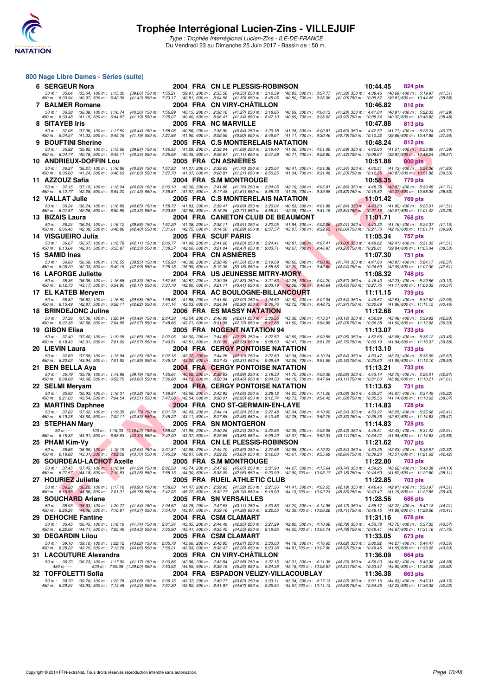

Du Vendredi 23 au Dimanche 25 Juin 2017 - Bassin de : 50 m.

#### **800 Nage Libre Dames - Séries (suite)**

| 6 SERGEUR Nora                                                                                                                                                                                                                    |                                                                                                                                                                                                                    | 2004 FRA CN LE PLESSIS-ROBINSON                                      |                                                       | 10:44.45<br>824 pts                                                                                                                                                                     |
|-----------------------------------------------------------------------------------------------------------------------------------------------------------------------------------------------------------------------------------|--------------------------------------------------------------------------------------------------------------------------------------------------------------------------------------------------------------------|----------------------------------------------------------------------|-------------------------------------------------------|-----------------------------------------------------------------------------------------------------------------------------------------------------------------------------------------|
| 50 m :   35.64    (35.64)  100 m :   1:15.30    (39.66)  150 m :   1:55.21    (39.91)  200 m :   2:35.56    (40.35)  250 m :   3:16.39    (40.83)  300 m :   3:57.77<br>450 m :   6:00.94    (40.97)  500 m :   6:42.36    (41.42 |                                                                                                                                                                                                                    |                                                                      |                                                       | (41.38) 350 m: 4:38.46 (40.69) 400 m: 5:19.97<br>(41.51)<br>$(41.00)$ 750 m : 10:05.87 $(39.81)$ 800 m : 10:44.45<br>(38.58)                                                            |
| 7 BALMER Romane                                                                                                                                                                                                                   |                                                                                                                                                                                                                    | 2004 FRA CN VIRY-CHATILLON                                           |                                                       | 10:46.82<br>816 pts                                                                                                                                                                     |
| 50 m : 36.38 (36.38) 100 m : 1:16.74                                                                                                                                                                                              | (40.36) 150 m: 1:56.89 (40.15) 200 m: 2:38.16 (41.27) 250 m: 3:18.85                                                                                                                                               |                                                                      | $(40.69)$ 300 m : 4:00.13                             | (41.28) 350 m: 4:41.04 (40.91) 400 m: 5:22.33<br>(41.29)                                                                                                                                |
| 450 m :   6:03.48<br>$(41.15)$ 500 m : 6:44.67<br>8 SITAYEB Iris                                                                                                                                                                  | (41.19) 550 m : 7:25.07 (40.40) 600 m : 8:06.41 (41.34) 650 m : 8:47.10                                                                                                                                            | 2005 FRA NC MARVILLE                                                 | $(40.69)$ 700 m : 9:28.02                             | (40.92) 750 m : 10:08.34<br>(40.32) 800 m : 10:46.82<br>(38.48)<br>10:47.88<br>813 pts                                                                                                  |
| 50 m: 37.06 (37.06) 100 m: 1:17.50                                                                                                                                                                                                | (40.44) 150 m: 1:58.06 (40.56) 200 m: 2:38.90 (40.84) 250 m: 3:20.18 (41.28) 300 m: 4:00.81                                                                                                                        |                                                                      |                                                       | (40.63) 350 m: 4:42.52 (41.71) 400 m: 5:23.24<br>(40.72)                                                                                                                                |
| 450 m : 6:04.57 (41.33) 500 m : 6:45.76                                                                                                                                                                                           | (41.19) 550 m: 7:27.66 (41.90) 600 m: 8:08.56 (40.90) 650 m: 8:49.67 (41.11) 700 m: 9:30.46                                                                                                                        |                                                                      |                                                       | (40.79) 750 m : 10:10.32 (39.86) 800 m : 10:47.88<br>(37.56)                                                                                                                            |
| 9 BOUFTINI Sherine                                                                                                                                                                                                                |                                                                                                                                                                                                                    | 2005 FRA C.S MONTERELAIS NATATION                                    |                                                       | 10:48.24<br>812 pts                                                                                                                                                                     |
| 50 m: 35.82 (35.82) 100 m: 1:15.66<br>450 m : 6:04.77 (40.78) 500 m : 6:45.11                                                                                                                                                     | $(39.84)$ 150 m : 1:56.95 $(41.29)$ 200 m : 2:38.04 $(41.09)$ 250 m : 3:19.40 $(41.36)$ 300 m : 4:01.09<br>(40.34) 550 m : 7:25.56 (40.45) 600 m : 8:06.67 (41.11) 650 m : 8:47.38 (40.71) 700 m : 9:28.80         |                                                                      |                                                       | $(41.69)$ 350 m : 4:42.60<br>$(41.51)$ 400 m : 5:23.99<br>(41.39)<br>(41.42) 750 m : 10:08.67 (39.87) 800 m : 10:48.24<br>(39.57)                                                       |
| 10 ANDRIEUX-DOFFIN Lou                                                                                                                                                                                                            |                                                                                                                                                                                                                    | 2005 FRA CN ASNIERES                                                 |                                                       | 10:51.88<br>800 pts                                                                                                                                                                     |
| 50 m: 36.27 (36.27) 100 m: 1:16.86<br>450 m : 6:05.60 (41.24) 500 m : 6:46.63                                                                                                                                                     | (40.59) 150 m : 1:57.93 (41.07) 200 m : 2:39.63 (41.70) 250 m : 3:20.04 (40.41) 300 m : 4:01.38<br>(41.03) 550 m : 7:27.70 (41.07) 600 m : 8:08.91 (41.21) 650 m : 8:50.25 (41.34) 700 m : 9:31.48                 |                                                                      |                                                       | (41.34) 350 m: 4:42.51 (41.13) 400 m: 5:24.36<br>(41.85)<br>(41.23) 750 m : 10:12.35 (40.87) 800 m : 10:51.88<br>(39.53)                                                                |
| 11 AZZOUZ Safia                                                                                                                                                                                                                   |                                                                                                                                                                                                                    | 2004 FRA S.M MONTROUGE                                               |                                                       | 10:58.35<br>779 pts                                                                                                                                                                     |
| 50 m: 37.15 (37.15) 100 m: 1:18.04                                                                                                                                                                                                | (40.89) 150 m : 2:00.10 (42.06) 200 m : 2:41.86 (41.76) 250 m : 3:24.05                                                                                                                                            |                                                                      | (42.19) 300 m : 4:05.91                               | $(41.86)$ 350 m : 4:48.78<br>$(42.87)$ 400 m : 5:30.49<br>(41.71)                                                                                                                       |
| 450 m: 6:12.77 (42.28) 500 m: 6:54.20<br>12 VALLAT Julie                                                                                                                                                                          | (41.43) 550 m : 7:35.87 (41.67) 600 m : 8:17.48 (41.61) 650 m : 8:58.73                                                                                                                                            |                                                                      | (41.25) 700 m : 9:39.55                               | (40.82) 750 m : 10:19.82<br>(40.27) 800 m : 10:58.35<br>(38.53)                                                                                                                         |
| 50 m: 36.24 (36.24) 100 m: 1:16.89                                                                                                                                                                                                | (40.65) 150 m : 1:58.72 (41.83) 200 m : 2:39.41 (40.69) 250 m : 3:20.04 (40.63) 300 m : 4:01.88                                                                                                                    | 2005 FRA C.S MONTERELAIS NATATION                                    |                                                       | 11:01.42<br>769 pts<br>(41.84) 350 m : 4:43.80 (41.92) 400 m : 5:25.31<br>(41.51)                                                                                                       |
| 450 m : 6:07.57 (42.26) 500 m : 6:50.89                                                                                                                                                                                           | $(43.32)$ 550 m : 7:33.55                                                                                                                                                                                          | (42.66) 600 m: 8:16.26 (42.71) 650 m: 8:58.31 (42.05) 700 m: 9:41.15 |                                                       | (42.84) 750 m : 10:21.16 (40.01) 800 m : 11:01.42<br>(40.26)                                                                                                                            |
| 13 BIZAIS Laura                                                                                                                                                                                                                   |                                                                                                                                                                                                                    | 2004 FRA CANETON CLUB DE BEAUMONT                                    |                                                       | 11:01.71<br>768 pts                                                                                                                                                                     |
| 50 m: 36.24 (36.24) 100 m: 1:16.12<br>450 m : 6:06.46 (42.09) 500 m : 6:48.86                                                                                                                                                     | (39.88) 150 m: 1:57.20 (41.08) 200 m: 2:38.11 (40.91) 250 m: 3:20.05<br>(42.40) 550 m : 7:31.61 (42.75) 600 m : 8:14.50 (42.89) 650 m : 8:57.57 (43.07) 700 m : 9:39.63                                            |                                                                      | $(41.94)$ 300 m : 4:02.06                             | (42.01) 350 m: 4:43.22 (41.16) 400 m: 5:24.37<br>(41.15)<br>(42.06) 750 m: 10:21.73 (42.10) 800 m: 11:01.71<br>(39.98)                                                                  |
| 14 VISGUEIRO Julia                                                                                                                                                                                                                |                                                                                                                                                                                                                    | 2005 FRA SCUF PARIS                                                  |                                                       | 11:05.34<br>757 pts                                                                                                                                                                     |
| 50 m: 36.67 (36.67) 100 m: 1:18.78<br>450 m : 6:13.64 (42.31) 500 m : 6:55.97                                                                                                                                                     | $(42.11)$ 150 m : 2:00.77 $(41.99)$ 200 m : 2:41.60 $(40.83)$ 250 m : 3:24.41 $(42.81)$ 300 m : 4:07.41<br>(42.33) 550 m : 7:38.57 (42.60) 600 m : 8:21.04 (42.47) 650 m : 9:03.71 (42.67) 700 m : 9:46.97         |                                                                      |                                                       | (43.00) 350 m: 4:49.82 (42.41) 400 m: 5:31.33<br>(41.51)<br>(43.26) 750 m : 10:26.81 (39.84) 800 m : 11:05.34<br>(38.53)                                                                |
| 15 SAMID Ines                                                                                                                                                                                                                     |                                                                                                                                                                                                                    | 2004 FRA CN ASNIERES                                                 |                                                       | 11:07.30<br>751 pts                                                                                                                                                                     |
| 50 m : 36.60<br>(36.60) 100 m : 1:16.55                                                                                                                                                                                           | (39.95) 150 m : 1:56.93 (40.38) 200 m : 2:38.49 (41.56) 250 m : 3:19.09 (40.60) 300 m : 4:00.83                                                                                                                    |                                                                      |                                                       | (41.74) 350 m: 4:41.80 (40.97) 400 m: 5:24.17<br>(42.37)                                                                                                                                |
| 450 m : 6:06.20 (42.03) 500 m : 6:49.19<br><b>16 LAFORGE Juliette</b>                                                                                                                                                             | (42.99) 550 m : 7:25.18 (35.99) 600 m : 8:15.36 (50.18) 650 m : 8:58.56                                                                                                                                            | 2004 FRA US JEUNESSE MITRY-MORY                                      | $(43.20)$ 700 m : 9:42.60                             | (44.04) 750 m : 10:24.69 (42.09) 800 m : 11:07.30<br>(42.61)<br>11:08.32<br>748 pts                                                                                                     |
| 50 m: 36.35 (36.35) 100 m: 1:16.68                                                                                                                                                                                                | (40.33) 150 m : 1:57.55 (40.87) 200 m : 2:39.38 (41.83) 250 m : 3:21.63 (42.25) 300 m : 4:04.20                                                                                                                    |                                                                      |                                                       | (42.57) 350 m: 4:46.43 (42.23) 400 m: 5:29.56<br>(43.13)                                                                                                                                |
| 450 m :   6:12.73<br>(43.17) 500 m : 6:54.90                                                                                                                                                                                      | (42.17) 550 m : 7:37.70 (42.80) 600 m : 8:21.11 (43.41) 650 m : 9:03.19 (42.08) 700 m : 9:46.64                                                                                                                    |                                                                      |                                                       | (43.45) 750 m: 10:27.75 (41.11) 800 m: 11:08.32<br>(40.57)                                                                                                                              |
| 17 EL KATEB Meryem<br>50 m : 36.82 (36.82) 100 m : 1:16.80                                                                                                                                                                        |                                                                                                                                                                                                                    | 2004 FRA AC BOULOGNE-BILLANCOURT                                     |                                                       | 11:11.15<br>739 pts<br>(42.54) 350 m: 4:49.67 (42.63) 400 m: 5:32.62<br>(42.95)                                                                                                         |
| 450 m : 6:15.49 (42.87) 500 m : 6:58.11                                                                                                                                                                                           | $(39.98) 150 m : 1:58.68$<br>$(41.88) 200 m : 2:41.60$ $(42.62) 550 m : 7:41.14$ $(43.03) 600 m : 8:24.04$ $(42.90) 650 m : 9:06.76$ $(42.62) 550 m : 7:41.14$ $(43.03) 600 m : 8:24.04$ $(42.90) 650 m : 9:06.76$ |                                                                      |                                                       | (41.97) 750 m : 10:30.69 (41.96) 800 m : 11:11.15<br>(40.46)                                                                                                                            |
| 18 BRINDEJONC Juline                                                                                                                                                                                                              |                                                                                                                                                                                                                    | 2006 FRA ES MASSY NATATION                                           |                                                       | 11:12.68<br>734 pts                                                                                                                                                                     |
| 50 m : 37.36 (37.36) 100 m : 1:20.84<br>450 m: 6:22.38 (42.56) 500 m: 7:04.95                                                                                                                                                     | (43.48) 150 m : 2:04.38 (43.54) 200 m : 2:46.99 (42.61) 250 m : 3:30.35 (43.36) 300 m : 4:13.51<br>(42.57) 550 m : 7:48.66 (43.71) 600 m : 8:31.38 (42.72) 650 m : 9:12.88 (41.50) 700 m : 9:54.88                 |                                                                      |                                                       | $(43.16)$ 350 m : 4:56.99<br>(43.48) 400 m : 5:39.82<br>(42.83)<br>(42.00) 750 m: 10:36.38 (41.50) 800 m: 11:12.68<br>(36.30)                                                           |
| 19 GIBON Elisa                                                                                                                                                                                                                    |                                                                                                                                                                                                                    | 2005 FRA NOGENT NATATION 94                                          |                                                       | 11:13.07<br><b>733 pts</b>                                                                                                                                                              |
| 50 m : 37.40<br>$(37.40)$ 100 m : 1:19.05<br>(42.31) 500 m : 7:01.00<br>450 m :   6:18.43                                                                                                                                         | $(41.65)$ 150 m : 2:02.05 $(43.00)$ 200 m : 2:44.83 $(42.78)$ 250 m : 3:27.52 $(42.69)$ 300 m : 4:09.58<br>(42.57) 550 m : 7:43.51 (42.51) 600 m : 8:26.09 (42.58) 650 m : 9:08.50 (42.41) 700 m : 9:51.25         |                                                                      |                                                       | (42.06) 350 m: 4:52.66 (43.08) 400 m: 5:36.12<br>(43.46)<br>(42.75) 750 m : 10:33.19 (41.94) 800 m : 11:13.07<br>(39.88)                                                                |
| 20 LIEVIN Laura                                                                                                                                                                                                                   |                                                                                                                                                                                                                    | 2004 FRA CERGY PONTOISE NATATION                                     |                                                       | 11:13.10<br>733 pts                                                                                                                                                                     |
| 50 m : 37.69 (37.69) 100 m : 1:18.94                                                                                                                                                                                              | (41.25) 150 m : 2:02.16 (43.22) 200 m : 2:44.26 (42.10) 250 m : 3:27.60 (43.34) 300 m : 4:10.24                                                                                                                    |                                                                      |                                                       | (42.64) 350 m: 4:53.47 (43.23) 400 m: 5:36.09<br>(42.62)                                                                                                                                |
| 450 m: 6:20.03 (43.94) 500 m: 7:01.92                                                                                                                                                                                             | (41.89) 550 m : 7:45.12 (43.20) 600 m : 8:27.43 (42.31) 650 m : 9:09.49 (42.06) 700 m : 9:51.65                                                                                                                    | <b>2004 FRA CERGY PONTOISE NATATION</b>                              |                                                       | (42.16) 750 m : 10:33.60<br>(41.95) 800 m: 11:13.10<br>(39.50)                                                                                                                          |
| 21 BEN BELLA Aya<br>50 m: 35.79 (35.79) 100 m: 1:14.98                                                                                                                                                                            | (39.19) 150 m: 1:55.64 (40.66) 200 m: 2:36.63 (40.99) 250 m: 3:18.33 (41.70) 300 m: 4:00.39                                                                                                                        |                                                                      |                                                       | 11:13.21<br>733 pts<br>(42.06) 350 m : 4:43.14<br>$(42.75)$ 400 m : 5:26.01<br>(42.87)                                                                                                  |
| 450 m : 6:09.69<br>$(43.68)$ 500 m : 6:52.75                                                                                                                                                                                      | $(43.06)$ 550 m : 7:36.88                                                                                                                                                                                          | (44.13) 600 m: 8:20.34 (43.46) 650 m: 9:04.53 (44.19) 700 m: 9:47.64 |                                                       | (43.11) 750 m : 10:31.60<br>(43.96) 800 m: 11:13.21<br>(41.61)                                                                                                                          |
| 22 SELMI Meryam                                                                                                                                                                                                                   |                                                                                                                                                                                                                    | 2004 FRA CERGY PONTOISE NATATION                                     |                                                       | 11:13.63<br>731 pts                                                                                                                                                                     |
| 50 m: 35.93 (35.93) 100 m: 1:16.31<br>450 m : 6:21.03 (43.54) 500 m : 7:04.54                                                                                                                                                     | (40.38) 150 m: 1:59.87 (43.56) 200 m: 2:43.92 (44.05) 250 m: 3:28.12 (44.20) 300 m: 4:11.20<br>(43.51) 550 m : 7:47.08 (42.54) 600 m : 8:30.01 (42.93) 650 m : 9:12.74 (42.73) 700 m : 9:54.42                     |                                                                      |                                                       | (43.08) 350 m: 4:55.27 (44.07) 400 m: 5:37.49<br>(42.22)<br>(38.07)<br>(41.68) 750 m : 10:35.56 (41.14) 800 m : 11:13.63                                                                |
| 23 MARTINS Daphnee                                                                                                                                                                                                                |                                                                                                                                                                                                                    | 2004 FRA CNO ST-GERMAIN-EN-LAYE                                      |                                                       | 11:14.83<br><b>728 pts</b>                                                                                                                                                              |
| (37.62) 100 m : 1:19.35<br>50 m : 37.62<br>450 m : 6:19.28<br>(43.60) 500 m : 7:02.11                                                                                                                                             | (41.73) 150 m : 2:01.78 (42.43) 200 m : 2:44.14 (42.36) 250 m : 3:27.48 (43.34) 300 m : 4:10.02<br>(42.83) 550 m : 7:45.22 (43.11) 600 m : 8:27.68 (42.46) 650 m : 9:10.46                                         |                                                                      | (42.78) 700 m : 9:52.79                               | (42.54) 350 m : 4:53.27<br>$(43.25)$ 400 m : 5:35.68<br>(42.41)<br>(42.33) 750 m : 10:35.36<br>(42.57) 800 m : 11:14.83<br>(39.47)                                                      |
| 23 STEPHAN Mary                                                                                                                                                                                                                   |                                                                                                                                                                                                                    | <b>2005 FRA SN MONTGERON</b>                                         |                                                       | 11:14.83<br><b>728 pts</b>                                                                                                                                                              |
| $50 m: -$<br>450 m : 6:15.33 (43.91) 500 m : 6:58.63 (43.30) 550 m : 7:42.00 (43.37) 600 m : 8:25.85 (43.85) 650 m : 9:09.22 (43.37) 700 m : 9:52.33                                                                              | 100 m : 1:16.03 (1:16.03) 150 m : 1:58.02 (41.99) 200 m : 2:40.26 (42.24) 250 m : 3:22.65 (42.39) 300 m : 4:05.08                                                                                                  |                                                                      |                                                       | (42.43) 350 m: 4:48.51 (43.43) 400 m: 5:31.42<br>(42.91)<br>(43.11) 750 m : 10:34.27 (41.94) 800 m : 11:14.83<br>(40.56)                                                                |
| 25 PHAM Kim-Vy                                                                                                                                                                                                                    |                                                                                                                                                                                                                    | 2004 FRA CN LE PLESSIS-ROBINSON                                      |                                                       | 11:21.62<br>707 pts                                                                                                                                                                     |
|                                                                                                                                                                                                                                   |                                                                                                                                                                                                                    |                                                                      |                                                       | 50 m: 36.65 (36.65) 100 m: 1:19.19 (42.54) 150 m: 2:01.87 (42.68) 200 m: 2:44.70 (42.83) 250 m: 3:27.68 (42.98) 300 m: 4:10.22 (42.54) 350 m: 4:53.25 (43.03) 400 m: 5:35.57<br>(42.32) |
| 450 m :   6:18.88     (43.31)  500 m :   7:02.58     (43.70)  550 m :   7:45.39     (42.81)  600 m :   8:29.22     (43.83)  650 m :    9:12.83<br><b>26 SOURDEAU-LACHOT Axelle</b>                                                |                                                                                                                                                                                                                    | 2005 FRA S.M MONTROUGE                                               | (43.61) 700 m : 9:55.69                               | (42.86) 750 m: 10:39.20 (43.51) 800 m: 11:21.62<br>(42.42)<br>11:22.80<br>703 pts                                                                                                       |
|                                                                                                                                                                                                                                   | 50 m: 37.45 (37.45) 100 m: 1:18.84 (41.39) 150 m: 2:02.58 (43.74) 200 m: 2:47.63 (45.05) 250 m: 3:31.90                                                                                                            |                                                                      | (44.27) 300 m : 4:15.64                               | (43.74) 350 m : 4:59.26 (43.62) 400 m : 5:43.39<br>(44.13)                                                                                                                              |
| 450 m : 6:27.57 (44.18) 500 m : 7:10.83                                                                                                                                                                                           | (43.26) 550 m : 7:55.13 (44.30) 600 m : 8:38.09 (42.96) 650 m : 9:20.99                                                                                                                                            |                                                                      | (42.90) 700 m : 10:03.17                              | (42.18) 750 m : 10:44.69 (41.52) 800 m : 11:22.80<br>(38.11)                                                                                                                            |
| 27 HOURIEZ Juliette                                                                                                                                                                                                               | (40.96) 150 m: 1:58.63 (41.47) 200 m: 2:39.95 (41.32) 250 m: 3:21.36                                                                                                                                               | 2005 FRA RUEIL ATHLETIC CLUB                                         | $(41.41)$ 300 m : 4:03.55                             | 11:22.85<br>703 pts<br>(42.19) 350 m: 4:46.46 (42.91) 400 m: 5:30.97<br>(44.51)                                                                                                         |
| 50 m : 36.20 (36.20) 100 m : 1:17.16<br>450 m : 6:15.53 (44.56) 500 m : 7:01.31                                                                                                                                                   | (45.78) 550 m: 7:47.03 (45.72) 600 m: 8:32.77 (45.74) 650 m: 9:16.90                                                                                                                                               |                                                                      | (44.13) 700 m : 10:02.23                              | (45.33) 750 m: 10:43.42 (41.19) 800 m: 11:22.85<br>(39.43)                                                                                                                              |
| 28 SOUCHARD Ariane                                                                                                                                                                                                                |                                                                                                                                                                                                                    | 2005 FRA SN VERSAILLES                                               |                                                       | 11:28.56<br>686 pts                                                                                                                                                                     |
| 450 m : 6:26.24 (44.06) 500 m : 7:10.81 (44.57) 550 m : 7:54.78 (43.97) 600 m : 8:39.16 (44.38) 650 m : 9:22.55                                                                                                                   | 50 m: 38.93 (38.93) 100 m: 1:20.77 (41.84) 150 m: 2:04.52 (43.75) 200 m: 2:47.63 (43.11) 250 m: 3:30.83                                                                                                            |                                                                      | $(43.20)$ 300 m : 4:14.95<br>(43.39) 700 m : 10:06.26 | (44.12) 350 m: 4:58.17 (43.22) 400 m: 5:42.18<br>(44.01)<br>(43.71) 750 m: 10:48.15 (41.89) 800 m: 11:28.56<br>(40.41)                                                                  |
| <b>29 DEHOCHE Fantine</b>                                                                                                                                                                                                         |                                                                                                                                                                                                                    | 2004 FRA CSM CLAMART                                                 |                                                       | 11:31.16<br>678 pts                                                                                                                                                                     |
|                                                                                                                                                                                                                                   | 50 m: 36.45 (36.45) 100 m: 1:18.19 (41.74) 150 m: 2:01.54 (43.35) 200 m: 2:44.49 (42.95) 250 m: 3:27.29                                                                                                            |                                                                      | $(42.80)$ 300 m : 4:10.08                             | (42.79) 350 m: 4:53.78 (43.70) 400 m: 5:37.35<br>(43.57)                                                                                                                                |
| 450 m : 6:22.06 (44.71) 500 m : 7:05.49<br><b>30 DEGARDIN Lilou</b>                                                                                                                                                               | $(43.43)$ 550 m : 7:50.90 $(45.41)$ 600 m : 8:35.45 $(44.55)$ 650 m : 9:19.95                                                                                                                                      | 2005 FRA CSM CLAMART                                                 | (44.50) 700 m : 10:04.74                              | (44.79) 750 m : 10:49.41 (44.67) 800 m : 11:31.16<br>(41.75)<br>11:33.05<br>673 pts                                                                                                     |
|                                                                                                                                                                                                                                   | 50 m : 39.10 (39.10) 100 m : 1:22.12 (43.02) 150 m : 2:05.78 (43.66) 200 m : 2:48.85 (43.07) 250 m : 3:33.03                                                                                                       |                                                                      | $(44.18)$ 300 m : 4:16.65                             | (43.62) 350 m : 5:00.92 (44.27) 400 m : 5:44.47<br>(43.55)                                                                                                                              |
| 450 m : 6:28.22 (43.75) 500 m : 7:12.28                                                                                                                                                                                           | (44.06) 550 m: 7:56.21 (43.93) 600 m: 8:38.47 (42.26) 650 m: 9:23.38                                                                                                                                               |                                                                      | (44.91) 700 m : 10:07.90                              | (44.52) 750 m: 10:49.45 (41.55) 800 m: 11:33.05<br>(43.60)                                                                                                                              |
| 31 LACOUTURE Alexandra<br>50 m: 36.73 (36.73) 100 m: 1:17.90                                                                                                                                                                      | (41.17) 150 m : 2:00.86 (42.96) 200 m : 2:43.84 (42.98) 250 m : 3:27.15                                                                                                                                            | 2005 FRA CN VIRY-CHATILLON                                           | $(43.31)$ 300 m : 4:11.38                             | 11:36.09<br><b>664 pts</b><br>(44.23) 350 m: 4:56.00 (44.62) 400 m: 5:40.38<br>(44.38)                                                                                                  |
| $450 m : -$                                                                                                                                                                                                                       | 500 m : 7:09.38 (1:29.00) 550 m : 7:53.93 (44.55) 600 m : 8:39.18 (45.25) 650 m : 9:24.36                                                                                                                          |                                                                      | $(45.18)$ 700 m : 10:08.67                            | (44.31) 750 m : 10:53.47 (44.80) 800 m : 11:36.09<br>(42.62)                                                                                                                            |
| 32 TOFFOLETTI Sofia                                                                                                                                                                                                               |                                                                                                                                                                                                                    | 2004 FRA ESPADON VELIZY-VILLACOUBLAY                                 |                                                       | 11:36.38<br>663 pts                                                                                                                                                                     |
| 50 m : 39.70<br>(39.70) 100 m : 1:22.78<br>450 m :   6:29.24<br>(43.93) 500 m : 7:13.48                                                                                                                                           | (43.08) 150 m : 2:06.15 (43.37) 200 m : 2:49.77 (43.62) 250 m : 3:33.11<br>(44.24) 550 m: 7:57.30 (43.82) 600 m: 8:41.97 (44.67) 650 m: 9:26.54                                                                    |                                                                      | $(44.57)$ 700 m : 10:11.13                            | (43.34) 300 m: 4:17.13 (44.02) 350 m: 5:01.16 (44.03) 400 m: 5:45.31<br>(44.15)<br>(44.59) 750 m : 10:54.35 (43.22) 800 m : 11:36.38<br>(42.03)                                         |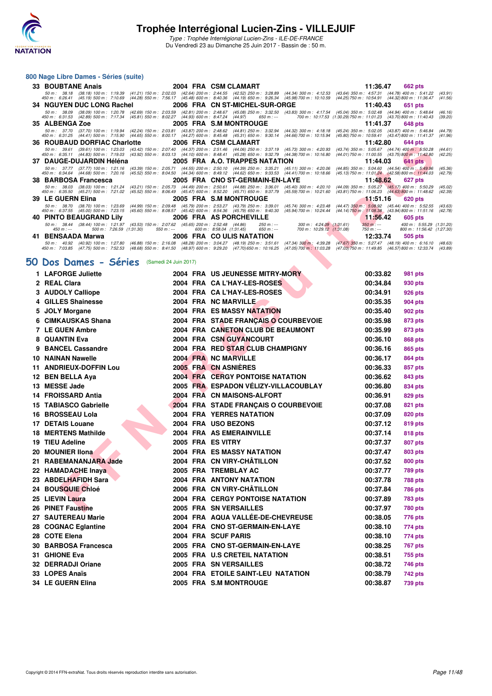

#### **800 Nage Libre Dames - Séries (suite)**

| 33 BOUBTANE Anais              |                                                                                                                           |             | 2004 FRA CSM CLAMART                                                                                                                                                                                                                                                                                                                                                               |                                                         | 11:36.47                                          | 662 pts                                                                             |
|--------------------------------|---------------------------------------------------------------------------------------------------------------------------|-------------|------------------------------------------------------------------------------------------------------------------------------------------------------------------------------------------------------------------------------------------------------------------------------------------------------------------------------------------------------------------------------------|---------------------------------------------------------|---------------------------------------------------|-------------------------------------------------------------------------------------|
| 50 m : 38.18                   |                                                                                                                           |             | (38.18) 100 m: 1:19.39 (41.21) 150 m: 2:02.03 (42.64) 200 m: 2:44.55 (42.52) 250 m: 3:28.89 (44.34) 300 m: 4:12.53 (43.64) 350 m: 4:57.31 (44.78) 400 m: 5:41.22<br>45.47 (45.19) 45.19 (45.19) 500 m: 7:10.69 (44.28) 550 m: 7:56.17 (45.48) 600 m: 8:40.36 (44.19) 650 m: 9:26.34 (45.98) 700 m: 10:10.59 (44.25) 750 m: 10:54.91 (44.32) 800 m: 11:36.47                        |                                                         |                                                   | (43.91)<br>(41.56)                                                                  |
|                                |                                                                                                                           |             | 34 NGUYEN DUC LONG Rachel 2006 FRA CN ST-MICHEL-SUR-ORGE                                                                                                                                                                                                                                                                                                                           |                                                         | 11:40.43                                          | 651 pts                                                                             |
| 50 m : 38.09                   |                                                                                                                           |             | (38.09) 100 m : 1:20.78 (42.69) 150 m : 2:03.59 (42.81) 200 m : 2:48.67 (45.08) 250 m : 3:32.50 (43.83) 300 m : 4:17.54 (45.04) 350 m : 5:02.48 (44.94) 400 m : 5:48.64<br>450 m : 6:31.53 (42.89) 500 m : 7:17.34 (45.81) 550 m : 8:02.27 (44.93) 600 m : 8:47.24 (44.97) 650 m : -- 700 m : 10:17.53 (1:30.29) 750 m : 11:01.23 (43.70) 800 m : 11:40.43                         |                                                         |                                                   | (46.16)<br>(39.20)                                                                  |
| 35 ALBENGA Zoe                 |                                                                                                                           |             | 2005 FRA S.M MONTROUGE                                                                                                                                                                                                                                                                                                                                                             |                                                         | 11:41.37                                          | 648 pts                                                                             |
|                                |                                                                                                                           |             | 50 m: 37.70 (37.70) 100 m: 1:19.94 (42.24) 150 m: 2:03.81 (43.87) 200 m: 2:48.62 (44.81) 250 m: 3:32.94 (44.32) 300 m: 4:18.18 (45.24) 350 m: 5:02.05 (43.87) 400 m: 5:46.84<br>45.41 45.91 44.41 44.41 500 m: 7:15.90 (44.65) 550 m: 8:00.17 (44.27) 600 m: 8:45.48 (45.31) 650 m: 9:30.14 (44.66) 700 m: 10:15.94 (45.80) 750 m: 10:59.41 (43.47) 800 m: 11:41.37                |                                                         |                                                   | (44.79)<br>(41.96)                                                                  |
|                                | 36 ROUBAUD DORFIAC Charlotte 2006 FRA CSM CLAMART                                                                         |             |                                                                                                                                                                                                                                                                                                                                                                                    |                                                         | 11:42.80                                          | 644 pts                                                                             |
| $50 \text{ m}$ : 39.61         |                                                                                                                           |             | (39.61) 100 m: 1:23.03 (43.42) 150 m: 2:07.40 (44.37) 200 m: 2:51.46 (44.06) 250 m: 3:37.19 (45.73) 300 m: 4:20.93 (43.74) 350 m: 5:05.67 (44.74) 400 m: 5:50.28<br>450 m: 6:35.11 (44.83) 500 m: 7:19.03 (43.92) 550 m: 8:03.13 (44.10) 600 m: 8:48.41 (45.28) 650 m: 9:32.79 (44.38) 700 m: 10:16.80 (44.01) 750 m: 11:00.55 (43.75) 800 m: 11:42.80                             |                                                         |                                                   | (44.61)<br>(42.25)                                                                  |
| 37 DAUGE-DUJARDIN Héléna       |                                                                                                                           |             | 2005 FRA A.O. TRAPPES NATATION                                                                                                                                                                                                                                                                                                                                                     |                                                         | 11:44.03                                          | 641 pts                                                                             |
|                                |                                                                                                                           |             | 50 m: 37.77 (37.77) 100 m: 1:21.16 (43.39) 150 m: 2:05.71 (44.55) 200 m: 2:50.10 (44.39) 250 m: 3:35.21 (45.11) 300 m: 4:20.06 (44.85) 350 m: 5:04.60 (44.54) 400 m: 5:49.96<br>450 m : 6:34.64 (44.68) 500 m : 7:20.16 (45.52) 550 m : 8:04.50 (44.34) 600 m : 8:49.12 (44.62) 650 m : 9:33.53 (44.41) 700 m : 10:18.66                                                           |                                                         | (45.13) 750 m : 11:01.24 (42.58) 800 m : 11:44.03 | (45.36)<br>(42.79)                                                                  |
| 38 BARBOSA Francesca           |                                                                                                                           |             | 2005 FRA CNO ST-GERMAIN-EN-LAYE                                                                                                                                                                                                                                                                                                                                                    |                                                         | 11:48.62                                          | 627 pts                                                                             |
|                                |                                                                                                                           |             | 50 m: 38.03 (38.03) 100 m: 1:21.24 (43.21) 150 m: 2:05.73 (44.49) 200 m: 2:50.61 (44.88) 250 m: 3:36.01 (45.40) 300 m: 4:20.10 (44.09) 350 m: 5:05.27 (45.17) 400 m: 5:50.29<br>45.62 45.21 500 m: 7:21.02 (45.52) 550 m: 8:06.49 (45.47) 600 m: 8:52.20 (45.71) 650 m: 9:37.79 (45.59) 700 m: 10:21.60 (43.81) 750 m: 11:06.23 (44.63) 800 m: 11:48.62                            |                                                         |                                                   | (45.02)<br>(42.39)                                                                  |
| 39 LE GUERN Elina              |                                                                                                                           |             | 2005 FRA S.M MONTROUGE                                                                                                                                                                                                                                                                                                                                                             |                                                         | $11:51.16$ 620 pts                                |                                                                                     |
|                                |                                                                                                                           |             | 50 m : 38.70 (38.70) 100 m : 1:23.69 (44.99) 150 m : 2:09.48 (45.79) 200 m : 2:53.27 (43.79) 250 m : 3:39.01 (45.74) 300 m : 4:23.48 (44.47) 350 m : 5:08.92 (45.44) 400 m : 5:52.55 (43.63)<br>450 m: 6:37.55 (45.00) 500 m: 7:23.15 (45.60) 550 m: 8:08.57 (45.42) 600 m: 8:54.36 (45.79) 650 m: 9:40.30 (45.94) 700 m: 10:24.44 (44.14) 750 m: 11:08.38 (43.94) 800 m: 11:51.16 |                                                         |                                                   | (42.78)                                                                             |
| <b>40 PINTO BEAUGRAND Lily</b> |                                                                                                                           |             | <b>2006 FRA AS PORCHEVILLE</b>                                                                                                                                                                                                                                                                                                                                                     |                                                         | <b>11:56.42</b>                                   | 605 pts                                                                             |
| $450 m : -$                    | 50 m : 38.44 (38.44) 100 m : 1:21.97 (43.53) 150 m : 2:07.62 (45.65) 200 m : 2:52.48 (44.86)<br>500 m : 7:26.59 (1:31.30) | 550 m : --- | 250 m : ---<br>650 m : ---<br>600 m : 8:58.04 (1:31.45)                                                                                                                                                                                                                                                                                                                            | 300 m : 4:24.09 (1:31.61)<br>700 m : 10:29.12 (1:31.08) | $750 m: -$                                        | $350 \text{ m}$ : $-200 \text{ m}$ : 5:55.29 (1:31.20)<br>800 m: 11:56.42 (1:27.30) |
| 41 BENSAADA Marwa              |                                                                                                                           |             | <b>2006 FRA CO ULIS NATATION</b>                                                                                                                                                                                                                                                                                                                                                   |                                                         | 12:33.74                                          | 505 pts                                                                             |
|                                |                                                                                                                           |             | CO. 4000 (4000) 100 + 10700 (4000) 150 + 0.1000 (4000) 000 + 0.0407 (4010) 050 + 0.51 C1 (4704) 000 + 4.0000 (4707) 050 + 5.0747 (4010) 400 + 0.1010 (4000)                                                                                                                                                                                                                        |                                                         |                                                   |                                                                                     |

#### **[50 Dos Dames - Séries](http://www.ffnatation.fr/webffn/resultats.php?idact=nat&go=epr&idcpt=47281&idepr=11)** (Samedi 24 Juin 2017)

| Jυ | <b>ROUDAUD DORFIAC CHAING</b>                                                                                                                                                                                                                                                                                | ZUUU FRA                                                                                                         |                                                                              |                                                       | <b>11.44.00</b>                                                                                      | טא דדי                                                |            |
|----|--------------------------------------------------------------------------------------------------------------------------------------------------------------------------------------------------------------------------------------------------------------------------------------------------------------|------------------------------------------------------------------------------------------------------------------|------------------------------------------------------------------------------|-------------------------------------------------------|------------------------------------------------------------------------------------------------------|-------------------------------------------------------|------------|
|    | (39.61) 100 m: 1:23.03 (43.42) 150 m: 2:07.40 (44.37) 200 m: 2:51.46<br>50 m : 39.61<br>450 m : 6:35.11 (44.83) 500 m : 7:19.03 (43.92) 550 m : 8:03.13 (44.10) 600 m : 8:48.41 (45.28) 650 m : 9:32.79                                                                                                      |                                                                                                                  | (44.06) 250 m : 3:37.19                                                      | $(45.73)$ 300 m : 4:20.93<br>(44.38) 700 m : 10:16.80 | (43.74) 350 m : 5:05.67 (44.74) 400 m : 5:50.28<br>(44.01) 750 m : 11:00.55 (43.75) 800 m : 11:42.80 |                                                       | (4<br>(4)  |
|    | 37 DAUGE-DUJARDIN Héléna                                                                                                                                                                                                                                                                                     |                                                                                                                  | 2005 FRA A.O. TRAPPES NATATION                                               |                                                       | 11:44.03                                                                                             | 641 pts                                               |            |
|    | $(37.77)$ 100 m : 1:21.16<br>50 m :<br>37.77<br>450 m : 6:34.64 (44.68) 500 m : 7:20.16                                                                                                                                                                                                                      | (43.39) 150 m : 2:05.71<br>$(44.55)$ 200 m : 2:50.10<br>$(45.52)$ 550 m : 8:04.50                                | $(44.39)$ 250 m : 3:35.21<br>(44.34) 600 m : 8:49.12 (44.62) 650 m : 9:33.53 | $(45.11)$ 300 m : 4:20.06<br>(44.41) 700 m : 10:18.66 | $(44.85)$ 350 m : 5:04.60<br>(45.13) 750 m : 11:01.24 (42.58) 800 m : 11:44.03                       | $(44.54)$ 400 m : 5:49.96                             | (4)<br>(4) |
|    | 38 BARBOSA Francesca                                                                                                                                                                                                                                                                                         |                                                                                                                  | 2005 FRA CNO ST-GERMAIN-EN-LAYE                                              |                                                       | 11:48.62                                                                                             | 627 pts                                               |            |
|    | 50 m: 38.03<br>$(38.03)$ 100 m : 1:21.24<br>450 m : 6:35.50<br>(45.21) 500 m : 7:21.02                                                                                                                                                                                                                       | $(43.21)$ 150 m : 2:05.73<br>$(44.49)$ 200 m : 2:50.61<br>$(45.52)$ 550 m : 8:06.49<br>$(45.47)$ 600 m : 8:52.20 | $(44.88)$ 250 m : 3:36.01<br>(45.71) 650 m : 9:37.79                         | $(45.40)$ 300 m : 4:20.10<br>(45.59) 700 m : 10:21.60 | $(44.09)$ 350 m : 5:05.27<br>(43.81) 750 m : 11:06.23                                                | $(45.17)$ 400 m : 5:50.29<br>(44.63) 800 m : 11:48.62 | (4)<br>(4) |
|    | 39 LE GUERN Elina                                                                                                                                                                                                                                                                                            |                                                                                                                  | 2005 FRA S.M MONTROUGE                                                       |                                                       | 11:51.16                                                                                             | <b>620 pts</b>                                        |            |
|    | 50 m: 38.70 (38.70) 100 m: 1:23.69<br>450 m : 6:37.55 (45.00) 500 m : 7:23.15                                                                                                                                                                                                                                | $(44.99)$ 150 m : 2:09.48<br>$(45.60)$ 550 m : 8:08.57<br>$(45.42)$ 600 m : 8:54.36                              | (45.79) 200 m : 2:53.27 (43.79) 250 m : 3:39.01<br>$(45.79)$ 650 m : 9:40.30 | $(45.74)$ 300 m : 4:23.48<br>(45.94) 700 m : 10:24.44 | $(44.47)$ 350 m $:$ 5:08.92<br>(44.14) 750 m : 11:08.38 (43.94) 800 m : 11:51.16                     | (45.44) 400 m : 5:52.55                               | (4)<br>(4) |
|    | 40 PINTO BEAUGRAND Lily                                                                                                                                                                                                                                                                                      |                                                                                                                  | 2006 FRA AS PORCHEVILLE                                                      |                                                       | 11:56.42                                                                                             | 605 pts                                               |            |
|    | 50 m: 38.44 (38.44) 100 m: 1:21.97 (43.53) 150 m: 2:07.62 (45.65) 200 m: 2:52.48<br>500 m: 7:26.59 (1:31.30)<br>$450 m : -$                                                                                                                                                                                  | $550 m : -$                                                                                                      | (44.86)<br>$250 m: -$<br>600 m: 8:58.04 (1:31.45)<br>650 m : ---             | 300 m: 4:24.09 (1:31.61)<br>700 m: 10:29.12 (1:31.08) | $350 m: -$<br>$750 m$ : ---                                                                          | 400 m: 5:55.29 (1:3<br>800 m: 11:56.42 (1:2)          |            |
|    | 41   BENSAADA Marwa                                                                                                                                                                                                                                                                                          |                                                                                                                  | 2006 FRA COULIS NATATION                                                     |                                                       | 12:33.74                                                                                             | 505 pts                                               |            |
|    | 50 m : 40.92 (40.92) 100 m : 1:27.80 (46.88) 150 m : 2:16.08 (48.28) 200 m : 3:04.27 (48.19) 250 m : 3:51.61 (47.34) 300 m : 4:39.28 (47.67) 350 m : 5:27.47 (48.19) 400 m : 6:16.10 (41<br>450 m : 7:03.85 (47.75) 500 m : 7:52.53 (48.68) 550 m : 8:41.50 (48.97) 600 m : 9:29.20 (47.70) 650 m : 10:16.25 |                                                                                                                  |                                                                              | (47.05) 700 m : 11:03.28                              | (47.03) 750 m : 11:49.85                                                                             | (46.57) 800 m : 12:33.74                              | (4)        |
|    | <b>O Dos Dames - Séries</b>                                                                                                                                                                                                                                                                                  | (Samedi 24 Juin 2017)                                                                                            |                                                                              |                                                       |                                                                                                      |                                                       |            |
|    | 1 LAFORGE Juliette                                                                                                                                                                                                                                                                                           |                                                                                                                  | 2004 FRA US JEUNESSE MITRY-MORY                                              |                                                       | 00:33.82                                                                                             | 981 pts                                               |            |
|    | 2 REAL Clara                                                                                                                                                                                                                                                                                                 |                                                                                                                  | 2004 FRA CA L'HAY-LES-ROSES                                                  |                                                       | 00:34.84                                                                                             | 930 pts                                               |            |
|    | 3 AUDOLY Calliope                                                                                                                                                                                                                                                                                            |                                                                                                                  | 2004 FRA CA L'HAY-LES-ROSES                                                  |                                                       | 00:34.91                                                                                             | <b>926 pts</b>                                        |            |
|    | 4 GILLES Shainesse                                                                                                                                                                                                                                                                                           |                                                                                                                  | 2004 FRA NC MARVILLE                                                         |                                                       | 00:35.35                                                                                             | 904 pts                                               |            |
|    | 5 JOLY Morgane                                                                                                                                                                                                                                                                                               |                                                                                                                  | <b>2004 FRA ES MASSY NATATION</b>                                            |                                                       | 00:35.40                                                                                             | 902 pts                                               |            |
|    | 6 CIMKAUSKAS Shana                                                                                                                                                                                                                                                                                           |                                                                                                                  | 2004 FRA STADE FRANÇAIS O COURBEVOIE                                         |                                                       | 00:35.98                                                                                             | 873 pts                                               |            |
|    | 7 LE GUEN Ambre                                                                                                                                                                                                                                                                                              |                                                                                                                  | 2004 FRA CANETON CLUB DE BEAUMONT                                            |                                                       | 00:35.99                                                                                             | 873 pts                                               |            |
|    | 8 QUANTIN Eva                                                                                                                                                                                                                                                                                                |                                                                                                                  | 2004 FRA CSN GUYANCOURT                                                      |                                                       | 00:36.10                                                                                             | 868 pts                                               |            |
|    | 9 BANCEL Cassandre                                                                                                                                                                                                                                                                                           |                                                                                                                  | 2004 FRA RED STAR CLUB CHAMPIGNY                                             |                                                       | 00:36.16                                                                                             | 865 pts                                               |            |
|    | <b>10 NAINAN Nawelle</b>                                                                                                                                                                                                                                                                                     |                                                                                                                  | 2004 FRA NC MARVILLE                                                         |                                                       | 00:36.17                                                                                             | 864 pts                                               |            |
|    | 11 ANDRIEUX-DOFFIN Lou                                                                                                                                                                                                                                                                                       |                                                                                                                  | 2005 FRA CN ASNIERES                                                         |                                                       | 00:36.33                                                                                             | 857 pts                                               |            |
|    | 12 BEN BELLA Aya                                                                                                                                                                                                                                                                                             |                                                                                                                  | <b>2004 FRA CERGY PONTOISE NATATION</b>                                      |                                                       | 00:36.62                                                                                             | 843 pts                                               |            |
|    | 13 MESSE Jade                                                                                                                                                                                                                                                                                                |                                                                                                                  | 2005 FRA ESPADON VELIZY-VILLACOUBLAY                                         |                                                       | 00:36.80                                                                                             | 834 pts                                               |            |
|    | 14 FROISSARD Antia                                                                                                                                                                                                                                                                                           |                                                                                                                  | 2004 FRA CN MAISONS-ALFORT                                                   |                                                       | 00:36.91                                                                                             | 829 pts                                               |            |
|    | 15 TABIASCO Gabrielle                                                                                                                                                                                                                                                                                        |                                                                                                                  | 2004 FRA STADE FRANÇAIS O COURBEVOIE                                         |                                                       | 00:37.08                                                                                             | 821 pts                                               |            |
|    | 16 BROSSEAU Lola                                                                                                                                                                                                                                                                                             |                                                                                                                  | <b>2004 FRA YERRES NATATION</b>                                              |                                                       | 00:37.09                                                                                             | 820 pts                                               |            |
|    | 17 DETAIS Louane                                                                                                                                                                                                                                                                                             |                                                                                                                  | 2004 FRA USO BEZONS                                                          |                                                       | 00:37.12                                                                                             | 819 pts                                               |            |
|    | <b>18 MERTENS Mathilde</b>                                                                                                                                                                                                                                                                                   |                                                                                                                  | 2004 FRA AS EMERAINVILLE                                                     |                                                       | 00:37.14                                                                                             | 818 pts                                               |            |
|    | 19 TIEU Adeline                                                                                                                                                                                                                                                                                              | 2005 FRA ES VITRY                                                                                                |                                                                              |                                                       | 00:37.37                                                                                             | 807 pts                                               |            |
|    | 20 MOUNIER IIona                                                                                                                                                                                                                                                                                             |                                                                                                                  | 2004 FRA ES MASSY NATATION                                                   |                                                       | 00:37.47                                                                                             | 803 pts                                               |            |
|    | 21 RABEMANANJARA Jade                                                                                                                                                                                                                                                                                        |                                                                                                                  | 2004 FRA CN VIRY-CHATILLON                                                   |                                                       | 00:37.52                                                                                             | 800 pts                                               |            |
|    | 22 HAMADACHE Inaya                                                                                                                                                                                                                                                                                           |                                                                                                                  | 2005 FRA TREMBLAY AC                                                         |                                                       | 00:37.77                                                                                             | <b>789 pts</b>                                        |            |
|    | 23 ABDELHAFIDH Sara                                                                                                                                                                                                                                                                                          |                                                                                                                  | 2004 FRA ANTONY NATATION                                                     |                                                       | 00:37.78                                                                                             | <b>788 pts</b>                                        |            |
|    | <b>24 BOUSQUIE Chloé</b>                                                                                                                                                                                                                                                                                     |                                                                                                                  | 2006 FRA CN VIRY-CHATILLON                                                   |                                                       | 00:37.84                                                                                             | <b>786 pts</b>                                        |            |
|    | 25 LIEVIN Laura                                                                                                                                                                                                                                                                                              | 2004 FRA                                                                                                         | <b>CERGY PONTOISE NATATION</b>                                               |                                                       | 00:37.89                                                                                             | <b>783 pts</b>                                        |            |
|    | <b>26 PINET Faustine</b>                                                                                                                                                                                                                                                                                     |                                                                                                                  | <b>2005 FRA SN VERSAILLES</b>                                                |                                                       | 00:37.97                                                                                             | <b>780 pts</b>                                        |            |
|    | 27 SAUTEREAU Marie                                                                                                                                                                                                                                                                                           |                                                                                                                  | 2004 FRA AQUA VALLÉE-DE-CHEVREUSE                                            |                                                       | 00:38.05                                                                                             | 776 pts                                               |            |
|    | 28 COGNAC Eglantine                                                                                                                                                                                                                                                                                          |                                                                                                                  | 2004 FRA CNO ST-GERMAIN-EN-LAYE                                              |                                                       | 00:38.10                                                                                             | 774 pts                                               |            |
|    | 28 COTE Elena                                                                                                                                                                                                                                                                                                |                                                                                                                  | 2004 FRA SCUF PARIS                                                          |                                                       | 00:38.10                                                                                             | 774 pts                                               |            |
|    | 30 BARBOSA Francesca                                                                                                                                                                                                                                                                                         |                                                                                                                  | 2005 FRA CNO ST-GERMAIN-EN-LAYE                                              |                                                       | 00:38.25                                                                                             | <b>767 pts</b>                                        |            |
|    | 31 GHIONE Eva                                                                                                                                                                                                                                                                                                |                                                                                                                  | 2005 FRA U.S CRETEIL NATATION                                                |                                                       | 00:38.51                                                                                             | 755 pts                                               |            |
|    | 32 DERRADJI Oriane                                                                                                                                                                                                                                                                                           |                                                                                                                  | 2005 FRA SN VERSAILLES                                                       |                                                       | 00:38.72                                                                                             | 746 pts                                               |            |
|    | 33 LOPES Anaïs                                                                                                                                                                                                                                                                                               |                                                                                                                  | 2004 FRA ETOILE SAINT-LEU NATATION                                           |                                                       | 00:38.79                                                                                             | 742 pts                                               |            |
|    | 34 LE GUERN Elina                                                                                                                                                                                                                                                                                            |                                                                                                                  | 2005 FRA S.M MONTROUGE                                                       |                                                       | 00:38.87                                                                                             | 739 pts                                               |            |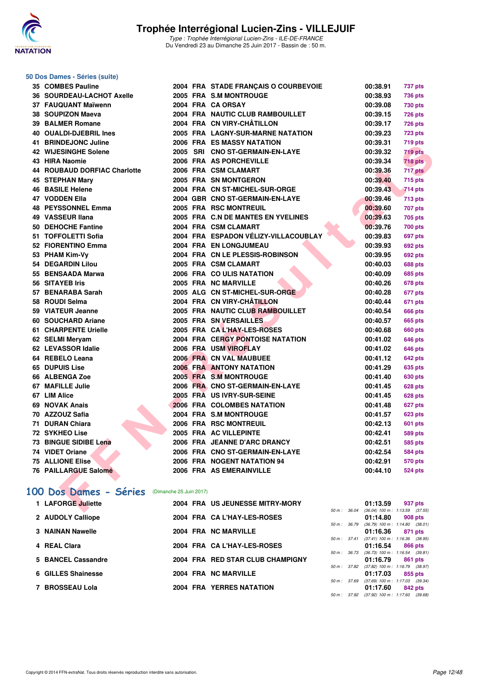

### **50 Dos Dames - Séries (suite)**

| 35 | <b>COMBES Pauline</b>     |
|----|---------------------------|
|    | 36 SOURDEAU-LACHOT Axelle |
|    | 37 FAUQUANT Maïwenn       |
|    | 38 SOUPIZON Maeva         |
|    | 39 BALMER Romane          |
|    | 40 OUALDI-DJEBRIL Ines    |
|    | 41 BRINDEJONC Juline      |
| 42 | <b>WIJESINGHE Solene</b>  |
| 43 | <b>HIRA Naomie</b>        |
|    | 44 ROUBAUD DORFIAC Charlo |
| 45 | <b>STEPHAN Mary</b>       |
|    | <b>46 BASILE Helene</b>   |
| 47 | <b>VODDEN Ella</b>        |
|    | <b>48 PEYSSONNEL Emma</b> |
|    | 49 VASSEUR Ilana          |
| 50 | <b>DEHOCHE Fantine</b>    |
| 51 | <b>TOFFOLETTI Sofia</b>   |
|    | 52 FIORENTINO Emma        |
|    | 53 PHAM Kim-Vy            |
|    | 54 DEGARDIN Lilou         |
| 55 | <b>BENSAADA Marwa</b>     |
|    | 56 SITAYEB Iris           |
|    | 57 BENARABA Sarah         |
|    | 58 ROUDI Selma            |
| 59 | <b>VIATEUR Jeanne</b>     |
| 60 | <b>SOUCHARD Ariane</b>    |
|    | 61 CHARPENTE Urielle      |
|    | 62 SELMI Meryam           |
|    | 62 LEVASSOR Idalie        |
|    | 64 REBELO Leana           |
| 65 | <b>DUPUIS Lise</b>        |
| 66 | <b>ALBENGA Zoe</b>        |
|    | 67 MAFILLE Julie          |
|    | 67 LIM Alice              |
| 69 | <b>NOVAK Anais</b>        |
| 70 | <b>AZZOUZ Safia</b>       |
|    | 71 DURAN Chiara           |
|    | 72 SYKHEO Lise            |
|    | 73 BINGUE SIDIBE Lena     |
| 74 | <b>VIDET Oriane</b>       |
| 75 | <b>ALLIONE Elise</b>      |
|    | 76 PAILLARGUE Salomé      |
|    |                           |

| 35 COMBES Pauline                             |  | 2004 FRA STADE FRANÇAIS O COURBEVOIE | 00:38.91                                     | 737 pts        |
|-----------------------------------------------|--|--------------------------------------|----------------------------------------------|----------------|
| <b>36 SOURDEAU-LACHOT Axelle</b>              |  | 2005 FRA S.M MONTROUGE               | 00:38.93                                     | <b>736 pts</b> |
| 37 FAUQUANT Maïwenn                           |  | 2004 FRA CA ORSAY                    | 00:39.08                                     | <b>730 pts</b> |
| 38 SOUPIZON Maeva                             |  | 2004 FRA NAUTIC CLUB RAMBOUILLET     | 00:39.15                                     | <b>726 pts</b> |
| 39 BALMER Romane                              |  | 2004 FRA CN VIRY-CHÂTILLON           | 00:39.17                                     | <b>726 pts</b> |
| 40 OUALDI-DJEBRIL Ines                        |  | 2005 FRA LAGNY-SUR-MARNE NATATION    | 00:39.23                                     | <b>723 pts</b> |
| 41 BRINDEJONC Juline                          |  | 2006 FRA ES MASSY NATATION           | 00:39.31                                     | 719 pts        |
| 42 WIJESINGHE Solene                          |  | 2005 SRI CNO ST-GERMAIN-EN-LAYE      | 00:39.32                                     | 719 pts        |
| 43 HIRA Naomie                                |  | 2006 FRA AS PORCHEVILLE              | 00:39.34                                     | <b>718 pts</b> |
| <b>44 ROUBAUD DORFIAC Charlotte</b>           |  | 2006 FRA CSM CLAMART                 | 00:39.36                                     | 717 pts        |
| 45 STEPHAN Mary                               |  | 2005 FRA SN MONTGERON                | 00:39.40                                     | 715 pts        |
| 46 BASILE Helene                              |  | 2004 FRA CN ST-MICHEL-SUR-ORGE       | 00:39.43                                     | <b>714 pts</b> |
| 47 VODDEN Ella                                |  | 2004 GBR CNO ST-GERMAIN-EN-LAYE      | 00:39.46                                     | <b>713 pts</b> |
| 48 PEYSSONNEL Emma                            |  | 2005 FRA RSC MONTREUIL               | 00:39.60                                     | <b>707 pts</b> |
| 49 VASSEUR Ilana                              |  | 2005 FRA C.N DE MANTES EN YVELINES   | 00:39.63                                     | 705 pts        |
| 50 DEHOCHE Fantine                            |  | 2004 FRA CSM CLAMART                 | 00:39.76                                     | <b>700 pts</b> |
| 51 TOFFOLETTI Sofia                           |  | 2004 FRA ESPADON VÉLIZY-VILLACOUBLAY | 00:39.83                                     | <b>697 pts</b> |
| 52 FIORENTINO Emma                            |  | 2004 FRA EN LONGJUMEAU               | 00:39.93                                     | <b>692 pts</b> |
| 53 PHAM Kim-Vy                                |  | 2004 FRA CN LE PLESSIS-ROBINSON      | 00:39.95                                     | <b>692 pts</b> |
| 54 DEGARDIN Lilou                             |  | 2005 FRA CSM CLAMART                 | 00:40.03                                     | <b>688 pts</b> |
| 55 BENSAADA Marwa                             |  | 2006 FRA COULIS NATATION             | 00:40.09                                     | 685 pts        |
| 56 SITAYEB Iris                               |  | 2005 FRA NC MARVILLE                 | 00:40.26                                     | 678 pts        |
| 57 BENARABA Sarah                             |  | 2005 ALG CN ST-MICHEL-SUR-ORGE       | 00:40.28                                     | 677 pts        |
| 58 ROUDI Selma                                |  | 2004 FRA CN VIRY-CHÂTILLON           | 00:40.44                                     | 671 pts        |
| 59 VIATEUR Jeanne                             |  | 2005 FRA NAUTIC CLUB RAMBOUILLET     | 00:40.54                                     | <b>666 pts</b> |
| 60 SOUCHARD Ariane                            |  | 2005 FRA SN VERSAILLES               | 00:40.57                                     | <b>665 pts</b> |
| 61 CHARPENTE Urielle                          |  | 2005 FRA CAL'HAY-LES-ROSES           | 00:40.68                                     | <b>660 pts</b> |
| 62 SELMI Meryam                               |  | 2004 FRA CERGY PONTOISE NATATION     | 00:41.02                                     | <b>646 pts</b> |
| 62 LEVASSOR Idalie                            |  | 2006 FRA USM VIROFLAY                | 00:41.02                                     | 646 pts        |
| 64 REBELO Leana                               |  | 2006 FRA CN VAL MAUBUEE              | 00:41.12                                     | 642 pts        |
| 65 DUPUIS Lise                                |  | <b>2006 FRA ANTONY NATATION</b>      | 00:41.29                                     | <b>635 pts</b> |
| <b>66 ALBENGA Zoe</b>                         |  | 2005 FRA S.M MONTROUGE               | 00:41.40                                     | <b>630 pts</b> |
| 67 MAFILLE Julie                              |  | 2006 FRA CNO ST-GERMAIN-EN-LAYE      | 00:41.45                                     | 628 pts        |
| 67 LIM Alice                                  |  | 2005 FRA US IVRY-SUR-SEINE           | 00:41.45                                     | 628 pts        |
| 69 NOVAK Anais                                |  | 2006 FRA COLOMBES NATATION           | 00:41.48                                     | 627 pts        |
| 70 AZZOUZ Safia                               |  | 2004 FRA S.M MONTROUGE               | 00:41.57                                     | 623 pts        |
| 71 DURAN Chiara                               |  | 2006 FRA RSC MONTREUIL               | 00:42.13                                     | <b>601 pts</b> |
| 72 SYKHEO Lise                                |  | 2005 FRA AC VILLEPINTE               | 00:42.41                                     | 589 pts        |
| 73 BINGUE SIDIBE Lena                         |  | 2006 FRA JEANNE D'ARC DRANCY         | 00:42.51                                     | 585 pts        |
| 74 VIDET Oriane                               |  | 2006 FRA CNO ST-GERMAIN-EN-LAYE      | 00:42.54                                     | <b>584 pts</b> |
| 75 ALLIONE Elise                              |  | 2006 FRA NOGENT NATATION 94          | 00:42.91                                     | <b>570 pts</b> |
| 76 PAILLARGUE Salomé                          |  | 2006 FRA AS EMERAINVILLE             | 00:44.10                                     | 524 pts        |
|                                               |  |                                      |                                              |                |
| 00 Dos Dames - Séries (Dimanche 25 Juin 2017) |  |                                      |                                              |                |
| 1 LAFORGE Juliette                            |  | 2004 FRA US JEUNESSE MITRY-MORY      | 01:13.59                                     | 937 pts        |
|                                               |  |                                      | 50 m : 36.04 (36.04) 100 m : 1:13.59 (37.55) |                |

### **[100 Dos Dames - Séries](http://www.ffnatation.fr/webffn/resultats.php?idact=nat&go=epr&idcpt=47281&idepr=12)** (Dimanche 25 Juin 2017)

| 1 LAFORGE Juliette |  | 2004 FRA US JEUNESSE MITRY-MORY  |                  | 01:13.59                            | 937 pts |  |
|--------------------|--|----------------------------------|------------------|-------------------------------------|---------|--|
|                    |  |                                  | $50 m$ : $36.04$ | $(36.04)$ 100 m : 1:13.59 $(37.55)$ |         |  |
| 2 AUDOLY Calliope  |  | 2004 FRA CA L'HAY-LES-ROSES      |                  | 01:14.80                            | 908 pts |  |
|                    |  |                                  | $50 m$ : $36.79$ | $(36.79)$ 100 m : 1:14.80 $(38.01)$ |         |  |
| 3 NAINAN Nawelle   |  | 2004 FRA NC MARVILLE             |                  | 01:16.36                            | 871 pts |  |
|                    |  |                                  | 50 m: 37.41      | $(37.41)$ 100 m : 1:16.36 $(38.95)$ |         |  |
| 4 REAL Clara       |  | 2004 FRA CA L'HAY-LES-ROSES      |                  | 01:16.54                            | 866 pts |  |
|                    |  |                                  | $50 m$ : $36.73$ | $(36.73)$ 100 m : 1:16.54 $(39.81)$ |         |  |
| 5 BANCEL Cassandre |  | 2004 FRA RED STAR CLUB CHAMPIGNY |                  | 01:16.79                            | 861 pts |  |
|                    |  |                                  | 50 m: 37.82      | $(37.82)$ 100 m : 1:16.79 $(38.97)$ |         |  |
| 6 GILLES Shainesse |  | 2004 FRA NC MARVILLE             |                  | 01:17.03                            | 855 pts |  |
|                    |  |                                  | 50 m: 37.69      | $(37.69)$ 100 m : 1:17.03 $(39.34)$ |         |  |
| 7 BROSSEAU Lola    |  | <b>2004 FRA YERRES NATATION</b>  |                  | 01:17.60                            | 842 pts |  |
|                    |  |                                  | 50 m : 37.92     | $(37.92)$ 100 m : 1:17.60 $(39.68)$ |         |  |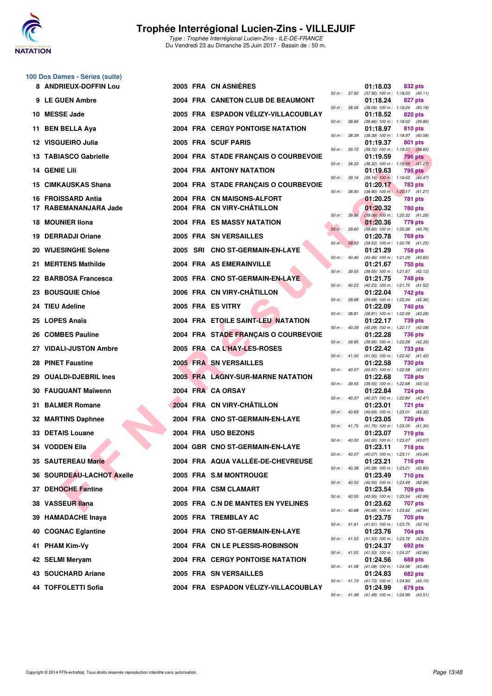

Type : Trophée Interrégional Lucien-Zins - ILE-DE-FRANCE Du Vendredi 23 au Dimanche 25 Juin 2017 - Bassin de : 50 m.

## **100 Dos Dames - Séries (suite)**

| 8 ANDRIEUX-DOFFIN Lou            |  | 2005 FRA CN ASNIERES                    |              | 01:18.03 | 832 pts                                                      |
|----------------------------------|--|-----------------------------------------|--------------|----------|--------------------------------------------------------------|
| 9 LE GUEN Ambre                  |  | 2004 FRA CANETON CLUB DE BEAUMONT       |              | 01:18.24 | 50 m: 37.92 (37.92) 100 m: 1:18.03 (40.11)<br>827 pts        |
| 10 MESSE Jade                    |  | 2005 FRA ESPADON VÉLIZY-VILLACOUBLAY    | 50 m : 38.06 | 01:18.52 | $(38.06)$ 100 m : 1:18.24 $(40.18)$<br>820 pts               |
| 11 BEN BELLA Aya                 |  | <b>2004 FRA CERGY PONTOISE NATATION</b> | 50 m : 38.66 | 01:18.97 | $(38.66)$ 100 m : 1:18.52 $(39.86)$<br>810 pts               |
| 12 VISGUEIRO Julia               |  | 2005 FRA SCUF PARIS                     | 50 m : 38.39 | 01:19.37 | $(38.39)$ 100 m : 1:18.97 $(40.58)$<br>801 pts               |
| 13 TABIASCO Gabrielle            |  | 2004 FRA STADE FRANÇAIS O COURBEVOIE    | 50 m : 39.72 | 01:19.59 | $(39.72)$ 100 m : 1:19.37 $(39.65)$<br><b>796 pts</b>        |
| 14 GENIE Lili                    |  | <b>2004 FRA ANTONY NATATION</b>         | 50 m: 38.32  | 01:19.63 | $(38.32)$ 100 m : 1:19.59 $(41.27)$<br>795 pts               |
| 15 CIMKAUSKAS Shana              |  | 2004 FRA STADE FRANÇAIS O COURBEVOIE    | 50 m: 39.16  | 01:20.17 | $(39.16)$ 100 m : 1:19.63 $(40.47)$<br><b>783 pts</b>        |
| 16 FROISSARD Antia               |  | 2004 FRA CN MAISONS-ALFORT              | 50 m : 38.90 | 01:20.25 | $(38.90)$ 100 m : 1:20.17 $(41.27)$<br>781 pts               |
| 17 RABEMANANJARA Jade            |  | 2004 FRA CN VIRY-CHÂTILLON              | 50 m : 39.06 | 01:20.32 | 780 pts<br>$(39.06)$ 100 m : 1:20.32 $(41.26)$               |
| 18 MOUNIER IIona                 |  | 2004 FRA ES MASSY NATATION              | 50 m : 39.60 | 01:20.36 | 779 pts<br>$(39.60)$ 100 m : 1:20.36 $(40.76)$               |
| 19 DERRADJI Oriane               |  | 2005 FRA SN VERSAILLES                  | 50 m: 39.53  | 01:20.78 | <b>769 pts</b><br>$(39.53)$ 100 m : 1:20.78 $(41.25)$        |
| 20 WIJESINGHE Solene             |  | 2005 SRI CNO ST-GERMAIN-EN-LAYE         | 50 m: 40.46  | 01:21.29 | 758 pts<br>(40.46) 100 m: 1:21.29 (40.83)                    |
| 21 MERTENS Mathilde              |  | 2004 FRA AS EMERAINVILLE                | 50 m : 39.55 | 01:21.67 | 750 pts<br>$(39.55)$ 100 m : 1:21.67 $(42.12)$               |
| 22 BARBOSA Francesca             |  | 2005 FRA CNO ST-GERMAIN-EN-LAYE         | 50 m: 40.23  | 01:21.75 | 748 pts<br>(40.23) 100 m: 1:21.75 (41.52)                    |
| 23 BOUSQUIE Chloé                |  | 2006 FRA CN VIRY-CHÂTILLON              | 50 m : 39.68 | 01:22.04 | 742 pts<br>(39.68) 100 m: 1:22.04 (42.36)                    |
| 24 TIEU Adeline                  |  | 2005 FRA ES VITRY                       | 50 m : 38.81 | 01:22.09 | 740 pts<br>$(38.81)$ 100 m : 1:22.09 $(43.28)$               |
| 25 LOPES Anaïs                   |  | 2004 FRA ETOILE SAINT-LEU NATATION      | 50 m: 40.09  | 01:22.17 | 739 pts<br>$(40.09)$ 100 m : 1:22.17 $(42.08)$               |
| 26 COMBES Pauline                |  | 2004 FRA STADE FRANÇAIS O COURBEVOIE    | 50 m : 39.95 | 01:22.28 | <b>736 pts</b><br>(39.95) 100 m: 1:22.28 (42.33)             |
| 27 VIDALI-JUSTON Ambre           |  | 2005 FRA CAL'HAY-LES-ROSES              | 50 m : 41.00 | 01:22.42 | 733 pts<br>$(41.00)$ 100 m : 1:22.42 $(41.42)$               |
| 28 PINET Faustine                |  | <b>2005 FRA SN VERSAILLES</b>           | 50 m : 40.57 | 01:22.58 | 730 pts<br>(40.57) 100 m: 1:22.58 (42.01)                    |
| 29 OUALDI-DJEBRIL Ines           |  | 2005 FRA LAGNY-SUR-MARNE NATATION       |              | 01:22.68 | <b>728 pts</b><br>50 m: 39.55 (39.55) 100 m: 1:22.68 (43.13) |
| 30 FAUQUANT Maïwenn              |  | 2004 FRA CA ORSAY                       | 50 m : 40.37 | 01:22.84 | 724 pts<br>(40.37) 100 m: 1:22.84 (42.47)                    |
| 31 BALMER Romane                 |  | 2004 FRA CN VIRY-CHÂTILLON              | 50 m : 40.69 | 01:23.01 | <b>721 pts</b><br>(40.69) 100 m : 1:23.01 (42.32)            |
| 32 MARTINS Daphnee               |  | 2004 FRA CNO ST-GERMAIN-EN-LAYE         |              | 01:23.05 | <b>720 pts</b><br>50 m: 41.75 (41.75) 100 m: 1:23.05 (41.30) |
| 33 DETAIS Louane                 |  | 2004 FRA USO BEZONS                     |              | 01:23.07 | <b>719 pts</b><br>50 m: 40.00 (40.00) 100 m: 1:23.07 (43.07) |
| 34 VODDEN Ella                   |  | 2004 GBR CNO ST-GERMAIN-EN-LAYE         |              | 01:23.11 | <b>718 pts</b><br>50 m: 40.07 (40.07) 100 m: 1:23.11 (43.04) |
| 35 SAUTEREAU Marie               |  | 2004 FRA AQUA VALLÉE-DE-CHEVREUSE       | 50 m : 40.38 | 01:23.21 | 716 pts<br>(40.38) 100 m: 1:23.21 (42.83)                    |
| <b>36 SOURDEAU-LACHOT Axelle</b> |  | 2005 FRA S.M MONTROUGE                  | 50 m : 40.50 | 01:23.49 | <b>710 pts</b>                                               |
| 37 DEHOCHE Fantine               |  | 2004 FRA CSM CLAMART                    |              | 01:23.54 | (40.50) 100 m : 1:23.49 (42.99)<br>709 pts                   |
| 38 VASSEUR Ilana                 |  | 2005 FRA C.N DE MANTES EN YVELINES      | 50 m : 40.55 | 01:23.62 | (40.55) 100 m: 1:23.54 (42.99)<br>707 pts                    |
| 39 HAMADACHE Inava               |  | 2005 FRA TREMBLAY AC                    | 50 m : 40.68 | 01:23.75 | (40.68) 100 m : 1:23.62 (42.94)<br>705 pts                   |
| 40 COGNAC Eglantine              |  | 2004 FRA CNO ST-GERMAIN-EN-LAYE         | 50 m : 41.61 | 01:23.76 | $(41.61)$ 100 m : 1:23.75 $(42.14)$<br>704 pts               |
| 41 PHAM Kim-Vy                   |  | 2004 FRA CN LE PLESSIS-ROBINSON         |              | 01:24.37 | 50 m: 41.53 (41.53) 100 m: 1:23.76 (42.23)<br>692 pts        |
| 42 SELMI Meryam                  |  | <b>2004 FRA CERGY PONTOISE NATATION</b> |              | 01:24.56 | 50 m: 41.53 (41.53) 100 m: 1:24.37 (42.84)<br>688 pts        |
| 43 SOUCHARD Ariane               |  | 2005 FRA SN VERSAILLES                  |              | 01:24.83 | 50 m: 41.08 (41.08) 100 m: 1:24.56 (43.48)<br>682 pts        |
| 44 TOFFOLETTI Sofia              |  | 2004 FRA ESPADON VÉLIZY-VILLACOUBLAY    |              | 01:24.99 | 50 m: 41.73 (41.73) 100 m: 1:24.83 (43.10)<br>679 pts        |
|                                  |  |                                         |              |          | 50 m: 41.48 (41.48) 100 m: 1:24.99 (43.51)                   |

|          | 37.92 | 01:18.03<br>$(37.92)$ 100 m : | 832 pts                              |
|----------|-------|-------------------------------|--------------------------------------|
| $50 m$ : |       | 01:18.24                      | 1:18.03<br>(40.11)<br>827 pts        |
| 50 m :   | 38.06 | $(38.06)$ 100 m :             | 1:18.24<br>(40.18)                   |
| 50 m :   | 38.66 | 01:18.52<br>$(38.66)$ 100 m : | 820 pts<br>1:18.52<br>(39.86)        |
|          |       | 01:18.97                      | 810 pts                              |
| $50 m$ : | 38.39 | (38.39) 100 m :<br>01:19.37   | 1:18.97<br>(40.58)<br>801 pts        |
| 50 m :   | 39.72 | (39.72) 100 m :               | 1:19.37 (39.65)                      |
|          |       | 01:19.59                      | <b>796 pts</b>                       |
| 50 m :   | 38.32 | (38.32) 100 m :<br>01:19.63   | (41.27)<br>1:19.59<br>795 pts        |
| $50 m$ : | 39.16 | $(39.16) 100 m$ :             | 1:19.63<br>(40.47)                   |
| 50 m :   | 38.90 | 01:20.17<br>$(38.90)$ 100 m : | 783 pts<br>1:20.17<br>(41.27)        |
|          |       | 01:20.25                      | <b>781 pts</b>                       |
|          |       | 01:20.32                      | <b>780 pts</b>                       |
| 50 m :   | 39.06 | $(39.06)$ 100 m :             | 1:20.32<br>(41.26)                   |
| $50 m$ : | 39.60 | 01:20.36<br>$(39.60)$ 100 m : | 779 pts<br>1:20.36<br>(40.76)        |
|          |       | 01:20.78                      | <b>769 pts</b>                       |
| 50 m:    | 39.53 | $(39.53) 100 m$ :<br>01:21.29 | 1:20.78<br>(41.25)<br>758 pts        |
| $50 m$ : | 40.46 | $(40.46) 100 m$ :             | 1:21.29<br>(40.83)                   |
|          |       | 01:21.67                      | 750 pts                              |
| $50 m$ : | 39.55 | $(39.55) 100 m$ :<br>01:21.75 | 1:21.67<br>(42.12)<br>748 pts        |
| $50 m$ : | 40.23 | $(40.23)$ 100 m :             | 1:21.75<br>(41.52)                   |
| 50 m :   | 39.68 | 01:22.04<br>$(39.68) 100 m$ : | 742 pts<br>1:22.04<br>(42.36)        |
|          |       | 01:22.09                      | 740 pts                              |
| 50 m :   | 38.81 | $(38.81)$ 100 m :<br>01:22.17 | 1:22.09<br>(43.28)<br>739 pts        |
| $50 m$ : | 40.09 | $(40.09)$ 100 m :             | 1:22.17<br>(42.08)                   |
|          |       | 01:22.28                      | <b>736 pts</b>                       |
| 50 m :   | 39.95 | (39.95) 100 m :<br>01:22.42   | 1:22.28<br>(42.33)<br>733 pts        |
| 50 m :   | 41.00 | (41.00) 100 m :               | 1:22.42<br>(41.42)                   |
| $50 m$ : | 40.57 | 01:22.58<br>$(40.57) 100 m$ : | 730 pts<br>1:22.58<br>(42.01)        |
|          |       | 01:22.68                      | 728 pts                              |
| $50 m$ : | 39.55 | $(39.55)$ 100 m :<br>01:22.84 | (43.13)<br>1:22.68<br><b>724 pts</b> |
| $50 m$ : | 40.37 | $(40.37) 100 m$ :             | 1:22.84<br>(42.47)                   |
|          | 40.69 | 01:23.01                      | <b>721 pts</b>                       |
| $50 m$ : |       | $(40.69) 100 m$ :<br>01:23.05 | 1:23.01<br>(42.32)<br><b>720 pts</b> |
| $50 m$ : | 41.75 | $(41.75) 100 m$ :             | 1:23.05<br>(41.30)                   |
| $50 m$ : | 40.00 | 01:23.07<br>$(40.00)$ 100 m : | 719 pts<br>1:23.07<br>(43.07)        |
|          |       | 01:23.11                      | <b>718 pts</b>                       |
| $50 m$ : | 40.07 | $(40.07)$ 100 m :<br>01:23.21 | 1:23.11<br>(43.04)<br>716 pts        |
| $50 m$ : | 40.38 | $(40.38) 100 m$ :             | 1:23.21<br>(42.83)                   |
|          | 40.50 | 01:23.49<br>$(40.50)$ 100 m : | 710 pts                              |
| $50 m$ : |       | 01:23.54                      | 1:23.49<br>(42.99)<br>709 pts        |
| $50 m$ : | 40.55 | $(40.55)$ 100 m :             | 1:23.54<br>(42.99)                   |
| $50 m$ : | 40.68 | 01:23.62<br>$(40.68) 100 m$ : | <b>707 pts</b><br>1:23.62<br>(42.94) |
|          |       | 01:23.75                      | 705 pts                              |
| $50 m$ : | 41.61 | (41.61) 100 m :<br>01:23.76   | 1:23.75<br>(42.14)<br>704 pts        |
| $50 m$ : | 41.53 | $(41.53) 100 m$ :             | 1:23.76<br>(42.23)                   |
| $50 m$ : | 41.53 | 01:24.37                      | <b>692 pts</b><br>1:24.37            |
|          |       | $(41.53) 100 m$ :<br>01:24.56 | (42.84)<br><b>688 pts</b>            |
| $50 m$ : | 41.08 | $(41.08) 100 m$ :             | 1:24.56<br>(43.48)                   |
| $50 m$ : | 41.73 | 01:24.83<br>(41.73) 100 m :   | <b>682 pts</b><br>1:24.83<br>(43.10) |
|          |       | 01:24.99                      | 679 pts                              |
| 50 m :   | 41.48 | (41.48) 100 m:                | $1:24.99$ $(43.51)$                  |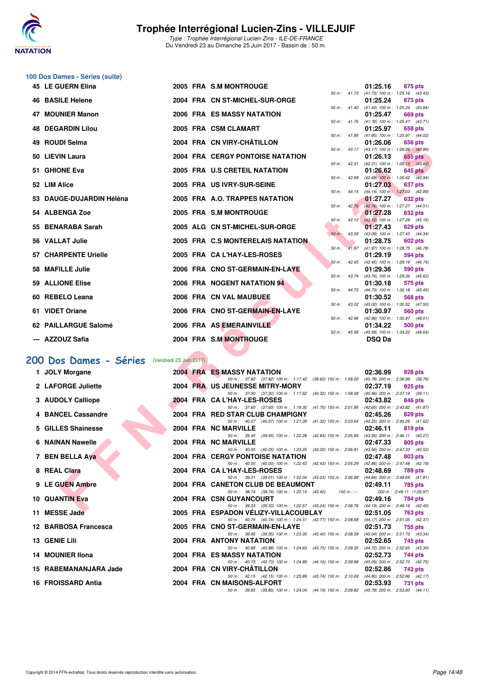![](_page_13_Picture_0.jpeg)

### **100 Dos Dames - Séries (suite)**

| 45 LE GUERN Elina                             |  | 2005 FRA S.M MONTROUGE                                                                                                              |             |                  | 01:25.16                                                    | 675 pts                             |  |
|-----------------------------------------------|--|-------------------------------------------------------------------------------------------------------------------------------------|-------------|------------------|-------------------------------------------------------------|-------------------------------------|--|
| <b>46 BASILE Helene</b>                       |  | 2004 FRA CN ST-MICHEL-SUR-ORGE                                                                                                      |             |                  | 50 m: 41.73 (41.73) 100 m: 1:25.16 (43.43)<br>01:25.24      | <b>673 pts</b>                      |  |
| <b>47 MOUNIER Manon</b>                       |  | 2006 FRA ES MASSY NATATION                                                                                                          |             |                  | 50 m: 41.40 (41.40) 100 m: 1:25.24 (43.84)<br>01:25.47      | 669 pts                             |  |
|                                               |  |                                                                                                                                     |             |                  | 50 m: 41.76 (41.76) 100 m: 1:25.47 (43.71)                  |                                     |  |
| <b>48 DEGARDIN Lilou</b>                      |  | 2005 FRA CSM CLAMART                                                                                                                |             |                  | 01:25.97<br>50 m: 41.95 (41.95) 100 m: 1:25.97 (44.02)      | 658 pts                             |  |
| 49 ROUDI Selma                                |  | 2004 FRA CN VIRY-CHÂTILLON                                                                                                          |             |                  | 01:26.06<br>50 m: 43.17 (43.17) 100 m: 1:26.06 (42.89)      | 656 pts                             |  |
| 50 LIEVIN Laura                               |  | <b>2004 FRA CERGY PONTOISE NATATION</b>                                                                                             |             |                  | 01:26.13                                                    | 655 pts                             |  |
| 51 GHIONE Eva                                 |  | 2005 FRA U.S CRETEIL NATATION                                                                                                       |             |                  | 50 m: 42.31 (42.31) 100 m: 1:26.13 (43.82)<br>01:26.62      | 645 pts                             |  |
| 52 LIM Alice                                  |  | 2005 FRA US IVRY-SUR-SEINE                                                                                                          |             |                  | 50 m : 42.68 (42.68) 100 m : 1:26.62 (43.94)<br>01:27.03    | 637 pts                             |  |
|                                               |  |                                                                                                                                     |             |                  | 50 m: 44.14 (44.14) 100 m: 1:27.03 (42.89)                  |                                     |  |
| 53 DAUGE-DUJARDIN Héléna                      |  | 2005 FRA A.O. TRAPPES NATATION                                                                                                      |             | $50 m$ : $42.76$ | 01:27.27<br>(42.76) 100 m : 1:27.27 (44.51)                 | 632 pts                             |  |
| 54 ALBENGA Zoe                                |  | 2005 FRA S.M MONTROUGE                                                                                                              |             |                  | 01:27.28                                                    | 632 pts                             |  |
| 55 BENARABA Sarah                             |  | 2005 ALG CN ST-MICHEL-SUR-ORGE                                                                                                      |             |                  | 50 m: 42.12 (42.12) 100 m: 1:27.28 (45.16)<br>01:27.43      | 629 pts                             |  |
| 56 VALLAT Julie                               |  | 2005 FRA C.S MONTERELAIS NATATION                                                                                                   |             |                  | 50 m: 43.09 (43.09) 100 m: 1:27.43 (44.34)<br>01:28.75      |                                     |  |
|                                               |  |                                                                                                                                     |             |                  | 50 m: 41.97 (41.97) 100 m: 1:28.75 (46.78)                  | 602 pts                             |  |
| <b>57 CHARPENTE Urielle</b>                   |  | 2005 FRA CA L'HAY-LES-ROSES                                                                                                         |             |                  | 01:29.19<br>50 m: 42.45 (42.45) 100 m: 1:29.19 (46.74)      | 594 pts                             |  |
| 58 MAFILLE Julie                              |  | 2006 FRA CNO ST-GERMAIN-EN-LAYE                                                                                                     |             |                  | 01:29.36                                                    | 590 pts                             |  |
| <b>59 ALLIONE Elise</b>                       |  | 2006 FRA NOGENT NATATION 94                                                                                                         | 50 m: 43.74 |                  | (43.74) 100 m : 1:29.36 (45.62)<br>01:30.18                 | 575 pts                             |  |
|                                               |  | 2006 FRA CN VAL MAUBUEE                                                                                                             |             | 50 m : 44.73     | $(44.73)$ 100 m : 1:30.18 $(45.45)$                         |                                     |  |
| 60 REBELO Leana                               |  |                                                                                                                                     | 50 m: 43.02 |                  | 01:30.52<br>$(43.02)$ 100 m : 1:30.52 $(47.50)$             | 568 pts                             |  |
| 61 VIDET Oriane                               |  | 2006 FRA CNO ST-GERMAIN-EN-LAYE                                                                                                     |             |                  | 01:30.97<br>50 m: 42.96 (42.96) 100 m: 1:30.97 (48.01)      | 560 pts                             |  |
| 62 PAILLARGUE Salomé                          |  | 2006 FRA AS EMERAINVILLE                                                                                                            |             |                  | 01:34.22                                                    | 500 pts                             |  |
| --- AZZOUZ Safia                              |  | 2004 FRA S.M MONTROUGE                                                                                                              |             |                  | 50 m: 45.58 (45.58) 100 m: 1:34.22 (48.64)<br><b>DSQ Da</b> |                                     |  |
|                                               |  |                                                                                                                                     |             |                  |                                                             |                                     |  |
| 00 Dos Dames - Séries (Vendredi 23 Juin 2017) |  |                                                                                                                                     |             |                  |                                                             |                                     |  |
| 1 JOLY Morgane                                |  | <b>2004 FRA ES MASSY NATATION</b>                                                                                                   |             |                  | 02:36.99                                                    | 928 pts                             |  |
| 2 LAFORGE Juliette                            |  | 50 m: 37.82 (37.82) 100 m: 1:17.42 (39.60) 150 m: 1:58.20 (40.78) 200 m: 2:36.99 (38.79)<br>2004 FRA US JEUNESSE MITRY-MORY         |             |                  | 02:37.19                                                    | 925 pts                             |  |
|                                               |  | 50 m: 37.30 (37.30) 100 m: 1:17.62 (40.32) 150 m: 1:58.08 (40.46) 200 m: 2:37.19 (39.11)                                            |             |                  |                                                             |                                     |  |
| 3 AUDOLY Calliope                             |  | 2004 FRA CA L'HAY-LES-ROSES<br>50 m: 37.60 (37.60) 100 m: 1:19.30 (41.70) 150 m: 2:01.95 (42.65) 200 m: 2:43.82 (41.87)             |             |                  | 02:43.82                                                    | 846 pts                             |  |
| 4 BANCEL Cassandre                            |  | 2004 FRA RED STAR CLUB CHAMPIGNY<br>50 m: 40.07 (40.07) 100 m: 1:21.39 (41.32) 150 m: 2:03.64                                       |             |                  | 02:45.26<br>(42.25) 200 m : 2:45.26 (41.62)                 | 829 pts                             |  |
| 5 GILLES Shainesse                            |  | 2004 FRA NC MARVILLE                                                                                                                |             |                  | 02:46.11                                                    | 819 pts                             |  |
| 6 NAINAN Nawelle                              |  | 50 m: 39.45 (39.45) 100 m: 1:22.28 (42.83) 150 m: 2:05.84<br>2004 FRA NC MARVILLE                                                   |             |                  | $(43.56)$ 200 m : 2:46.11 $(40.27)$<br>02:47.33             | 805 pts                             |  |
|                                               |  | 50 m: 40.05 (40.05) 100 m: 1:23.25 (43.20) 150 m: 2:06.81                                                                           |             |                  | $(43.56)$ 200 m : 2:47.33 $(40.52)$                         |                                     |  |
| 7 BEN BELLA Aya                               |  | <b>2004 FRA CERGY PONTOISE NATATION</b><br>50 m: 40.00 (40.00) 100 m: 1:22.43 (42.43) 150 m: 2:05.29 (42.86) 200 m: 2:47.48 (42.19) |             |                  | 02:47.48                                                    | 803 pts                             |  |
| 8 REAL Clara                                  |  | 2004 FRA CA L'HAY-LES-ROSES                                                                                                         |             |                  | 02:48.69                                                    | <b>789 pts</b>                      |  |
| 9 LE GUEN Ambre                               |  | 50 m: 39.01 (39.01) 100 m: 1:22.04 (43.03) 150 m: 2:06.88 (44.84) 200 m: 2:48.69 (41.81)<br>2004 FRA CANETON CLUB DE BEAUMONT       |             |                  | 02:49.11                                                    | 785 pts                             |  |
| <b>10 QUANTIN Eva</b>                         |  | 50 m: 38.74 (38.74) 100 m: 1:22.14 (43.40)<br>2004 FRA CSN GUYANCOURT                                                               |             | $150 m: -$       | 02:49.16                                                    | 200 m: 2:49.11 (1:26.97)<br>784 pts |  |
| 44 MEGGE 1242                                 |  | 50 m: 39.33 (39.33) 100 m: 1:22.57 (43.24) 150 m: 2:06.76 (44.19) 200 m: 2:49.16 (42.40)<br>$0.005$ FDA FORADOM VÉLIZY VILLAQOUDLAV |             |                  | $0.0.54 \text{ } \Omega$                                    |                                     |  |

### **[200 Dos Dames - Séries](http://www.ffnatation.fr/webffn/resultats.php?idact=nat&go=epr&idcpt=47281&idepr=13)** (Vendredi 23 Juin 2017)

| 1 JOLY Morgane          |  | <b>2004 FRA ES MASSY NATATION</b>                                                                                            | 02:36.99 | 928 pts        |
|-------------------------|--|------------------------------------------------------------------------------------------------------------------------------|----------|----------------|
|                         |  | 50 m: 37.82 (37.82) 100 m: 1:17.42 (39.60) 150 m: 1:58.20 (40.78) 200 m: 2:36.99 (38.79)                                     |          |                |
| 2 LAFORGE Juliette      |  | 2004 FRA US JEUNESSE MITRY-MORY                                                                                              | 02:37.19 | 925 pts        |
|                         |  | 50 m: 37.30 (37.30) 100 m: 1:17.62 (40.32) 150 m: 1:58.08 (40.46) 200 m: 2:37.19 (39.11)                                     |          |                |
| 3 AUDOLY Calliope       |  | 2004 FRA CA L'HAY-LES-ROSES                                                                                                  | 02:43.82 | 846 pts        |
| 4 BANCEL Cassandre      |  | 50 m: 37.60 (37.60) 100 m: 1:19.30 (41.70) 150 m: 2:01.95 (42.65) 200 m: 2:43.82 (41.87)<br>2004 FRA RED STAR CLUB CHAMPIGNY | 02:45.26 | 829 pts        |
|                         |  | 50 m: 40.07 (40.07) 100 m: 1:21.39 (41.32) 150 m: 2:03.64 (42.25) 200 m: 2:45.26 (41.62)                                     |          |                |
| 5 GILLES Shainesse      |  | 2004 FRA NC MARVILLE                                                                                                         | 02:46.11 | 819 pts        |
|                         |  | 50 m: 39.45 (39.45) 100 m: 1:22.28 (42.83) 150 m: 2:05.84 (43.56) 200 m: 2:46.11 (40.27)                                     |          |                |
| <b>6 NAINAN Nawelle</b> |  | 2004 FRA NC MARVILLE                                                                                                         | 02:47.33 | 805 pts        |
|                         |  | 50 m: 40.05 (40.05) 100 m: 1:23.25 (43.20) 150 m: 2:06.81 (43.56) 200 m: 2:47.33 (40.52)                                     |          |                |
| 7 BEN BELLA Aya         |  | 2004 FRA CERGY PONTOISE NATATION                                                                                             | 02:47.48 | 803 pts        |
|                         |  | 50 m: 40.00 (40.00) 100 m: 1:22.43 (42.43) 150 m: 2:05.29 (42.86) 200 m: 2:47.48 (42.19)                                     |          |                |
| 8 REAL Clara            |  | 2004 FRA CA L'HAY-LES-ROSES                                                                                                  | 02:48.69 | <b>789 pts</b> |
|                         |  | 50 m: 39.01 (39.01) 100 m: 1:22.04 (43.03) 150 m: 2:06.88 (44.84) 200 m: 2:48.69 (41.81)                                     |          |                |
|                         |  |                                                                                                                              |          |                |
| 9 LE GUEN Ambre         |  | 2004 FRA CANETON CLUB DE BEAUMONT 02:49.11                                                                                   |          | 785 pts        |
|                         |  | 50 m: 38.74 (38.74) 100 m: 1:22.14 (43.40) 150 m: -- 200 m: 2:49.11 (1:26.97)                                                |          |                |
| 10 QUANTIN Eva          |  | 2004 FRA CSN GUYANCOURT                                                                                                      | 02:49.16 | 784 pts        |
|                         |  | 50 m: 39.33 (39.33) 100 m: 1:22.57 (43.24) 150 m: 2:06.76 (44.19) 200 m: 2:49.16 (42.40)                                     |          |                |
| 11 MESSE Jade           |  | 2005 FRA ESPADON VELIZY-VILLACOUBLAY 02:51.05                                                                                |          | 763 pts        |
| 12 BARBOSA Francesca    |  | 50 m: 40.74 (40.74) 100 m: 1:24.51 (43.77) 150 m: 2:08.68 (44.17) 200 m: 2:51.05 (42.37)<br>2005 FRA CNO ST-GERMAIN-EN-LAYE  | 02:51.73 |                |
|                         |  | 50 m: 39.95 (39.95) 100 m: 1:23.35 (43.40) 150 m: 2:08.39 (45.04) 200 m: 2:51.73 (43.34)                                     |          | 755 pts        |
| 13 GENIE Lili           |  | 2004 FRA ANTONY NATATION                                                                                                     | 02:52.65 | 745 pts        |
|                         |  | 50 m: 40.88 (40.88) 100 m: 1:24.63 (43.75) 150 m: 2:09.35 (44.72) 200 m: 2:52.65 (43.30)                                     |          |                |
| 14 MOUNIER IIona        |  | <b>2004 FRA ES MASSY NATATION</b>                                                                                            | 02:52.73 | 744 pts        |
|                         |  | 50 m: 40.73 (40.73) 100 m: 1:24.89 (44.16) 150 m: 2:09.98 (45.09) 200 m: 2:52.73 (42.75)                                     |          |                |
| 15 RABEMANANJARA Jade   |  | 2004 FRA CN VIRY-CHÂTILLON                                                                                                   | 02:52.86 | 743 pts        |
|                         |  | 50 m: 42.15 (42.15) 100 m: 1:25.89 (43.74) 150 m: 2:10.69 (44.80) 200 m: 2:52.86 (42.17)                                     |          |                |
| 16 FROISSARD Antia      |  | 2004 FRA CN MAISONS-ALFORT<br>50 m: 39.85 (39.85) 100 m: 1:24.04 (44.19) 150 m: 2:09.82 (45.78) 200 m: 2:53.93 (44.11)       | 02:53.93 | <b>731 pts</b> |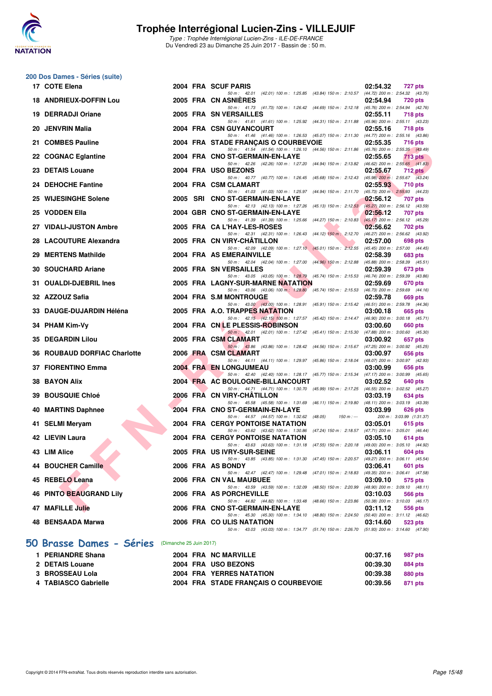![](_page_14_Picture_0.jpeg)

Type : Trophée Interrégional Lucien-Zins - ILE-DE-FRANCE Du Vendredi 23 au Dimanche 25 Juin 2017 - Bassin de : 50 m.

#### **200 Dos Dames - Séries (suite)**

|     | 17 COTE Elena                                    |  | 2004 FRA SCUF PARIS                                                                                                              | 02:54.32 | 727 pts                                    |
|-----|--------------------------------------------------|--|----------------------------------------------------------------------------------------------------------------------------------|----------|--------------------------------------------|
|     | <b>18 ANDRIEUX-DOFFIN Lou</b>                    |  | 50 m: 42.01 (42.01) 100 m: 1:25.85 (43.84) 150 m: 2:10.57 (44.72) 200 m: 2:54.32 (43.75)<br>2005 FRA CN ASNIERES                 | 02:54.94 | <b>720 pts</b>                             |
|     | 19 DERRADJI Oriane                               |  | 50 m: 41.73 (41.73) 100 m: 1:26.42 (44.69) 150 m: 2:12.18 (45.76) 200 m: 2:54.94 (42.76)<br>2005 FRA SN VERSAILLES               | 02:55.11 | <b>718 pts</b>                             |
|     | 20 JENVRIN Malia                                 |  | 50 m: 41.61 (41.61) 100 m: 1:25.92 (44.31) 150 m: 2:11.88 (45.96) 200 m: 2:55.11 (43.23)<br>2004 FRA CSN GUYANCOURT              | 02:55.16 | 718 pts                                    |
|     | 21 COMBES Pauline                                |  | 50 m: 41.46 (41.46) 100 m: 1:26.53 (45.07) 150 m: 2:11.30 (44.77) 200 m: 2:55.16 (43.86)<br>2004 FRA STADE FRANÇAIS O COURBEVOIE | 02:55.35 | 716 pts                                    |
|     |                                                  |  | 50 m: 41.54 (41.54) 100 m: 1:26.10 (44.56) 150 m: 2:11.86 (45.76) 200 m: 2:55.35 (43.49)                                         |          |                                            |
|     | 22 COGNAC Eglantine                              |  | 2004 FRA CNO ST-GERMAIN-EN-LAYE<br>50 m: 42.26 (42.26) 100 m: 1:27.20 (44.94) 150 m: 2:13.82 (46.62) 200 m: 2:55.65 (41.83)      | 02:55.65 | 713 pts                                    |
|     | 23 DETAIS Louane                                 |  | 2004 FRA USO BEZONS<br>50 m: 40.77 (40.77) 100 m: 1:26.45 (45.68) 150 m: 2:12.43 (45.98) 200 m: 2:55.67 (43.24)                  | 02:55.67 | <b>712 pts</b>                             |
| 24. | <b>DEHOCHE Fantine</b>                           |  | 2004 FRA CSM CLAMART<br>50 m: 41.03 (41.03) 100 m: 1:25.97 (44.94) 150 m: 2:11.70 (45.73) 200 m: 2:55.93 (44.23)                 | 02:55.93 | <b>710 pts</b>                             |
|     | 25 WIJESINGHE Solene                             |  | 2005 SRI CNO ST-GERMAIN-EN-LAYE                                                                                                  | 02:56.12 | 707 pts                                    |
|     | 25 VODDEN Ella                                   |  | 50 m : 42.13 (42.13) 100 m : 1:27.26 (45.13) 150 m : 2:12.53 (45.27) 200 m : 2:56.12 (43.59)<br>2004 GBR CNO ST-GERMAIN-EN-LAYE  | 02:56.12 | 707 pts                                    |
|     | 27 VIDALI-JUSTON Ambre                           |  | 50 m: 41.39 (41.39) 100 m: 1:25.66 (44.27) 150 m: 2:10.83 (45.17) 200 m: 2:56.12 (45.29)<br>2005 FRA CA L'HAY-LES-ROSES          | 02:56.62 | 702 pts                                    |
|     | 28 LACOUTURE Alexandra                           |  | 50 m: 42.31 (42.31) 100 m: 1:26.43 (44.12) 150 m: 2:12.70 (46.27) 200 m: 2:56.62 (43.92)<br>2005 FRA CN VIRY-CHATILLON           | 02:57.00 | 698 pts                                    |
|     |                                                  |  | 50 m: 42.09 (42.09) 100 m: 1:27.10 (45.01) 150 m: 2:12.55 (45.45) 200 m: 2:57.00 (44.45)                                         |          |                                            |
|     | 29 MERTENS Mathilde                              |  | 2004 FRA AS EMERAINVILLE<br>50 m: 42.04 (42.04) 100 m: 1:27.00 (44.96) 150 m: 2:12.88 (45.88) 200 m: 2:58.39 (45.51)             | 02:58.39 | <b>683 pts</b>                             |
|     | 30 SOUCHARD Ariane                               |  | 2005 FRA SN VERSAILLES<br>50 m: 43.05 (43.05) 100 m: 1:28.79 (45.74) 150 m: 2:15.53 (46.74) 200 m: 2:59.39 (43.86)               | 02:59.39 | 673 pts                                    |
| 31. | <b>OUALDI-DJEBRIL Ines</b>                       |  | 2005 FRA LAGNY-SUR-MARNE NATATION<br>50 m: 43.06 (43.06) 100 m: 1:28.80 (45.74) 150 m: 2:15.53 (46.73) 200 m: 2:59.69 (44.16)    | 02:59.69 | 670 pts                                    |
|     | 32 AZZOUZ Safia                                  |  | 2004 FRA S.M MONTROUGE                                                                                                           | 02:59.78 | 669 pts                                    |
|     | 33 DAUGE-DUJARDIN Héléna                         |  | 50 m: 43.00 (43.00) 100 m: 1:28.91 (45.91) 150 m: 2:15.42 (46.51) 200 m: 2:59.78 (44.36)<br>2005 FRA A.O. TRAPPES NATATION       | 03:00.18 | 665 pts                                    |
|     | 34 PHAM Kim-Vy                                   |  | 50 m: 42.15 (42.15) 100 m: 1:27.57 (45.42) 150 m: 2:14.47 (46.90) 200 m: 3:00.18 (45.71)<br>2004 FRA CN LE PLESSIS-ROBINSON      | 03:00.60 | 660 pts                                    |
|     | 35 DEGARDIN Lilou                                |  | 50 m: 42.01 (42.01) 100 m: 1:27.42 (45.41) 150 m: 2:15.30 (47.88) 200 m: 3:00.60 (45.30)<br>2005 FRA CSM CLAMART                 | 03:00.92 |                                            |
|     |                                                  |  | 50 m: 43.86 (43.86) 100 m: 1:28.42 (44.56) 150 m: 2:15.67 (47.25) 200 m: 3:00.92 (45.25)                                         |          | 657 pts                                    |
| 36. | <b>ROUBAUD DORFIAC Charlotte</b>                 |  | 2006 FRA CSM CLAMART<br>50 m: 44.11 (44.11) 100 m: 1:29.97 (45.86) 150 m: 2:18.04                                                | 03:00.97 | 656 pts<br>(48.07) 200 m : 3:00.97 (42.93) |
|     | 37 FIORENTINO Emma                               |  | 2004 FRA EN LONGJUMEAU<br>50 m : 42.40 (42.40) 100 m : 1:28.17 (45.77) 150 m : 2:15.34                                           | 03:00.99 | 656 pts<br>(47.17) 200 m : 3:00.99 (45.65) |
| 38  | <b>BAYON Alix</b>                                |  | 2004 FRA AC BOULOGNE-BILLANCOURT<br>50 m: 44.71 (44.71) 100 m: 1:30.70 (45.99) 150 m: 2:17.25 (46.55) 200 m: 3:02.52 (45.27)     | 03:02.52 | 640 pts                                    |
| 39. | <b>BOUSQUIE Chloé</b>                            |  | 2006 FRA CN VIRY-CHATILLON                                                                                                       | 03:03.19 | 634 pts                                    |
| 40  | <b>MARTINS Daphnee</b>                           |  | 50 m : 45.58 (45.58) 100 m : 1:31.69 (46.11) 150 m : 2:19.80<br>2004 FRA CNO ST-GERMAIN-EN-LAYE                                  | 03:03.99 | (48.11) 200 m : 3:03.19 (43.39)<br>626 pts |
|     | 41 SELMI Meryam                                  |  | 50 m: 44.57 (44.57) 100 m: 1:32.62 (48.05)<br>$150 m : -$<br><b>2004 FRA CERGY PONTOISE NATATION</b>                             | 03:05.01 | 200 m: 3:03.99 (1:31.37)<br>615 pts        |
|     | 42 LIEVIN Laura                                  |  | 50 m: 43.62 (43.62) 100 m: 1:30.86 (47.24) 150 m: 2:18.57 (47.71) 200 m: 3:05.01 (46.44)<br>2004 FRA CERGY PONTOISE NATATION     | 03:05.10 | 614 pts                                    |
|     |                                                  |  | 50 m: 43.63 (43.63) 100 m: 1:31.18 (47.55) 150 m: 2:20.18                                                                        |          | (49.00) 200 m : 3:05.10 (44.92)            |
|     | 43 LIM Alice                                     |  | 2005 FRA USIVRY-SUR-SEINE<br>50 m: 43.85 (43.85) 100 m: 1:31.30 (47.45) 150 m: 2:20.57 (49.27) 200 m: 3:06.11 (45.54)            | 03:06.11 | <b>604 pts</b>                             |
|     | 44 BOUCHER Camille                               |  | 2006 FRA AS BONDY<br>50 m: 42.47 (42.47) 100 m: 1:29.48 (47.01) 150 m: 2:18.83 (49.35) 200 m: 3:06.41 (47.58)                    | 03:06.41 | 601 pts                                    |
|     | 45 REBELO Leana                                  |  | 2006 FRA CN VAL MAUBUEE                                                                                                          | 03:09.10 | 575 pts                                    |
|     | <b>46 PINTO BEAUGRAND Lily</b>                   |  | 50 m: 43.59 (43.59) 100 m: 1:32.09 (48.50) 150 m: 2:20.99 (48.90) 200 m: 3:09.10 (48.11)<br>2006 FRA AS PORCHEVILLE              | 03:10.03 | 566 pts                                    |
|     | 47 MAFILLE Julie                                 |  | 50 m: 44.82 (44.82) 100 m: 1:33.48 (48.66) 150 m: 2:23.86 (50.38) 200 m: 3:10.03 (46.17)<br>2006 FRA CNO ST-GERMAIN-EN-LAYE      | 03:11.12 | 556 pts                                    |
|     | 48 BENSAADA Marwa                                |  | 50 m: 45.30 (45.30) 100 m: 1:34.10 (48.80) 150 m: 2:24.50 (50.40) 200 m: 3:11.12 (46.62)<br>2006 FRA COULIS NATATION             | 03:14.60 | 523 pts                                    |
|     |                                                  |  | 50 m: 43.03 (43.03) 100 m: 1:34.77 (51.74) 150 m: 2:26.70 (51.93) 200 m: 3:14.60 (47.90)                                         |          |                                            |
|     | 50 Brasse Dames - Séries (Dimanche 25 Juin 2017) |  |                                                                                                                                  |          |                                            |
|     | 1 PERIANDRE Shana                                |  | 2004 FRA NC MARVILLE                                                                                                             | 00:37.16 | 987 pts                                    |

| 1 PERIANDRE Shana    |  | 2004 FRA NC MARVILLE                 | 00:37.16 | 987 pts |
|----------------------|--|--------------------------------------|----------|---------|
| 2 DETAIS Louane      |  | <b>2004 FRA USO BEZONS</b>           | 00:39.30 | 884 pts |
| 3 BROSSEAU Lola      |  | <b>2004 FRA YERRES NATATION</b>      | 00:39.38 | 880 pts |
| 4 TABIASCO Gabrielle |  | 2004 FRA STADE FRANCAIS O COURBEVOIE | 00:39.56 | 871 pts |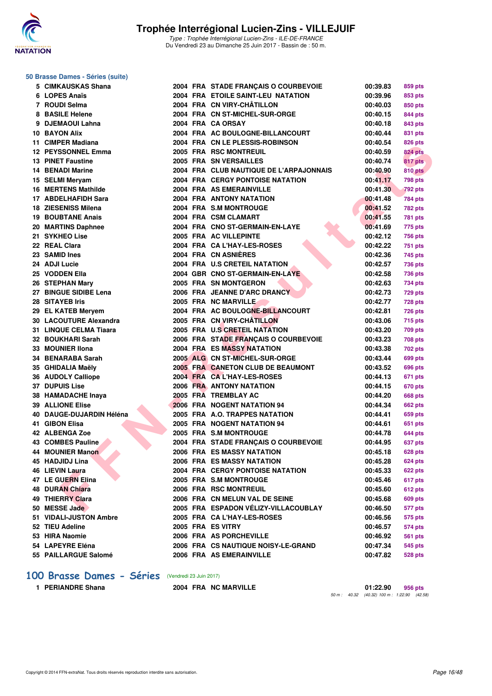![](_page_15_Picture_0.jpeg)

#### **50 Brasse Dames - Séries (suite)**

| 5 CIMKAUSKAS Shana         |  | 2004 FRA STADE FRANÇAIS O COURBEVOIE    | 00:39.83 | 859 pts        |
|----------------------------|--|-----------------------------------------|----------|----------------|
| 6 LOPES Anaïs              |  | 2004 FRA ETOILE SAINT-LEU NATATION      | 00:39.96 | 853 pts        |
| 7 ROUDI Selma              |  | 2004 FRA CN VIRY-CHÂTILLON              | 00:40.03 | 850 pts        |
| 8 BASILE Helene            |  | 2004 FRA CN ST-MICHEL-SUR-ORGE          | 00:40.15 | 844 pts        |
| 9 DJEMAOUI Lahna           |  | 2004 FRA CA ORSAY                       | 00:40.18 | 843 pts        |
| 10 BAYON Alix              |  | 2004 FRA AC BOULOGNE-BILLANCOURT        | 00:40.44 | 831 pts        |
| 11 CIMPER Madiana          |  | 2004 FRA CN LE PLESSIS-ROBINSON         | 00:40.54 | 826 pts        |
| <b>12 PEYSSONNEL Emma</b>  |  | 2005 FRA RSC MONTREUIL                  | 00:40.59 | <b>824 pts</b> |
| <b>13 PINET Faustine</b>   |  | 2005 FRA SN VERSAILLES                  | 00:40.74 | 817 pts        |
| <b>14 BENADI Marine</b>    |  | 2004 FRA CLUB NAUTIQUE DE L'ARPAJONNAIS | 00:40.90 | <b>810 pts</b> |
| 15 SELMI Meryam            |  | <b>2004 FRA CERGY PONTOISE NATATION</b> | 00:41.17 | 798 pts        |
| 16 MERTENS Mathilde        |  | 2004 FRA AS EMERAINVILLE                | 00:41.30 | <b>792 pts</b> |
| 17 ABDELHAFIDH Sara        |  | 2004 FRA ANTONY NATATION                | 00:41.48 | 784 pts        |
| <b>18 ZIESENISS Milena</b> |  | 2004 FRA S.M MONTROUGE                  | 00:41.52 | <b>782 pts</b> |
| <b>19 BOUBTANE Anais</b>   |  | 2004 FRA CSM CLAMART                    | 00:41.55 | <b>781 pts</b> |
| 20 MARTINS Daphnee         |  | 2004 FRA CNO ST-GERMAIN-EN-LAYE         | 00:41.69 | 775 pts        |
| 21 SYKHEO Lise             |  | 2005 FRA AC VILLEPINTE                  | 00:42.12 | 756 pts        |
| 22 REAL Clara              |  | 2004 FRA CA L'HAY-LES-ROSES             | 00:42.22 | 751 pts        |
| 23 SAMID Ines              |  | 2004 FRA CN ASNIERES                    | 00:42.36 | 745 pts        |
| 24 ADJI Lucie              |  | 2004 FRA U.S CRETEIL NATATION           | 00:42.57 | 736 pts        |
| 25 VODDEN Ella             |  | 2004 GBR CNO ST-GERMAIN-EN-LAYE         | 00:42.58 | 736 pts        |
| 26 STEPHAN Mary            |  | 2005 FRA SN MONTGERON                   | 00:42.63 | 734 pts        |
| 27 BINGUE SIDIBE Lena      |  | 2006 FRA JEANNE D'ARC DRANCY            | 00:42.73 | <b>729 pts</b> |
| 28 SITAYEB Iris            |  | 2005 FRA NC MARVILLE                    | 00:42.77 | <b>728 pts</b> |
| 29 EL KATEB Meryem         |  | 2004 FRA AC BOULOGNE-BILLANCOURT        | 00:42.81 | <b>726 pts</b> |
| 30 LACOUTURE Alexandra     |  | 2005 FRA CN VIRY-CHÂTILLON              | 00:43.06 | 715 pts        |
| 31 LINQUE CELMA Tiaara     |  | 2005 FRA U.S CRETEIL NATATION           | 00:43.20 | 709 pts        |
| 32 BOUKHARI Sarah          |  | 2006 FRA STADE FRANÇAIS O COURBEVOIE    | 00:43.23 | 708 pts        |
| 33 MOUNIER IIona           |  | <b>2004 FRA ES MASSY NATATION</b>       | 00:43.38 | 702 pts        |
| 34 BENARABA Sarah          |  | 2005 ALG CN ST-MICHEL-SUR-ORGE          | 00:43.44 | 699 pts        |
| 35 GHIDALIA Maëly          |  | 2005 FRA CANETON CLUB DE BEAUMONT       | 00:43.52 | 696 pts        |
| 36 AUDOLY Calliope         |  | 2004 FRA CAL'HAY-LES-ROSES              | 00:44.13 | 671 pts        |
| <b>37 DUPUIS Lise</b>      |  | <b>2006 FRA ANTONY NATATION</b>         | 00:44.15 | 670 pts        |
| 38 HAMADACHE Inaya         |  | 2005 FRA TREMBLAY AC                    | 00:44.20 | 668 pts        |
| <b>39 ALLIONE Elise</b>    |  | 2006 FRA NOGENT NATATION 94             | 00:44.34 | 662 pts        |
| 40 DAUGE-DUJARDIN Héléna   |  | 2005 FRA A.O. TRAPPES NATATION          | 00:44.41 | 659 pts        |
| 41 GIBON Elisa             |  | 2005 FRA NOGENT NATATION 94             | 00:44.61 | 651 pts        |
| 42 ALBENGA Zoe             |  | 2005 FRA S.M MONTROUGE                  | 00:44.78 | <b>644 pts</b> |
| <b>43 COMBES Pauline</b>   |  | 2004 FRA STADE FRANÇAIS O COURBEVOIE    | 00:44.95 | 637 pts        |
| 44 MOUNIER Manon           |  | 2006 FRA ES MASSY NATATION              | 00:45.18 | <b>628 pts</b> |
| 45 HADJIDJ Lina            |  | 2006 FRA ES MASSY NATATION              | 00:45.28 | <b>624 pts</b> |
| 46 LIEVIN Laura            |  | <b>2004 FRA CERGY PONTOISE NATATION</b> | 00:45.33 | 622 pts        |
| 47 LE GUERN Elina          |  | 2005 FRA S.M MONTROUGE                  | 00:45.46 | 617 pts        |
| <b>48 DURAN Chiara</b>     |  | 2006 FRA RSC MONTREUIL                  | 00:45.60 | <b>612 pts</b> |
| 49 THIERRY Clara           |  | 2006 FRA CN MELUN VAL DE SEINE          | 00:45.68 | 609 pts        |
| 50 MESSE Jade              |  | 2005 FRA ESPADON VÉLIZY-VILLACOUBLAY    | 00:46.50 | 577 pts        |
| 51 VIDALI-JUSTON Ambre     |  | 2005 FRA CA L'HAY-LES-ROSES             | 00:46.56 | 575 pts        |
| 52 TIEU Adeline            |  | 2005 FRA ES VITRY                       | 00:46.57 | 574 pts        |
| 53 HIRA Naomie             |  | 2006 FRA AS PORCHEVILLE                 | 00:46.92 | 561 pts        |
| 54 LAPEYRE Eléna           |  | 2006 FRA CS NAUTIQUE NOISY-LE-GRAND     | 00:47.34 | 545 pts        |
| 55 PAILLARGUE Salomé       |  | 2006 FRA AS EMERAINVILLE                | 00:47.82 | <b>528 pts</b> |
|                            |  |                                         |          |                |

# **100 Brasse Dames - Séries** (Vendredi 23 Juin 2017)<br>1 PERIANDRE Shana 2004 FRA NC

**1 PERIANDRE Shana 2004 FRA NC MARVILLE 01:22.90 956 pts** 50 m : 40.32 (40.32) 100 m : 1:22.90 (42.58)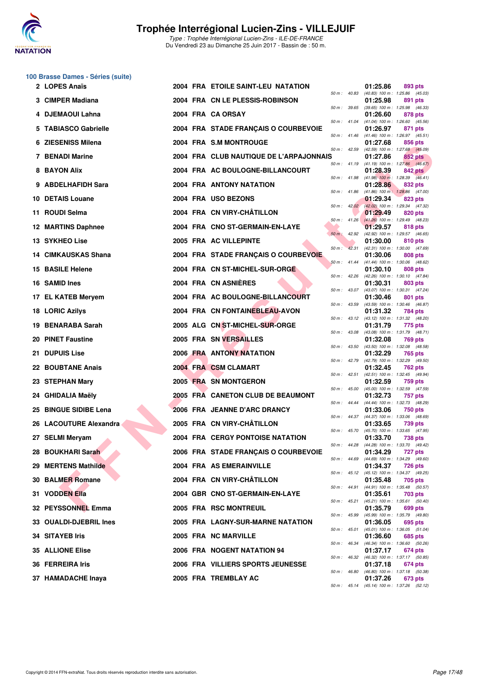![](_page_16_Picture_0.jpeg)

|    | 100 Brasse Dames - Séries (suite) |  |                                          |                  |       |                                                          |                |  |
|----|-----------------------------------|--|------------------------------------------|------------------|-------|----------------------------------------------------------|----------------|--|
|    | 2 LOPES Anaïs                     |  | 2004 FRA ETOILE SAINT-LEU NATATION       | 50 m : 40.83     |       | 01:25.86<br>(40.83) 100 m: 1:25.86 (45.03)               | 893 pts        |  |
|    | 3 CIMPER Madiana                  |  | 2004 FRA CN LE PLESSIS-ROBINSON          | 50 m : 39.65     |       | 01:25.98<br>(39.65) 100 m: 1:25.98 (46.33)               | 891 pts        |  |
|    | 4 DJEMAOUI Lahna                  |  | 2004 FRA CA ORSAY                        |                  |       | 01:26.60                                                 | 878 pts        |  |
|    | 5 TABIASCO Gabrielle              |  | 2004 FRA STADE FRANÇAIS O COURBEVOIE     | 50 m: 41.04      |       | (41.04) 100 m: 1:26.60 (45.56)<br>01:26.97               | 871 pts        |  |
|    | 6 ZIESENISS Milena                |  | 2004 FRA S.M MONTROUGE                   | 50 m: 41.46      |       | (41.46) 100 m: 1:26.97 (45.51)<br>01:27.68               | 856 pts        |  |
|    | 7 BENADI Marine                   |  | 2004 FRA CLUB NAUTIQUE DE L'ARPAJONNAIS  | 50 m: 42.59      |       | (42.59) 100 m: 1:27.68 (45.09)<br>01:27.86               | 852 pts        |  |
|    | 8 BAYON Alix                      |  | 2004 FRA AC BOULOGNE-BILLANCOURT         |                  |       | 50 m: 41.19 (41.19) 100 m: 1:27.86 (46.67)<br>01:28.39   | 842 pts        |  |
|    | 9 ABDELHAFIDH Sara                |  | 2004 FRA ANTONY NATATION                 |                  |       | 50 m: 41.98 (41.98) 100 m: 1:28.39 (46.41)<br>01:28.86   | 832 pts        |  |
|    | 10 DETAIS Louane                  |  | 2004 FRA USO BEZONS                      | 50 m: 41.86      |       | $(41.86)$ 100 m : 1:28.86 $(47.00)$<br>01:29.34          | 823 pts        |  |
|    | 11 ROUDI Selma                    |  | 2004 FRA CN VIRY-CHÂTILLON               |                  |       | 50 m : 42.02 (42.02) 100 m : 1:29.34 (47.32)<br>01:29.49 | 820 pts        |  |
|    | <b>12 MARTINS Daphnee</b>         |  | 2004 FRA CNO ST-GERMAIN-EN-LAYE          | $50 m$ : 41.26   |       | $(41.26)$ 100 m : 1:29.49 $(48.23)$<br>01:29.57          | 818 pts        |  |
|    | <b>13 SYKHEO Lise</b>             |  | 2005 FRA AC VILLEPINTE                   | 50 m: 42.92      |       | (42.92) 100 m: 1:29.57 (46.65)<br>01:30.00               | 810 pts        |  |
|    | <b>14 CIMKAUSKAS Shana</b>        |  | 2004 FRA STADE FRANCAIS O COURBEVOIE     | $50 m$ :         | 42.31 | (42.31) 100 m: 1:30.00 (47.69)<br>01:30.06               | 808 pts        |  |
|    | <b>15 BASILE Helene</b>           |  | 2004 FRA CN ST-MICHEL-SUR-ORGE           | $50 m$ : 41.44   |       | (41.44) 100 m: 1:30.06 (48.62)<br>01:30.10               | 808 pts        |  |
|    | 16 SAMID Ines                     |  | 2004 FRA CN ASNIERES                     |                  |       | 50 m: 42.26 (42.26) 100 m: 1:30.10 (47.84)<br>01:30.31   | 803 pts        |  |
|    | 17 EL KATEB Mervem                |  | 2004 FRA AC BOULOGNE-BILLANCOURT         | 50 m: 43.07      |       | (43.07) 100 m: 1:30.31 (47.24)<br>01:30.46               | 801 pts        |  |
|    | 18 LORIC Azilys                   |  | 2004 FRA CN FONTAINEBLEAU-AVON           | 50 m: 43.59      |       | (43.59) 100 m: 1:30.46 (46.87)<br>01:31.32               | 784 pts        |  |
|    | 19 BENARABA Sarah                 |  | 2005 ALG CN ST-MICHEL-SUR-ORGE           |                  |       | 50 m: 43.12 (43.12) 100 m: 1:31.32 (48.20)<br>01:31.79   | 775 pts        |  |
|    | 20 PINET Faustine                 |  | 2005 FRA SN VERSAILLES                   | 50 m : 43.08     |       | (43.08) 100 m: 1:31.79 (48.71)<br>01:32.08               | 769 pts        |  |
| 21 | <b>DUPUIS Lise</b>                |  | <b>2006 FRA ANTONY NATATION</b>          | 50 m : 43.50     |       | (43.50) 100 m: 1:32.08 (48.58)<br>01:32.29               |                |  |
|    |                                   |  | 2004 FRA CSM CLAMART                     | 50 m: 42.79      |       | (42.79) 100 m: 1:32.29 (49.50)                           | 765 pts        |  |
|    | <b>22 BOUBTANE Anais</b>          |  |                                          | 50 m: 42.51      |       | 01:32.45<br>(42.51) 100 m: 1:32.45 (49.94)               | 762 pts        |  |
|    | 23 STEPHAN Mary                   |  | 2005 FRA SN MONTGERON                    | $50 m$ : 45.00   |       | 01:32.59<br>(45.00) 100 m: 1:32.59 (47.59)               | 759 pts        |  |
|    | 24 GHIDALIA Maëly                 |  | <b>2005 FRA CANETON CLUB DE BEAUMONT</b> | 50 m : 44.44     |       | 01:32.73<br>(44.44) 100 m : 1:32.73 (48.29)              | 757 pts        |  |
|    | 25 BINGUE SIDIBE Lena             |  | 2006 FRA JEANNE D'ARC DRANCY             |                  |       | 01:33.06<br>50 m: 44.37 (44.37) 100 m: 1:33.06 (48.69)   | 750 pts        |  |
|    | 26 LACOUTURE Alexandra            |  | 2005 FRA CN VIRY-CHÂTILLON               | 50 m : 45.70     |       | 01:33.65<br>(45.70) 100 m : 1:33.65 (47.95)              | 739 pts        |  |
|    | 27 SELMI Meryam                   |  | <b>2004 FRA CERGY PONTOISE NATATION</b>  |                  |       | 01:33.70<br>50 m: 44.28 (44.28) 100 m: 1:33.70 (49.42)   | 738 pts        |  |
|    | 28 BOUKHARI Sarah                 |  | 2006 FRA STADE FRANCAIS O COURBEVOIE     |                  |       | 01:34.29<br>50 m: 44.69 (44.69) 100 m: 1:34.29 (49.60)   | 727 pts        |  |
|    | 29 MERTENS Mathilde               |  | 2004 FRA AS EMERAINVILLE                 | $50 m$ : $45.12$ |       | 01:34.37<br>(45.12) 100 m: 1:34.37 (49.25)               | <b>726 pts</b> |  |
|    | 30 BALMER Romane                  |  | 2004 FRA CN VIRY-CHÂTILLON               | 50 m : 44.91     |       | 01:35.48<br>(44.91) 100 m: 1:35.48 (50.57)               | 705 pts        |  |
|    | 31 VODDEN Ella                    |  | 2004 GBR CNO ST-GERMAIN-EN-LAYE          | 50 m: 45.21      |       | 01:35.61<br>(45.21) 100 m: 1:35.61 (50.40)               | 703 pts        |  |
|    | 32 PEYSSONNEL Emma                |  | 2005 FRA RSC MONTREUIL                   | 50 m : 45.99     |       | 01:35.79<br>(45.99) 100 m: 1:35.79 (49.80)               | 699 pts        |  |
|    | 33 OUALDI-DJEBRIL Ines            |  | 2005 FRA LAGNY-SUR-MARNE NATATION        | 50 m : 45.01     |       | 01:36.05<br>(45.01) 100 m: 1:36.05 (51.04)               | 695 pts        |  |
|    | 34 SITAYEB Iris                   |  | 2005 FRA NC MARVILLE                     | 50 m : 46.34     |       | 01:36.60<br>(46.34) 100 m: 1:36.60 (50.26)               | 685 pts        |  |
|    | <b>35 ALLIONE Elise</b>           |  | 2006 FRA NOGENT NATATION 94              |                  |       | 01:37.17                                                 | 674 pts        |  |
|    | 36 FERREIRA Iris                  |  | 2006 FRA VILLIERS SPORTS JEUNESSE        | 50 m : 46.32     |       | (46.32) 100 m: 1:37.17 (50.85)<br>01:37.18               | 674 pts        |  |
|    | 37 HAMADACHE Inaya                |  | 2005 FRA TREMBLAY AC                     | 50 m : 46.80     |       | (46.80) 100 m: 1:37.18 (50.38)<br>01:37.26               | 673 pts        |  |
|    |                                   |  |                                          |                  |       | 50 m: 45.14 (45.14) 100 m: 1:37.26 (52.12)               |                |  |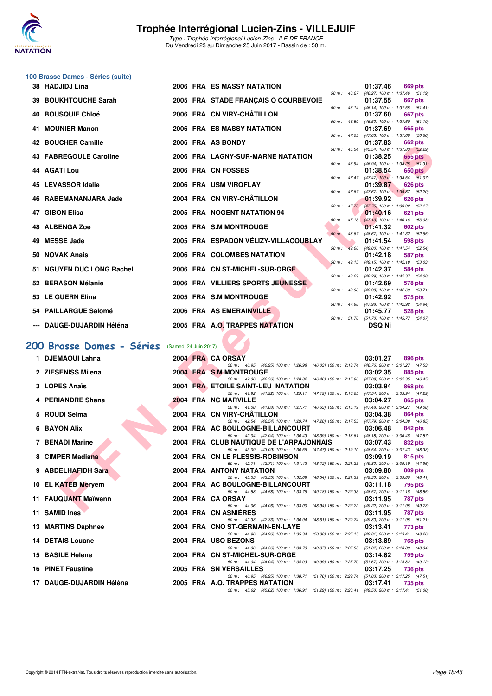![](_page_17_Picture_0.jpeg)

### **100 Brasse Dames - Séries (suite)**

| 38 HADJIDJ Lina                                                                                         |                       | <b>2006 FRA ES MASSY NATATION</b>                                                                                                   |                        | 01:37.46      | 669 pts                                                      |
|---------------------------------------------------------------------------------------------------------|-----------------------|-------------------------------------------------------------------------------------------------------------------------------------|------------------------|---------------|--------------------------------------------------------------|
| 39 BOUKHTOUCHE Sarah                                                                                    |                       | 2005 FRA STADE FRANÇAIS O COURBEVOIE                                                                                                |                        | 01:37.55      | 50 m: 46.27 (46.27) 100 m: 1:37.46 (51.19)<br><b>667 pts</b> |
| 40 BOUSQUIE Chloé                                                                                       |                       | 2006 FRA CN VIRY-CHÂTILLON                                                                                                          | $50 \text{ m}$ : 46.14 | 01:37.60      | $(46.14)$ 100 m : 1:37.55 $(51.41)$<br>667 pts               |
| 41 MOUNIER Manon                                                                                        |                       | 2006 FRA ES MASSY NATATION                                                                                                          |                        | 01:37.69      | 50 m: 46.50 (46.50) 100 m: 1:37.60 (51.10)                   |
|                                                                                                         |                       |                                                                                                                                     |                        |               | 665 pts<br>50 m: 47.03 (47.03) 100 m: 1:37.69 (50.66)        |
| <b>42 BOUCHER Camille</b>                                                                               |                       | 2006 FRA AS BONDY                                                                                                                   | $50 m$ : 45.54         | 01:37.83      | 662 pts<br>(45.54) 100 m: 1:37.83 (52.29)                    |
| 43 FABREGOULE Caroline                                                                                  |                       | 2006 FRA LAGNY-SUR-MARNE NATATION                                                                                                   | 50 m: 46.94            | 01:38.25      | 655 pts<br>$(46.94)$ 100 m : 1:38.25 $(51.31)$               |
| 44 AGATI Lou                                                                                            |                       | 2006 FRA CN FOSSES                                                                                                                  |                        | 01:38.54      | 650 pts                                                      |
| <b>45 LEVASSOR Idalie</b>                                                                               |                       | 2006 FRA USM VIROFLAY                                                                                                               | 50 m: 47.47            | 01:39.87      | $(47.47)$ 100 m : 1:38.54 $(51.07)$<br>626 pts               |
| 46 RABEMANANJARA Jade                                                                                   |                       | 2004 FRA CN VIRY-CHÂTILLON                                                                                                          |                        | 01:39.92      | 50 m: 47.67 (47.67) 100 m: 1:39.87 (52.20)<br>626 pts        |
|                                                                                                         |                       |                                                                                                                                     | $50 m$ : $47.75$       |               | (47.75) 100 m : 1:39.92 (52.17)                              |
| 47 GIBON Elisa                                                                                          |                       | 2005 FRA NOGENT NATATION 94                                                                                                         |                        | 01:40.16      | 621 pts<br>50 m: 47.13 (47.13) 100 m: 1:40.16 (53.03)        |
| 48 ALBENGA Zoe                                                                                          |                       | 2005 FRA S.M MONTROUGE                                                                                                              |                        | 01:41.32      | <b>602 pts</b>                                               |
| 49 MESSE Jade                                                                                           |                       | 2005 FRA ESPADON VÉLIZY-VILLACOUBLAY                                                                                                | $50 m$ : 48.67         | 01:41.54      | $(48.67)$ 100 m : 1:41.32 (52.65)<br>598 pts                 |
| 50 NOVAK Anais                                                                                          |                       | 2006 FRA COLOMBES NATATION                                                                                                          | $50 m$ :<br>49.00      | 01:42.18      | (49.00) 100 m: 1:41.54 (52.54)<br>587 pts                    |
|                                                                                                         |                       |                                                                                                                                     |                        |               | 50 m: 49.15 (49.15) 100 m: 1:42.18 (53.03)                   |
| 51 NGUYEN DUC LONG Rachel                                                                               |                       | 2006 FRA CN ST-MICHEL-SUR-ORGE                                                                                                      | 50 m: 48.29            | 01:42.37      | 584 pts<br>(48.29) 100 m: 1:42.37 (54.08)                    |
| 52 BERASON Mélanie                                                                                      |                       | 2006 FRA VILLIERS SPORTS JEUNESSE                                                                                                   | 50 m: 48.98            | 01:42.69      | <b>578 pts</b><br>$(48.98)$ 100 m : 1:42.69 $(53.71)$        |
| 53 LE GUERN Elina                                                                                       |                       | 2005 FRA S.M MONTROUGE                                                                                                              |                        | 01:42.92      | 575 pts                                                      |
| 54 PAILLARGUE Salomé                                                                                    |                       | 2006 FRA AS EMERAINVILLE                                                                                                            | 50 m : 47.98           | 01:45.77      | (47.98) 100 m: 1:42.92 (54.94)<br>528 pts                    |
| --- DAUGE-DUJARDIN Héléna                                                                               |                       | 2005 FRA A.O. TRAPPES NATATION                                                                                                      |                        | <b>DSQ Ni</b> | 50 m : 51.70 (51.70) 100 m : 1:45.77 (54.07)                 |
|                                                                                                         |                       |                                                                                                                                     |                        |               |                                                              |
| <b>00 Brasse Dames - Séries</b>                                                                         | (Samedi 24 Juin 2017) |                                                                                                                                     |                        |               |                                                              |
| 1 DJEMAOUI Lahna                                                                                        |                       | 2004 FRA CA ORSAY                                                                                                                   |                        | 03:01.27      | 896 pts                                                      |
| 2 ZIESENISS Milena                                                                                      |                       | 50 m: 40.95 (40.95) 100 m: 1:26.98 (46.03) 150 m: 2:13.74 (46.76) 200 m: 3:01.27 (47.53)<br>2004 FRA S.M MONTROUGE                  |                        | 03:02.35      | 885 pts                                                      |
|                                                                                                         |                       | 50 m: 42.36 (42.36) 100 m: 1:28.82 (46.46) 150 m: 2:15.90 (47.08) 200 m: 3:02.35 (46.45)                                            |                        |               |                                                              |
| 3 LOPES Anaïs                                                                                           |                       | 2004 FRA ETOILE SAINT-LEU NATATION<br>50 m: 41.92 (41.92) 100 m: 1:29.11 (47.19) 150 m: 2:16.65 (47.54) 200 m: 3:03.94 (47.29)      |                        | 03:03.94      | 868 pts                                                      |
| 4 PERIANDRE Shana                                                                                       |                       | 2004 FRA NC MARVILLE                                                                                                                |                        | 03:04.27      | 865 pts                                                      |
| 5 ROUDI Selma                                                                                           |                       | 50 m: 41.08 (41.08) 100 m: 1:27.71 (46.63) 150 m: 2:15.19 (47.48) 200 m: 3:04.27 (49.08)<br>2004 FRA CN VIRY-CHATILLON              |                        | 03:04.38      | 864 pts                                                      |
| <b>6 BAYON Alix</b>                                                                                     |                       | 50 m: 42.54 (42.54) 100 m: 1:29.74 (47.20) 150 m: 2:17.53 (47.79) 200 m: 3:04.38 (46.85)<br>2004 FRA AC BOULOGNE-BILLANCOURT        |                        | 03:06.48      | 842 pts                                                      |
|                                                                                                         |                       | 50 m: 42.04 (42.04) 100 m: 1:30.43 (48.39) 150 m: 2:18.61 (48.18) 200 m: 3:06.48 (47.87)                                            |                        |               |                                                              |
| <b>7 BENADI Marine</b>                                                                                  |                       | 2004 FRA CLUB NAUTIQUE DE L'ARPAJONNAIS<br>50 m: 43.09 (43.09) 100 m: 1:30.56 (47.47) 150 m: 2:19.10 (48.54) 200 m: 3:07.43 (48.33) |                        | 03:07.43      | 832 pts                                                      |
| 8 CIMPER Madiana                                                                                        |                       | 2004 FRA CN LE PLESSIS-ROBINSON                                                                                                     |                        | 03:09.19      | 815 pts                                                      |
| 9 ABDELHAFIDH Sara                                                                                      |                       | 50 m: 42.71 (42.71) 100 m: 1:31.43 (48.72) 150 m: 2:21.23 (49.80) 200 m: 3:09.19 (47.96)<br>2004 FRA ANTONY NATATION                |                        | 03:09.80      | 809 pts                                                      |
| 10 EL KATEB Meryem                                                                                      |                       | 50 m: 43.55 (43.55) 100 m: 1:32.09 (48.54) 150 m: 2:21.39<br>2004 FRA AC BOULOGNE-BILLANCOURT                                       |                        | 03:11.18      | (49.30) 200 m : 3:09.80 (48.41)<br>795 pts                   |
|                                                                                                         |                       | 50 m: 44.58 (44.58) 100 m: 1:33.76 (49.18) 150 m: 2:22.33 (48.57) 200 m: 3:11.18 (48.85)                                            |                        |               |                                                              |
| 11 FAUQUANT Maïwenn                                                                                     |                       | 2004 FRA CA ORSAY<br>50 m: 44.06 (44.06) 100 m: 1:33.00 (48.94) 150 m: 2:22.22 (49.22) 200 m: 3:11.95 (49.73)                       |                        | 03:11.95      | 787 pts                                                      |
| $\mathbf{A}$ $\mathbf{A}$ $\mathbf{A}$ $\mathbf{A}$ $\mathbf{B}$ $\mathbf{B}$ $\mathbf{A}$ $\mathbf{A}$ |                       | $0.001$ FBA ON ACNIFECT                                                                                                             |                        | 0.44.05       | $707 - 1$                                                    |

### **[200 Brasse Dames - Séries](http://www.ffnatation.fr/webffn/resultats.php?idact=nat&go=epr&idcpt=47281&idepr=23)** (Samedi 24 Juin 2017)

| 1 DJEMAOUI Lahna         |  | 2004 FRA CA ORSAY                                                                                                              | 03:01.27 | 896 pts |
|--------------------------|--|--------------------------------------------------------------------------------------------------------------------------------|----------|---------|
|                          |  | 50 m: 40.95 (40.95) 100 m: 1:26.98 (46.03) 150 m: 2:13.74 (46.76) 200 m: 3:01.27 (47.53)                                       |          |         |
| 2 ZIESENISS Milena       |  | 2004 FRA S.M MONTROUGE                                                                                                         | 03:02.35 | 885 pts |
|                          |  | 50 m: 42.36 (42.36) 100 m: 1:28.82 (46.46) 150 m: 2:15.90 (47.08) 200 m: 3:02.35 (46.45)                                       |          |         |
| 3 LOPES Anaïs            |  | 2004 FRA ETOILE SAINT-LEU NATATION<br>50 m: 41.92 (41.92) 100 m: 1:29.11 (47.19) 150 m: 2:16.65 (47.54) 200 m: 3:03.94 (47.29) | 03:03.94 | 868 pts |
| 4 PERIANDRE Shana        |  | 2004 FRA NC MARVILLE                                                                                                           | 03:04.27 | 865 pts |
|                          |  | 50 m: 41.08 (41.08) 100 m: 1:27.71 (46.63) 150 m: 2:15.19 (47.48) 200 m: 3:04.27 (49.08)                                       |          |         |
| 5 ROUDI Selma            |  | 2004 FRA CN VIRY-CHÂTILLON                                                                                                     | 03:04.38 | 864 pts |
|                          |  | 50 m: 42.54 (42.54) 100 m: 1:29.74 (47.20) 150 m: 2:17.53 (47.79) 200 m: 3:04.38 (46.85)                                       |          |         |
| 6 BAYON Alix             |  | 2004 FRA AC BOULOGNE-BILLANCOURT                                                                                               | 03:06.48 | 842 pts |
|                          |  | 50 m: 42.04 (42.04) 100 m: 1:30.43 (48.39) 150 m: 2:18.61 (48.18) 200 m: 3:06.48 (47.87)                                       |          |         |
| <b>7 BENADI Marine</b>   |  | 2004 FRA CLUB NAUTIQUE DE L'ARPAJONNAIS                                                                                        | 03:07.43 | 832 pts |
|                          |  | 50 m: 43.09 (43.09) 100 m: 1:30.56 (47.47) 150 m: 2:19.10 (48.54) 200 m: 3:07.43 (48.33)                                       |          |         |
| 8 CIMPER Madiana         |  | 2004 FRA CN LE PLESSIS-ROBINSON                                                                                                | 03:09.19 | 815 pts |
|                          |  | 50 m: 42.71 (42.71) 100 m: 1:31.43 (48.72) 150 m: 2:21.23 (49.80) 200 m: 3:09.19 (47.96)                                       |          |         |
| 9 ABDELHAFIDH Sara       |  | <b>2004 FRA ANTONY NATATION</b>                                                                                                | 03:09.80 | 809 pts |
| 10 EL KATEB Meryem       |  | 50 m: 43.55 (43.55) 100 m: 1:32.09 (48.54) 150 m: 2:21.39 (49.30) 200 m: 3:09.80 (48.41)<br>2004 FRA AC BOULOGNE-BILLANCOURT   | 03:11.18 | 795 pts |
|                          |  | 50 m: 44.58 (44.58) 100 m: 1:33.76 (49.18) 150 m: 2:22.33 (48.57) 200 m: 3:11.18 (48.85)                                       |          |         |
| 11 FAUQUANT Maïwenn      |  | 2004 FRA CA ORSAY                                                                                                              | 03:11.95 | 787 pts |
|                          |  | 50 m: 44.06 (44.06) 100 m: 1:33.00 (48.94) 150 m: 2:22.22 (49.22) 200 m: 3:11.95 (49.73)                                       |          |         |
| 11 SAMID Ines            |  | 2004 FRA CN ASNIERES                                                                                                           | 03:11.95 | 787 pts |
|                          |  | 50 m: 42.33 (42.33) 100 m: 1:30.94 (48.61) 150 m: 2:20.74 (49.80) 200 m: 3:11.95 (51.21)                                       |          |         |
| 13 MARTINS Daphnee       |  | 2004 FRA CNO ST-GERMAIN-EN-LAYE                                                                                                | 03:13.41 | 773 pts |
|                          |  | 50 m: 44.96 (44.96) 100 m: 1:35.34 (50.38) 150 m: 2:25.15 (49.81) 200 m: 3:13.41 (48.26)                                       |          |         |
| 14 DETAIS Louane         |  | 2004 FRA USO BEZONS                                                                                                            | 03:13.89 | 768 pts |
|                          |  | 50 m: 44.36 (44.36) 100 m: 1:33.73 (49.37) 150 m: 2:25.55 (51.82) 200 m: 3:13.89 (48.34)                                       |          |         |
| <b>15 BASILE Helene</b>  |  | 2004 FRA CN ST-MICHEL-SUR-ORGE<br>50 m: 44.04 (44.04) 100 m: 1:34.03 (49.99) 150 m: 2:25.70 (51.67) 200 m: 3:14.82 (49.12)     | 03:14.82 | 759 pts |
| <b>16 PINET Faustine</b> |  | 2005 FRA SN VERSAILLES                                                                                                         | 03:17.25 | 736 pts |
|                          |  | 50 m: 46.95 (46.95) 100 m: 1:38.71 (51.76) 150 m: 2:29.74 (51.03) 200 m: 3:17.25 (47.51)                                       |          |         |
| 17 DAUGE-DUJARDIN Héléna |  | 2005 FRA A.O. TRAPPES NATATION                                                                                                 | 03:17.41 | 735 pts |
|                          |  | 50 m: 45.62 (45.62) 100 m: 1:36.91 (51.29) 150 m: 2:26.41 (49.50) 200 m: 3:17.41 (51.00)                                       |          |         |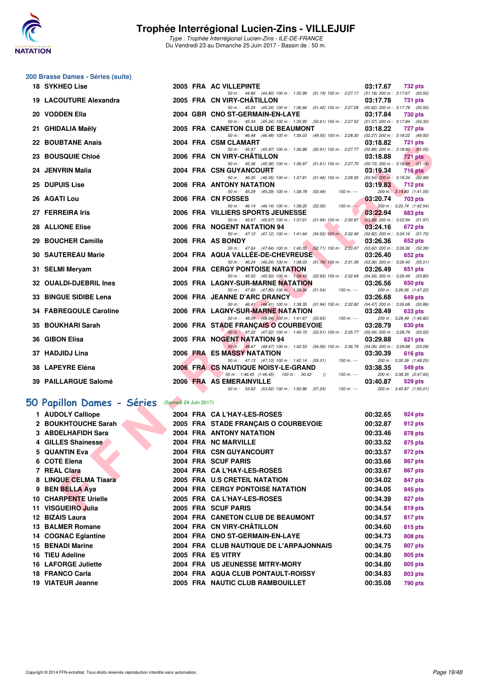![](_page_18_Picture_0.jpeg)

Type : Trophée Interrégional Lucien-Zins - ILE-DE-FRANCE Du Vendredi 23 au Dimanche 25 Juin 2017 - Bassin de : 50 m.

### **200 Brasse Dames - Séries (suite)**

| <b>18 SYKHEO Lise</b>                             |                       | 2005 FRA AC VILLEPINTE                                                                                                              | 03:17.67             | <b>732 pts</b>                                        |
|---------------------------------------------------|-----------------------|-------------------------------------------------------------------------------------------------------------------------------------|----------------------|-------------------------------------------------------|
| <b>19 LACOUTURE Alexandra</b>                     |                       | 50 m: 44.80 (44.80) 100 m: 1:35.99 (51.19) 150 m: 2:27.17 (51.18) 200 m: 3:17.67 (50.50)<br>2005 FRA CN VIRY-CHATILLON              | 03:17.78             | <b>731 pts</b>                                        |
| 20 VODDEN Ella                                    |                       | 50 m: 45.24 (45.24) 100 m: 1:36.66 (51.42) 150 m: 2:27.28 (50.62) 200 m: 3:17.78 (50.50)                                            |                      |                                                       |
|                                                   |                       | 2004 GBR CNO ST-GERMAIN-EN-LAYE<br>50 m: 45.34 (45.34) 100 m: 1:35.95 (50.61) 150 m: 2:27.52 (51.57) 200 m: 3:17.84 (50.32)         | 03:17.84             | 730 pts                                               |
| 21 GHIDALIA Maëly                                 |                       | 2005 FRA CANETON CLUB DE BEAUMONT                                                                                                   | 03:18.22             | <b>727 pts</b>                                        |
| <b>22 BOUBTANE Anais</b>                          |                       | 50 m: 46.48 (46.48) 100 m: 1:36.03 (49.55) 150 m: 2:28.30 (52.27) 200 m: 3:18.22 (49.92)<br>2004 FRA CSM CLAMART                    | 03:18.82             | 721 pts                                               |
|                                                   |                       | 50 m: 45.97 (45.97) 100 m: 1:36.88 (50.91) 150 m: 2:27.77                                                                           |                      | $(50.89)$ 200 m : 3:18.82 $(51.05)$                   |
| 23 BOUSQUIE Chloé                                 |                       | 2006 FRA CN VIRY-CHATILLON<br>50 m : 45.36 (45.36) 100 m : 1:36.97 (51.61) 150 m : 2:27.70                                          | 03:18.88             | <b>721 pts</b><br>$(50.73)$ 200 m : 3:18.88 $(51.18)$ |
| 24 JENVRIN Malia                                  |                       | <b>2004 FRA CSN GUYANCOURT</b>                                                                                                      | 03:19.34             | <b>716 pts</b>                                        |
| 25 DUPUIS Lise                                    |                       | 50 m: 46.35 (46.35) 100 m: 1:37.81 (51.46) 150 m: 2:28.35 (50.54) 200 m: 3:19.34 (50.99)<br><b>2006 FRA ANTONY NATATION</b>         | 03:19.83             | <b>712 pts</b>                                        |
|                                                   |                       | 50 m: 45.29 (45.29) 100 m: 1:38.78 (53.49)<br>$150 m: -$                                                                            |                      | 200 m: 3:19.83 (1:41.05)                              |
| 26 AGATI Lou                                      |                       | 2006 FRA CN FOSSES<br>50 m: 46.14 (46.14) 100 m: 1:38.20 (52.06)<br>$150 m : -$                                                     | 03:20.74             | <b>703 pts</b><br>200 m: 3:20.74 (1:42.54)            |
| 27 FERREIRA Iris                                  |                       | 2006 FRA VILLIERS SPORTS JEUNESSE                                                                                                   | 03:22.94             | 683 pts                                               |
| <b>28 ALLIONE Elise</b>                           |                       | 50 m: 45.67 (45.67) 100 m: 1:37.61 (51.94) 150 m: 2:30.97 (53.36) 200 m: 3:22.94 (51.97)<br>2006 FRA NOGENT NATATION 94             | 03:24.16             | <b>672 pts</b>                                        |
|                                                   |                       | 50 m: 47.12 (47.12) 100 m: 1:41.64 (54.52) 150 m: 2:32.46 (50.82) 200 m: 3:24.16 (51.70)                                            |                      |                                                       |
| 29 BOUCHER Camille                                |                       | 2006 FRA AS BONDY<br>50 m: 47.64 (47.64) 100 m: 1:40.35 (52.71) 150 m: 2:33.97                                                      | 03:26.36             | 652 pts<br>$(53.62)$ 200 m : $3.26.36$ $(52.39)$      |
| <b>30 SAUTEREAU Marie</b>                         |                       | 2004 FRA AQUA VALLEE-DE-CHEVREUSE                                                                                                   | 03:26.40             | 652 pts                                               |
|                                                   |                       | 50 m: 46.24 (46.24) 100 m: 1:38.03 (51.79) 150 m: 2:31.39 (53.36) 200 m: 3:26.40 (55.01)                                            |                      |                                                       |
| 31 SELMI Meryam                                   |                       | <b>2004 FRA CERGY PONTOISE NATATION</b><br>50 m: 45.50 (45.50) 100 m: 1:38.43 (52.93) 150 m: 2:32.69 (54.26) 200 m: 3:26.49 (53.80) | 03:26.49             | 651 pts                                               |
| 32 OUALDI-DJEBRIL Ines                            |                       | 2005 FRA LAGNY-SUR-MARNE NATATION                                                                                                   | 03:26.56             | 650 pts                                               |
| 33 BINGUE SIDIBE Lena                             |                       | 50 m : 47.80 (47.80) 100 m : 1:39.34 (51.54)<br>$150 m : -$<br>2006 FRA JEANNE D'ARC DRANCY                                         | 03:26.68             | 200 m: 3:26.56 (1:47.22)<br>649 pts                   |
|                                                   |                       | 50 m: 46.41 (46.41) 100 m: 1:38.35 (51.94) 150 m: 2:32.82 (54.47) 200 m: 3:26.68 (53.86)                                            |                      |                                                       |
| 34 FABREGOULE Caroline                            |                       | 2006 FRA LAGNY-SUR-MARNE NATATION<br>50 m: 48.04 (48.04) 100 m: 1:41.67 (53.63)<br>$150 m: -$                                       | 03:28.49             | 633 pts<br>200 m: 3:28.49 (1:46.82)                   |
| 35 BOUKHARI Sarah                                 |                       | 2006 FRA STADE FRANÇAIS O COURBEVOIE                                                                                                | 03:28.79             | <b>630 pts</b>                                        |
| 36 GIBON Elisa                                    |                       | 50 m: 47.22 (47.22) 100 m: 1:40.73 (53.51) 150 m: 2:35.77 (55.04) 200 m: 3:28.79 (53.02)<br>2005 FRA NOGENT NATATION 94             | 03:29.88             | 621 pts                                               |
|                                                   |                       | 50 m: 48.47 (48.47) 100 m: 1:42.53 (54.06) 150 m: 2:36.79 (54.26) 200 m: 3:29.88 (53.09)                                            |                      |                                                       |
| 37 HADJIDJ Lina                                   |                       | 2006 FRA ES MASSY NATATION<br>50 m: 47.13 (47.13) 100 m: 1:42.14 (55.01)<br>$150 m : -$                                             | 03:30.39             | 616 pts<br>200 m: 3:30.39 (1:48.25)                   |
| 38 LAPEYRE Eléna                                  |                       | 2006 FRA CS NAUTIQUE NOISY-LE-GRAND                                                                                                 | 03:38.35             | 549 pts                                               |
| 39 PAILLARGUE Salomé                              |                       | 50 m: 1:46.45 (1:46.45) 100 m: 50.42<br>$150 m: -$<br>$\theta$<br>2006 FRA AS EMERAINVILLE                                          | 03:40.87             | 200 m: 3:38.35 (2:47.93)<br><b>529 pts</b>            |
|                                                   |                       | 50 m: 53.62 (53.62) 100 m: 1:50.86 (57.24)<br>$150 m : -$                                                                           |                      | 200 m: 3:40.87 (1:50.01)                              |
| <b>O Papillon Dames - Séries</b>                  | (Samedi 24 Juin 2017) |                                                                                                                                     |                      |                                                       |
| 1 AUDOLY Calliope                                 |                       | 2004 FRA CA L'HAY-LES-ROSES                                                                                                         | 00:32.65             | 924 pts                                               |
| 2 BOUKHTOUCHE Sarah                               |                       | 2005 FRA STADE FRANÇAIS O COURBEVOIE                                                                                                | 00:32.87             | 912 pts                                               |
| 3 ABDELHAFIDH Sara                                |                       | <b>2004 FRA ANTONY NATATION</b>                                                                                                     | 00:33.46             | <b>878 pts</b>                                        |
| 4 GILLES Shainesse                                |                       | 2004 FRA NC MARVILLE                                                                                                                | 00:33.52             | 875 pts                                               |
| 5 QUANTIN Eva                                     |                       | 2004 FRA CSN GUYANCOURT                                                                                                             | 00:33.57             | 872 pts                                               |
| 6 COTE Elena                                      |                       | 2004 FRA SCUF PARIS                                                                                                                 | 00:33.66             | <b>867 pts</b>                                        |
| 7 REAL Clara                                      |                       | 2004 FRA CA L'HAY-LES-ROSES                                                                                                         | 00:33.67             | <b>867 pts</b>                                        |
| 8 LINQUE CELMA Tiaara                             |                       | 2005 FRA U.S CRETEIL NATATION                                                                                                       | 00:34.02             | 847 pts                                               |
| 9 BEN BELLA Aya                                   |                       | <b>2004 FRA CERGY PONTOISE NATATION</b><br>2005 FRA CA L'HAY-LES-ROSES                                                              | 00:34.05             | 845 pts                                               |
| <b>10 CHARPENTE Urielle</b><br>11 VISGUEIRO Julia |                       | 2005 FRA SCUF PARIS                                                                                                                 | 00:34.39<br>00:34.54 | <b>827 pts</b><br>819 pts                             |
|                                                   |                       |                                                                                                                                     |                      |                                                       |

### **[50 Papillon Dames - Séries](http://www.ffnatation.fr/webffn/resultats.php?idact=nat&go=epr&idcpt=47281&idepr=31)** (Samedi 24 Juin 2017)

| 1 AUDOLY Calliope           |  | 2004 FRA CA L'HAY-LES-ROSES             | 00:32.65 | 924 pts |
|-----------------------------|--|-----------------------------------------|----------|---------|
| 2 BOUKHTOUCHE Sarah         |  | 2005 FRA STADE FRANÇAIS O COURBEVOIE    | 00:32.87 | 912 pts |
| 3 ABDELHAFIDH Sara          |  | 2004 FRA ANTONY NATATION                | 00:33.46 | 878 pts |
| 4 GILLES Shainesse          |  | 2004 FRA NC MARVILLE                    | 00:33.52 | 875 pts |
| 5 QUANTIN Eva               |  | 2004 FRA CSN GUYANCOURT                 | 00:33.57 | 872 pts |
| 6 COTE Elena                |  | 2004 FRA SCUF PARIS                     | 00:33.66 | 867 pts |
| 7 REAL Clara                |  | 2004 FRA CA L'HAY-LES-ROSES             | 00:33.67 | 867 pts |
| 8 LINQUE CELMA Tiaara       |  | 2005 FRA U.S CRETEIL NATATION           | 00:34.02 | 847 pts |
| 9 BEN BELLA Aya             |  | <b>2004 FRA CERGY PONTOISE NATATION</b> | 00:34.05 | 845 pts |
| <b>10 CHARPENTE Urielle</b> |  | 2005 FRA CA L'HAY-LES-ROSES             | 00:34.39 | 827 pts |
| 11 VISGUEIRO Julia          |  | 2005 FRA SCUF PARIS                     | 00:34.54 | 819 pts |
| 12 BIZAIS Laura             |  | 2004 FRA CANETON CLUB DE BEAUMONT       | 00:34.57 | 817 pts |
| <b>13 BALMER Romane</b>     |  | 2004 FRA CN VIRY-CHÂTILLON              | 00:34.60 | 815 pts |
| 14 COGNAC Eglantine         |  | 2004 FRA CNO ST-GERMAIN-EN-LAYE         | 00:34.73 | 808 pts |
| <b>15 BENADI Marine</b>     |  | 2004 FRA CLUB NAUTIQUE DE L'ARPAJONNAIS | 00:34.75 | 807 pts |
| 16 TIEU Adeline             |  | 2005 FRA ES VITRY                       | 00:34.80 | 805 pts |
| <b>16 LAFORGE Juliette</b>  |  | 2004 FRA US JEUNESSE MITRY-MORY         | 00:34.80 | 805 pts |
| 18 FRANCO Carla             |  | 2004 FRA AQUA CLUB PONTAULT-ROISSY      | 00:34.83 | 803 pts |
| 19 VIATEUR Jeanne           |  | 2005 FRA NAUTIC CLUB RAMBOUILLET        | 00:35.08 | 790 pts |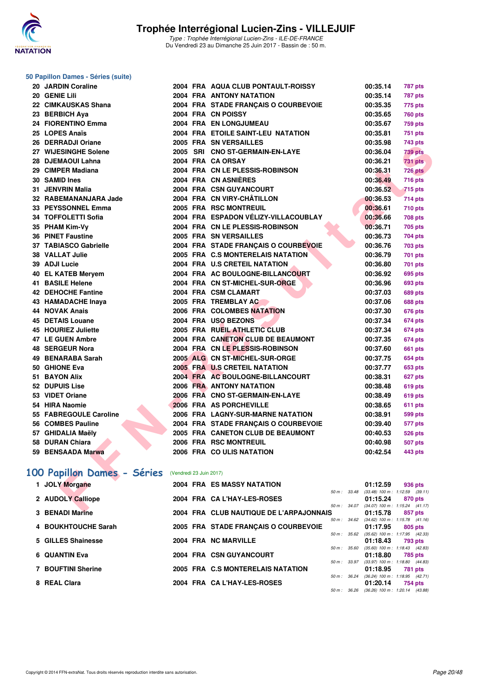![](_page_19_Picture_0.jpeg)

### **50 Papillon Dames - Séries (suite)**

| 20. | <b>JARDIN Coraline</b>    |
|-----|---------------------------|
| 20  | <b>GENIE Lili</b>         |
| 22  | <b>CIMKAUSKAS Shana</b>   |
| 23  | <b>BERBICH Aya</b>        |
|     | 24 FIORENTINO Emma        |
|     | 25 LOPES Anaïs            |
|     | 26 DERRADJI Oriane        |
|     | 27 WIJESINGHE Solene      |
|     | 28 DJEMAOUI Lahna         |
|     | 29 CIMPER Madiana         |
| 30  | <b>SAMID Ines</b>         |
| 31  | <b>JENVRIN Malia</b>      |
| 32  | <b>RABEMANANJARA Jade</b> |
|     | 33 PEYSSONNEL Emma        |
|     | 34 TOFFOLETTI Sofia       |
|     | 35 PHAM Kim-Vv            |
|     | 36 PINET Faustine         |
|     | 37 TABIASCO Gabrielle     |
|     | 38 VALLAT Julie           |
| 39  | <b>ADJI Lucie</b>         |
| 40  | <b>EL KATEB Meryem</b>    |
|     | 41 BASILE Helene          |
|     | 42 DEHOCHE Fantine        |
|     | 43 HAMADACHE Inaya        |
|     | <b>44 NOVAK Anais</b>     |
|     | <b>45 DETAIS Louane</b>   |
|     | 45 HOURIEZ Juliette       |
|     | 47 LE GUEN Ambre          |
| 48  | <b>SERGEUR Nora</b>       |
| 49  | <b>BENARABA Sarah</b>     |
|     | 50 GHIONE Eva             |
|     | 51 BAYON Alix             |
|     | 52 DUPUIS Lise            |
|     | 53 VIDET Oriane           |
|     | 54 HIRA Naomie            |
|     | 55 FABREGOULE Caroline    |
|     | 56 COMBES Pauline         |
|     | 57 GHIDALIA Maëly         |
|     | 58 DURAN Chiara           |
|     | 59 BENSAADA Marwa         |

| 24 FIORENTINO Emma                                 |  | 2004 FRA EN LONGJUMEAU                                   | 00:35.67 | <b>759 pts</b>                                       |
|----------------------------------------------------|--|----------------------------------------------------------|----------|------------------------------------------------------|
| 25 LOPES Anaïs                                     |  | 2004 FRA ETOILE SAINT-LEU NATATION                       | 00:35.81 | 751 pts                                              |
| 26 DERRADJI Oriane                                 |  | 2005 FRA SN VERSAILLES                                   | 00:35.98 | 743 pts                                              |
| 27 WIJESINGHE Solene                               |  | 2005 SRI CNO ST-GERMAIN-EN-LAYE                          | 00:36.04 | 739 pts                                              |
| 28 DJEMAOUI Lahna                                  |  | 2004 FRA CA ORSAY                                        | 00:36.21 | <b>731 pts</b>                                       |
| 29 CIMPER Madiana                                  |  | 2004 FRA CN LE PLESSIS-ROBINSON                          | 00:36.31 | <b>726 pts</b>                                       |
| 30 SAMID Ines                                      |  | 2004 FRA CN ASNIÈRES                                     | 00:36.49 | 716 pts                                              |
| 31 JENVRIN Malia                                   |  | 2004 FRA CSN GUYANCOURT                                  | 00:36.52 | <b>715 pts</b>                                       |
| 32 RABEMANANJARA Jade                              |  | 2004 FRA CN VIRY-CHÂTILLON                               | 00:36.53 | $714$ pts                                            |
| 33 PEYSSONNEL Emma                                 |  | 2005 FRA RSC MONTREUIL                                   | 00:36.61 | <b>710 pts</b>                                       |
| 34 TOFFOLETTI Sofia                                |  | 2004 FRA ESPADON VÉLIZY-VILLACOUBLAY                     | 00:36.66 | <b>708 pts</b>                                       |
| 35 PHAM Kim-Vy                                     |  | 2004 FRA CN LE PLESSIS-ROBINSON                          | 00:36.71 | 705 pts                                              |
| <b>36 PINET Faustine</b>                           |  | 2005 FRA SN VERSAILLES                                   | 00:36.73 | 704 pts                                              |
| 37 TABIASCO Gabrielle                              |  | 2004 FRA STADE FRANCAIS O COURBEVOIE                     | 00:36.76 | <b>703 pts</b>                                       |
| 38 VALLAT Julie                                    |  | 2005 FRA C.S MONTERELAIS NATATION                        | 00:36.79 | 701 pts                                              |
| 39 ADJI Lucie                                      |  | 2004 FRA U.S CRETEIL NATATION                            | 00:36.80 | 701 pts                                              |
| 40 EL KATEB Mervem                                 |  | 2004 FRA AC BOULOGNE-BILLANCOURT                         | 00:36.92 | 695 pts                                              |
| 41 BASILE Helene                                   |  | 2004 FRA CN ST-MICHEL-SUR-ORGE                           | 00:36.96 | 693 pts                                              |
| 42 DEHOCHE Fantine                                 |  | 2004 FRA CSM CLAMART                                     | 00:37.03 | <b>689 pts</b>                                       |
| 43 HAMADACHE Inaya                                 |  | 2005 FRA TREMBLAY AC                                     | 00:37.06 | <b>688 pts</b>                                       |
| 44 NOVAK Anais                                     |  | 2006 FRA COLOMBES NATATION                               | 00:37.30 | 676 pts                                              |
| <b>45 DETAIS Louane</b>                            |  | 2004 FRA USO BEZONS                                      | 00:37.34 | 674 pts                                              |
| 45 HOURIEZ Juliette                                |  | 2005 FRA RUEIL ATHLETIC CLUB                             | 00:37.34 | 674 pts                                              |
| 47 LE GUEN Ambre                                   |  | 2004 FRA CANETON CLUB DE BEAUMONT                        | 00:37.35 | 674 pts                                              |
| 48 SERGEUR Nora                                    |  | 2004 FRA CN LE PLESSIS-ROBINSON                          | 00:37.60 | <b>661 pts</b>                                       |
| 49 BENARABA Sarah                                  |  | 2005 ALG CN ST-MICHEL-SUR-ORGE                           | 00:37.75 | 654 pts                                              |
| 50 GHIONE Eva                                      |  | 2005 FRA U.S CRETEIL NATATION                            | 00:37.77 | 653 pts                                              |
| 51 BAYON Alix                                      |  | 2004 FRA AC BOULOGNE-BILLANCOURT                         | 00:38.31 | 627 pts                                              |
| <b>52 DUPUIS Lise</b>                              |  | <b>2006 FRA ANTONY NATATION</b>                          | 00:38.48 | 619 pts                                              |
| 53 VIDET Oriane                                    |  | 2006 FRA CNO ST-GERMAIN-EN-LAYE                          | 00:38.49 | 619 pts                                              |
| 54 HIRA Naomie                                     |  | 2006 FRA AS PORCHEVILLE                                  | 00:38.65 | 611 pts                                              |
| 55 FABREGOULE Caroline                             |  | 2006 FRA LAGNY-SUR-MARNE NATATION                        | 00:38.91 | 599 pts                                              |
| 56 COMBES Pauline                                  |  | 2004 FRA STADE FRANÇAIS O COURBEVOIE                     | 00:39.40 | 577 pts                                              |
| 57 GHIDALIA Maëly                                  |  | 2005 FRA CANETON CLUB DE BEAUMONT                        | 00:40.53 | 526 pts                                              |
| 58 DURAN Chiara                                    |  | 2006 FRA RSC MONTREUIL                                   | 00:40.98 | <b>507 pts</b>                                       |
| 59 BENSAADA Marwa                                  |  | 2006 FRA COULIS NATATION                                 | 00:42.54 | 443 pts                                              |
| 00 Papillon Dames - Séries (Vendredi 23 Juin 2017) |  |                                                          |          |                                                      |
| 1 JOLY Morgane                                     |  | <b>2004 FRA ES MASSY NATATION</b><br>50 m : 33.48        | 01:12.59 | 936 pts<br>$(33.48)$ 100 m : 1:12.59 $(39.11)$       |
| 2 AUDOLY Calliope                                  |  | 2004 FRA CA L'HAY-LES-ROSES                              | 01:15.24 | 870 pts                                              |
| <b>O DEMADI Madres</b>                             |  | 50 m : 34.07<br>0004 FBA OLUB NAUTIOUE BE LIABBA IONNAIC | 04.45.70 | $(34.07)$ 100 m : 1:15.24 $(41.17)$<br>$0.073 - 1.4$ |
|                                                    |  |                                                          |          |                                                      |

**2004 FRA AQUA CLUB PONTAULT-ROISSY 00:35.14 787 pts 2004 FRA ANTONY NATATION 00:35.14 787 pts 2004 FRA STADE FRANÇAIS O COURBEVOIE 00:35.35 775 pts 23 BERBICH Aya 2004 FRA CN POISSY 00:35.65 760 pts**

### **[100 Papillon Dames - Séries](http://www.ffnatation.fr/webffn/resultats.php?idact=nat&go=epr&idcpt=47281&idepr=32)** (Vendredi 23 Juin 2017)

| 1 JOLY Morgane         |  | <b>2004 FRA ES MASSY NATATION</b>       |                  | 01:12.59                            | 936 pts |         |
|------------------------|--|-----------------------------------------|------------------|-------------------------------------|---------|---------|
|                        |  |                                         | 50 m: 33.48      | $(33.48)$ 100 m : 1:12.59 $(39.11)$ |         |         |
| 2 AUDOLY Calliope      |  | 2004 FRA CA L'HAY-LES-ROSES             |                  | 01:15.24                            | 870 pts |         |
|                        |  |                                         | $50 m$ : $34.07$ | $(34.07)$ 100 m : 1:15.24 $(41.17)$ |         |         |
| <b>3 BENADI Marine</b> |  | 2004 FRA CLUB NAUTIQUE DE L'ARPAJONNAIS |                  | 01:15.78                            |         | 857 pts |
|                        |  |                                         | $50 m$ : $34.62$ | $(34.62)$ 100 m : 1:15.78 $(41.16)$ |         |         |
| 4 BOUKHTOUCHE Sarah    |  | 2005 FRA STADE FRANCAIS O COURBEVOIE    |                  | 01:17.95                            | 805 pts |         |
|                        |  |                                         | $50 m$ : $35.62$ | $(35.62)$ 100 m : 1:17.95 $(42.33)$ |         |         |
| 5 GILLES Shainesse     |  | 2004 FRA NC MARVILLE                    |                  | 01:18.43                            | 793 pts |         |
|                        |  |                                         | 50 m: 35.60      | $(35.60)$ 100 m : 1:18.43 $(42.83)$ |         |         |
| 6 QUANTIN Eva          |  | 2004 FRA CSN GUYANCOURT                 |                  | 01:18.80                            | 785 pts |         |
|                        |  |                                         | 50 m: 33.97      | $(33.97)$ 100 m : 1:18.80 $(44.83)$ |         |         |
| 7 BOUFTINI Sherine     |  | 2005 FRA C.S MONTERELAIS NATATION       |                  | 01:18.95                            | 781 pts |         |
|                        |  |                                         | $50 m$ : $36.24$ | $(36.24)$ 100 m : 1:18.95 $(42.71)$ |         |         |
| 8 REAL Clara           |  | 2004 FRA CA L'HAY-LES-ROSES             |                  | 01:20.14                            |         | 754 pts |
|                        |  |                                         | 50 m: 36.26      | $(36.26)$ 100 m : 1:20.14 $(43.88)$ |         |         |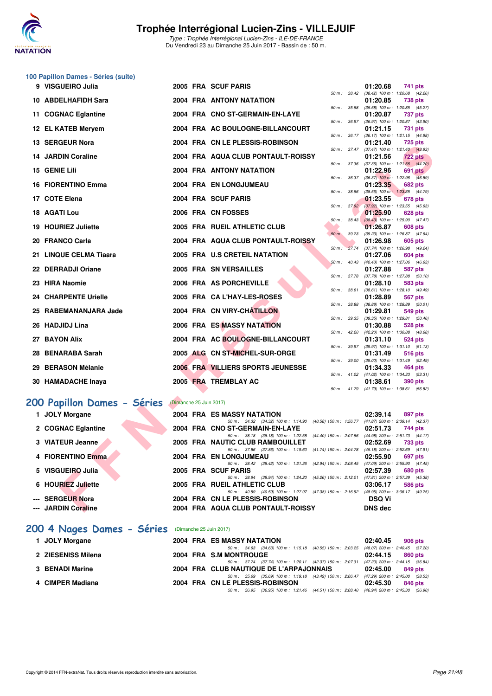![](_page_20_Picture_0.jpeg)

Type : Trophée Interrégional Lucien-Zins - ILE-DE-FRANCE Du Vendredi 23 au Dimanche 25 Juin 2017 - Bassin de : 50 m.

### **100 Papillon Dames - Séries (suite)**

| 9 | VISGUEIRO Julia                   |                         | 2005 FRA SCUF PARIS                                                                                                      |                           | 01:20.68                                               | 741 pts        |         |
|---|-----------------------------------|-------------------------|--------------------------------------------------------------------------------------------------------------------------|---------------------------|--------------------------------------------------------|----------------|---------|
|   | 10 ABDELHAFIDH Sara               |                         | <b>2004 FRA ANTONY NATATION</b>                                                                                          | 50 m: 38.42               | $(38.42)$ 100 m : 1:20.68 $(42.26)$<br>01:20.85        | <b>738 pts</b> |         |
|   | 11 COGNAC Eglantine               |                         | 2004 FRA CNO ST-GERMAIN-EN-LAYE                                                                                          | 50 m: 35.58               | $(35.58)$ 100 m : 1:20.85 $(45.27)$<br>01:20.87        | 737 pts        |         |
|   | 12 EL KATEB Meryem                |                         | 2004 FRA AC BOULOGNE-BILLANCOURT                                                                                         | 50 m : 36.97              | (36.97) 100 m: 1:20.87 (43.90)<br>01:21.15             | 731 pts        |         |
|   |                                   |                         |                                                                                                                          | 50 m: 36.17               | (36.17) 100 m: 1:21.15 (44.98)                         |                |         |
|   | 13 SERGEUR Nora                   |                         | 2004 FRA CN LE PLESSIS-ROBINSON                                                                                          |                           | 01:21.40<br>50 m: 37.47 (37.47) 100 m: 1:21.40 (43.93) | <b>725 pts</b> |         |
|   | <b>14 JARDIN Coraline</b>         |                         | 2004 FRA AQUA CLUB PONTAULT-ROISSY                                                                                       |                           | 01:21.56                                               | <b>722 pts</b> |         |
|   | 15 GENIE Lili                     |                         | <b>2004 FRA ANTONY NATATION</b>                                                                                          | 50 m: 37.36               | $(37.36)$ 100 m : 1:21.56 $(44.20)$<br>01:22.96        | 691 pts        |         |
|   | <b>16 FIORENTINO Emma</b>         |                         | 2004 FRA EN LONGJUMEAU                                                                                                   | 50 m : 36.37              | $(36.37)$ 100 m : 1:22.96 $(46.59)$<br>01:23.35        | 682 pts        |         |
|   | 17 COTE Elena                     |                         | 2004 FRA SCUF PARIS                                                                                                      | 50 m: 38.56               | (38.56) 100 m: 1:23.35 (44.79)<br>01:23.55             | 678 pts        |         |
|   |                                   |                         |                                                                                                                          |                           | 50 m : 37.92 (37.92) 100 m : 1:23.55 (45.63)           |                |         |
|   | 18 AGATI Lou                      |                         | 2006 FRA CN FOSSES                                                                                                       | $50 m$ : $38.43$          | 01:25.90<br>$(38.43)$ 100 m : 1:25.90 $(47.47)$        | 628 pts        |         |
|   | 19 HOURIEZ Juliette               |                         | 2005 FRA RUEIL ATHLETIC CLUB                                                                                             |                           | 01:26.87                                               | <b>608 pts</b> |         |
|   | 20 FRANCO Carla                   |                         | 2004 FRA AQUA CLUB PONTAULT-ROISSY                                                                                       | 50 m: 39.23               | $(39.23)$ 100 m : 1:26.87 $(47.64)$<br>01:26.98        | <b>605 pts</b> |         |
|   |                                   |                         |                                                                                                                          | 50 m : 37.74              | $(37.74)$ 100 m : 1:26.98 $(49.24)$                    |                |         |
|   | 21 LINQUE CELMA Tiaara            |                         | 2005 FRA U.S CRETEIL NATATION                                                                                            | 50 m: 40.43               | 01:27.06<br>$(40.43)$ 100 m : 1:27.06 $(46.63)$        | 604 pts        |         |
|   | 22 DERRADJI Oriane                |                         | 2005 FRA SN VERSAILLES                                                                                                   |                           | 01:27.88                                               | 587 pts        |         |
|   | 23 HIRA Naomie                    |                         | 2006 FRA AS PORCHEVILLE                                                                                                  | 50 m : 37.78              | $(37.78)$ 100 m : 1:27.88 $(50.10)$<br>01:28.10        | 583 pts        |         |
|   |                                   |                         |                                                                                                                          | $50 m$ : $38.61$          | (38.61) 100 m: 1:28.10 (49.49)                         |                |         |
|   | <b>24 CHARPENTE Urielle</b>       |                         | 2005 FRA CA L'HAY-LES-ROSES                                                                                              | 50 m : 38.88              | 01:28.89<br>$(38.88)$ 100 m : 1:28.89 $(50.01)$        | 567 pts        |         |
|   | 25 RABEMANANJARA Jade             |                         | 2004 FRA CN VIRY-CHATILLON                                                                                               | 50 m : 39.35              | 01:29.81                                               | 549 pts        |         |
|   | 26 HADJIDJ Lina                   |                         | 2006 FRA ES MASSY NATATION                                                                                               |                           | $(39.35)$ 100 m : 1:29.81 $(50.46)$<br>01:30.88        | <b>528 pts</b> |         |
|   | 27 BAYON Alix                     |                         | 2004 FRA AC BOULOGNE-BILLANCOURT                                                                                         | 50 m: 42.20               | $(42.20)$ 100 m : 1:30.88 $(48.68)$<br>01:31.10        | 524 pts        |         |
|   |                                   |                         |                                                                                                                          | 50 m : 39.97              | (39.97) 100 m: 1:31.10 (51.13)                         |                |         |
|   | 28 BENARABA Sarah                 |                         | 2005 ALG CN ST-MICHEL-SUR-ORGE                                                                                           | 50 m : 39.00              | 01:31.49<br>$(39.00)$ 100 m : 1:31.49 $(52.49)$        | 516 pts        |         |
|   | 29 BERASON Mélanie                |                         | 2006 FRA VILLIERS SPORTS JEUNESSE                                                                                        |                           | 01:34.33                                               | 464 pts        |         |
|   | 30 HAMADACHE Inaya                |                         | 2005 FRA TREMBLAY AC                                                                                                     | 50 m: 41.02               | (41.02) 100 m: 1:34.33 (53.31)<br>01:38.61             | 390 pts        |         |
|   |                                   |                         |                                                                                                                          |                           | 50 m: 41.79 (41.79) 100 m: 1:38.61 (56.82)             |                |         |
|   | <b>00 Papillon Dames - Séries</b> | (Dimanche 25 Juin 2017) |                                                                                                                          |                           |                                                        |                |         |
|   | 1 JOLY Morgane                    |                         | 2004 FRA ES MASSY NATATION                                                                                               |                           | 02:39.14                                               | 897 pts        |         |
|   | 2 COGNAC Eglantine                |                         | 50 m: 34.32 (34.32) 100 m: 1:14.90 (40.58) 150 m: 1:56.77<br>2004 FRA CNO ST-GERMAIN-EN-LAYE                             |                           | $(41.87)$ 200 m : 2:39.14 $(42.37)$<br>02:51.73        | 744 pts        |         |
|   |                                   |                         | 50 m: 38.18 (38.18) 100 m: 1:22.58 (44.40) 150 m: 2:07.56                                                                |                           | (44.98) 200 m : 2:51.73 (44.17)                        |                |         |
|   | 3 VIATEUR Jeanne                  |                         | 2005 FRA NAUTIC CLUB RAMBOUILLET<br>50 m: 37.86 (37.86) 100 m: 1:19.60                                                   | $(41.74)$ 150 m : 2:04.78 | 02:52.69<br>$(45.18)$ 200 m : 2:52.69 $(47.91)$        | <b>733 pts</b> |         |
|   | 4 FIORENTINO Emma                 |                         | 2004 FRA EN LONGJUMEAU                                                                                                   |                           | 02:55.90                                               | 697 pts        |         |
|   | 5 VISGUEIRO Julia                 |                         | 50 m: 38.42 (38.42) 100 m: 1:21.36<br>2005 FRA SCUF PARIS                                                                | (42.94) 150 m : 2:08.45   | (47.09) 200 m : 2:55.90 (47.45)<br>02:57.39            | 680 pts        |         |
|   |                                   |                         | 50 m: 38.94 (38.94) 100 m: 1:24.20                                                                                       | (45.26) 150 m : 2:12.01   | (47.81) 200 m : 2:57.39                                |                | (45.38) |
|   | 6 HOURIEZ Juliette                |                         | 2005 FRA RUEIL ATHLETIC CLUB<br>50 m: 40.59 (40.59) 100 m: 1:27.97 (47.38) 150 m: 2:16.92 (48.95) 200 m: 3:06.17 (49.25) |                           | 03:06.17                                               | <b>586 pts</b> |         |
|   | --- SERGEUR Nora                  |                         | 2004 FRA CN LE PLESSIS-ROBINSON                                                                                          |                           | <b>DSQ Vi</b>                                          |                |         |
|   | --- JARDIN Coraline               |                         | 2004 FRA AQUA CLUB PONTAULT-ROISSY                                                                                       |                           | <b>DNS</b> dec                                         |                |         |

#### **[200 Papillon Dames - Séries](http://www.ffnatation.fr/webffn/resultats.php?idact=nat&go=epr&idcpt=47281&idepr=33)** (Dimanche 25 Juin 2017)

| 1 JOLY Morgane      |  | 2004 FRA ES MASSY NATATION                                                                      | 02:39.14                                         | 897 pts |
|---------------------|--|-------------------------------------------------------------------------------------------------|--------------------------------------------------|---------|
| 2 COGNAC Eglantine  |  | 50 m: 34.32 (34.32) 100 m: 1:14.90 (40.58) 150 m: 1:56.77<br>2004 FRA CNO ST-GERMAIN-EN-LAYE    | (41.87) 200 m : 2:39.14 (42.37)<br>02:51.73      | 744 pts |
| 3 VIATEUR Jeanne    |  | 50 m: 38.18 (38.18) 100 m: 1:22.58 (44.40) 150 m: 2:07.56<br>2005 FRA NAUTIC CLUB RAMBOUILLET   | (44.98) 200 m : 2:51.73 (44.17)<br>02:52.69      | 733 pts |
| 4 FIORENTINO Emma   |  | 50 m: 37.86 (37.86) 100 m: 1:19.60 (41.74) 150 m: 2:04.78<br>2004 FRA EN LONGJUMEAU             | (45.18) 200 m : 2:52.69 (47.91)<br>02:55.90      | 697 pts |
| 5 VISGUEIRO Julia   |  | $(38.42)$ 100 m : 1:21.36 $(42.94)$ 150 m : 2:08.45<br>50 m : 38.42<br>2005 FRA SCUF PARIS      | (47.09) 200 m : 2:55.90 (47.45)<br>02:57.39      | 680 pts |
| 6 HOURIEZ Juliette  |  | (38.94) 100 m : 1:24.20 (45.26) 150 m : 2:12.01<br>50 m : 38.94<br>2005 FRA RUEIL ATHLETIC CLUB | (47.81) 200 m : 2:57.39 (45.38)<br>03:06.17      | 586 pts |
| --- SERGEUR Nora    |  | 50 m: 40.59 (40.59) 100 m: 1:27.97 (47.38) 150 m: 2:16.92<br>2004 FRA CN LE PLESSIS-ROBINSON    | (48.95) 200 m : 3:06.17 (49.25)<br><b>DSQ Vi</b> |         |
| --- JARDIN Coraline |  | 2004 FRA AQUA CLUB PONTAULT-ROISSY                                                              | <b>DNS</b> dec                                   |         |
|                     |  |                                                                                                 |                                                  |         |

#### **[200 4 Nages Dames - Séries](http://www.ffnatation.fr/webffn/resultats.php?idact=nat&go=epr&idcpt=47281&idepr=41)** (Dimanche 25 Juin 2017)

| 1 JOLY Morgane     |  | 2004 FRA ES MASSY NATATION                                                                                                     | 02:40.45 | 906 pts |
|--------------------|--|--------------------------------------------------------------------------------------------------------------------------------|----------|---------|
|                    |  | 50 m: 34.63 (34.63) 100 m: 1:15.18 (40.55) 150 m: 2:03.25 (48.07) 200 m: 2:40.45 (37.20                                        |          |         |
| 2 ZIESENISS Milena |  | 2004 FRA S.M MONTROUGE<br>50 m: 37.74 (37.74) 100 m: 1:20.11 (42.37) 150 m: 2:07.31 (47.20) 200 m: 2:44.15 (36.84              | 02:44.15 | 860 pts |
| 3 BENADI Marine    |  | 2004 FRA CLUB NAUTIQUE DE L'ARPAJONNAIS                                                                                        | 02:45.00 | 849 pts |
| 4 CIMPER Madiana   |  | 50 m : 35.69 (35.69) 100 m : 1:19.18 (43.49) 150 m : 2:06.47 (47.29) 200 m : 2:45.00 (38.53<br>2004 FRA CN LE PLESSIS-ROBINSON | 02:45.30 | 846 pts |
|                    |  | 50 m : 36.95 (36.95) 100 m : 1:21.46 (44.51) 150 m : 2:08.40 (46.94) 200 m : 2:45.30 (36.90                                    |          |         |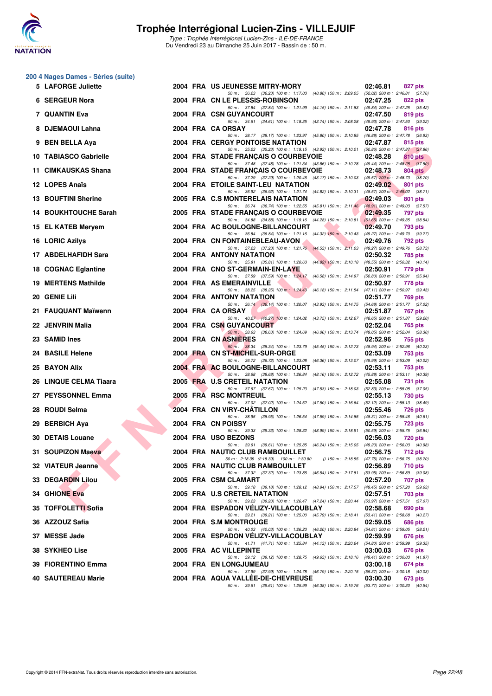![](_page_21_Picture_0.jpeg)

#### **200 4 Nages Dames - Séries (suite)**

| 5 LAFORGE Juliette      |  | 2004 FRA US JEUNESSE MITRY-MORY                                                                                                     | 02:46.81 | 827 pts        |
|-------------------------|--|-------------------------------------------------------------------------------------------------------------------------------------|----------|----------------|
| 6 SERGEUR Nora          |  | 50 m: 36.23 (36.23) 100 m: 1:17.03 (40.80) 150 m: 2:09.05 (52.02) 200 m: 2:46.81 (37.76)<br>2004 FRA CN LE PLESSIS-ROBINSON         | 02:47.25 | 822 pts        |
| 7 QUANTIN Eva           |  | 50 m: 37.84 (37.84) 100 m: 1:21.99 (44.15) 150 m: 2:11.83 (49.84) 200 m: 2:47.25 (35.42)<br>2004 FRA CSN GUYANCOURT                 | 02:47.50 | 819 pts        |
| 8 DJEMAOUI Lahna        |  | 50 m: 34.61 (34.61) 100 m: 1:18.35 (43.74) 150 m: 2:08.28 (49.93) 200 m: 2:47.50 (39.22)<br>2004 FRA CA ORSAY                       | 02:47.78 | 816 pts        |
| 9 BEN BELLA Aya         |  | 50 m: 38.17 (38.17) 100 m: 1:23.97 (45.80) 150 m: 2:10.85 (46.88) 200 m: 2:47.78 (36.93)<br><b>2004 FRA CERGY PONTOISE NATATION</b> | 02:47.87 | 815 pts        |
| 10 TABIASCO Gabrielle   |  | 50 m: 35.23 (35.23) 100 m: 1:19.15 (43.92) 150 m: 2:10.01 (50.86) 200 m: 2:47.87 (37.86)<br>2004 FRA STADE FRANÇAIS O COURBEVOIE    |          |                |
|                         |  | 50 m: 37.48 (37.48) 100 m: 1:21.34 (43.86) 150 m: 2:10.78 (49.44) 200 m: 2:48.28 (37.50)                                            | 02:48.28 | 810 pts        |
| 11 CIMKAUSKAS Shana     |  | 2004 FRA STADE FRANÇAIS O COURBEVOIE<br>50 m: 37.29 (37.29) 100 m: 1:20.46 (43.17) 150 m: 2:10.03 (49.57) 200 m: 2:48.73 (38.70)    | 02:48.73 | 804 pts        |
| 12 LOPES Anaïs          |  | 2004 FRA ETOILE SAINT-LEU NATATION<br>50 m: 36.92 (36.92) 100 m: 1:21.74 (44.82) 150 m: 2:10.31 (48.57) 200 m: 2:49.02 (38.71)      | 02:49.02 | 801 pts        |
| 13 BOUFTINI Sherine     |  | 2005 FRA C.S MONTERELAIS NATATION<br>50 m: 36.74 (36.74) 100 m: 1:22.55 (45.81) 150 m: 2:11.46 (48.91) 200 m: 2:49.03 (37.57)       | 02:49.03 | 801 pts        |
| 14 BOUKHTOUCHE Sarah    |  | 2005 FRA STADE FRANÇAIS O COURBEVOIE<br>50 m: 34.88 (34.88) 100 m: 1:19.16 (44.28) 150 m: 2:10.81 (51.65) 200 m: 2:49.35 (38.54)    | 02:49.35 | 797 pts        |
| 15 EL KATEB Meryem      |  | 2004 FRA AC BOULOGNE-BILLANCOURT<br>50 m: 36.84 (36.84) 100 m: 1:21.16 (44.32) 150 m: 2:10.43 (49.27) 200 m: 2:49.70 (39.27)        | 02:49.70 | 793 pts        |
| 16 LORIC Azilys         |  | 2004 FRA CN FONTAINEBLEAU-AVON                                                                                                      | 02:49.76 | 792 pts        |
| 17 ABDELHAFIDH Sara     |  | 50 m: 37.23 (37.23) 100 m: 1:21.76 (44.53) 150 m: 2:11.03 (49.27) 200 m: 2:49.76 (38.73)<br>2004 FRA ANTONY NATATION                | 02:50.32 | 785 pts        |
| 18 COGNAC Eglantine     |  | 50 m: 35.81 (35.81) 100 m: 1:20.63 (44.82) 150 m: 2:10.18 (49.55) 200 m: 2:50.32 (40.14)<br>2004 FRA CNO ST-GERMAIN-EN-LAYE         | 02:50.91 | 779 pts        |
| 19 MERTENS Mathilde     |  | 50 m: 37.59 (37.59) 100 m: 1:24.17 (46.58) 150 m: 2:14.97 (50.80) 200 m: 2:50.91 (35.94)<br>2004 FRA AS EMERAINVILLE                | 02:50.97 | 778 pts        |
| 20   GENIE Lili         |  | 50 m: 38.25 (38.25) 100 m: 1:24.43 (46.18) 150 m: 2:11.54 (47.11) 200 m: 2:50.97 (39.43)<br>2004 FRA ANTONY NATATION                | 02:51.77 | 769 pts        |
| 21 FAUQUANT Maïwenn     |  | 50 m: 36.14 (36.14) 100 m: 1:20.07 (43.93) 150 m: 2:14.75 (54.68) 200 m: 2:51.77 (37.02)<br>2004 FRA CA ORSAY                       | 02:51.87 | 767 pts        |
| 22 JENVRIN Malia        |  | 50 m: 40.27 (40.27) 100 m: 1:24.02 (43.75) 150 m: 2:12.67 (48.65) 200 m: 2:51.87 (39.20)<br>2004 FRA CSN GUYANCOURT                 | 02:52.04 | 765 pts        |
| 23 SAMID Ines           |  | 50 m: 38.63 (38.63) 100 m: 1:24.69 (46.06) 150 m: 2:13.74 (49.05) 200 m: 2:52.04 (38.30)<br>2004 FRA CN ASNIERES                    | 02:52.96 | 755 pts        |
| <b>24 BASILE Helene</b> |  | 50 m: 38.34 (38.34) 100 m: 1:23.79 (45.45) 150 m: 2:12.73 (48.94) 200 m: 2:52.96 (40.23)<br>2004 FRA CN ST-MICHEL-SUR-ORGE          | 02:53.09 | <b>753 pts</b> |
|                         |  | 50 m: 36.72 (36.72) 100 m: 1:23.08 (46.36) 150 m: 2:13.07 (49.99) 200 m: 2:53.09 (40.02)                                            |          |                |
| 25 BAYON Alix           |  | 2004 FRA AC BOULOGNE-BILLANCOURT<br>50 m: 38.68 (38.68) 100 m: 1:26.84 (48.16) 150 m: 2:12.72 (45.88) 200 m: 2:53.11 (40.39)        | 02:53.11 | <b>753 pts</b> |
| 26 LINQUE CELMA Tiaara  |  | 2005 FRA U.S CRETEIL NATATION<br>50 m: 37.67 (37.67) 100 m: 1:25.20 (47.53) 150 m: 2:18.03 (52.83) 200 m: 2:55.08 (37.05)           | 02:55.08 | <b>731 pts</b> |
| 27 PEYSSONNEL Emma      |  | 2005 FRA RSC MONTREUIL<br>50 m: 37.02 (37.02) 100 m: 1:24.52 (47.50) 150 m: 2:16.64 (52.12) 200 m: 2:55.13 (38.49)                  | 02:55.13 | 730 pts        |
| 28   ROUDI Selma        |  | 2004 FRA CN VIRY-CHATILLON<br>50 m: 38.95 (38.95) 100 m: 1:26.54 (47.59) 150 m: 2:14.85 (48.31) 200 m: 2:55.46 (40.61)              | 02:55.46 | 726 pts        |
| 29 BERBICH Aya          |  | 2004 FRA CN POISSY<br>50 m: 39.33 (39.33) 100 m: 1:28.32 (48.99) 150 m: 2:18.91 (50.59) 200 m: 2:55.75 (36.84)                      | 02:55.75 | <b>723 pts</b> |
| <b>30 DETAIS Louane</b> |  | 2004 FRA USO BEZONS                                                                                                                 | 02:56.03 | <b>720 pts</b> |
| 31 SOUPIZON Maeva       |  | 50 m: 39.61 (39.61) 100 m: 1:25.85 (46.24) 150 m: 2:15.05 (49.20) 200 m: 2:56.03 (40.98)<br>2004 FRA NAUTIC CLUB RAMBOUILLET        | 02:56.75 | 712 pts        |
| 32 VIATEUR Jeanne       |  | 50 m : 2:18.39 (2:18.39) 100 m : 1:30.80<br>() 150 m : 2:18.55 (47.75) 200 m : 2:56.75 (38.20)<br>2005 FRA NAUTIC CLUB RAMBOUILLET  | 02:56.89 | <b>710 pts</b> |
| 33 DEGARDIN Lilou       |  | 50 m: 37.32 (37.32) 100 m: 1:23.86 (46.54) 150 m: 2:17.81 (53.95) 200 m: 2:56.89 (39.08)<br>2005 FRA CSM CLAMART                    | 02:57.20 | 707 pts        |
| 34 GHIONE Eva           |  | 50 m: 39.18 (39.18) 100 m: 1:28.12 (48.94) 150 m: 2:17.57 (49.45) 200 m: 2:57.20 (39.63)<br>2005 FRA U.S CRETEIL NATATION           | 02:57.51 | 703 pts        |
| 35   TOFFOLETTI Sofia   |  | 50 m: 39.23 (39.23) 100 m: 1:26.47 (47.24) 150 m: 2:20.44 (53.97) 200 m: 2:57.51 (37.07)<br>2004 FRA ESPADON VELIZY-VILLACOUBLAY    | 02:58.68 | 690 pts        |
| 36   AZZOUZ Safia       |  | 50 m: 39.21 (39.21) 100 m: 1:25.00 (45.79) 150 m: 2:18.41 (53.41) 200 m: 2:58.68 (40.27)<br>2004 FRA S.M MONTROUGE                  | 02:59.05 | 686 pts        |
| 37   MESSE Jade         |  | 50 m: 40.03 (40.03) 100 m: 1:26.23 (46.20) 150 m: 2:20.84 (54.61) 200 m: 2:59.05 (38.21)<br>2005 FRA ESPADON VELIZY-VILLACOUBLAY    | 02:59.99 | 676 pts        |
| <b>38 SYKHEO Lise</b>   |  | 50 m: 41.71 (41.71) 100 m: 1:25.84 (44.13) 150 m: 2:20.64 (54.80) 200 m: 2:59.99 (39.35)<br>2005 FRA AC VILLEPINTE                  | 03:00.03 | 676 pts        |
|                         |  | 50 m: 39.12 (39.12) 100 m: 1:28.75 (49.63) 150 m: 2:18.16 (49.41) 200 m: 3:00.03 (41.87)                                            |          |                |
| 39 FIORENTINO Emma      |  | 2004 FRA EN LONGJUMEAU<br>50 m: 37.99 (37.99) 100 m: 1:24.78 (46.79) 150 m: 2:20.15 (55.37) 200 m: 3:00.18 (40.03)                  | 03:00.18 | 674 pts        |
| 40   SAUTEREAU Marie    |  | 2004 FRA AQUA VALLEE-DE-CHEVREUSE<br>50 m: 39.61 (39.61) 100 m: 1:25.99 (46.38) 150 m: 2:19.76 (53.77) 200 m: 3:00.30 (40.54)       | 03:00.30 | 673 pts        |
|                         |  |                                                                                                                                     |          |                |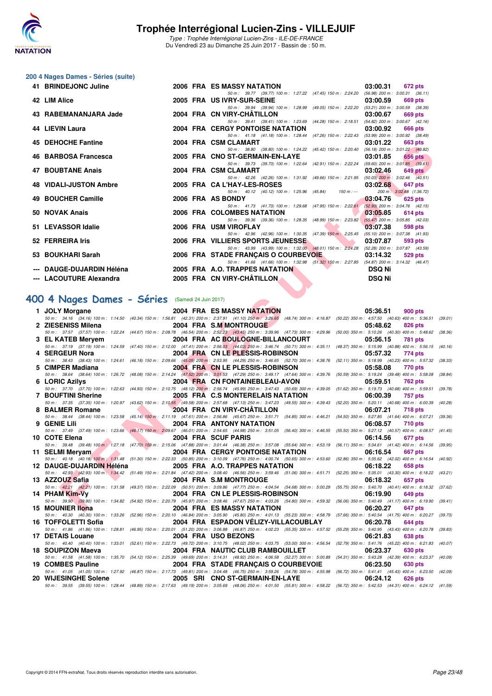![](_page_22_Picture_0.jpeg)

### **200 4 Nages Dames - Séries (suite)**

| 41 BRINDEJONC Juline          |  | 2006 FRA ES MASSY NATATION                                                               | 03:00.31      | 672 pts                  |
|-------------------------------|--|------------------------------------------------------------------------------------------|---------------|--------------------------|
|                               |  | 50 m: 39.77 (39.77) 100 m: 1:27.22 (47.45) 150 m: 2:24.20 (56.98) 200 m: 3:00.31 (36.11) |               |                          |
| 42 LIM Alice                  |  | 2005 FRA US IVRY-SUR-SEINE                                                               | 03:00.59      | 669 pts                  |
|                               |  | 50 m: 39.94 (39.94) 100 m: 1:28.99 (49.05) 150 m: 2:22.20 (53.21) 200 m: 3:00.59 (38.39) |               |                          |
| 43 RABEMANANJARA Jade         |  | 2004 FRA CN VIRY-CHÂTILLON                                                               | 03:00.67      | 669 pts                  |
|                               |  | 50 m: 39.41 (39.41) 100 m: 1:23.69 (44.28) 150 m: 2:18.51 (54.82) 200 m: 3:00.67 (42.16) |               |                          |
| 44 LIEVIN Laura               |  | 2004 FRA CERGY PONTOISE NATATION                                                         | 03:00.92      | 666 pts                  |
|                               |  | 50 m: 41.18 (41.18) 100 m: 1:28.44 (47.26) 150 m: 2:22.43 (53.99) 200 m: 3:00.92 (38.49) |               |                          |
| 45 DEHOCHE Fantine            |  | 2004 FRA CSM CLAMART                                                                     | 03:01.22      | 663 pts                  |
|                               |  | 50 m: 38.80 (38.80) 100 m: 1:24.22 (45.42) 150 m: 2:20.40 (56.18) 200 m: 3:01.22 (40.82) |               |                          |
| 46 BARBOSA Francesca          |  | 2005 FRA CNO ST-GERMAIN-EN-LAYE                                                          | 03:01.85      | 656 pts                  |
|                               |  | 50 m: 39.73 (39.73) 100 m: 1:22.64 (42.91) 150 m: 2:22.24 (59.60) 200 m: 3:01.85 (39.61) |               |                          |
| 47 BOUBTANE Anais             |  | 2004 FRA CSM CLAMART                                                                     | 03:02.46      | 649 pts                  |
|                               |  | 50 m: 42.26 (42.26) 100 m: 1:31.92 (49.66) 150 m: 2:21.95 (50.03) 200 m: 3:02.46 (40.51) |               |                          |
| <b>48 VIDALI-JUSTON Ambre</b> |  | 2005 FRA CA L'HAY-LES-ROSES                                                              | 03:02.68      | 647 pts                  |
|                               |  | 50 m: 40.12 (40.12) 100 m: 1:25.96 (45.84) 150 m: ---                                    |               | 200 m: 3:02.68 (1:36.72) |
| 49 BOUCHER Camille            |  | 2006 FRA AS BONDY                                                                        | 03:04.76      | <b>625 pts</b>           |
|                               |  | 50 m: 41.73 (41.73) 100 m: 1:29.68 (47.95) 150 m: 2:22.61 (52.93) 200 m: 3:04.76 (42.15) |               |                          |
| 50 NOVAK Anais                |  | 2006 FRA COLOMBES NATATION                                                               | 03:05.85      | 614 pts                  |
|                               |  | 50 m: 39.36 (39.36) 100 m: 1:28.35 (48.99) 150 m: 2:23.82 (55.47) 200 m: 3:05.85 (42.03) |               |                          |
| 51 LEVASSOR Idalie            |  | 2006 FRA USM VIROFLAY                                                                    | 03:07.38      | 598 pts                  |
|                               |  | 50 m: 42.96 (42.96) 100 m: 1:30.35 (47.39) 150 m: 2:25.45 (55.10) 200 m: 3:07.38 (41.93) |               |                          |
| 52 FERREIRA Iris              |  | 2006 FRA VILLIERS SPORTS JEUNESSE AND LODGE                                              | 03:07.87      | 593 pts                  |
|                               |  | 50 m: 43.99 (43.99) 100 m: 1:32.00 (48.01) 150 m: 2:24.28 (52.28) 200 m: 3:07.87 (43.59) |               |                          |
| 53 BOUKHARI Sarah             |  | 2006 FRA STADE FRANÇAIS O COURBEVOIE 03:14.32                                            |               | 529 pts                  |
|                               |  | 50 m: 41.66 (41.66) 100 m: 1:32.98 (51.32) 150 m: 2:27.85 (54.87) 200 m: 3:14.32 (46.47) |               |                          |
| --- DAUGE-DUJARDIN Héléna     |  | 2005 FRA A.O. TRAPPES NATATION                                                           | <b>DSQ Ni</b> |                          |
| --- LACOUTURE Alexandra       |  | 2005 FRA CN VIRY-CHÂTILLON                                                               | <b>DSQ Ni</b> |                          |
|                               |  |                                                                                          |               |                          |

### **[400 4 Nages Dames - Séries](http://www.ffnatation.fr/webffn/resultats.php?idact=nat&go=epr&idcpt=47281&idepr=42)** (Samedi 24 Juin 2017)

| סווווווס בווטטווב הא                            |                                                | ZUUT FRA COMULAMARI                                                                                                                                                                                                    |             | <b>UJ.UI.</b> 22<br>uus pis                     |         |
|-------------------------------------------------|------------------------------------------------|------------------------------------------------------------------------------------------------------------------------------------------------------------------------------------------------------------------------|-------------|-------------------------------------------------|---------|
| 46 BARBOSA Francesca                            |                                                | 50 m: 38.80 (38.80) 100 m: 1:24.22 (45.42) 150 m: 2:20.40 (56.18) 200 m: 3:01.22 (40.82)<br>2005 FRA CNO ST-GERMAIN-EN-LAYE                                                                                            |             | 03:01.85<br>656 pts                             |         |
| 47 BOUBTANE Anais                               |                                                | 50 m: 39.73 (39.73) 100 m: 1:22.64 (42.91) 150 m: 2:22.24 (59.60) 200 m: 3:01.85 (39.61)<br>2004 FRA CSM CLAMART                                                                                                       |             | 03:02.46<br>$649$ pts                           |         |
|                                                 |                                                | 50 m: 42.26 (42.26) 100 m: 1:31.92 (49.66) 150 m: 2:21.95 (50.03) 200 m: 3:02.46 (40.51)                                                                                                                               |             |                                                 |         |
| 48   VIDALI-JUSTON Ambre                        |                                                | 2005 FRA CA L'HAY-LES-ROSES<br>50 m : 40.12 (40.12) 100 m : 1:25.96 (45.84)                                                                                                                                            | 150 m : --- | 03:02.68<br>647 pts<br>200 m: 3:02.68 (1:36.72) |         |
| 49 BOUCHER Camille                              |                                                | 2006 FRA AS BONDY                                                                                                                                                                                                      |             | 03:04.76<br>625 pts                             |         |
| 50 NOVAK Anais                                  |                                                | 50 m: 41.73 (41.73) 100 m: 1:29.68 (47.95) 150 m: 2:22.61 (52.93) 200 m: 3:04.76 (42.15)<br>2006 FRA COLOMBES NATATION                                                                                                 |             | 03:05.85<br>614 pts                             |         |
| 51 LEVASSOR Idalie                              |                                                | 50 m: 39.36 (39.36) 100 m: 1:28.35 (48.99) 150 m: 2:23.82 (55.47) 200 m: 3:05.85 (42.03)<br>2006 FRA USM VIROFLAY                                                                                                      |             | 03:07.38                                        |         |
|                                                 |                                                | 50 m: 42.96 (42.96) 100 m: 1:30.35 (47.39) 150 m: 2:25.45 (55.10) 200 m: 3:07.38 (41.93)                                                                                                                               |             | 598 pts                                         |         |
| 52 FERREIRA Iris                                |                                                | <b>2006 FRA VILLIERS SPORTS JEUNESSE</b><br>50 m: 43.99 (43.99) 100 m: 1:32.00 (48.01) 150 m: 2:24.28 (52.28) 200 m: 3:07.87 (43.59)                                                                                   |             | 03:07.87<br>593 pts                             |         |
| 53 BOUKHARI Sarah                               |                                                | 2006 FRA STADE FRANÇAIS O COURBEVOIE                                                                                                                                                                                   |             | 03:14.32<br><b>529 pts</b>                      |         |
| --- DAUGE-DUJARDIN Héléna                       |                                                | 50 m: 41.66 (41.66) 100 m: 1:32.98 (51.32) 150 m: 2:27.85 (54.87) 200 m: 3:14.32 (46.47)<br>2005 FRA A.O. TRAPPES NATATION                                                                                             |             | <b>DSQ Ni</b>                                   |         |
| --- LACOUTURE Alexandra                         |                                                | 2005 FRA CN VIRY-CHATILLON                                                                                                                                                                                             |             | <b>DSQ Ni</b>                                   |         |
|                                                 |                                                |                                                                                                                                                                                                                        |             |                                                 |         |
| 00 4 Nages Dames - Séries (Samedi 24 Juin 2017) |                                                |                                                                                                                                                                                                                        |             |                                                 |         |
| 1 JOLY Morgane                                  |                                                | 2004 FRA ES MASSY NATATION                                                                                                                                                                                             |             | 05:36.51<br>900 pts                             |         |
|                                                 |                                                | 50 m: 34.16 (34.16) 100 m: 1:14.50 (40.34) 150 m: 1:56.81 (42.31) 200 m: 2:37.91 (41.10) 250 m: 3:26.65 (48.74) 300 m: 4:16.87 (50.22) 350 m: 4:57.50 (40.63) 400 m: 5:36.51 (39.01)                                   |             |                                                 |         |
| 2 ZIESENISS Milena                              |                                                | 2004 FRA S.M MONTROUGE<br>50 m: 37.57 (37.57) 100 m: 1:22.24 (44.67) 150 m: 2:08.78 (46.54) 200 m: 2:52.23 (43.45) 250 m: 3:39.96 (47.73) 300 m: 4:29.96 (50.00) 350 m: 5:10.26 (40.30) 400 m: 5:48.62                 |             | 05:48.62<br>826 pts                             | (38.36) |
| 3 EL KATEB Meryem                               |                                                | 2004 FRA AC BOULOGNE-BILLANCOURT                                                                                                                                                                                       |             | 05:56.15<br>781 pts                             |         |
|                                                 |                                                | 50 m : 37.19 (37.19) 100 m : 1:24.59 (47.40) 150 m : 2:12.00 (47.41) 200 m : 2:56.03 (44.03) 250 m : 3:46.74 (50.71) 300 m : 4:35.11 (48.37) 350 m : 5:15.99 (40.88) 400 m : 5:56.15 (40.16)                           |             |                                                 |         |
| 4 SERGEUR Nora                                  |                                                | 2004 FRA CN LE PLESSIS-ROBINSON                                                                                                                                                                                        |             | 05:57.32<br>774 pts                             |         |
| 5 CIMPER Madiana                                |                                                | 50 m: 38.43 (38.43) 100 m: 1:24.61 (46.18) 150 m: 2:09.66 (45.05) 200 m: 2:53.95 (44.29) 250 m: 3:46.65 (52.70) 300 m: 4:38.76 (52.11) 350 m: 5:18.99 (40.23) 400 m: 5:57.32<br>2004 FRA CN LE PLESSIS-ROBINSON        |             | 05:58.08<br>770 pts                             | (38.33) |
|                                                 |                                                | 50 m: 38.64 (38.64) 100 m: 1:26.72 (48.08) 150 m: 2:14.24 (47.52) 200 m: 3:01.53 (47.29) 250 m: 3:49.17 (47.64) 300 m: 4:39.76 (50.59) 350 m: 5:19.24 (39.48) 400 m: 5:58.08                                           |             |                                                 | (38.84) |
| 6 LORIC Azilys                                  |                                                | 2004 FRA CN FONTAINEBLEAU-AVON<br>50 m : 37.70 (37.70) 100 m : 1:22.63 (44.93) 150 m : 2:10.75 (48.12) 200 m : 2:56.74 (45.99) 250 m : 3:47.43 (50.69) 300 m : 4:39.05 (51.62) 350 m : 5:19.73 (40.68) 400 m : 5:59.51 |             | 05:59.51<br>762 pts                             | (39.78) |
| 7 BOUFTINI Sherine                              |                                                | 2005 FRĀ C.S MONTERELAIS NATATION                                                                                                                                                                                      |             | 06:00.39<br>757 pts                             |         |
|                                                 |                                                | 50 m: 37.35 (37.35) 100 m: 1:20.97 (43.62) 150 m: 2:10.55 (49.58) 200 m: 2:57.68 (47.13) 250 m: 3:47.23 (49.55) 300 m: 4:39.43 (52.20) 350 m: 5:20.11 (40.68) 400 m: 6:00.39                                           |             |                                                 | (40.28) |
| 8 BALMER Romane                                 | <u>and the state of the state of the state</u> | 2004 FRA CN VIRY-CHATILLON<br>50 m: 38.44 (38.44) 100 m: 1:23.58 (45.14) 150 m: 2:11.19 (47.61) 200 m: 2:56.86 (45.67) 250 m: 3:51.71 (54.85) 300 m: 4:46.21 (54.50) 350 m: 5:27.85 (41.64) 400 m: 6:07.21 (39.36)     |             | 06:07.21<br><b>718 pts</b>                      |         |
| 9 GENIE Lili                                    |                                                | 2004 FRA ANTONY NATATION                                                                                                                                                                                               |             | 06:08.57<br><b>710 pts</b>                      |         |
|                                                 |                                                | 50 m: 37.49 (37.49) 100 m: 1:23.66 (46.17) 150 m: 2:09.67 (46.01) 200 m: 2:54.65 (44.98) 250 m: 3:51.05 (56.40) 300 m: 4:46.55 (55.50) 350 m: 5:27.12 (40.57) 400 m: 6:08.57 (41.45)                                   |             |                                                 |         |
| 10 COTE Elena                                   |                                                | 2004 FRA SCUF PARIS<br>50 m: 39.48 (39.48) 100 m: 1:27.18 (47.70) 150 m: 2:15.06 (47.88) 200 m: 3:01.44 (46.38) 250 m: 3:57.08 (55.64) 300 m: 4:53.19 (56.11) 350 m: 5:34.61 (41.42) 400 m: 6:14.56 (39.95)            |             | 06:14.56<br>677 pts                             |         |
| 11 SELMI Mervam                                 |                                                | 2004 FRA CERGY PONTOISE NATATION                                                                                                                                                                                       |             | 06:16.54<br>667 pts                             |         |
|                                                 |                                                | 50 m: 40.18 (40.18) 100 m: 1:31.48 (51.30) 150 m: 2:22.33 (50.85) 200 m: 3:10.09 (47.76) 250 m: 4:00.74 (50.65) 300 m: 4:53.60 (52.86) 350 m: 5:35.62 (42.02) 400 m: 6:16.54 (40.92)                                   |             |                                                 |         |
| 12 DAUGE-DUJARDIN Héléna                        |                                                | 2005 FRA A.O. TRAPPES NATATION<br>50 m: 42.93 (42.93) 100 m: 1:34.42 (51.49) 150 m: 2:21.84 (47.42) 200 m: 3:08.40 (46.56) 250 m: 3:59.46 (51.06) 300 m: 4:51.71 (52.25) 350 m: 5:35.01 (43.30) 400 m: 6:18.22 (43.21) |             | 06:18.22<br>658 pts                             |         |
| 13 AZZOUZ Safia                                 |                                                | 2004 FRA S.M MONTROUGE                                                                                                                                                                                                 |             | 06:18.32<br>657 pts                             |         |
|                                                 |                                                | 50 m: 42.21 (42.21) 100 m: 1:31.58 (49.37) 150 m: 2:22.09 (50.51) 200 m: 3:09.86 (47.77) 250 m: 4:04.54 (54.68) 300 m: 5:00.29 (55.75) 350 m: 5:40.70 (40.41) 400 m: 6:18.32 (37.62)                                   |             |                                                 |         |
| 14 PHAM Kim-Vv                                  |                                                | 2004 FRA CN LE PLESSIS-ROBINSON                                                                                                                                                                                        |             | 06:19.90<br>649 pts                             |         |
| 15 MOUNIER Ilona                                |                                                | 50 m: 39.90 (39.90) 100 m: 1:34.82 (54.92) 150 m: 2:20.79 (45.97) 200 m: 3:08.46 (47.67) 250 m: 4:03.26 (54.80) 300 m: 4:59.32 (56.06) 350 m: 5:40.49 (41.17) 400 m: 6:19.90 (39.41)<br>2004 FRA ES MASSY NATATION     |             | 06:20.27<br>647 pts                             |         |
|                                                 |                                                | 50 m: 40.30 (40.30) 100 m: 1:33.26 (52.96) 150 m: 2:20.10 (46.84) 200 m: 3:05.90 (45.80) 250 m: 4:01.13 (55.23) 300 m: 4:58.79 (57.66) 350 m: 5:40.54 (41.75) 400 m: 6:20.27 (39.73)                                   |             |                                                 |         |
| 16 TOFFOLETTI Sofia                             |                                                | 2004 FRA ESPADON VELIZY-VILLACOUBLAY                                                                                                                                                                                   |             | 06:20.78<br><b>644 pts</b>                      |         |
| 17 DETAIS Louane                                |                                                | 50 m: 41.86 (41.86) 100 m: 1:28.81 (46.95) 150 m: 2:20.01 (51.20) 200 m: 3:06.88 (46.87) 250 m: 4:02.23 (55.35) 300 m: 4:57.52 (55.29) 350 m: 5:40.95 (43.43) 400 m: 6:20.78<br>2004 FRA USO BEZONS                    |             | 06:21.83<br>638 pts                             | (39.83) |
|                                                 |                                                | 50 m : 40.40 (40.40) 100 m : 1:33.01 (52.61) 150 m : 2:22.73 (49.72) 200 m : 3:10.75 (48.02) 250 m : 4:03.75 (53.00) 300 m : 4:56.54                                                                                   |             | (52.79) 350 m: 5:41.76 (45.22) 400 m: 6:21.83   | (40.07) |
| 18 SOUPIZON Maeva                               |                                                | 2004 FRA NAUTIC CLUB RAMBOUILLET                                                                                                                                                                                       |             | 06:23.37<br>630 pts                             |         |
| 19 COMBES Pauline                               |                                                | 50 m: 41.58 (41.58) 100 m: 1:35.70 (54.12) 150 m: 2:25.39 (49.69) 200 m: 3:14.31 (48.92) 250 m: 4:06.58 (52.27) 300 m: 5:00.89 (54.31) 350 m: 5:43.28 (42.39) 400 m: 6:23.37<br>2004 FRA STADE FRANÇAIS O COURBEVOIE   |             | 06:23.50<br>630 pts                             | (40.09) |
|                                                 |                                                | 50 m: 41.05 (41.05) 100 m: 1:27.92 (46.87) 150 m: 2:17.73 (49.81) 200 m: 3:04.48 (46.75) 250 m: 3:59.26 (54.78) 300 m: 4:55.98 (56.72) 350 m: 5:41.41 (45.43) 400 m: 6:23.50 (42.09)                                   |             |                                                 |         |
| 20   WIJESINGHE Solene                          |                                                | 2005 SRI CNO ST-GERMAIN-EN-LAYE                                                                                                                                                                                        |             | 06:24.12<br>626 pts                             |         |
|                                                 |                                                | 50 m : 39.55 (39.55) 100 m : 1:28.44 (48.89) 150 m : 2:17.63 (49.19) 200 m : 3:05.69 (48.06) 250 m : 4:01.50 (55.81) 300 m : 4:58.22 (56.72) 350 m : 5:42.53 (44.31) 400 m : 6:24.12 (41.59)                           |             |                                                 |         |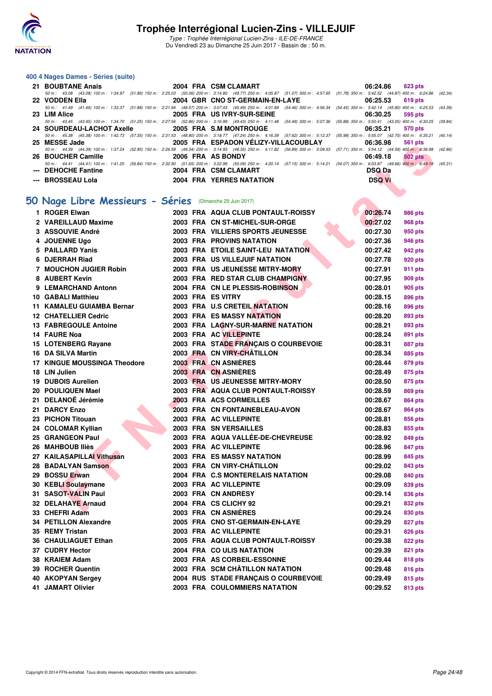![](_page_23_Picture_0.jpeg)

#### **400 4 Nages Dames - Séries (suite)**

| 21 BOUBTANE Anais   | 2004 FRA CSM CLAMART                 | 06:24.86 623 pts                                                                                                                                                                             |
|---------------------|--------------------------------------|----------------------------------------------------------------------------------------------------------------------------------------------------------------------------------------------|
|                     |                                      | 50 m: 43.08 (43.08) 100 m: 1:34.97 (51.89) 150 m: 2:25.03 (50.06) 200 m: 3:14.80 (49.77) 250 m: 4:05.87 (51.07) 300 m: 4:57.65 (51.78) 350 m: 5:42.52 (44.87) 400 m: 6:24.86 (42.34)         |
| 22 VODDEN Ella      | 2004 GBR CNO ST-GERMAIN-EN-LAYE      | 06:25.53<br>619 pts                                                                                                                                                                          |
|                     |                                      | 50 m : 41.49 (41.49) 100 m : 1:33.37 (51.88) 150 m : 2:21.94 (48.57) 200 m : 3:07.43 (45.49) 250 m : 4:01.89 (54.46) 300 m : 4:56.34 (54.45) 350 m : 5:42.14 (45.80) 400 m : 6:25.53 (43.39) |
| 23 LIM Alice        | <b>2005 FRA US IVRY-SUR-SEINE</b>    | 06:30.25<br>595 pts                                                                                                                                                                          |
|                     |                                      | 50 m: 43.45 (43.45) 100 m: 1:34.70 (51.25) 150 m: 2:27.56 (52.86) 200 m: 3:16.99 (49.43) 250 m: 4:11.48 (54.49) 300 m: 5:07.36 (55.88) 350 m: 5:50.41 (43.05) 400 m: 6:30.25 (39.84)         |
|                     |                                      | 06:35.21 570 pts                                                                                                                                                                             |
|                     |                                      | 50 m: 45.38 (45.38) 100 m: 1:42.73 (57.35) 150 m: 2:31.53 (48.80) 200 m: 3:18.77 (47.24) 250 m: 4:16.39 (57.62) 300 m: 5:12.37 (55.98) 350 m: 5:55.07 (42.70) 400 m: 6:35.21 (40.14)         |
| 25 MESSE Jade       | 2005 FRA ESPADON VÉLIZY-VILLACOUBLAY | 06:36.98<br>561 pts                                                                                                                                                                          |
|                     |                                      | 50 m: 44.39 (44.39) 100 m: 1:37.24 (52.85) 150 m: 2:26.58 (49.34) 200 m: 3:14.93 (48.35) 250 m: 4:11.82 (56.89) 300 m: 5:09.53 (57.71) 350 m: 5:54.12 (44.59) 400 m: 6:36.98 (42.86)         |
| 26 BOUCHER Camille  | 2006 FRA AS BONDY                    | 06:49.18<br>502 pts                                                                                                                                                                          |
|                     |                                      | 50 m: 44.41 (44.41) 100 m: 1:41.25 (56.84) 150 m: 2:32.90 (51.65) 200 m: 3:22.99 (50.09) 250 m: 4:20.14 (57.15) 300 m: 5:14.21 (54.07) 350 m: 6:03.87 (49.66) 400 m: 6:49.18 (45.31)         |
| --- DEHOCHE Fantine | 2004 FRA CSM CLAMART                 | <b>DSQ Da</b>                                                                                                                                                                                |
| --- BROSSEAU Lola   | <b>2004 FRA YERRES NATATION</b>      | <b>DSQ Vi</b>                                                                                                                                                                                |

### **[50 Nage Libre Messieurs - Séries](http://www.ffnatation.fr/webffn/resultats.php?idact=nat&go=epr&idcpt=47281&idepr=51)** (Dimanche 25 Juin 2017)

| MLJJL JAUC                                               | ZUUJ FRA EJFADUN VELIZI-VILLACOUDLAI                                                                                                                                                                  | UU.JU.JU<br>้วง เ มเจ      |
|----------------------------------------------------------|-------------------------------------------------------------------------------------------------------------------------------------------------------------------------------------------------------|----------------------------|
| 26 BOUCHER Camille                                       | 50 m: 44.39 (44.39) 100 m: 1:37.24 (52.85) 150 m: 2:26.58 (49.34) 200 m: 3:14.93 (48.35) 250 m: 4:11.82 (56.89) 300 m: 5:09.53 (57.71) 350 m: 5:54.12 (44.59) 400 m: 6:36.98 (4:<br>2006 FRA AS BONDY | 06:49.18<br><b>502 pts</b> |
|                                                          | 50 m: 44.41 (44.41) 100 m: 1:41.25 (56.84) 150 m: 2:32.90 (51.65) 200 m: 3:22.99 (50.09) 250 m: 4:20.14 (57.15) 300 m: 5:14.21 (54.07) 350 m: 6:03.87 (49.66) 400 m: 6:49.18 (4:                      |                            |
| --- DEHOCHE Fantine                                      | 2004 FRA CSM CLAMART                                                                                                                                                                                  | <b>DSQ Da</b>              |
| --- BROSSEAU Lola                                        | 2004 FRA YERRES NATATION                                                                                                                                                                              | <b>DSQ Vi</b>              |
|                                                          |                                                                                                                                                                                                       |                            |
| 10 Nage Libre Messieurs - Séries (Dimanche 25 Juin 2017) |                                                                                                                                                                                                       |                            |
| 1 ROGER Elwan                                            | 2003 FRA AQUA CLUB PONTAULT-ROISSY                                                                                                                                                                    | 00:26.74<br><b>986 pts</b> |
| 2 VAREILLAUD Maxime                                      | 2003 FRA CN ST-MICHEL-SUR-ORGE                                                                                                                                                                        | 00:27.02<br>968 pts        |
| 3 ASSOUVIE André                                         | 2003 FRA VILLIERS SPORTS JEUNESSE                                                                                                                                                                     | 00:27.30<br>950 pts        |
| 4 JOUENNE Ugo                                            | <b>2003 FRA PROVINS NATATION</b>                                                                                                                                                                      | 00:27.36<br>946 pts        |
| 5 PAILLARD Yanis                                         | 2003 FRA ETOILE SAINT-LEU NATATION                                                                                                                                                                    | 00:27.42<br>942 pts        |
| 6 DJERRAH Riad                                           | <b>2003 FRA US VILLEJUIF NATATION</b>                                                                                                                                                                 | 00:27.78<br>920 pts        |
| <b>7 MOUCHON JUGIER Robin</b>                            | 2003 FRA US JEUNESSE MITRY-MORY                                                                                                                                                                       | 00:27.91<br>911 pts        |
| 8 AUBERT Kevin                                           | 2003 FRA RED STAR CLUB CHAMPIGNY                                                                                                                                                                      | 00:27.95<br>909 pts        |
| 9 LEMARCHAND Antonn                                      | 2004 FRA CN LE PLESSIS-ROBINSON                                                                                                                                                                       | 00:28.01<br>905 pts        |
| <b>10 GABALI Matthieu</b>                                | 2003 FRA ES VITRY                                                                                                                                                                                     | 00:28.15<br>896 pts        |
| <b>11 KAMALEU GUIAMBA Bernar</b>                         | 2003 FRA U.S CRETEIL NATATION                                                                                                                                                                         | 00:28.16<br>896 pts        |
| <b>12 CHATELLIER Cedric</b>                              | <b>2003 FRA ES MASSY NATATION</b>                                                                                                                                                                     | 00:28.20<br>893 pts        |
| <b>13 FABREGOULE Antoine</b>                             | 2003 FRA LAGNY-SUR-MARNE NATATION                                                                                                                                                                     | 00:28.21<br>893 pts        |
| 14 FAURE Noa                                             | 2003 FRA AC VILLEPINTE                                                                                                                                                                                | 00:28.24<br>891 pts        |
| 15 LOTENBERG Rayane                                      | 2003 FRA STADE FRANÇAIS O COURBEVOIE                                                                                                                                                                  | 00:28.31<br>887 pts        |
| 16 DA SILVA Martin                                       | 2003 FRA CN VIRY-CHÂTILLON                                                                                                                                                                            | 00:28.34<br>885 pts        |
| <b>17 KINGUE MOUSSINGA Theodore</b>                      | 2003 FRA CN ASNIÈRES                                                                                                                                                                                  | 00:28.44<br>879 pts        |
| 18 LIN Julien                                            | 2003 FRA CN ASNIÈRES                                                                                                                                                                                  | 00:28.49<br>875 pts        |
| 19 DUBOIS Aurelien                                       | 2003 FRA US JEUNESSE MITRY-MORY                                                                                                                                                                       | 00:28.50<br>875 pts        |
| 20 POULIQUEN Mael                                        | 2003 FRA AQUA CLUB PONTAULT-ROISSY                                                                                                                                                                    | 00:28.59<br>869 pts        |
| 21 DELANOË Jérémie                                       | 2003 FRA ACS CORMEILLES                                                                                                                                                                               | 00:28.67<br><b>864 pts</b> |
| 21 DARCY Enzo                                            | 2003 FRA CN FONTAINEBLEAU-AVON                                                                                                                                                                        | 00:28.67<br>864 pts        |
| 23 PICHON Titouan                                        | 2003 FRA AC VILLEPINTE                                                                                                                                                                                | 00:28.81<br>856 pts        |
| 24 COLOMAR Kyllian                                       | 2003 FRA SN VERSAILLES                                                                                                                                                                                | 00:28.83<br>855 pts        |
| 25 GRANGEON Paul                                         | 2003 FRA AQUA VALLÉE-DE-CHEVREUSE                                                                                                                                                                     | 00:28.92<br>849 pts        |
| 26 MAHBOUB Iliès                                         | 2003 FRA AC VILLEPINTE                                                                                                                                                                                | 00:28.96<br>847 pts        |
| 27 KAILASAPILLAI Vithusan                                | 2003 FRA ES MASSY NATATION                                                                                                                                                                            | 00:28.99<br>845 pts        |
| 28 BADALYAN Samson                                       | 2003 FRA CN VIRY-CHÂTILLON                                                                                                                                                                            | 00:29.02<br>843 pts        |
| 29 BOSSU Erwan                                           | 2004 FRA C.S MONTERELAIS NATATION                                                                                                                                                                     | 00:29.08<br>840 pts        |
| 30 KEBLI Soulaymane                                      | 2003 FRA AC VILLEPINTE                                                                                                                                                                                | 00:29.09<br>839 pts        |
| 31 SASOT-VALIN Paul                                      | 2003 FRA CN ANDRESY                                                                                                                                                                                   | 00:29.14<br>836 pts        |
| 32 DELAHAYE Arnaud                                       | 2004 FRA CS CLICHY 92                                                                                                                                                                                 | 00:29.21<br>832 pts        |
| 33 CHEFRI Adam                                           | 2003 FRA CN ASNIERES                                                                                                                                                                                  | 00:29.24<br>830 pts        |
| 34 PETILLON Alexandre                                    | 2005 FRA CNO ST-GERMAIN-EN-LAYE                                                                                                                                                                       | 00:29.29<br>827 pts        |
| 35 REMY Tristan                                          | 2003 FRA AC VILLEPINTE                                                                                                                                                                                | 00:29.31<br>826 pts        |
| 36 CHAULIAGUET Ethan                                     | 2005 FRA AQUA CLUB PONTAULT-ROISSY                                                                                                                                                                    | 00:29.38<br>822 pts        |
| 37 CUDRY Hector                                          | 2004 FRA CO ULIS NATATION                                                                                                                                                                             | 00:29.39<br>821 pts        |
| 38 KRAIEM Adam                                           | 2003 FRA AS CORBEIL-ESSONNE                                                                                                                                                                           | 00:29.44<br>818 pts        |
| 39 ROCHER Quentin                                        | 2003 FRA SCM CHÂTILLON NATATION                                                                                                                                                                       | 00:29.48<br>816 pts        |
| 40 AKOPYAN Sergey                                        | 2004 RUS STADE FRANÇAIS O COURBEVOIE                                                                                                                                                                  | 00:29.49<br>815 pts        |
| <b>41 JAMART Olivier</b>                                 | 2003 FRA COULOMMIERS NATATION                                                                                                                                                                         | 00:29.52<br>813 pts        |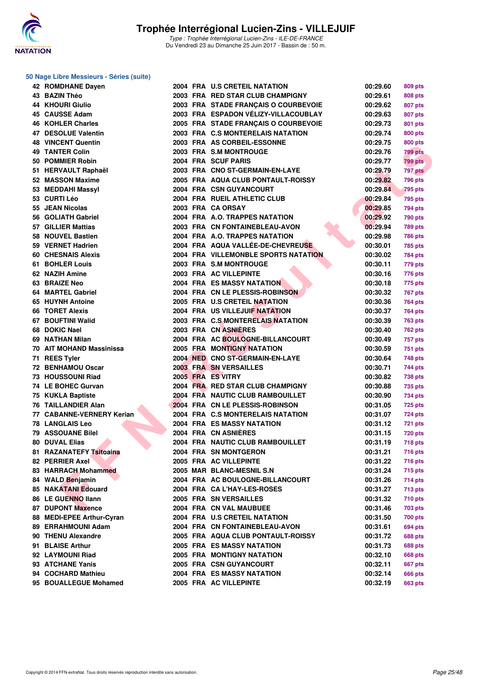![](_page_24_Picture_0.jpeg)

#### **50 Nage Libre Messieurs - Séries (suite)**

| 42 ROMDHANE Dayen          |  | 2004 FRA U.S CRETEIL NATATION               | 00:29.60 | 809 pts        |
|----------------------------|--|---------------------------------------------|----------|----------------|
| 43 BAZIN Théo              |  | 2003 FRA RED STAR CLUB CHAMPIGNY            | 00:29.61 | <b>808 pts</b> |
| 44 KHOURI Giulio           |  | 2003 FRA STADE FRANÇAIS O COURBEVOIE        | 00:29.62 | 807 pts        |
| 45 CAUSSE Adam             |  | 2003 FRA ESPADON VÉLIZY-VILLACOUBLAY        | 00:29.63 | 807 pts        |
| 46 KOHLER Charles          |  | 2005 FRA STADE FRANÇAIS O COURBEVOIE        | 00:29.73 | 801 pts        |
| 47 DESOLUE Valentin        |  | 2003 FRA C.S MONTERELAIS NATATION           | 00:29.74 | 800 pts        |
| <b>48 VINCENT Quentin</b>  |  | 2003 FRA AS CORBEIL-ESSONNE                 | 00:29.75 | 800 pts        |
| <b>49 TANTER Colin</b>     |  | 2003 FRA S.M MONTROUGE                      | 00:29.76 | <b>799 pts</b> |
| 50 POMMIER Robin           |  | 2004 FRA SCUF PARIS                         | 00:29.77 | <b>799 pts</b> |
| 51 HERVAULT Raphaël        |  | 2003 FRA CNO ST-GERMAIN-EN-LAYE             | 00:29.79 | 797 pts        |
| 52 MASSON Maxime           |  | 2005 FRA AQUA CLUB PONTAULT-ROISSY          | 00:29.82 | <b>796 pts</b> |
| 53 MEDDAHI Massyl          |  | 2004 FRA CSN GUYANCOURT                     | 00:29.84 | <b>795 pts</b> |
| 53 CURTI Léo               |  | 2004 FRA RUEIL ATHLETIC CLUB                | 00:29.84 | 795 pts        |
| 55 JEAN Nicolas            |  | 2003 FRA CA ORSAY                           | 00:29.85 | 794 pts        |
| 56 GOLIATH Gabriel         |  | 2004 FRA A.O. TRAPPES NATATION              | 00:29.92 | 790 pts        |
| 57 GILLIER Mattias         |  | 2003 FRA CN FONTAINEBLEAU-AVON              | 00:29.94 | 789 pts        |
| 58 NOUVEL Bastien          |  | 2004 FRA A.O. TRAPPES NATATION              | 00:29.98 | 786 pts        |
| 59 VERNET Hadrien          |  | 2004 FRA AQUA VALLÉE-DE-CHEVREUSE           | 00:30.01 | 785 pts        |
| <b>60 CHESNAIS Alexis</b>  |  | <b>2004 FRA VILLEMONBLE SPORTS NATATION</b> | 00:30.02 | <b>784 pts</b> |
| 61 BOHLER Louis            |  | 2003 FRA S.M MONTROUGE                      | 00:30.11 | 779 pts        |
| 62 NAZIH Amine             |  | 2003 FRA AC VILLEPINTE                      | 00:30.16 | 776 pts        |
| 63 BRAIZE Neo              |  | <b>2004 FRA ES MASSY NATATION</b>           | 00:30.18 | 775 pts        |
| 64 MARTEL Gabriel          |  | 2004 FRA CN LE PLESSIS-ROBINSON             | 00:30.32 | 767 pts        |
| 65 HUYNH Antoine           |  | 2005 FRA U.S CRETEIL NATATION               | 00:30.36 | 764 pts        |
| <b>66 TORET Alexis</b>     |  | 2004 FRA US VILLEJUIF NATATION              | 00:30.37 | <b>764 pts</b> |
| 67 BOUFTINI Walid          |  | 2003 FRA C.S MONTERELAIS NATATION           | 00:30.39 | <b>763 pts</b> |
| 68 DOKIC Nael              |  | 2003 FRA CN ASNIERES                        | 00:30.40 | 762 pts        |
| 69 NATHAN Milan            |  | 2004 FRA AC BOULOGNE-BILLANCOURT            | 00:30.49 |                |
| 70 AIT MOHAND Massinissa   |  | <b>2005 FRA MONTIGNY NATATION</b>           | 00:30.59 | <b>757 pts</b> |
|                            |  | 2004 NED CNO ST-GERMAIN-EN-LAYE             |          | 751 pts        |
| 71 REES Tyler              |  |                                             | 00:30.64 | 748 pts        |
| 72 BENHAMOU Oscar          |  | <b>2003 FRA SN VERSAILLES</b>               | 00:30.71 | 744 pts        |
| 73 HOUSSOUNI Riad          |  | 2005 FRA ES VITRY                           | 00:30.82 | 738 pts        |
| 74 LE BOHEC Gurvan         |  | 2004 FRA RED STAR CLUB CHAMPIGNY            | 00:30.88 | 735 pts        |
| 75 KUKLA Baptiste          |  | 2004 FRA NAUTIC CLUB RAMBOUILLET            | 00:30.90 | 734 pts        |
| 76 TAILLANDIER Alan        |  | 2004 FRA CN LE PLESSIS-ROBINSON             | 00:31.05 | 725 pts        |
| 77 CABANNE-VERNERY Kerian  |  | 2004 FRA C.S MONTERELAIS NATATION           | 00:31.07 | 724 pts        |
| <b>78 LANGLAIS Leo</b>     |  | <b>2004 FRA ES MASSY NATATION</b>           | 00:31.12 | <b>721 pts</b> |
| 79 ASSOUANE Bilel          |  | 2004 FRA CN ASNIERES                        | 00:31.15 | <b>720 pts</b> |
| 80 DUVAL Elias             |  | 2004 FRA NAUTIC CLUB RAMBOUILLET            | 00:31.19 | <b>718 pts</b> |
| 81 RAZANATEFY Tsitoaina    |  | 2004 FRA SN MONTGERON                       | 00:31.21 | 716 pts        |
| 82 PERRIER Axel            |  | 2005 FRA AC VILLEPINTE                      | 00:31.22 | <b>716 pts</b> |
| 83 HARRACH Mohammed        |  | 2005 MAR BLANC-MESNIL S.N                   | 00:31.24 | <b>715 pts</b> |
| 84 WALD Benjamin           |  | 2004 FRA AC BOULOGNE-BILLANCOURT            | 00:31.26 | 714 pts        |
| <b>85 NAKATANI Edouard</b> |  | 2004 FRA CA L'HAY-LES-ROSES                 | 00:31.27 | <b>713 pts</b> |
| 86 LE GUENNO Ilann         |  | 2005 FRA SN VERSAILLES                      | 00:31.32 | <b>710 pts</b> |
| 87 DUPONT Maxence          |  | 2004 FRA CN VAL MAUBUEE                     | 00:31.46 | 703 pts        |
| 88 MEDI-EPEE Arthur-Cyran  |  | 2004 FRA U.S CRETEIL NATATION               | 00:31.50 | <b>700 pts</b> |
| 89 ERRAHMOUNI Adam         |  | 2004 FRA CN FONTAINEBLEAU-AVON              | 00:31.61 | 694 pts        |
| 90 THENU Alexandre         |  | 2005 FRA AQUA CLUB PONTAULT-ROISSY          | 00:31.72 | 688 pts        |
| 91 BLAISE Arthur           |  | 2005 FRA ES MASSY NATATION                  | 00:31.73 | <b>688 pts</b> |
| 92 LAYMOUNI Riad           |  | <b>2005 FRA MONTIGNY NATATION</b>           | 00:32.10 | <b>668 pts</b> |
| 93 ATCHANE Yanis           |  | 2005 FRA CSN GUYANCOURT                     | 00:32.11 | <b>667 pts</b> |
| 94 COCHARD Mathieu         |  | 2004 FRA ES MASSY NATATION                  | 00:32.14 | <b>666 pts</b> |
| 95 BOUALLEGUE Mohamed      |  | 2005 FRA AC VILLEPINTE                      | 00:32.19 | <b>663 pts</b> |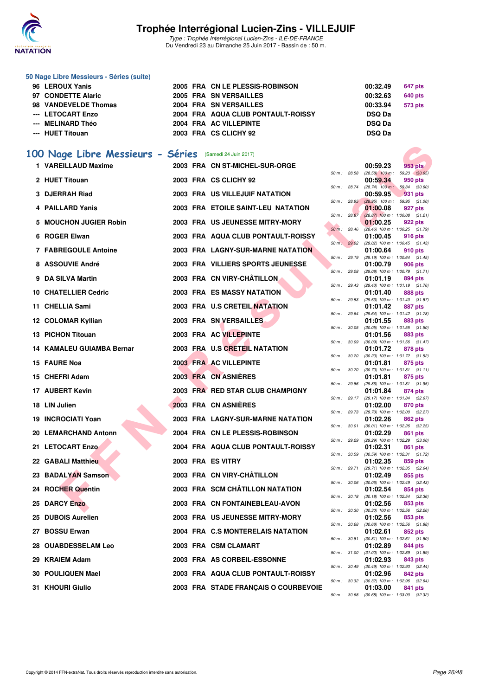![](_page_25_Picture_0.jpeg)

Type : Trophée Interrégional Lucien-Zins - ILE-DE-FRANCE Du Vendredi 23 au Dimanche 25 Juin 2017 - Bassin de : 50 m.

#### **50 Nage Libre Messieurs - Séries (suite)**

| 96 LEROUX Yanis      | 2005 FRA CN LE PLESSIS-ROBINSON    | 00:32.49<br>647 pts |
|----------------------|------------------------------------|---------------------|
| 97 CONDETTE Alaric   | 2005 FRA SN VERSAILLES             | 00:32.63<br>640 pts |
| 98 VANDEVELDE Thomas | <b>2004 FRA SN VERSAILLES</b>      | 00:33.94<br>573 pts |
| --- LETOCART Enzo    | 2004 FRA AQUA CLUB PONTAULT-ROISSY | <b>DSQ Da</b>       |
| --- MELINARD Théo    | 2004 FRA AC VILLEPINTE             | <b>DSQ Da</b>       |
| --- HUET Titouan     | 2003 FRA CS CLICHY 92              | <b>DSQ Da</b>       |
|                      |                                    |                     |

### **[100 Nage Libre Messieurs - Séries](http://www.ffnatation.fr/webffn/resultats.php?idact=nat&go=epr&idcpt=47281&idepr=52)** (Samedi 24 Juin 2017)

| 00 Nage Libre Messieurs - Séries (Samedi 24 Juin 2017) |  |                                      |                  |              |          |                                                         |
|--------------------------------------------------------|--|--------------------------------------|------------------|--------------|----------|---------------------------------------------------------|
| 1 VAREILLAUD Maxime                                    |  | 2003 FRA CN ST-MICHEL-SUR-ORGE       |                  |              | 00:59.23 | 953 pts                                                 |
| 2 HUET Titouan                                         |  | 2003 FRA CS CLICHY 92                | 50 m : 28.58     |              | 00:59.34 | $(28.58)$ 100 m : 59.23 $(30.65)$<br>950 pts            |
| 3 DJERRAH Riad                                         |  | 2003 FRA US VILLEJUIF NATATION       | 50 m : 28.74     |              | 00:59.95 | $(28.74)$ 100 m : 59.34 $(30.60)$<br>931 pts            |
| 4 PAILLARD Yanis                                       |  | 2003 FRA ETOILE SAINT-LEU NATATION   | 50 m: 28.95      |              | 01:00.08 | $(28.95)$ 100 m : 59.95 (31.00)<br>927 pts              |
| 5 MOUCHON JUGIER Robin                                 |  | 2003 FRA US JEUNESSE MITRY-MORY      | 50 m : 28.87     |              | 01:00.25 | $(28.87)$ 100 m : 1:00.08 $(31.21)$<br>922 pts          |
| 6 ROGER Elwan                                          |  | 2003 FRA AQUA CLUB PONTAULT-ROISSY   | 50 m: 28.46      |              | 01:00.45 | $(28.46)$ 100 m : 1:00.25 $(31.79)$<br>916 pts          |
| 7 FABREGOULE Antoine                                   |  | 2003 FRA LAGNY-SUR-MARNE NATATION    | 50 m: 29.02      |              | 01:00.64 | (29.02) 100 m: 1:00.45 (31.43)<br>910 pts               |
| 8 ASSOUVIE André                                       |  | 2003 FRA VILLIERS SPORTS JEUNESSE    | 50 m: 29.19      |              | 01:00.79 | $(29.19)$ 100 m : 1:00.64 $(31.45)$<br>906 pts          |
|                                                        |  |                                      | 50 m: 29.08      |              |          | (29.08) 100 m: 1:00.79 (31.71)                          |
| 9 DA SILVA Martin                                      |  | 2003 FRA CN VIRY-CHÂTILLON           |                  | 50 m : 29.43 | 01:01.19 | 894 pts<br>$(29.43)$ 100 m : 1:01.19 $(31.76)$          |
| 10 CHATELLIER Cedric                                   |  | <b>2003 FRA ES MASSY NATATION</b>    |                  | 50 m : 29.53 | 01:01.40 | 888 pts<br>(29.53) 100 m: 1:01.40 (31.87)               |
| 11 CHELLIA Sami                                        |  | 2003 FRA U.S CRETEIL NATATION        |                  |              | 01:01.42 | 887 pts                                                 |
| 12 COLOMAR Kyllian                                     |  | 2003 FRA SN VERSAILLES               |                  | 50 m : 29.64 | 01:01.55 | (29.64) 100 m: 1:01.42 (31.78)                          |
|                                                        |  |                                      |                  |              |          | 883 pts<br>50 m: 30.05 (30.05) 100 m: 1:01.55 (31.50)   |
| 13 PICHON Titouan                                      |  | 2003 FRA AC VILLEPINTE               |                  |              | 01:01.56 | 883 pts                                                 |
| 14 KAMALEU GUIAMBA Bernar                              |  | 2003 FRA U.S CRETEIL NATATION        | 50 m : 30.09     |              | 01:01.72 | $(30.09)$ 100 m : 1:01.56 $(31.47)$<br>878 pts          |
| 15 FAURE Noa                                           |  | 2003 FRA AC VILLEPINTE               | $50 m$ : $30.20$ |              | 01:01.81 | $(30.20)$ 100 m : 1:01.72 $(31.52)$<br>875 pts          |
|                                                        |  |                                      | 50 m : 30.70     |              |          | $(30.70)$ 100 m : 1:01.81 $(31.11)$                     |
| 15 CHEFRI Adam                                         |  | 2003 FRA CN ASNIÈRES                 |                  |              | 01:01.81 | 875 pts                                                 |
| 17 AUBERT Kevin                                        |  | 2003 FRA RED STAR CLUB CHAMPIGNY     | 50 m: 29.86      | 50 m : 29.17 | 01:01.84 | (29.86) 100 m: 1:01.81 (31.95)<br>874 pts               |
| 18 LIN Julien                                          |  | 2003 FRA CN ASNIERES                 |                  |              | 01:02.00 | (29.17) 100 m : 1:01.84 (32.67)<br>870 pts              |
| 19 INCROCIATI Yoan                                     |  | 2003 FRA LAGNY-SUR-MARNE NATATION    |                  | 50 m : 29.73 | 01:02.26 | (29.73) 100 m : 1:02.00 (32.27)<br>862 pts              |
| 20 LEMARCHAND Antonn                                   |  | 2004 FRA CN LE PLESSIS-ROBINSON      | 50 m : 30.01     |              | 01:02.29 | $(30.01)$ 100 m : 1:02.26 $(32.25)$<br>861 pts          |
|                                                        |  |                                      | 50 m : 29.29     |              |          | (29.29) 100 m : 1:02.29 (33.00)                         |
| <b>21 LETOCART Enzo</b>                                |  | 2004 FRA AQUA CLUB PONTAULT-ROISSY   | 50 m: 30.59      |              | 01:02.31 | 861 pts<br>$(30.59)$ 100 m : 1:02.31 $(31.72)$          |
| 22 GABALI Matthieu                                     |  | 2003 FRA ES VITRY                    |                  | 50 m : 29.71 | 01:02.35 | 859 pts<br>(29.71) 100 m: 1:02.35 (32.64)               |
| 23 BADALYAN Samson                                     |  | 2003 FRA CN VIRY-CHÂTILLON           |                  |              | 01:02.49 | 855 pts                                                 |
| 24 ROCHER Quentin                                      |  | 2003 FRA SCM CHÂTILLON NATATION      |                  | 50 m : 30.06 | 01:02.54 | $(30.06)$ 100 m : 1:02.49 $(32.43)$<br>854 pts          |
|                                                        |  |                                      |                  | 50 m : 30.18 |          | $(30.18)$ 100 m : 1:02.54 $(32.36)$                     |
| <b>25 DARCY Enzo</b>                                   |  | 2003 FRA CN FONTAINEBLEAU-AVON       |                  |              | 01:02.56 | 853 pts<br>50 m : 30.30 (30.30) 100 m : 1:02.56 (32.26) |
| 25 DUBOIS Aurelien                                     |  | 2003 FRA US JEUNESSE MITRY-MORY      | 50 m: 30.68      |              | 01:02.56 | 853 pts<br>$(30.68)$ 100 m : 1:02.56 $(31.88)$          |
| 27 BOSSU Erwan                                         |  | 2004 FRA C.S MONTERELAIS NATATION    |                  |              | 01:02.61 | 852 pts                                                 |
| 28   OUABDESSELAM Leo                                  |  | 2003 FRA CSM CLAMART                 |                  | 50 m : 30.81 | 01:02.89 | $(30.81)$ 100 m : 1:02.61 $(31.80)$<br>844 pts          |
| 29 KRAIEM Adam                                         |  | 2003 FRA AS CORBEIL-ESSONNE          |                  | 50 m : 31.00 | 01:02.93 | $(31.00)$ 100 m : 1:02.89 $(31.89)$<br>843 pts          |
| 30 POULIQUEN Mael                                      |  | 2003 FRA AQUA CLUB PONTAULT-ROISSY   |                  | 50 m : 30.49 | 01:02.96 | $(30.49)$ 100 m : 1:02.93 $(32.44)$<br>842 pts          |
|                                                        |  |                                      |                  |              |          | 50 m : 30.32 (30.32) 100 m : 1:02.96 (32.64)            |
| 31 KHOURI Giulio                                       |  | 2003 FRA STADE FRANCAIS O COURBEVOIE |                  |              | 01:03.00 | 841 pts                                                 |

| 0:32.49       | 647 pts |
|---------------|---------|
| 0:32.63       | 640 pts |
| 0:33.94       | 573 pts |
| <b>DSQ Da</b> |         |
| <b>DSQ Da</b> |         |
| )SQ Da        |         |
|               |         |

|          |       | 00:59.23          | 953 pts            |
|----------|-------|-------------------|--------------------|
| 50 m :   | 28.58 | $(28.58)$ 100 m : | 59.23 (30.65)      |
|          |       | 00:59.34          | 950 pts            |
| $50 m$ : | 28.74 | $(28.74)$ 100 m : | 59.34<br>(30.60)   |
|          |       | 00:59.95          | 931<br>pts         |
| $50 m$ : | 28.95 | $(28.95)$ 100 m : | (31.00)<br>59.95   |
|          |       | 01:00.08          |                    |
|          |       |                   | 927 pts            |
| $50 m$ : | 28.87 | $(28.87)$ 100 m : | 1:00.08<br>(31.21) |
|          |       | 01:00.25          | 922 pts            |
| $50 m$ : | 28.46 | $(28.46)$ 100 m : | 1:00.25<br>(31.79) |
|          |       | 01:00.45          | 916 pts            |
| 50 m:    | 29.02 | $(29.02)$ 100 m : | 1:00.45<br>(31.43) |
|          |       | 01:00.64          | 910 pts            |
| $50 m$ : | 29.19 | (29.19) 100 m :   | 1:00.64<br>(31.45) |
|          |       | 01:00.79          | 906 pts            |
| $50 m$ : | 29.08 | (29.08) 100 m :   | 1:00.79<br>(31.71) |
|          |       | 01:01.19          | 894 pts            |
| 50 m :   | 29.43 | (29.43) 100 m :   | 1:01.19<br>(31.76) |
|          |       | 01:01.40          | 888 pts            |
| $50 m$ : | 29.53 | (29.53) 100 m :   | 1:01.40<br>(31.87) |
|          |       | 01:01.42          | 887<br>pts         |
| $50 m$ : | 29.64 | $(29.64) 100 m$ : | 1:01.42<br>(31.78) |
|          |       | 01:01.55          | 883 pts            |
|          | 30.05 | $(30.05)$ 100 m : |                    |
| 50 m :   |       |                   | 1:01.55<br>(31.50) |
|          |       | 01:01.56          | 883 pts            |
| $50 m$ : | 30.09 | $(30.09)$ 100 m : | 1:01.56<br>(31.47) |
|          |       | 01:01.72          | 878 pts            |
| 50 m :   | 30.20 | $(30.20)$ 100 m : | 1:01.72<br>(31.52) |
|          |       | 01:01.81          | 875 pts            |
| $50 m$ : | 30.70 | $(30.70)$ 100 m : | (31.11)<br>1:01.81 |
|          |       | 01:01.81          | 875 pts            |
| $50 m$ : | 29.86 | (29.86) 100 m :   | 1:01.81<br>(31.95) |
|          |       | 01:01.84          | 874 pts            |
| 50 m :   | 29.17 | (29.17) 100 m :   | 1:01.84<br>(32.67) |
|          |       | 01:02.00          | 870 pts            |
| 50 m :   | 29.73 | (29.73) 100 m :   | 1:02.00<br>(32.27) |
|          |       | 01:02.26          | 862 pts            |
| $50 m$ : | 30.01 | $(30.01)$ 100 m : | 1:02.26<br>(32.25) |
|          |       | 01:02.29          | 861<br>pts         |
| 50 m :   | 29.29 | (29.29) 100 m :   | 1:02.29<br>(33.00) |
|          |       | 01:02.31          | 861<br>pts         |
| 50 m :   | 30.59 | $(30.59)$ 100 m : | 1:02.31<br>(31.72) |
|          |       | 01:02.35          | 859 pts            |
| $50 m$ : | 29.71 | (29.71) 100 m :   | 1:02.35<br>(32.64) |
|          |       | 01:02.49          | 855 pts            |
| $50 m$ : | 30.06 | $(30.06)$ 100 m : | 1:02.49<br>(32.43) |
|          |       |                   | 854 pts            |
|          |       | 01:02.54          |                    |
| 50 m :   | 30.18 | $(30.18) 100 m$ : | 1:02.54<br>(32.36) |
|          |       | 01:02.56          | 853 pts            |
| $50 m$ : | 30.30 | $(30.30)$ 100 m : | 1:02.56<br>(32.26) |
|          |       | 01:02.56          | 853 pts            |
| 50 m :   | 30.68 | $(30.68) 100 m$ : | 1:02.56<br>(31.88) |
|          |       | 01:02.61          | 852 pts            |
| $50 m$ : | 30.81 | $(30.81)$ 100 m : | 1:02.61<br>(31.80) |
|          |       | 01:02.89          | 844 pts            |
| $50 m$ : | 31.00 | $(31.00) 100 m$ : | 1:02.89<br>(31.89) |
|          |       | 01:02.93          | 843 pts            |
| $50 m$ : | 30.49 | $(30.49) 100 m$ : | 1:02.93<br>(32.44) |
|          |       | 01:02.96          | 842 pts            |
| 50 m :   | 30.32 | $(30.32)$ 100 m : | 1:02.96<br>(32.64) |
|          |       | 01:03.00          | 841 pts            |
| 50 m :   | 30.68 | $(30.68) 100 m$ : | 1:03.00 (32.32)    |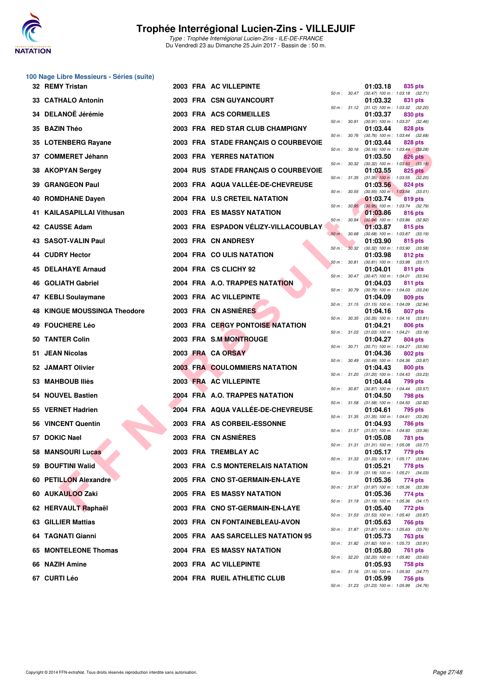![](_page_26_Picture_0.jpeg)

|    | 100 Nage Libre Messieurs - Séries (suite) |  |                                      |              |              |                                                          |                                                |
|----|-------------------------------------------|--|--------------------------------------|--------------|--------------|----------------------------------------------------------|------------------------------------------------|
|    | 32 REMY Tristan                           |  | 2003 FRA AC VILLEPINTE               |              | 50 m : 30.47 | 01:03.18                                                 | 835 pts<br>$(30.47)$ 100 m : 1:03.18 $(32.71)$ |
|    | 33 CATHALO Antonin                        |  | 2003 FRA CSN GUYANCOURT              |              |              | 01:03.32<br>50 m: 31.12 (31.12) 100 m: 1:03.32 (32.20)   | 831 pts                                        |
|    | 34 DELANOË Jérémie                        |  | 2003 FRA ACS CORMEILLES              |              |              | 01:03.37                                                 | 830 pts                                        |
|    | 35 BAZIN Théo                             |  | 2003 FRA RED STAR CLUB CHAMPIGNY     | 50 m : 30.91 |              | 01:03.44                                                 | (30.91) 100 m: 1:03.37 (32.46)<br>828 pts      |
|    | 35 LOTENBERG Rayane                       |  | 2003 FRA STADE FRANÇAIS O COURBEVOIE | 50 m : 30.76 |              | 01:03.44                                                 | $(30.76)$ 100 m : 1:03.44 $(32.68)$<br>828 pts |
|    | 37 COMMERET Jéhann                        |  | <b>2003 FRA YERRES NATATION</b>      | 50 m: 30.16  |              | 01:03.50                                                 | $(30.16)$ 100 m : 1:03.44 $(33.28)$<br>826 pts |
|    | 38 AKOPYAN Sergey                         |  | 2004 RUS STADE FRANÇAIS O COURBEVOIE | 50 m : 30.32 |              | 01:03.55                                                 | $(30.32)$ 100 m : 1:03.50 $(33.18)$<br>825 pts |
|    | 39 GRANGEON Paul                          |  | 2003 FRA AQUA VALLÉE-DE-CHEVREUSE    |              | 50 m : 31.35 | 01:03.56                                                 | $(31.35)$ 100 m : 1:03.55 $(32.20)$<br>824 pts |
| 40 | <b>ROMDHANE Dayen</b>                     |  | 2004 FRA U.S CRETEIL NATATION        | 50 m : 30.55 |              | 01:03.74                                                 | $(30.55)$ 100 m : 1:03.56 $(33.01)$<br>819 pts |
|    | 41 KAILASAPILLAI Vithusan                 |  | 2003 FRA ES MASSY NATATION           | 50 m: 30.95  |              | 01:03.86                                                 | (30.95) 100 m : 1:03.74 (32.79)<br>816 pts     |
|    | 42 CAUSSE Adam                            |  | 2003 FRA ESPADON VELIZY-VILLACOUBLAY | 50 m : 30.94 |              | 01:03.87                                                 | $(30.94)$ 100 m : 1:03.86 $(32.92)$<br>815 pts |
|    | 43 SASOT-VALIN Paul                       |  | 2003 FRA CN ANDRESY                  | $50 m$ :     | 30.68        | 01:03.90                                                 | (30.68) 100 m: 1:03.87 (33.19)<br>815 pts      |
|    | 44 CUDRY Hector                           |  | 2004 FRA COULIS NATATION             | 50 m: 30.32  |              | 01:03.98                                                 | (30.32) 100 m: 1:03.90 (33.58)<br>812 pts      |
|    | 45 DELAHAYE Arnaud                        |  | 2004 FRA CS CLICHY 92                | 50 m: 30.81  |              | 01:04.01                                                 | $(30.81)$ 100 m : 1:03.98 $(33.17)$<br>811 pts |
|    | <b>46 GOLIATH Gabriel</b>                 |  | 2004 FRA A.O. TRAPPES NATATION       |              |              | 50 m: 30.47 (30.47) 100 m: 1:04.01 (33.54)<br>01:04.03   | 811 pts                                        |
|    | 47 KEBLI Soulaymane                       |  | 2003 FRA AC VILLEPINTE               | 50 m : 30.79 |              | 01:04.09                                                 | $(30.79)$ 100 m : 1:04.03 $(33.24)$<br>809 pts |
|    | <b>48 KINGUE MOUSSINGA Theodore</b>       |  | 2003 FRA CN ASNIERES                 | 50 m : 31.15 |              | $(31.15)$ 100 m : 1:04.09 $(32.94)$<br>01:04.16          | 807 pts                                        |
|    | 49 FOUCHERE Léo                           |  | 2003 FRA CERGY PONTOISE NATATION     | 50 m : 30.35 |              | 01:04.21                                                 | $(30.35)$ 100 m : 1:04.16 $(33.81)$<br>806 pts |
|    | 50 TANTER Colin                           |  | 2003 FRA S.M MONTROUGE               | 50 m : 31.03 |              | 01:04.27                                                 | $(31.03)$ 100 m : 1:04.21 $(33.18)$<br>804 pts |
|    | 51 JEAN Nicolas                           |  | 2003 FRA CA ORSAY                    | 50 m : 30.71 |              | 01:04.36                                                 | (30.71) 100 m: 1:04.27 (33.56)<br>802 pts      |
|    |                                           |  | <b>2003 FRA COULOMMIERS NATATION</b> | 50 m : 30.49 |              |                                                          | (30.49) 100 m: 1:04.36 (33.87)                 |
|    | 52 JAMART Olivier                         |  |                                      |              | 50 m : 31.20 | 01:04.43<br>$(31.20)$ 100 m : 1:04.43 $(33.23)$          | 800 pts                                        |
|    | 53 MAHBOUB Iliès                          |  | 2003 FRA AC VILLEPINTE               | 50 m : 30.87 |              | 01:04.44                                                 | 799 pts<br>(30.87) 100 m: 1:04.44 (33.57)      |
|    | 54 NOUVEL Bastien                         |  | 2004 FRA A.O. TRAPPES NATATION       | 50 m : 31.58 |              | 01:04.50                                                 | 798 pts<br>$(31.58)$ 100 m : 1:04.50 $(32.92)$ |
|    | 55 VERNET Hadrien                         |  | 2004 FRA AQUA VALLÉE-DE-CHEVREUSE    |              |              | 01:04.61<br>50 m: 31.35 (31.35) 100 m: 1:04.61 (33.26)   | 795 pts                                        |
|    | 56 VINCENT Quentin                        |  | 2003 FRA AS CORBEIL-ESSONNE          |              | 50 m : 31.57 | 01:04.93<br>$(31.57)$ 100 m : 1:04.93 $(33.36)$          | 786 pts                                        |
|    | 57 DOKIC Nael                             |  | 2003 FRA CN ASNIERES                 |              |              | 01:05.08<br>50 m: 31.31 (31.31) 100 m: 1:05.08 (33.77)   | <b>781 pts</b>                                 |
|    | <b>58 MANSOURI Lucas</b>                  |  | 2003 FRA TREMBLAY AC                 |              |              | 01:05.17<br>50 m: 31.33 (31.33) 100 m: 1:05.17 (33.84)   | 779 pts                                        |
|    | 59 BOUFTINI Walid                         |  | 2003 FRA C.S MONTERELAIS NATATION    |              | 50 m: 31.18  | 01:05.21<br>$(31.18)$ 100 m : 1:05.21 $(34.03)$          | 778 pts                                        |
|    | 60 PETILLON Alexandre                     |  | 2005 FRA CNO ST-GERMAIN-EN-LAYE      |              | 50 m : 31.97 | 01:05.36                                                 | 774 pts<br>$(31.97)$ 100 m : 1:05.36 $(33.39)$ |
|    | 60 AUKAULOO Zaki                          |  | 2005 FRA ES MASSY NATATION           |              |              | 01:05.36<br>50 m : 31.19 (31.19) 100 m : 1:05.36 (34.17) | 774 pts                                        |
|    | 62 HERVAULT Raphaël                       |  | 2003 FRA CNO ST-GERMAIN-EN-LAYE      |              | 50 m : 31.53 | 01:05.40<br>$(31.53)$ 100 m : 1:05.40 $(33.87)$          | 772 pts                                        |
|    | 63 GILLIER Mattias                        |  | 2003 FRA CN FONTAINEBLEAU-AVON       |              |              | 01:05.63<br>50 m: 31.87 (31.87) 100 m: 1:05.63 (33.76)   | 766 pts                                        |
|    | 64 TAGNATI Gianni                         |  | 2005 FRA AAS SARCELLES NATATION 95   |              |              | 01:05.73<br>50 m : 31.82 (31.82) 100 m : 1:05.73 (33.91) | 763 pts                                        |
|    | 65 MONTELEONE Thomas                      |  | 2004 FRA ES MASSY NATATION           |              | 50 m : 32.20 | 01:05.80                                                 | 761 pts<br>$(32.20)$ 100 m : 1:05.80 $(33.60)$ |
|    | 66 NAZIH Amine                            |  | 2003 FRA AC VILLEPINTE               |              | 50 m : 31.16 | 01:05.93                                                 | 758 pts<br>$(31.16)$ 100 m : 1:05.93 $(34.77)$ |
|    | 67 CURTI Léo                              |  | 2004 FRA RUEIL ATHLETIC CLUB         |              |              | 01:05.99                                                 | 756 pts                                        |

| $50 m$ : | 30.47 | 01:03.18<br>$(30.47)$ 100 m : | 835 pts<br>1:03.18<br>(32.71)        |
|----------|-------|-------------------------------|--------------------------------------|
|          |       | 01:03.32                      | 831 pts                              |
| $50 m$ : | 31.12 | $(31.12) 100 m$ :<br>01:03.37 | 1:03.32<br>(32.20)<br>830 pts        |
| $50 m$ : | 30.91 | $(30.91)$ 100 m :             | 1:03.37<br>(32.46)                   |
| $50 m$ : |       | 01:03.44                      | <b>828 pts</b>                       |
|          | 30.76 | $(30.76)$ 100 m :<br>01:03.44 | 1:03.44<br>(32.68)<br><b>828 pts</b> |
| $50 m$ : | 30.16 | $(30.16) 100 m$ :             | 1:03.44<br>(33.28)                   |
| $50 m$ : | 30.32 | 01:03.50<br>$(30.32)$ 100 m : | 826 pts<br>1:03.50<br>(33.18)        |
|          |       | 01:03.55                      | <b>825 pts</b>                       |
| $50 m$ : | 31.35 | $(31.35)$ 100 m :<br>01:03.56 | 1:03.55<br>(32.20)<br><b>824 pts</b> |
| $50 m$ : | 30.55 | $(30.55)$ 100 m :             | 1:03.56<br>(33.01)                   |
| $50 m$ : | 30.95 | 01:03.74<br>$(30.95)$ 100 m : | 819 pts<br>1:03.74<br>(32.79)        |
|          |       | 01:03.86                      | 816 pts                              |
| $50 m$ : | 30.94 | $(30.94)$ 100 m :<br>01:03.87 | 1:03.86<br>(32.92)<br>815 pts        |
| $50 m$ : | 30.68 | $(30.68) 100 m$ :             | 1:03.87<br>(33.19)                   |
|          |       | 01:03.90                      | 815 pts                              |
| $50 m$ : | 30.32 | $(30.32)$ 100 m :<br>01:03.98 | 1:03.90<br>(33.58)<br>812 pts        |
| $50 m$ : | 30.81 | $(30.81)$ 100 m :             | 1:03.98<br>(33.17)                   |
| $50 m$ : | 30.47 | 01:04.01<br>$(30.47) 100 m$ : | 811 pts<br>1:04.01<br>(33.54)        |
|          |       | 01:04.03                      | 811 pts                              |
| $50 m$ : | 30.79 | $(30.79)$ 100 m :<br>01:04.09 | 1:04.03<br>(33.24)<br>809 pts        |
| $50 m$ : | 31.15 | $(31.15) 100 m$ :             | 1:04.09<br>(32.94)                   |
| $50 m$ : | 30.35 | 01:04.16<br>$(30.35)$ 100 m : | <b>807 pts</b><br>1:04.16<br>(33.81) |
|          |       | 01:04.21                      | <b>806 pts</b>                       |
| $50 m$ : | 31.03 | $(31.03) 100 m$ :<br>01:04.27 | 1:04.21<br>(33.18)                   |
| $50 m$ : | 30.71 | $(30.71)$ 100 m :             | <b>804 pts</b><br>1:04.27<br>(33.56) |
|          |       | 01:04.36                      | 802 pts                              |
| 50 m :   | 30.49 | $(30.49) 100 m$ :<br>01:04.43 | 1:04.36<br>(33.87)<br><b>800 pts</b> |
| $50 m$ : | 31.20 | $(31.20)$ 100 m :             | 1:04.43<br>(33.23)                   |
| $50 m$ : | 30.87 | 01:04.44<br>$(30.87)$ 100 m : | 799 pts<br>1:04.44<br>(33.57)        |
|          |       | 01:04.50                      | <b>798 pts</b>                       |
| 50 m :   | 31.58 | $(31.58) 100 m$ :<br>01:04.61 | 1:04.50<br>(32.92)<br><b>795 pts</b> |
| $50 m$ : | 31.35 | $(31.35) 100 m$ :             | (33.26)<br>1:04.61                   |
| $50 m$ : | 31.57 | 01:04.93<br>$(31.57) 100 m$ : | <b>786 pts</b><br>1:04.93<br>(33.36) |
|          |       | 01:05.08                      | <b>781 pts</b>                       |
| $50 m$ : | 31.31 | $(31.31)$ 100 m :<br>01:05.17 | 1:05.08<br>(33.77)<br>779 pts        |
| 50 m :   | 31.33 | $(31.33) 100 m$ :             | 1:05.17<br>(33.84)                   |
| $50 m$ : | 31.18 | 01:05.21<br>$(31.18) 100 m$ : | 778 pts<br>1:05.21<br>(34.03)        |
|          |       | 01:05.36                      | 774 pts                              |
| $50 m$ : | 31.97 | $(31.97) 100 m$ :<br>01:05.36 | 1:05.36<br>(33.39)<br>774 pts        |
| $50 m$ : | 31.19 | $(31.19) 100 m$ :             | 1:05.36<br>(34.17)                   |
|          |       | 01:05.40                      | 772 pts                              |
| $50 m$ : | 31.53 | (31.53) 100 m :<br>01:05.63   | 1:05.40<br>(33.87)<br><b>766 pts</b> |
| $50 m$ : | 31.87 | $(31.87) 100 m$ :             | 1:05.63<br>(33.76)                   |
| $50 m$ : | 31.82 | 01:05.73<br>$(31.82) 100 m$ : | 763 pts<br>1:05.73<br>(33.91)        |
|          |       | 01:05.80                      | <b>761 pts</b>                       |
| $50 m$ : | 32.20 | (32.20) 100 m :<br>01:05.93   | 1:05.80<br>(33.60)<br><b>758 pts</b> |
| 50 m :   | 31.16 | $(31.16) 100 m$ :             | 1:05.93<br>(34.77)                   |
| 50 m :   | 31.23 | 01:05.99<br>$(31.23) 100 m$ : | <b>756 pts</b><br>1:05.99<br>(34.76) |
|          |       |                               |                                      |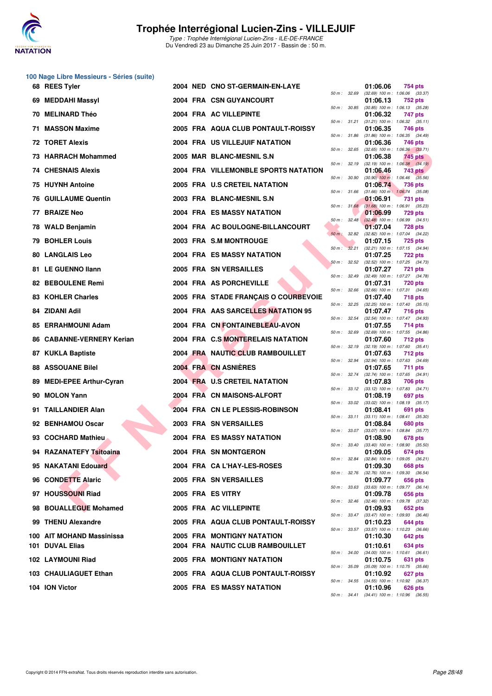![](_page_27_Picture_0.jpeg)

|    | 100 Nage Libre Messieurs - Séries (suite) |  |                                      |              |              |                                                                   |
|----|-------------------------------------------|--|--------------------------------------|--------------|--------------|-------------------------------------------------------------------|
|    | 68 REES Tyler                             |  | 2004 NED CNO ST-GERMAIN-EN-LAYE      | 50 m : 32.69 |              | 01:06.06<br>754 pts<br>$(32.69)$ 100 m : 1:06.06 $(33.37)$        |
| 69 | <b>MEDDAHI Massyl</b>                     |  | 2004 FRA CSN GUYANCOURT              | 50 m : 30.85 |              | 01:06.13<br>752 pts<br>$(30.85)$ 100 m : 1:06.13 $(35.28)$        |
| 70 | <b>MELINARD Théo</b>                      |  | 2004 FRA AC VILLEPINTE               | 50 m: 31.21  |              | 01:06.32<br>747 pts                                               |
|    | 71 MASSON Maxime                          |  | 2005 FRA AQUA CLUB PONTAULT-ROISSY   |              |              | $(31.21)$ 100 m : 1:06.32 $(35.11)$<br>01:06.35<br>746 pts        |
|    | 72 TORET Alexis                           |  | 2004 FRA US VILLEJUIF NATATION       | 50 m : 31.86 |              | $(31.86)$ 100 m : 1:06.35 $(34.49)$<br>01:06.36<br>746 pts        |
|    | 73 HARRACH Mohammed                       |  | 2005 MAR BLANC-MESNIL S.N.           | 50 m: 32.65  |              | $(32.65)$ 100 m : 1:06.36 $(33.71)$<br>01:06.38<br>745 pts        |
| 74 | <b>CHESNAIS Alexis</b>                    |  | 2004 FRA VILLEMONBLE SPORTS NATATION | 50 m: 32.19  |              | $(32.19)$ 100 m : 1:06.38 $(34.19)$<br>01:06.46<br><b>743 pts</b> |
| 75 | <b>HUYNH Antoine</b>                      |  | 2005 FRA U.S CRETEIL NATATION        | 50 m: 30.90  |              | $(30.90)$ 100 m : 1:06.46 $(35.56)$<br>01:06.74<br>736 pts        |
|    | <b>76 GUILLAUME Quentin</b>               |  | 2003 FRA BLANC-MESNIL S.N            | 50 m: 31.66  |              | $(31.66)$ 100 m : 1:06.74 $(35.08)$<br>01:06.91<br>731 pts        |
| 77 | <b>BRAIZE Neo</b>                         |  | <b>2004 FRA ES MASSY NATATION</b>    | 50 m: 31.68  |              | $(31.68)$ 100 m : 1:06.91 $(35.23)$<br>01:06.99<br><b>729 pts</b> |
|    | 78 WALD Benjamin                          |  | 2004 FRA AC BOULOGNE-BILLANCOURT     | 50 m : 32.48 |              | $(32.48)$ 100 m : 1:06.99 $(34.51)$<br>01:07.04<br>728 pts        |
| 79 | <b>BOHLER Louis</b>                       |  | 2003 FRA S.M MONTROUGE               | $50 m$ :     | 32.82        | (32.82) 100 m: 1:07.04 (34.22)<br>01:07.15<br><b>725 pts</b>      |
|    | <b>80 LANGLAIS Leo</b>                    |  | <b>2004 FRA ES MASSY NATATION</b>    | 50 m: 32.21  |              | (32.21) 100 m: 1:07.15 (34.94)<br>01:07.25<br><b>722 pts</b>      |
|    | 81 LE GUENNO Ilann                        |  | 2005 FRA SN VERSAILLES               | 50 m: 32.52  |              | (32.52) 100 m: 1:07.25 (34.73)<br>01:07.27<br>721 pts             |
|    | 82 BEBOULENE Remi                         |  | 2004 FRA AS PORCHEVILLE              | 50 m: 32.49  |              | (32.49) 100 m: 1:07.27 (34.78)<br>01:07.31<br><b>720 pts</b>      |
|    | <b>83 KOHLER Charles</b>                  |  | 2005 FRA STADE FRANÇAIS O COURBEVOIE | 50 m: 32.66  |              | $(32.66)$ 100 m : 1:07.31 $(34.65)$<br>01:07.40<br><b>718 pts</b> |
| 84 | <b>ZIDANI Adil</b>                        |  | 2004 FRA AAS SARCELLES NATATION 95   | 50 m : 32.25 |              | (32.25) 100 m: 1:07.40 (35.15)<br>01:07.47<br>716 pts             |
|    | 85 ERRAHMOUNI Adam                        |  | 2004 FRA CN FONTAINEBLEAU-AVON       | 50 m: 32.54  |              | (32.54) 100 m : 1:07.47 (34.93)<br>01:07.55<br>714 pts            |
| 86 | <b>CABANNE-VERNERY Kerian</b>             |  | 2004 FRA C.S MONTERELAIS NATATION    | 50 m: 32.69  |              | (32.69) 100 m: 1:07.55 (34.86)<br>01:07.60<br>712 pts             |
| 87 | <b>KUKLA Baptiste</b>                     |  | 2004 FRA NAUTIC CLUB RAMBOUILLET     | 50 m : 32.19 |              | $(32.19)$ 100 m : 1:07.60 $(35.41)$<br>01:07.63<br><b>712 pts</b> |
| 88 | <b>ASSOUANE Bilel</b>                     |  | 2004 FRA CN ASNIERES                 | 50 m : 32.94 |              | (32.94) 100 m: 1:07.63 (34.69)                                    |
|    |                                           |  |                                      | 50 m: 32.74  |              | 01:07.65<br>711 pts<br>(32.74) 100 m: 1:07.65 (34.91)             |
| 89 | <b>MEDI-EPEE Arthur-Cyran</b>             |  | 2004 FRA U.S CRETEIL NATATION        | 50 m : 33.12 |              | 01:07.83<br>706 pts<br>$(33.12)$ 100 m : 1:07.83 $(34.71)$        |
| 90 | <b>MOLON Yann</b>                         |  | 2004 FRA CN MAISONS-ALFORT           | 50 m: 33.02  |              | 01:08.19<br>697 pts<br>$(33.02)$ 100 m : 1:08.19 $(35.17)$        |
| 91 | <b>TAILLANDIER Alan</b>                   |  | 2004 FRA CN LE PLESSIS-ROBINSON      | 50 m : 33.11 |              | 01:08.41<br>691 pts<br>$(33.11)$ 100 m : 1:08.41 $(35.30)$        |
|    | 92 BENHAMOU Oscar                         |  | 2003 FRA SN VERSAILLES               | 50 m : 33.07 |              | 01:08.84<br><b>680 pts</b><br>$(33.07)$ 100 m : 1:08.84 $(35.77)$ |
|    | 93 COCHARD Mathieu                        |  | 2004 FRA ES MASSY NATATION           | 50 m : 33.40 |              | 01:08.90<br>678 pts<br>(33.40) 100 m : 1:08.90 (35.50)            |
|    | 94 RAZANATEFY Tsitoaina                   |  | 2004 FRA SN MONTGERON                | 50 m : 32.84 |              | 01:09.05<br>674 pts<br>$(32.84)$ 100 m : 1:09.05 $(36.21)$        |
|    | 95 NAKATANI Edouard                       |  | 2004 FRA CA L'HAY-LES-ROSES          | 50 m : 32.76 |              | 01:09.30<br>668 pts<br>$(32.76)$ 100 m : 1:09.30 $(36.54)$        |
|    | 96 CONDETTE Alaric                        |  | 2005 FRA SN VERSAILLES               | 50 m: 33.63  |              | 01:09.77<br>656 pts<br>$(33.63)$ 100 m : 1:09.77 $(36.14)$        |
|    | 97 HOUSSOUNI Riad                         |  | 2005 FRA ES VITRY                    | 50 m: 32.46  |              | 01:09.78<br>656 pts<br>(32.46) 100 m: 1:09.78 (37.32)             |
|    | 98 BOUALLEGUE Mohamed                     |  | 2005 FRA AC VILLEPINTE               | 50 m : 33.47 |              | 01:09.93<br>652 pts<br>$(33.47)$ 100 m : 1:09.93 $(36.46)$        |
|    | 99 THENU Alexandre                        |  | 2005 FRA AQUA CLUB PONTAULT-ROISSY   | 50 m : 33.57 |              | 01:10.23<br>644 pts<br>(33.57) 100 m: 1:10.23 (36.66)             |
|    | 100 AIT MOHAND Massinissa                 |  | 2005 FRA MONTIGNY NATATION           |              |              | 01:10.30<br>642 pts                                               |
|    | 101 DUVAL Elias                           |  | 2004 FRA NAUTIC CLUB RAMBOUILLET     | 50 m: 34.00  |              | 01:10.61<br>634 pts<br>$(34.00)$ 100 m : 1:10.61 $(36.61)$        |
|    | 102 LAYMOUNI Riad                         |  | <b>2005 FRA MONTIGNY NATATION</b>    | 50 m : 35.09 |              | 01:10.75<br>631 pts<br>$(35.09)$ 100 m : 1:10.75 $(35.66)$        |
|    | 103 CHAULIAGUET Ethan                     |  | 2005 FRA AQUA CLUB PONTAULT-ROISSY   | 50 m : 34.55 |              | 01:10.92<br>627 pts<br>(34.55) 100 m : 1:10.92 (36.37)            |
|    | 104 ION Victor                            |  | 2005 FRA ES MASSY NATATION           |              | 50 m : 34.41 | 01:10.96<br>626 pts<br>$(34.41)$ 100 m : 1:10.96 $(36.55)$        |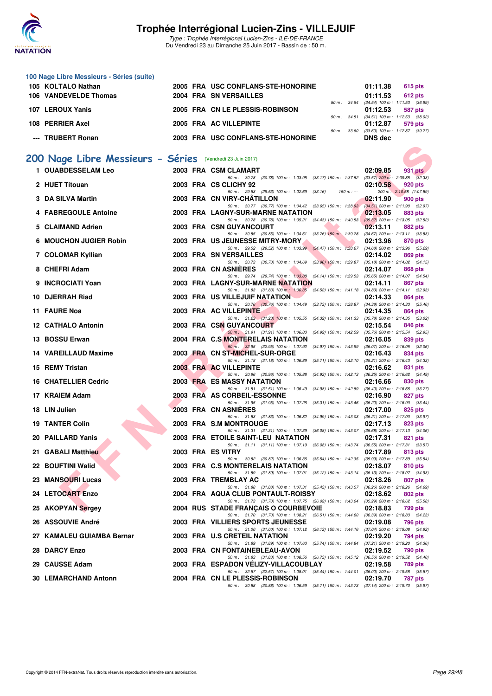![](_page_28_Picture_0.jpeg)

| 100 Nage Libre Messieurs - Séries (suite) |                                    |                                            |
|-------------------------------------------|------------------------------------|--------------------------------------------|
| 105 KOLTALO Nathan                        | 2005 FRA USC CONFLANS-STE-HONORINE | 01:11.38<br>615 pts                        |
| 106 VANDEVELDE Thomas                     | <b>2004 FRA SN VERSAILLES</b>      | 01:11.53<br><b>612 pts</b>                 |
|                                           |                                    | 50 m: 34.54 (34.54) 100 m: 1:11.53 (36.99) |
| 107 LEROUX Yanis                          | 2005 FRA CN LE PLESSIS-ROBINSON    | 01:12.53<br>587 pts                        |
|                                           |                                    | 50 m: 34.51 (34.51) 100 m: 1:12.53 (38.02) |
| 108 PERRIER Axel                          | 2005 FRA AC VILLEPINTE             | 01:12.87<br>579 pts                        |
|                                           | 50 m: 33.60                        | $(33.60)$ 100 m : 1:12.87 $(39.27)$        |
| --- TRUBERT Ronan                         | 2003 FRA USC CONFLANS-STE-HONORINE | DNS dec                                    |

### **[200 Nage Libre Messieurs - Séries](http://www.ffnatation.fr/webffn/resultats.php?idact=nat&go=epr&idcpt=47281&idepr=53)** (Vendredi 23 Juin 2017)

| 00 Nage Libre Messieurs - Séries (Vendredi 23 Juin 2017)<br>1 OUABDESSELAM Leo | 2003 FRA CSM CLAMART                                                                                                             | 02:09.85<br>931 pts                                        |
|--------------------------------------------------------------------------------|----------------------------------------------------------------------------------------------------------------------------------|------------------------------------------------------------|
| 2 HUET Titouan                                                                 | 50 m: 30.78 (30.78) 100 m: 1:03.95 (33.17) 150 m: 1:37.52 (33.57) 200 m: 2:09.85 (32.33)<br>2003 FRA CS CLICHY 92                | 02:10.58<br>920 pts                                        |
|                                                                                | 50 m: 29.53 (29.53) 100 m: 1:02.69<br>(33.16)<br>$150 m: -$                                                                      | 200 m: 2:10.58 (1:07.89)                                   |
| 3 DA SILVA Martin                                                              | 2003 FRA CN VIRY-CHATILLON<br>50 m: 30.77 (30.77) 100 m: 1:04.42 (33.65) 150 m: 1:38.93                                          | 02:11.90<br>900 pts<br>(34.51) 200 m : 2:11.90 (32.97)     |
| 4 FABREGOULE Antoine                                                           | 2003 FRA LAGNY-SUR-MARNE NATATION                                                                                                | 02:13.05<br>883 pts                                        |
| 5 CLAIMAND Adrien                                                              | 50 m: 30.78 (30.78) 100 m: 1:05.21 (34.43) 150 m: 1:40.53<br>2003 FRA CSN GUYANCOURT                                             | $(35.32)$ 200 m : 2:13.05 $(32.52)$<br>02:13.11<br>882 pts |
| <b>6 MOUCHON JUGIER Robin</b>                                                  | 50 m: 30.85 (30.85) 100 m: 1:04.61 (33.76) 150 m: 1:39.28<br>2003 FRA US JEUNESSE MITRY-MORY                                     | $(34.67)$ 200 m : 2:13.11 $(33.83)$<br>02:13.96<br>870 pts |
|                                                                                | 50 m: 29.52 (29.52) 100 m: 1:03.99 (34.47) 150 m: 1:38.67                                                                        | $(34.68)$ 200 m : 2:13.96 $(35.29)$                        |
| 7 COLOMAR Kyllian                                                              | 2003 FRA SN VERSAILLES<br>50 m: 30.73 (30.73) 100 m: 1:04.69<br>$(33.96)$ 150 m : 1:39.87                                        | 02:14.02<br>869 pts<br>$(35.18)$ 200 m : 2:14.02 $(34.15)$ |
| 8 CHEFRI Adam                                                                  | 2003 FRA CN ASNIERES                                                                                                             | 02:14.07<br>868 pts                                        |
| 9 INCROCIATI Yoan                                                              | 50 m : 29.74 (29.74) 100 m : 1:03.88<br>$(34.14)$ 150 m : 1:39.53<br><b>2003 FRA LAGNY-SUR-MARNE NATATION</b>                    | $(35.65)$ 200 m : 2:14.07 $(34.54)$<br>02:14.11<br>867 pts |
|                                                                                | 50 m: 31.83 (31.83) 100 m: 1:06.35<br>$(34.52)$ 150 m : 1:41.18                                                                  | $(34.83)$ 200 m : 2:14.11 $(32.93)$                        |
| 10 DJERRAH Riad                                                                | <b>2003 FRA US VILLEJUIF NATATION</b><br>50 m: 30.76 (30.76) 100 m: 1:04.49<br>$(33.73)$ 150 m : 1:38.87                         | 02:14.33<br>864 pts<br>$(34.38)$ 200 m : 2:14.33 $(35.46)$ |
| 11 FAURE Noa                                                                   | 2003 FRA AC VILLEPINTE                                                                                                           | 02:14.35<br>864 pts                                        |
| <b>12 CATHALO Antonin</b>                                                      | 50 m: 31.23 (31.23) 100 m: 1:05.55<br>(34.32) 150 m : 1:41.33<br>2003 FRA CSN GUYANCOURT                                         | $(35.78)$ 200 m : 2:14.35 $(33.02)$<br>02:15.54<br>846 pts |
| 13 BOSSU Erwan                                                                 | 50 m: 31.91 (31.91) 100 m: 1:06.83<br>$(34.92)$ 150 m : 1:42.59<br>2004 FRA C.S MONTERELAIS NATATION                             | $(35.76)$ 200 m : 2:15.54 $(32.95)$                        |
|                                                                                | 50 m: 32.95 (32.95) 100 m: 1:07.92<br>(34.97) 150 m : 1:43.99                                                                    | 02:16.05<br>839 pts<br>$(36.07)$ 200 m : 2:16.05 $(32.06)$ |
| 14 VAREILLAUD Maxime                                                           | 2003 FRA CN ST-MICHEL-SUR-ORGE<br>$(35.71)$ 150 m : 1:42.10                                                                      | 02:16.43<br>834 pts                                        |
| 15 REMY Tristan                                                                | 50 m: 31.18 (31.18) 100 m: 1:06.89<br>2003 FRA AC VILLEPINTE                                                                     | (35.21) 200 m : 2:16.43 (34.33)<br>02:16.62<br>831 pts     |
| <b>16 CHATELLIER Cedric</b>                                                    | 50 m: 30.96 (30.96) 100 m: 1:05.88<br>$(34.92)$ 150 m : 1:42.13<br><b>2003 FRA ES MASSY NATATION</b>                             | $(36.25)$ 200 m : 2:16.62 $(34.49)$<br>02:16.66<br>830 pts |
|                                                                                | 50 m: 31.51 (31.51) 100 m: 1:06.49<br>$(34.98)$ 150 m : 1:42.89                                                                  | $(36.40)$ 200 m : 2:16.66 $(33.77)$                        |
| 17 KRAIEM Adam                                                                 | 2003 FRA AS CORBEIL-ESSONNE<br>50 m: 31.95 (31.95) 100 m: 1:07.26<br>$(35.31)$ 150 m : 1:43.46                                   | 02:16.90<br>827 pts<br>$(36.20)$ 200 m : 2:16.90 $(33.44)$ |
| 18 LIN Julien                                                                  | 2003 FRA CNASNIERES                                                                                                              | 02:17.00<br>825 pts                                        |
| <b>19 TANTER Colin</b>                                                         | 50 m: 31.83 (31.83) 100 m: 1:06.82<br>$(34.99)$ 150 m : 1:43.03<br>2003 FRA S.M MONTROUGE                                        | $(36.21)$ 200 m : 2:17.00 $(33.97)$<br>02:17.13<br>823 pts |
|                                                                                | 50 m: 31.31 (31.31) 100 m: 1:07.39<br>$(36.08)$ 150 m : 1:43.07                                                                  | $(35.68)$ 200 m : 2:17.13 $(34.06)$                        |
| 20 PAILLARD Yanis                                                              | 2003 FRA ETOILE SAINT-LEU NATATION<br>50 m : 31.11 (31.11) 100 m : 1:07.19<br>$(36.08)$ 150 m : 1:43.74                          | 02:17.31<br>821 pts<br>$(36.55)$ 200 m : 2:17.31 $(33.57)$ |
| 21 GABALI Matthieu                                                             | 2003 FRA ES VITRY                                                                                                                | 02:17.89<br>813 pts                                        |
| 22 BOUFTINI Walid                                                              | 50 m: 30.82 (30.82) 100 m: 1:06.36<br>$(35.54)$ 150 m : 1:42.35<br>2003 FRA C.S MONTERELAIS NATATION                             | $(35.99)$ 200 m : 2:17.89 $(35.54)$<br>02:18.07<br>810 pts |
|                                                                                | 50 m: 31.89 (31.89) 100 m: 1:07.01<br>$(35.12)$ 150 m : 1:43.14                                                                  | $(36.13)$ 200 m : 2:18.07 $(34.93)$                        |
| 23 MANSOURI Lucas                                                              | 2003 FRA TREMBLAY AC<br>50 m : 31.88 (31.88) 100 m : 1:07.31 (35.43) 150 m : 1:43.57 (36.26) 200 m : 2:18.26 (34.69)             | 02:18.26<br>807 pts                                        |
| 24 LETOCART Enzo                                                               | 2004 FRA AQUA CLUB PONTAULT-ROISSY                                                                                               | 02:18.62<br>802 pts                                        |
| 25 AKOPYAN Sergey                                                              | 50 m: 31.73 (31.73) 100 m: 1:07.75 (36.02) 150 m: 1:43.04 (35.29) 200 m: 2:18.62 (35.58)<br>2004 RUS STADE FRANÇAIS O COURBEVOIE | 02:18.83<br>799 pts                                        |
|                                                                                | 50 m : 31.70 (31.70) 100 m : 1:08.21 (36.51) 150 m : 1:44.60                                                                     | (36.39) 200 m : 2:18.83 (34.23)                            |
| 26 ASSOUVIE André                                                              | 2003 FRA VILLIERS SPORTS JEUNESSE<br>50 m: 31.00 (31.00) 100 m: 1:07.12 (36.12) 150 m: 1:44.16 (37.04) 200 m: 2:19.08 (34.92)    | 02:19.08<br>796 pts                                        |
| 27 KAMALEU GUIAMBA Bernar                                                      | 2003 FRA U.S CRETEIL NATATION                                                                                                    | 02:19.20<br>794 pts                                        |
| 28 DARCY Enzo                                                                  | 50 m: 31.89 (31.89) 100 m: 1:07.63 (35.74) 150 m: 1:44.84 (37.21) 200 m: 2:19.20 (34.36)<br>2003 FRA CN FONTAINEBLEAU-AVON       | 02:19.52<br>790 pts                                        |
|                                                                                | 50 m: 31.83 (31.83) 100 m: 1:08.56 (36.73) 150 m: 1:45.12 (36.56) 200 m: 2:19.52 (34.40)                                         |                                                            |
| 29 CAUSSE Adam                                                                 | 2003 FRA ESPADON VELIZY-VILLACOUBLAY<br>50 m: 32.57 (32.57) 100 m: 1:08.01 (35.44) 150 m: 1:44.01 (36.00) 200 m: 2:19.58 (35.57) | 02:19.58<br>789 pts                                        |
| <b>30 LEMARCHAND Antonn</b>                                                    | 2004 FRA CN LE PLESSIS-ROBINSON                                                                                                  | 02:19.70<br>787 pts                                        |
|                                                                                | 50 m: 30.88 (30.88) 100 m: 1:06.59 (35.71) 150 m: 1:43.73 (37.14) 200 m: 2:19.70 (35.97)                                         |                                                            |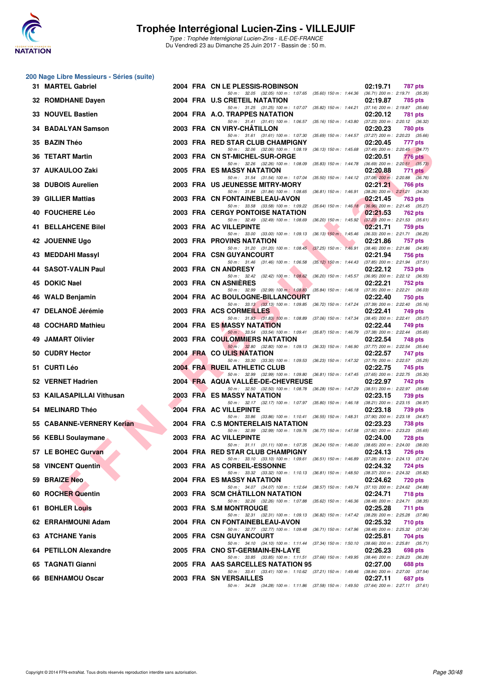![](_page_29_Picture_0.jpeg)

#### **200 Nage Libre Messieurs - Séries (suite)**

|     | 31 MARTEL Gabriel                         |  | 2004 FRA CN LE PLESSIS-ROBINSON                                                                                                |                                                               | 02:19.71 | 787 pts                                        |
|-----|-------------------------------------------|--|--------------------------------------------------------------------------------------------------------------------------------|---------------------------------------------------------------|----------|------------------------------------------------|
|     | 32 ROMDHANE Dayen                         |  | 50 m: 32.05 (32.05) 100 m: 1:07.65 (35.60) 150 m: 1:44.36 (36.71) 200 m: 2:19.71 (35.35)<br>2004 FRA U.S CRETEIL NATATION      |                                                               | 02:19.87 | 785 pts                                        |
|     | 33 NOUVEL Bastien                         |  | 50 m: 31.25 (31.25) 100 m: 1:07.07 (35.82) 150 m: 1:44.21 (37.14) 200 m: 2:19.87 (35.66)<br>2004 FRA A.O. TRAPPES NATATION     |                                                               | 02:20.12 | 781 pts                                        |
|     | 34 BADALYAN Samson                        |  | 50 m: 31.41 (31.41) 100 m: 1:06.57 (35.16) 150 m: 1:43.80<br>2003 FRA CN VIRY-CHATILLON                                        |                                                               | 02:20.23 | (37.23) 200 m : 2:20.12 (36.32)<br>780 pts     |
|     | 35 BAZIN Théo                             |  | 50 m: 31.61 (31.61) 100 m: 1:07.30<br>2003 FRA RED STAR CLUB CHAMPIGNY                                                         | (35.69) 150 m : 1:44.57 (37.27) 200 m : 2:20.23 (35.66)       | 02:20.45 | 777 pts                                        |
|     | 36 TETART Martin                          |  | 50 m: 32.06 (32.06) 100 m: 1:08.19 (36.13) 150 m: 1:45.68 (37.49) 200 m: 2:20.45 (34.77)<br>2003 FRA CN ST-MICHEL-SUR-ORGE     |                                                               | 02:20.51 | 776 pts                                        |
|     | 37 AUKAULOO Zaki                          |  | 50 m: 32.26 (32.26) 100 m: 1:08.09<br>2005 FRA ES MASSY NATATION                                                               | (35.83) 150 m : 1:44.78                                       | 02:20.88 | $(36.69)$ 200 m : 2:20.51 $(35.73)$<br>771 pts |
|     | 38 DUBOIS Aurelien                        |  | 50 m: 31.54 (31.54) 100 m: 1:07.04<br>2003 FRA US JEUNESSE MITRY-MORY                                                          | $(35.50)$ 150 m : 1:44.12 $(37.08)$ 200 m : 2:20.88 $(36.76)$ | 02:21.21 | 766 pts                                        |
|     | <b>39 GILLIER Mattias</b>                 |  | 50 m: 31.84 (31.84) 100 m: 1:08.65<br>2003 FRA CN FONTAINEBLEAU-AVON                                                           | (36.81) 150 m : 1:46.91 (38.26) 200 m : 2:21.21 (34.30)       | 02:21.45 | 763 pts                                        |
|     |                                           |  | 50 m: 33.58 (33.58) 100 m: 1:09.22 (35.64) 150 m: 1:46.18                                                                      |                                                               |          | $(36.96)$ 200 m : 2:21.45 $(35.27)$            |
|     | 40 FOUCHERE Léo                           |  | <b>2003 FRA CERGY PONTOISE NATATION</b><br>50 m: 32.49 (32.49) 100 m: 1:08.69                                                  | (36.20) 150 m : 1:45.92 (37.23) 200 m : 2:21.53 (35.61)       | 02:21.53 | 762 pts                                        |
|     | 41 BELLAHCENE Bilel                       |  | 2003 FRA AC VILLEPINTE<br>50 m: 33.00 (33.00) 100 m: 1:09.13 (36.13) 150 m: 1:45.46 (36.33) 200 m: 2:21.71 (36.25)             |                                                               | 02:21.71 | 759 pts                                        |
|     | 42 JOUENNE Ugo                            |  | 2003 FRA PROVINS NATATION<br>50 m: 31.20 (31.20) 100 m: 1:08.45 (37.25) 150 m: 1:46.91                                         |                                                               | 02:21.86 | 757 pts<br>$(38.46)$ 200 m : 2:21.86 $(34.95)$ |
|     | 43 MEDDAHI Massyl                         |  | 2004 FRA CSN GUYANCOURT<br>50 m: 31.46 (31.46) 100 m: 1:06.58 (35.12) 150 m: 1:44.43 (37.85) 200 m: 2:21.94 (37.51)            |                                                               | 02:21.94 | 756 pts                                        |
|     | 44 SASOT-VALIN Paul                       |  | 2003 FRA CN ANDRESY<br>50 m: 32.42 (32.42) 100 m: 1:08.62 (36.20) 150 m: 1:45.57                                               |                                                               | 02:22.12 | 753 pts<br>$(36.95)$ 200 m : 2:22.12 $(36.55)$ |
|     | 45 DOKIC Nael                             |  | 2003 FRA CN ASNIERES<br>50 m: 32.99 (32.99) 100 m: 1:08.83                                                                     | $(35.84)$ 150 m : 1:46.18                                     | 02:22.21 | 752 pts<br>$(37.35)$ 200 m : 2:22.21 $(36.03)$ |
|     | 46 WALD Benjamin                          |  | 2004 FRA AC BOULOGNE-BILLANCOURT<br>50 m: 33.13 (33.13) 100 m: 1:09.85 (36.72) 150 m: 1:47.24 (37.39) 200 m: 2:22.40 (35.16)   |                                                               | 02:22.40 | <b>750 pts</b>                                 |
|     | 47 DELANOË Jérémie                        |  | 2003 FRA ACS CORMEILLES                                                                                                        |                                                               | 02:22.41 | 749 pts                                        |
|     | 48 COCHARD Mathieu                        |  | 50 m: 31.83 (31.83) 100 m: 1:08.89 (37.06) 150 m: 1:47.34 (38.45) 200 m: 2:22.41 (35.07)<br>2004 FRA ES MASSY NATATION         |                                                               | 02:22.44 | 749 pts                                        |
| 49. | <b>JAMART Olivier</b>                     |  | 50 m: 33.54 (33.54) 100 m: 1:09.41 (35.87) 150 m: 1:46.79 (37.38) 200 m: 2:22.44 (35.65)<br>2003 FRA COULOMMIERS NATATION      |                                                               | 02:22.54 | <b>748 pts</b>                                 |
|     | 50 CUDRY Hector                           |  | 50 m: 32.80 (32.80) 100 m: 1:09.13 (36.33) 150 m: 1:46.90 (37.77) 200 m: 2:22.54 (35.64)<br>2004 FRA COULIS NATATION           |                                                               | 02:22.57 | 747 pts                                        |
|     | 51 CURTI Léo                              |  | 50 m: 33.30 (33.30) 100 m: 1:09.53 (36.23) 150 m: 1:47.32 (37.79) 200 m: 2:22.57 (35.25)<br>2004 FRA RUEIL ATHLETIC CLUB       |                                                               | 02:22.75 | 745 pts                                        |
|     | 52 VERNET Hadrien                         |  | 50 m: 32.99 (32.99) 100 m: 1:09.80 (36.81) 150 m: 1:47.45 (37.65) 200 m: 2:22.75 (35.30)<br>2004 FRA AQUA VALLEE-DE-CHEVREUSE  |                                                               | 02:22.97 | 742 pts                                        |
|     | 53 KAILASAPILLAI Vithusan                 |  | 50 m: 32.50 (32.50) 100 m: 1:08.78 (36.28) 150 m: 1:47.29 (38.51) 200 m: 2:22.97 (35.68)<br>2003 FRA ES MASSY NATATION         |                                                               | 02:23.15 | 739 pts                                        |
|     | 54 MELINARD Théo                          |  | 50 m: 32.17 (32.17) 100 m: 1:07.97 (35.80) 150 m: 1:46.18 (38.21) 200 m: 2:23.15 (36.97)<br>2004 FRA AC VILLEPINTE             |                                                               | 02:23.18 | 739 pts                                        |
|     | 55 CABANNE-VERNERY Kerian                 |  | 50 m: 33.86 (33.86) 100 m: 1:10.41 (36.55) 150 m: 1:48.31 (37.90) 200 m: 2:23.18 (34.87)<br>2004 FRA C.S MONTERELAIS NATATION  |                                                               | 02:23.23 | 738 pts                                        |
|     |                                           |  | 50 m: 32.99 (32.99) 100 m: 1:09.76 (36.77) 150 m: 1:47.58 (37.82) 200 m: 2:23.23 (35.65)<br>2003 FRA AC VILLEPINTE             |                                                               | 02:24.00 |                                                |
|     | 56 KEBLI Soulaymane<br>57 LE BOHEC Gurvan |  | 50 m: 31.11 (31.11) 100 m: 1:07.35 (36.24) 150 m: 1:46.00 (38.65) 200 m: 2:24.00 (38.00)                                       |                                                               |          | 728 pts                                        |
|     | $\blacktriangle$                          |  | 2004 FRA RED STAR CLUB CHAMPIGNY<br>50 m: 33.10 (33.10) 100 m: 1:09.61 (36.51) 150 m: 1:46.89 (37.28) 200 m: 2:24.13 (37.24)   |                                                               | 02:24.13 | 726 pts                                        |
|     | 58 VINCENT Quentin                        |  | 2003 FRA AS CORBEIL-ESSONNE<br>50 m: 33.32 (33.32) 100 m: 1:10.13 (36.81) 150 m: 1:48.50 (38.37) 200 m: 2:24.32 (35.82)        |                                                               | 02:24.32 | <b>724 pts</b>                                 |
|     | 59 BRAIZE Neo                             |  | 2004 FRA ES MASSY NATATION<br>50 m: 34.07 (34.07) 100 m: 1:12.64 (38.57) 150 m: 1:49.74 (37.10) 200 m: 2:24.62 (34.88)         |                                                               | 02:24.62 | 720 pts                                        |
|     | 60 ROCHER Quentin                         |  | 2003 FRA SCM CHATILLON NATATION<br>50 m: 32.26 (32.26) 100 m: 1:07.88 (35.62) 150 m: 1:46.36 (38.48) 200 m: 2:24.71 (38.35)    |                                                               | 02:24.71 | <b>718 pts</b>                                 |
|     | 61 BOHLER Louis                           |  | 2003 FRA S.M MONTROUGE<br>50 m: 32.31 (32.31) 100 m: 1:09.13 (36.82) 150 m: 1:47.42 (38.29) 200 m: 2:25.28 (37.86)             |                                                               | 02:25.28 | 711 pts                                        |
|     | 62 ERRAHMOUNI Adam                        |  | 2004 FRA CN FONTAINEBLEAU-AVON<br>50 m: 32.77 (32.77) 100 m: 1:09.48 (36.71) 150 m: 1:47.96 (38.48) 200 m: 2:25.32 (37.36)     |                                                               | 02:25.32 | 710 pts                                        |
|     | 63 ATCHANE Yanis                          |  | 2005 FRA CSN GUYANCOURT<br>50 m: 34.10 (34.10) 100 m: 1:11.44 (37.34) 150 m: 1:50.10 (38.66) 200 m: 2:25.81 (35.71)            |                                                               | 02:25.81 | 704 pts                                        |
|     | 64 PETILLON Alexandre                     |  | 2005 FRA CNO ST-GERMAIN-EN-LAYE                                                                                                |                                                               | 02:26.23 | 698 pts                                        |
|     | 65 TAGNATI Gianni                         |  | 50 m: 33.85 (33.85) 100 m: 1:11.51 (37.66) 150 m: 1:49.95 (38.44) 200 m: 2:26.23 (36.28)<br>2005 FRA AAS SARCELLES NATATION 95 |                                                               | 02:27.00 | 688 pts                                        |
|     | 66 BENHAMOU Oscar                         |  | 50 m: 33.41 (33.41) 100 m: 1:10.62 (37.21) 150 m: 1:49.46 (38.84) 200 m: 2:27.00 (37.54)<br>2003 FRA SN VERSAILLES             |                                                               | 02:27.11 | 687 pts                                        |
|     |                                           |  | 50 m: 34.28 (34.28) 100 m: 1:11.86 (37.58) 150 m: 1:49.50 (37.64) 200 m: 2:27.11 (37.61)                                       |                                                               |          |                                                |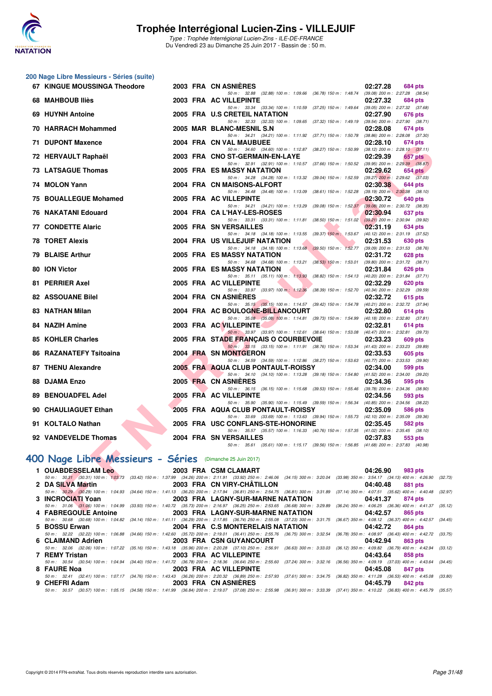![](_page_30_Picture_0.jpeg)

#### **200 Nage Libre Messieurs - Séries (suite)**

| 67 KINGUE MOUSSINGA Theodore                             |  | 2003 FRA CN ASNIERES<br>02:27.28<br>684 pts                                                                                                                                                                                                  |
|----------------------------------------------------------|--|----------------------------------------------------------------------------------------------------------------------------------------------------------------------------------------------------------------------------------------------|
| 68 MAHBOUB Iliès                                         |  | 50 m: 32.88 (32.88) 100 m: 1:09.66 (36.78) 150 m: 1:48.74 (39.08) 200 m: 2:27.28 (38.54)<br>2003 FRA AC VILLEPINTE<br>02:27.32<br><b>684 pts</b>                                                                                             |
| 69 HUYNH Antoine                                         |  | 50 m: 33.34 (33.34) 100 m: 1:10.59 (37.25) 150 m: 1:49.64 (39.05) 200 m: 2:27.32 (37.68)<br>2005 FRA U.S CRETEIL NATATION<br>02:27.90<br>676 pts                                                                                             |
|                                                          |  | 50 m: 32.33 (32.33) 100 m: 1:09.65 (37.32) 150 m: 1:49.19 (39.54) 200 m: 2:27.90 (38.71)                                                                                                                                                     |
| 70 HARRACH Mohammed                                      |  | 2005 MAR BLANC-MESNIL S.N<br>02:28.08<br>674 pts<br>50 m: 34.21 (34.21) 100 m: 1:11.92 (37.71) 150 m: 1:50.78 (38.86) 200 m: 2:28.08 (37.30)                                                                                                 |
| 71 DUPONT Maxence                                        |  | 2004 FRA CN VAL MAUBUEE<br>02:28.10<br>674 pts<br>50 m: 34.60 (34.60) 100 m: 1:12.87 (38.27) 150 m: 1:50.99 (38.12) 200 m: 2:28.10 (37.11)                                                                                                   |
| 72 HERVAULT Raphaël                                      |  | 2003 FRA CNO ST-GERMAIN-EN-LAYE<br>02:29.39<br>657 pts                                                                                                                                                                                       |
| <b>73 LATSAGUE Thomas</b>                                |  | 50 m: 32.91 (32.91) 100 m: 1:10.57 (37.66) 150 m: 1:50.52 (39.95) 200 m: 2:29.39 (38.87)<br>2005 FRA ES MASSY NATATION<br>02:29.62<br>654 pts                                                                                                |
| 74 MOLON Yann                                            |  | 50 m: 34.28 (34.28) 100 m: 1:13.32 (39.04) 150 m: 1:52.59 (39.27) 200 m: 2:29.62 (37.03)<br>2004 FRA CN MAISONS-ALFORT<br>02:30.38<br>644 pts                                                                                                |
|                                                          |  | 50 m: 34.48 (34.48) 100 m: 1:13.09 (38.61) 150 m: 1:52.28 (39.19) 200 m: 2:30.38 (38.10)                                                                                                                                                     |
| 75 BOUALLEGUE Mohamed                                    |  | 2005 FRA AC VILLEPINTE<br>02:30.72<br>640 pts<br>50 m: 34.21 (34.21) 100 m: 1:13.29 (39.08) 150 m: 1:52.37<br>$(39.08)$ 200 m : 2:30.72 $(38.35)$                                                                                            |
| 76 NAKATANI Edouard                                      |  | 2004 FRA CA L'HAY-LES-ROSES<br>02:30.94<br>637 pts                                                                                                                                                                                           |
| <b>77 CONDETTE Alaric</b>                                |  | 50 m: 33.31 (33.31) 100 m: 1:11.81 (38.50) 150 m: 1:51.02 (39.21) 200 m: 2:30.94 (39.92)<br>2005 FRA SN VERSAILLES<br>02:31.19<br>634 pts                                                                                                    |
|                                                          |  | 50 m: 34.18 (34.18) 100 m: 1:13.55 (39.37) 150 m: 1:53.67 (40.12) 200 m: 2:31.19 (37.52)                                                                                                                                                     |
| <b>78 TORET Alexis</b>                                   |  | 2004 FRA US VILLEJUIF NATATION<br>02:31.53<br>630 pts<br>50 m: 34.18 (34.18) 100 m: 1:13.68 (39.50) 150 m: 1:52.77 (39.09) 200 m: 2:31.53 (38.76)                                                                                            |
| <b>79 BLAISE Arthur</b>                                  |  | <b>2005 FRA ES MASSY NATATION</b><br>02:31.72<br><b>628 pts</b>                                                                                                                                                                              |
| 80 ION Victor                                            |  | 50 m: 34.68 (34.68) 100 m: 1:13.21 (38.53) 150 m: 1:53.01 (39.80) 200 m: 2:31.72 (38.71)<br>2005 FRA ES MASSY NATATION<br>02:31.84<br>626 pts                                                                                                |
|                                                          |  | 50 m: 35.11 (35.11) 100 m: 1:13.93 (38.82) 150 m: 1:54.13 (40.20) 200 m: 2:31.84 (37.71)                                                                                                                                                     |
| 81 PERRIER Axel                                          |  | 2005 FRA AC VILLEPINTE<br>02:32.29<br><b>620 pts</b><br>50 m: 33.97 (33.97) 100 m: 1:12.36 (38.39) 150 m: 1:52.70 (40.34) 200 m: 2:32.29 (39.59)                                                                                             |
| 82 ASSOUANE Bilel                                        |  | 2004 FRA CN ASNIERES<br>02:32.72<br>615 pts                                                                                                                                                                                                  |
| 83 NATHAN Milan                                          |  | 50 m: 35.15 (35.15) 100 m: 1:14.57 (39.42) 150 m: 1:54.78 (40.21) 200 m: 2:32.72 (37.94)<br>2004 FRA AC BOULOGNE-BILLANCOURT<br>02:32.80<br>614 pts                                                                                          |
|                                                          |  | 50 m: 35.08 (35.08) 100 m: 1:14.81 (39.73) 150 m: 1:54.99 (40.18) 200 m: 2:32.80 (37.81)                                                                                                                                                     |
| 84 NAZIH Amine                                           |  | 2003 FRA AC VILLEPINTE<br>02:32.81<br>614 pts<br>50 m: 33.97 (33.97) 100 m: 1:12.61 (38.64) 150 m: 1:53.08 (40.47) 200 m: 2:32.81 (39.73)                                                                                                    |
| 85 KOHLER Charles                                        |  | 2005 FRA STADE FRANÇAIS O COURBEVOIE<br>02:33.23<br>609 pts                                                                                                                                                                                  |
| 86 RAZANATEFY Tsitoaina                                  |  | 50 m: 33.15 (33.15) 100 m: 1:11.91 (38.76) 150 m: 1:53.34 (41.43) 200 m: 2:33.23 (39.89)<br>2004 FRA SN MONTGERON<br>02:33.53<br>605 pts                                                                                                     |
|                                                          |  | 50 m: 34.59 (34.59) 100 m: 1:12.86 (38.27) 150 m: 1:53.63 (40.77) 200 m: 2:33.53 (39.90)                                                                                                                                                     |
| 87 THENU Alexandre                                       |  | 2005 FRA AQUA CLUB PONTAULT-ROISSY<br>02:34.00<br>599 pts<br>50 m: 34.10 (34.10) 100 m: 1:13.28 (39.18) 150 m: 1:54.80 (41.52) 200 m: 2:34.00 (39.20)                                                                                        |
| 88 DJAMA Enzo                                            |  | 2005 FRA CN ASNIERES<br>02:34.36<br>595 pts                                                                                                                                                                                                  |
| <b>89 BENOUADFEL Adel</b>                                |  | 50 m: 36.15 (36.15) 100 m: 1:15.68 (39.53) 150 m: 1:55.46 (39.78) 200 m: 2:34.36 (38.90)<br>2005 FRA AC VILLEPINTE<br>02:34.56<br>593 pts                                                                                                    |
|                                                          |  | 50 m: 35.90 (35.90) 100 m: 1:15.49 (39.59) 150 m: 1:56.34 (40.85) 200 m: 2:34.56 (38.22)                                                                                                                                                     |
| 90 CHAULIAGUET Ethan                                     |  | 2005 FRA AQUA CLUB PONTAULT-ROISSY<br>02:35.09<br>586 pts<br>50 m: 33.69 (33.69) 100 m: 1:13.63 (39.94) 150 m: 1:55.73 (42.10) 200 m: 2:35.09 (39.36)                                                                                        |
| 91 KOLTALO Nathan                                        |  | 2005 FRA USC CONFLANS-STE-HONORINE<br>02:35.45<br>582 pts                                                                                                                                                                                    |
| 92 VANDEVELDE Thomas                                     |  | 50 m: 35.57 (35.57) 100 m: 1:16.33 (40.76) 150 m: 1:57.35 (41.02) 200 m: 2:35.45 (38.10)<br>2004 FRA SN VERSAILLES<br>02:37.83<br>553 pts                                                                                                    |
|                                                          |  | 50 m: 35.61 (35.61) 100 m: 1:15.17 (39.56) 150 m: 1:56.85 (41.68) 200 m: 2:37.83 (40.98)                                                                                                                                                     |
| 00 Nage Libre Messieurs - Séries (Dimanche 25 Juin 2017) |  |                                                                                                                                                                                                                                              |
| 1 OUABDESSELAM Leo                                       |  | 2003 FRA CSM CLAMART<br>04:26.90<br>983 pts                                                                                                                                                                                                  |
|                                                          |  | 50 m: 30,31 (30.31) 100 m: 1:03.73 (33.42) 150 m: 1:37.99 (34.26) 200 m: 2:11.91 (33.92) 250 m: 2:46.06 (34.15) 300 m: 3:20.04 (33.98) 350 m: 3:54.17 (34.13) 400 m: 4:26.90 (3.                                                             |
| 2 DA SILVA Martin                                        |  | 2003 FRA CN VIRY-CHATILLON<br>04:40.48<br><b>881 pts</b><br>50 m: 30.29 (30.29) 100 m: 1:04.93 (34.64) 150 m: 1:41.13 (36.20) 200 m: 2:17.94 (36.81) 250 m: 2:54.75 (36.81) 300 m: 3:31.89 (37.14) 350 m: 4:07.51 (35.62) 400 m: 4:40.48 (3: |
| 3 INCROCIATI Yoan                                        |  | 2003 FRA LAGNY-SUR-MARNE NATATION<br>04:41.37<br>874 pts                                                                                                                                                                                     |
| $\blacksquare$ CADDECALLE Assistant                      |  | 50 m: 31.06 (31.06) 100 m: 1:04.99 (33.93) 150 m: 1:40.72 (35.73) 200 m: 2:16.97 (36.25) 250 m: 2:53.65 (36.68) 300 m: 3:29.89 (36.24) 350 m: 4:06.25 (36.36) 400 m: 4:41.37 (3.<br>$0.000$ FDA LAONIV CUD MADNE NATATION<br>$OCH = 11$      |

## **[400 Nage Libre Messieurs - Séries](http://www.ffnatation.fr/webffn/resultats.php?idact=nat&go=epr&idcpt=47281&idepr=54)** (Dimanche 25 Juin 2017)

|                      |                               |                                                                                                                                                                                              | $04:26.90$ 983 pts  |
|----------------------|-------------------------------|----------------------------------------------------------------------------------------------------------------------------------------------------------------------------------------------|---------------------|
|                      |                               | 50 m : 30.31 (30.31) 100 m : 1:03.73 (33.42) 150 m : 1:37.99 (34.26) 200 m : 2:11.91 (33.92) 250 m : 2:46.06 (34.15) 300 m : 3:20.04 (33.98) 350 m : 3:54.17 (34.13) 400 m : 4:26.90 (32.73) |                     |
| 2 DA SILVA Martin    |                               | 2003 FRA CN VIRY-CHÄTILLON                                                                                                                                                                   | 04:40.48<br>881 pts |
|                      |                               | 50 m: 30.29 (30.29) 100 m: 1:04.93 (34.64) 150 m: 1:41.13 (36.20) 200 m: 2:17.94 (36.81) 250 m: 2:54.75 (36.81) 300 m: 3:31.89 (37.14) 350 m: 4:07.51 (35.62) 400 m: 4:40.48 (32.97)         |                     |
| 3 INCROCIATI Yoan    |                               | 2003 FRA LAGNY-SUR-MARNE NATATION                                                                                                                                                            | 04:41.37<br>874 pts |
|                      |                               | 50 m: 31.06 (31.06) 100 m: 1:04.99 (33.93) 150 m: 1:40.72 (35.73) 200 m: 2:16.97 (36.25) 250 m: 2:53.65 (36.68) 300 m: 3:29.89 (36.24) 350 m: 4:06.25 (36.36) 400 m: 4:41.37 (35.12)         |                     |
| 4 FABREGOULE Antoine |                               | 2003 FRA LAGNY-SUR-MARNE NATATION                                                                                                                                                            | 04:42.57<br>865 pts |
|                      |                               | 50 m: 30.68 (30.68) 100 m: 1:04.82 (34.14) 150 m: 1:41.11 (36.29) 200 m: 2:17.85 (36.74) 250 m: 2:55.08 (37.23) 300 m: 3:31.75 (36.67) 350 m: 4:08.12 (36.37) 400 m: 4:42.57 (34.45)         |                     |
| 5 BOSSU Erwan        |                               | 2004 FRA C.S MONTERELAIS NATATION                                                                                                                                                            | 04:42.72<br>864 pts |
|                      |                               | 50 m: 32.22 (32.22) 100 m: 1:06.88 (34.66) 150 m: 1:42.60 (35.72) 200 m: 2:19.01 (36.41) 250 m: 2:55.76 (36.75) 300 m: 3:32.54 (36.78) 350 m: 4:08.97 (36.43) 400 m: 4:42.72 (33.75)         |                     |
| 6 CLAIMAND Adrien    |                               | <b>2003 FRA CSN GUYANCOURT</b>                                                                                                                                                               | 04:42.94<br>863 pts |
|                      |                               | 50 m : 32.06 (32.06) 100 m : 1:07.22 (35.16) 150 m : 1:43.18 (35.96) 200 m : 2:20.28 (37.10) 250 m : 2:56.91 (36.63) 300 m : 3:33.03 (36.12) 350 m : 4:09.82 (36.79) 400 m : 4:42.94 (33.12) |                     |
| 7 REMY Tristan       | <b>2003 FRA AC VILLEPINTE</b> |                                                                                                                                                                                              | 04:43.64<br>858 pts |
|                      |                               | 50 m: 30.54 (30.54) 100 m: 1:04.94 (34.40) 150 m: 1:41.72 (36.78) 200 m: 2:18.36 (36.64) 250 m: 2:55.60 (37.24) 300 m: 3:32.16 (36.56) 350 m: 4:09.19 (37.03) 400 m: 4:43.64 (34.45)         |                     |
| 8 FAURE Noa          | <b>2003 FRA AC VILLEPINTE</b> |                                                                                                                                                                                              | 04:45.08<br>847 pts |
|                      |                               | 50 m: 32.41 (32.41) 100 m: 1:07.17 (34.76) 150 m: 1:43.43 (36.26) 200 m: 2:20.32 (36.89) 250 m: 2:57.93 (37.61) 300 m: 3:34.75 (36.82) 350 m: 4:11.28 (36.53) 400 m: 4:45.08 (33.80)         |                     |
| 9 CHEFRI Adam        |                               | <b>2003 FRA CN ASNIERES</b>                                                                                                                                                                  | 04:45.79<br>842 pts |
|                      |                               | 50 m: 30.57 (30.57) 100 m: 1:05.15 (34.58) 150 m: 1:41.99 (36.84) 200 m: 2:19.07 (37.08) 250 m: 2:55.98 (36.91) 300 m: 3:33.39 (37.41) 350 m: 4:10.22 (36.83) 400 m: 4:45.79 (35.57)         |                     |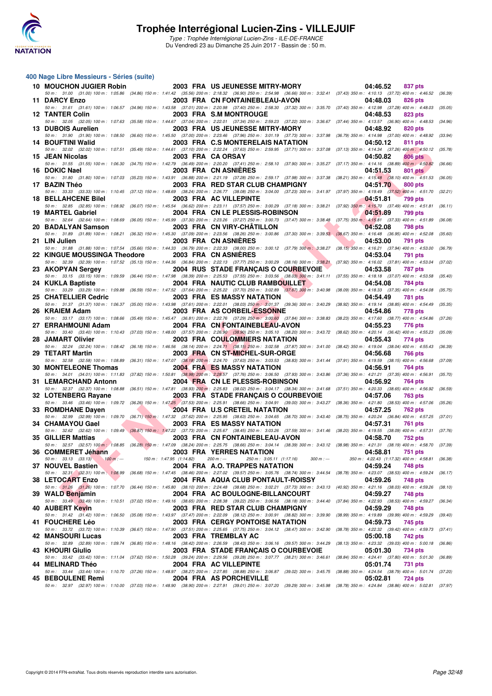![](_page_31_Picture_0.jpeg)

#### **400 Nage Libre Messieurs - Séries (suite)**

| 10 MOUCHON JUGIER Robin            |                           | 2003 FRA US JEUNESSE MITRY-MORY                                                                                                                                                                                                         | 04:46.52                                                   | 837 pts            |
|------------------------------------|---------------------------|-----------------------------------------------------------------------------------------------------------------------------------------------------------------------------------------------------------------------------------------|------------------------------------------------------------|--------------------|
| 11 DARCY Enzo                      |                           | 50 m: 31.00 (31.00) 100 m: 1:05.86 (34.86) 150 m: 1:41.42 (35.56) 200 m: 2:18.32 (36.90) 250 m: 2:54.98 (36.66) 300 m: 3:32.41 (37.43) 350 m: 4:10.13 (37.72) 400 m: 4:46.52 (36.39)<br>2003 FRA CN FONTAINEBLEAU-AVON                  | 04:48.03                                                   | 826 pts            |
| <b>12 TANTER Colin</b>             |                           | 50 m: 31.61 (31.61) 100 m: 1:06.57 (34.96) 150 m: 1:43.58 (37.01) 200 m: 2:20.98 (37.40) 250 m: 2:58.30 (37.32) 300 m: 3:35.70 (37.40) 350 m: 4:12.98 (37.28) 400 m: 4:48.03 (35.05)<br>2003 FRA S.M MONTROUGE                          | 04:48.53                                                   | 823 pts            |
| 13 DUBOIS Aurelien                 |                           | 50 m: 32.05 (32.05) 100 m: 1:07.63 (35.58) 150 m: 1:44.67 (37.04) 200 m: 2:22.01 (37.34) 250 m: 2:59.23 (37.22) 300 m: 3:36.67 (37.44) 350 m: 4:13.57 (36.90) 400 m: 4:48.53 (34.96)<br>2003 FRA US JEUNESSE MITRY-MORY                 | 04:48.92                                                   | 820 pts            |
|                                    |                           | 50 m: 31.90 (31.90) 100 m: 1:08.50 (36.60) 150 m: 1:45.50 (37.00) 200 m: 2:23.46 (37.96) 250 m: 3:01.19 (37.73) 300 m: 3:37.98 (36.79) 350 m: 4:14.98 (37.00) 400 m: 4:48.92                                                            |                                                            | (33.94)            |
| 14 BOUFTINI Walid                  |                           | 2003 FRA C.S MONTERELAIS NATATION<br>50 m: 32.02 (32.02) 100 m: 1:07.51 (35.49) 150 m: 1:44.61 (37.10) 200 m: 2:22.24 (37.63) 250 m: 2:59.95 (37.71) 300 m: 3:37.08 (37.13) 350 m: 4:14.34 (37.26) 400 m: 4:50.12 (35.78)               | 04:50.12                                                   | 811 pts            |
| 15 JEAN Nicolas                    |                           | 2003 FRA CA ORSAY                                                                                                                                                                                                                       | 04:50.82                                                   | <b>806 pts</b>     |
| 16 DOKIC Nael                      |                           | 50 m: 31.55 (31.55) 100 m: 1:06.30 (34.75) 150 m: 1:42.79 (36.49) 200 m: 2:20.20 (37.41) 250 m: 2:58.10 (37.90) 300 m: 3:35.27 (37.17) 350 m: 4:14.16 (38.89) 400 m: 4:50.82<br>2003 FRA CN ASNIERES                                    | 04:51.53                                                   | (36.66)<br>801 pts |
| 17 BAZIN Théo                      |                           | 50 m: 31.80 (31.80) 100 m: 1:07.03 (35.23) 150 m: 1:43.91 (36.88) 200 m: 2:21.19 (37.28) 250 m: 2:59.17 (37.98) 300 m: 3:37.38 (38.21) 350 m: 4:15.48 (38.10) 400 m: 4:51.53 (36.05)<br>2003 FRA RED STAR CLUB CHAMPIGNY                | 04:51.70                                                   | 800 pts            |
|                                    |                           | 50 m: 33.33 (33.33) 100 m: 1:10.45 (37.12) 150 m: 1:48.69 (38.24) 200 m: 2:26.77 (38.08) 250 m: 3:04.00 (37.23) 300 m: 3:41.97 (37.97) 350 m: 4:19.49 (37.52) 400 m: 4:51.70                                                            |                                                            | (32.21)            |
| <b>18 BELLAHCENE Bilel</b>         |                           | 2003 FRA AC VILLEPINTE<br>50 m: 32.85 (32.85) 100 m: 1:08.92 (36.07) 150 m: 1:45.54 (36.62) 200 m: 2:23.11 (37.57) 250 m: 3:00.29 (37.18) 300 m: 3:38.21 (37.92) 350 m: 4:15.70 (37.49) 400 m: 4:51.81 (36.11)                          | 04:51.81                                                   | 799 pts            |
| 19 MARTEL Gabriel                  |                           | 2004 FRA CN LE PLESSIS-ROBINSON                                                                                                                                                                                                         | 04:51.89                                                   | 799 pts            |
| 20 BADALYAN Samson                 |                           | 50 m: 32.64 (32.64) 100 m: 1:08.69 (36.05) 150 m: 1:45.99 (37.30) 200 m: 2:23.26 (37.27) 250 m: 3:00.73 (37.47) 300 m: 3:38.48 (37.75) 350 m: 4:15.81 (37.33) 400 m: 4:51.89<br>2003 FRA CN VIRY-CHATILLON                              | 04:52.08                                                   | (36.08)<br>798 pts |
|                                    |                           | 50 m : 31.89 (31.89) 100 m : 1:08.21 (36.32) 150 m : 1:45.30 (37.09) 200 m : 2:23.56 (38.26) 250 m : 3:00.86 (37.30) 300 m : 3:39.53 (38.67) 350 m : 4:16.48 (36.95) 400 m : 4:52.08                                                    |                                                            | (35.60)            |
| 21 LIN Julien                      |                           | 2003 FRA CN ASNIERES                                                                                                                                                                                                                    | 04:53.00                                                   | 791 pts            |
| 22 KINGUE MOUSSINGA Theodore       |                           | 50 m: 31.88 (31.88) 100 m: 1:07.54 (35.66) 150 m: 1:44.33 (36.79) 200 m: 2:22.33 (38.00) 250 m: 3:00.12 (37.79) 300 m: 3:38.27 (38.15) 350 m: 4:16.21 (37.94) 400 m: 4:53.00 (36.79)<br>2003 FRA CN ASNIERES                            | 04:53.04                                                   | 791 pts            |
|                                    |                           | 50 m: 32.39 (32.39) 100 m: 1:07.52 (35.13) 150 m: 1:44.36 (36.84) 200 m: 2:22.13 (37.77) 250 m: 3:00.29 (38.16) 300 m: 3:38.21 (37.92) 350 m: 4:16.02 (37.81) 400 m: 4:53.04                                                            |                                                            | (37.02)            |
| 23 AKOPYAN Sergey                  |                           | <b>2004 RUS STADE FRANCAIS O COURBEVOIE</b><br>50 m: 33.15 (33.15) 100 m: 1:09.59 (36.44) 150 m: 1:47.98 (38.39) 200 m: 2:25.53 (37.55) 250 m: 3:03.56 (38.03) 300 m: 3:41.11 (37.55) 350 m: 4:18.18 (37.07) 400 m: 4:53.58 (35.40)     | 04:53.58                                                   | <b>787 pts</b>     |
| 24 KUKLA Baptiste                  |                           | 2004 FRA NAUTIC CLUB RAMBOUILLET                                                                                                                                                                                                        | 04:54.08                                                   | 784 pts            |
| 25 CHATELLIER Cedric               |                           | 50 m: 33.29 (33.29) 100 m: 1:09.88 (36.59) 150 m: 1:47.52 (37.64) 200 m: 2:25.22 (37.70) 250 m: 3:02.89 (37.67) 300 m: 3:40.98 (38.09) 350 m: 4:18.33 (37.35) 400 m: 4:54.08<br><b>2003 FRA ES MASSY NATATION</b>                       | 04:54.49                                                   | (35.75)<br>781 pts |
|                                    |                           | 50 m : 31.37 (31.37) 100 m : 1:06.37 (35.00) 150 m : 1:43.98 (37.61) 200 m : 2:22.01 (38.03) 250 m : 3:01.37 (39.36) 300 m : 3:40.29 (38.92) 350 m : 4:19.14 (38.85) 400 m : 4:54.49                                                    |                                                            | (35.35)            |
| 26 KRAIEM Adam                     |                           | 2003 FRA AS CORBEIL-ESSONNE<br>50 m : 33.17 (33.17) 100 m : 1:08.66 (35.49) 150 m : 1:45.47 (36.81) 200 m : 2:22.76 (37.29) 250 m : 3:00.60 (37.84) 300 m : 3:38.83 (38.23) 350 m : 4:17.60 (38.77) 400 m : 4:54.86                     | 04:54.86                                                   | 778 pts<br>(37.26) |
| 27 ERRAHMOUNI Adam                 |                           | 2004 FRA CN FONTAINEBLEAU-AVON                                                                                                                                                                                                          | 04:55.23                                                   | 776 pts            |
|                                    |                           | 50 m: 33.40 (33.40) 100 m: 1:10.43 (37.03) 150 m: 1:48.00 (37.57) 200 m: 2:26.90 (38.90) 250 m: 3:05.10 (38.20) 300 m: 3:43.72 (38.62) 350 m: 4:20.14 (36.42) 400 m: 4:55.23                                                            |                                                            | (35.09)            |
| 28 JAMART Olivier                  |                           | 2003 FRA COULOMMIERS NATATION<br>50 m: 32.24 (32.24) 100 m: 1:08.42 (36.18) 150 m: 1:46.56 (38.14) 200 m: 2:24.71 (38.15) 250 m: 3:02.58 (37.87) 300 m: 3:41.00 (38.42) 350 m: 4:19.04 (38.04) 400 m: 4:55.43 (36.39)                   | 04:55.43                                                   | 774 pts            |
| 29 TETART Martin                   |                           | 2003 FRA CN ST-MICHEL-SUR-ORGE                                                                                                                                                                                                          | 04:56.68                                                   | 766 pts            |
| 30 MONTELEONE Thomas               |                           | 50 m: 32.58 (32.58) 100 m: 1:08.89 (36.31) 150 m: 1:47.07 (38.18) 200 m: 2:24.70 (37.63) 250 m: 3:03.53 (38.83) 300 m: 3:41.44 (37.91) 350 m: 4:19.59 (38.15) 400 m: 4:56.68<br>2004 FRA ES MASSY NATATION                              | 04:56.91                                                   | (37.09)<br>764 pts |
|                                    |                           | 50 m: 34.01 (34.01) 100 m: 1:11.83 (37.82) 150 m: 1:50.81 (38.98) 200 m: 2:28.57 (37.76) 250 m: 3:06.50 (37.93) 300 m: 3:43.86 (37.36) 350 m: 4:21.21 (37.35) 400 m: 4:56.91 (35.70)                                                    | 04:56.92                                                   |                    |
| 31 LEMARCHAND Antonn               |                           | 2004 FRA CN LE PLESSIS-ROBINSON<br>50 m: 32.37 (32.37) 100 m: 1:08.88 (36.51) 150 m: 1:47.81 (38.93) 200 m: 2:25.83 (38.02) 250 m: 3:04.17 (38.34) 300 m: 3:41.68 (37.51) 350 m: 4:20.33 (38.65) 400 m: 4:56.92                         |                                                            | 764 pts<br>(36.59) |
| 32 LOTENBERG Rayane                |                           | 2003 FRA STADE FRANÇAIS O COURBEVOIE                                                                                                                                                                                                    | 04:57.06                                                   | 763 pts            |
| 33 ROMDHANE Dayen                  |                           | 50 m : 33.46 (33.46) 100 m : 1:09.72 (36.26) 150 m : 1:47.25 (37.53) 200 m : 2:25.91 (38.66) 250 m : 3:04.91 (39.00) 300 m : 3:43.27 (38.36) 350 m : 4:21.80 (38.53) 400 m : 4:57.06<br>2004 FRA U.S CRETEIL NATATION                   | 04:57.25                                                   | (35.26)<br>762 pts |
|                                    |                           | 50 m : 32.99 (32.99) 100 m : 1:09.70 (36.71) 150 m : 1:47.32 (37.62) 200 m : 2:25.95 (38.63) 250 m : 3:04.65 (38.70) 300 m : 3:43.40 (38.75) 350 m : 4:20.24 (36.84) 400 m : 4:57.25 (37.01)                                            |                                                            |                    |
| 34 CHAMAYOU Gael                   |                           | <b>2003 FRA ES MASSY NATATION</b><br>50 m: 32.62 (32.62) 100 m: 1:09.49 (36.87) 150 m: 1:47.22 (37.73) 200 m: 2:25.67 (38.45) 250 m: 3:03.26 (37.59) 300 m: 3:41.46 (38.20) 350 m: 4:19.55 (38.09) 400 m: 4:57.31 (37.76)               | 04:57.31                                                   | 761 pts            |
| 35 GILLIER Mattias                 |                           | 2003 FRA CN FONTAINEBLEAU-AVON                                                                                                                                                                                                          | 04:58.70                                                   | 752 pts            |
| 36 COMMERET Jéhann                 |                           | 50 m : 32.57 (32.57) 100 m : 1:08.85 (36.28) 150 m : 1:47.09 (38.24) 200 m : 2:25.75 (38.66) 250 m : 3:04.14 (38.39) 300 m : 3:43.12 (38.98) 350 m : 4:21.31 (38.19) 400 m : 4:58.70 (37.39)<br>2003 FRA YERRES NATATION                | 04:58.81                                                   |                    |
| 50 m : $33.13$ $(33.13)$ $100 m$ : | 150 m : 1:47.95 (1:14.82) | 200 m : ---<br>250 m: 3:05.11 (1:17.16)<br>$300 m : -$                                                                                                                                                                                  | 751 pts<br>350 m: 4:22.43 (1:17.32) 400 m: 4:58.81 (36.38) |                    |
| 37 NOUVEL Bastien                  |                           | 2004 FRA A.O. TRAPPES NATATION                                                                                                                                                                                                          | 04:59.24                                                   | 748 pts            |
| 38 LETOCART Enzo                   |                           | 50 m: 32.31 (32.31) 100 m: 1.08.99 (36.68) 150 m: 1.47.45 (38.46) 200 m: 2:27.02 (39.57) 250 m: 3:05.76 (38.74) 300 m: 3:44.54 (38.78) 350 m: 4:23.07 (38.53) 400 m: 4:59.24<br>2004 FRA AQUA CLUB PONTAULT-ROISSY                      | 04:59.26                                                   | (36.17)<br>748 pts |
|                                    |                           | 50 m: 31.26 (31.26) 100 m: 1:07.70 (36.44) 150 m: 1:45.80 (38.10) 200 m: 2:24.48 (38.68) 250 m: 3:02.21 (37.73) 300 m: 3:43.13 (40.92) 350 m: 4:21.16 (38.03) 400 m: 4:59.26                                                            |                                                            | (38.10)            |
| 39 WALD Benjamin                   |                           | 2004 FRA AC BOULOGNE-BILLANCOURT<br>50 m: 33.49 (33.49) 100 m: 1:10.51 (37.02) 150 m: 1:49.16 (38.65) 200 m: 2:28.38 (39.22) 250 m: 3:06.56 (38.18) 300 m: 3:44.40 (37.84) 350 m: 4:22.93 (38.53) 400 m: 4:59.27                        | 04:59.27                                                   | 748 pts<br>(36.34) |
| 40 AUBERT Kevin                    |                           | 2003 FRA RED STAR CLUB CHAMPIGNY                                                                                                                                                                                                        | 04:59.29                                                   | 748 pts            |
| 41 FOUCHERE Léo                    |                           | 50 m : 31.42 (31.42) 100 m : 1:06.50 (35.08) 150 m : 1:43.97 (37.47) 200 m : 2:22.09 (38.12) 250 m : 3:00.91 (38.82) 300 m : 3:39.90 (38.99) 350 m : 4:19.89 (39.99) 400 m : 4:59.29 (39.40)<br><b>2003 FRA CERGY PONTOISE NATATION</b> | 04:59.73                                                   | 745 pts            |
|                                    |                           | 50 m: 33.72 (33.72) 100 m: 1:10.39 (36.67) 150 m: 1:47.90 (37.51) 200 m: 2:25.65 (37.75) 250 m: 3:04.12 (38.47) 300 m: 3:42.90 (38.78) 350 m: 4:22.32 (39.42) 400 m: 4:59.73 (37.41)                                                    |                                                            |                    |
| 42 MANSOURI Lucas                  |                           | 2003 FRA TREMBLAY AC<br>50 m : 32.89 (32.89) 100 m : 1:09.74 (36.85) 150 m : 1:48.16 (38.42) 200 m : 2:26.59 (38.43) 250 m : 3:06.16 (39.57) 300 m : 3:44.29 (38.13) 350 m : 4:23.32 (39.03) 400 m : 5:00.18 (36.86)                    | 05:00.18                                                   | 742 pts            |
| 43 KHOURI Giulio                   |                           | 2003 FRA STADE FRANÇAIS O COURBEVOIE                                                                                                                                                                                                    | 05:01.30                                                   | 734 pts            |
| 44 MELINARD Théo                   |                           | 50 m: 33.42 (33.42) 100 m: 1:11.04 (37.62) 150 m: 1:50.28 (39.24) 200 m: 2:29.56 (39.28) 250 m: 3:07.77 (38.21) 300 m: 3:46.61 (38.84) 350 m: 4:24.41 (37.80) 400 m: 5:01.30<br>2004 FRA AC VILLEPINTE                                  | 05:01.74                                                   | (36.89)<br>731 pts |
|                                    |                           | 50 m : 33.44 (33.44) 100 m : 1:10.70 (37.26) 150 m : 1:48.97 (38.27) 200 m : 2:27.85 (38.88) 250 m : 3:06.87 (39.02) 300 m : 3:45.75 (38.88) 350 m : 4:24.54 (38.79) 400 m : 5:01.74 (37.20)                                            |                                                            |                    |
| 45 BEBOULENE Remi                  |                           | 2004 FRA AS PORCHEVILLE<br>50 m : 32.97 (32.97) 100 m : 1:10.00 (37.03) 150 m : 1:48.90 (38.90) 200 m : 2:27.91 (39.01) 250 m : 3:07.20 (39.29) 300 m : 3:45.98 (38.78) 350 m : 4:24.84 (38.86) 400 m : 5:02.81 (37.97)                 | 05:02.81                                                   | 724 pts            |
|                                    |                           |                                                                                                                                                                                                                                         |                                                            |                    |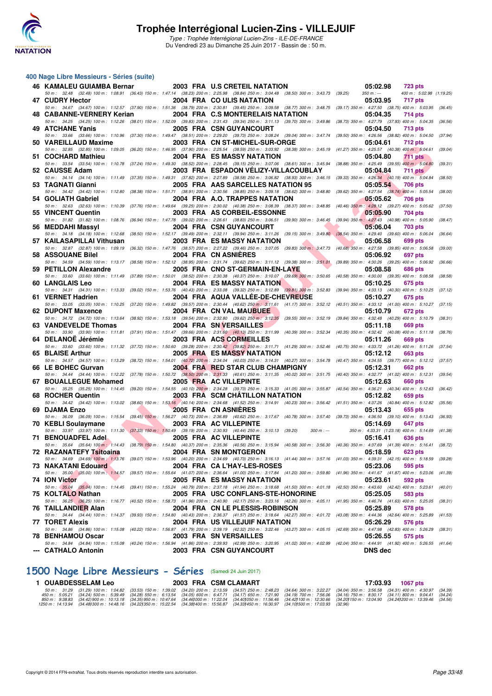![](_page_32_Picture_0.jpeg)

#### **400 Nage Libre Messieurs - Séries (suite)**

| 46 KAMALEU GUIAMBA Bernar                                                                                                                                                                                           |  | 2003 FRA U.S CRETEIL NATATION        |             | 05:02.98                                        | <b>723 pts</b>                      |         |
|---------------------------------------------------------------------------------------------------------------------------------------------------------------------------------------------------------------------|--|--------------------------------------|-------------|-------------------------------------------------|-------------------------------------|---------|
| 50 m : 32.48 (32.48) 100 m : 1:08.91 (36.43) 150 m : 1:47.14 (38.23) 200 m : 2:25.98 (38.84) 250 m : 3:04.48 (38.50) 300 m : 3:43.73 (39.25)<br>47 CUDRY Hector                                                     |  | 2004 FRA COULIS NATATION             |             | $350 m : -$<br>05:03.95                         | 400 m: 5:02.98 (1:19.25)<br>717 pts |         |
| 50 m: 34.67 (34.67) 100 m: 1:12.57 (37.90) 150 m: 1:51.36 (38.79) 200 m: 2:30.81 (39.45) 250 m: 3:09.58 (38.77) 300 m: 3:48.75 (39.17) 350 m: 4:27.50 (38.75) 400 m: 5:03.95 (36.45)<br>48 CABANNE-VERNERY Kerian   |  | 2004 FRA C.S MONTERELAIS NATATION    |             | 05:04.35                                        | 714 pts                             |         |
| 50 m: 34.25 (34.25) 100 m: 1:12.26 (38.01) 150 m: 1:52.09 (39.83) 200 m: 2:31.43 (39.34) 250 m: 3:11.13 (39.70) 300 m: 3:49.86 (38.73) 350 m: 4:27.79 (37.93) 400 m: 5:04.35 (36.56)<br>49 ATCHANE Yanis            |  | <b>2005 FRA CSN GUYANCOURT</b>       |             | 05:04.50                                        | 713 pts                             |         |
| 50 m: 33.66 (33.66) 100 m: 1:10.96 (37.30) 150 m: 1:49.47 (38.51) 200 m: 2:29.20 (39.73) 250 m: 3:08.24 (39.04) 300 m: 3:47.74 (39.50) 350 m: 4:26.56 (38.82) 400 m: 5:04.50 (37.94)                                |  |                                      |             |                                                 |                                     |         |
| 50 VAREILLAUD Maxime                                                                                                                                                                                                |  | 2003 FRA CN ST-MICHEL-SUR-ORGE       |             | 05:04.61                                        | 712 pts                             |         |
| 50 m: 32.85 (32.85) 100 m: 1:09.05 (36.20) 150 m: 1:46.95 (37.90) 200 m: 2:25.54 (38.59) 250 m: 3:03.92 (38.38) 300 m: 3:45.19 (41.27) 350 m: 4:25.57 (40.38) 400 m: 5:04.61<br>51 COCHARD Mathieu                  |  | 2004 FRA ES MASSY NATATION           |             | 05:04.80                                        | 711 pts                             | (39.04) |
| 50 m: 33.54 (33.54) 100 m: 1:10.78 (37.24) 150 m: 1:49.30 (38.52) 200 m: 2:28.45 (39.15) 250 m: 3:07.06 (38.61) 300 m: 3:45.94 (38.88) 350 m: 4:25.49 (39.55) 400 m: 5:04.80                                        |  |                                      |             |                                                 |                                     | (39.31) |
| 52 CAUSSE Adam<br>50 m: 34.14 (34.14) 100 m: 1:11.49 (37.35) 150 m: 1:49.31 (37.82) 200 m: 2:27.89 (38.58) 250 m: 3:06.82 (38.93) 300 m: 3:46.15 (39.33) 350 m: 4:26.34 (40.19) 400 m: 5:04.84                      |  | 2003 FRA ESPADON VELIZY-VILLACOUBLAY |             | 05:04.84                                        | <b>711 pts</b>                      | (38.50) |
| 53 TAGNATI Gianni                                                                                                                                                                                                   |  | 2005 FRA AAS SARCELLES NATATION 95   |             | 05:05.54                                        | 706 pts                             |         |
| 50 m: 34.42 (34.42) 100 m: 1:12.80 (38.38) 150 m: 1:51.71 (38.91) 200 m: 2:30.56 (38.85) 250 m: 3:09.18 (38.62) 300 m: 3:48.80 (39.62) 350 m: 4:27.54 (38.74) 400 m: 5:05.54                                        |  |                                      |             |                                                 |                                     | (38.00) |
| 54 GOLIATH Gabriel<br>50 m: 32.63 (32.63) 100 m: 1:10.39 (37.76) 150 m: 1:49.64 (39.25) 200 m: 2:30.02 (40.38) 250 m: 3:08.39 (38.37) 300 m: 3:48.85 (40.46) 350 m: 4:28.12 (39.27) 400 m: 5:05.62 (37.50)          |  | 2004 FRA A.O. TRAPPES NATATION       |             | 05:05.62                                        | 706 pts                             |         |
| 55 VINCENT Quentin                                                                                                                                                                                                  |  | 2003 FRA AS CORBEIL-ESSONNE          |             | 05:05.90                                        | 704 pts                             |         |
| 50 m: 31.82 (31.82) 100 m: 1:08.76 (36.94) 150 m: 1:47.78 (39.02) 200 m: 2:26.61 (38.83) 250 m: 3:06.51 (39.90) 300 m: 3:46.45 (39.94) 350 m: 4:27.43 (40.98) 400 m: 5:05.90                                        |  |                                      |             |                                                 |                                     | (38.47) |
| 56 MEDDAHI Massyl<br>50 m: 34.18 (34.18) 100 m: 1:12.68 (38.50) 150 m: 1:52.17 (39.49) 200 m: 2:32.11 (39.94) 250 m: 3:11.26 (39.15) 300 m: 3:49.80 (38.54) 350 m: 4:29.40 (39.60) 400 m: 5:06.04                   |  | <b>2004 FRA CSN GUYANCOURT</b>       |             | 05:06.04                                        | <b>703 pts</b>                      | (36.64) |
| 57 KAILASAPILLAI Vithusan                                                                                                                                                                                           |  | 2003 FRA ES MASSY NATATION           |             | 05:06.58                                        | 699 pts                             |         |
| 50 m: 32.87 (32.87) 100 m: 1:09.19 (36.32) 150 m: 1:47.76 (38.57) 200 m: 2:27.22 (39.46) 250 m: 3:07.05 (39.83) 300 m: 3:47.73 (40.68) 350 m: 4:27.58 (39.85) 400 m: 5:06.58                                        |  |                                      |             |                                                 |                                     | (39.00) |
| 58 ASSOUANE Bilel<br>50 m: 34.59 (34.59) 100 m: 1:13.17 (38.58) 150 m: 1:52.12 (38.95) 200 m: 2:31.74 (39.62) 250 m: 3:11.12 (39.38) 300 m: 3:51.01 (39.89) 350 m: 4:30.26 (39.25) 400 m: 5:06.92                   |  | 2004 FRA CN ASNIERES                 |             | 05:06.92                                        | 697 pts                             | (36.66) |
| 59 PETILLON Alexandre                                                                                                                                                                                               |  | 2005 FRA CNO ST-GERMAIN-EN-LAYE      |             | 05:08.58                                        | 686 pts                             |         |
| 50 m: 33.60 (33.60) 100 m: 1:11.49 (37.89) 150 m: 1:50.01 (38.52) 200 m: 2:30.38 (40.37) 250 m: 3:10.07 (39.69) 300 m: 3:50.65 (40.58) 350 m: 4:30.00 (39.35) 400 m: 5:08.58 (38.58)                                |  |                                      |             |                                                 |                                     |         |
| 60 LANGLAIS Leo<br>50 m: 34.31 (34.31) 100 m: 1:13.33 (39.02) 150 m: 1:53.76 (40.43) 200 m: 2:33.08 (39.32) 250 m: 3:12.89 (39.81) 300 m: 3:52.83 (39.94) 350 m: 4:33.13 (40.30) 400 m: 5:10.25                     |  | <b>2004 FRA ES MASSY NATATION</b>    |             | 05:10.25                                        | 675 pts                             | (37.12) |
| 61 VERNET Hadrien                                                                                                                                                                                                   |  | 2004 FRA AQUA VALLÉE-DE-CHEVREUSE    |             | 05:10.27                                        | 675 pts                             |         |
| 50 m: 33.05 (33.05) 100 m: 1:10.25 (37.20) 150 m: 1:49.82 (39.57) 200 m: 2:30.44 (40.62) 250 m; 3:11.61 (41.17) 300 m: 3:52.12 (40.51) 350 m: 4:33.12 (41.00) 400 m: 5:10.27 (37.15)<br><b>62 DUPONT Maxence</b>    |  | 2004 FRA CN VAL MAUBUEE              |             | 05:10.79                                        | 672 pts                             |         |
| 50 m: 34.72 (34.72) 100 m: 1:13.64 (38.92) 150 m: 1:53.18 (39.54) 200 m: 2:32.80 (39.62) 250 m: 3:12.35 (39.55) 300 m: 3:52.19 (39.84) 350 m: 4:32.48 (40.29) 400 m: 5:10.79                                        |  |                                      |             |                                                 |                                     | (38.31) |
| 63 VANDEVELDE Thomas                                                                                                                                                                                                |  | 2004 FRA SN VERSAILLES               |             | 05:11.18                                        | 669 pts                             |         |
| 50 m: 33.90 (33.90) 100 m: 1:11.81 (37.91) 150 m: 1:51.47 (39.66) 200 m: 2:31.60 (40.13) 250 m: 3:11.99 (40.39) 300 m: 3:52.34 (40.35) 350 m: 4:32.42 (40.08) 400 m: 5:11.18 (38.76)<br>64 DELANOE Jérémie          |  | 2003 FRA ACS CORMEILLES              |             | 05:11.26                                        | 669 pts                             |         |
| 50 m: 33.60 (33.60) 100 m: 1:11.32 (37.72) 150 m: 1:50.60 (39.28) 200 m: 2:30.42 (39.82) 250 m: 3:11.71 (41.29) 300 m: 3:52.46 (40.75) 350 m: 4:33.72 (41.26) 400 m: 5:11.26 (37.54)                                |  |                                      |             |                                                 |                                     |         |
| 65 BLAISE Arthur                                                                                                                                                                                                    |  | 2005 FRA ES MASSY NATATION           |             | 05:12.12                                        | 663 pts                             |         |
| 50 m: 34.57 (34.57) 100 m: 1:13.29 (38.72) 150 m: 1:54.01 (40.72) 200 m: 2:34.04 (40.03) 250 m: 3:14.31 (40.27) 300 m: 3:54.78 (40.47) 350 m: 4:34.55 (39.77) 400 m: 5:12.12 (37.57)<br>66 LE BOHEC Gurvan          |  | 2004 FRA RED STAR CLUB CHAMPIGNY     |             | 05:12.31                                        | 662 pts                             |         |
| 50 m: 34.44 (34.44) 100 m: 1:12.22 (37.78) 150 m: 1:50.72 (38.50) 200 m: 2:31.33 (40.61) 250 m: 3:11.35 (40.02) 300 m: 3:51.75 (40.40) 350 m: 4:32.77 (41.02) 400 m: 5:12.31 (39.54)                                |  |                                      |             |                                                 |                                     |         |
| 67 BOUALLEGUE Mohamed                                                                                                                                                                                               |  | 2005 FRA AC VILLEPINTE               |             | 05:12.63                                        | 660 pts                             |         |
| 50 m: 35.25 (35.25) 100 m: 1:14.45 (39.20) 150 m: 1:54.55 (40.10) 200 m: 2:34.28 (39.73) 250 m: 3:15.33 (41.05) 300 m: 3:55.87 (40.54) 350 m: 4:36.21 (40.34) 400 m: 5:12.63<br>68 ROCHER Quentin                   |  | 2003 FRA SCM CHATILLON NATATION      |             | 05:12.82                                        | <b>659 pts</b>                      | (36.42) |
| 50 m: 34.42 (34.42) 100 m: 1:13.02 (38.60) 150 m: 1:53.16 (40.14) 200 m: 2:34.68 (41.52) 250 m: 3:14.91 (40.23) 300 m: 3:56.42 (41.51) 350 m: 4:37.26 (40.84) 400 m: 5:12.82 (35.56)                                |  |                                      |             |                                                 |                                     |         |
| 69 DJAMA Enzo                                                                                                                                                                                                       |  | 2005 FRA CN ASNIERES                 |             | 05:13.43                                        | 655 pts                             |         |
| 50 m: 36.09 (36.09) 100 m: 1:15.54 (39.45) 150 m: 1:56.27 (40.73) 200 m: 2:36.89 (40.62) 250 m: 3:17.67 (40.78) 300 m: 3:57.40 (39.73) 350 m: 4:36.50 (39.10) 400 m: 5:13.43 (36.93)<br>70 KEBLI Soulaymane         |  | 2003 FRA AC VILLEPINTE               |             | 05:14.69                                        | 647 pts                             |         |
| 50 m: 33.97 (33.97) 100 m: 1:11.30 (37.33) 150 m: 1:50.49 (39.19) 200 m: 2:30.93 (40.44) 250 m: 3:10.13 (39.20)                                                                                                     |  |                                      | $300 m : -$ | 350 m: 4:33.31 (1:23.18) 400 m: 5:14.69 (41.38) |                                     |         |
| 71 BENOUADFEL Adel<br>50 m: 35.64 (35.64) 100 m: 1:14.43 (38.79) 150 m: 1:54.80 (40.37) 200 m: 2:35.36 (40.56) 250 m: 3:15.94 (40.58) 300 m: 3:56.30 (40.36) 350 m: 4:37.69 (41.39) 400 m: 5:16.41 (38.72)          |  | 2005 FRA AC VILLEPINTE               |             | 05:16.41                                        | 636 pts                             |         |
| 72 RAZANATEFY Tsitoaina                                                                                                                                                                                             |  | <b>2004 FRA SN MONTGERON</b>         |             | 05:18.59 623 pts                                |                                     |         |
| 50 m: 34.69 (34.69) 100 m: 1:13.76 (39.07) 150 m: 1:53.96 (40.20) 200 m: 2:34.69 (40.73) 250 m: 3:16.13 (41.44) 300 m: 3:57.16 (41.03) 350 m: 4:39.31 (42.15) 400 m: 5:18.59 (39.28)                                |  |                                      |             |                                                 |                                     |         |
| <b>73 NAKATANI Edouard</b><br>50 m: 35.00 (35.00) 100 m: 1:14.57 (39.57) 150 m: 1:55.64 (41.07) 200 m: 2:36.64 (41.00) 250 m: 3:17.84 (41.20) 300 m: 3:59.80 (41.96) 350 m: 4:41.67 (41.87) 400 m: 5:23.06 (41.39)  |  | 2004 FRA CA L'HAY-LES-ROSES          |             | 05:23.06                                        | 595 pts                             |         |
| 74 ION Victor                                                                                                                                                                                                       |  | <b>2005 FRA ES MASSY NATATION</b>    |             | 05:23.61                                        | 592 pts                             |         |
| 50 m: 35.04 (35.04) 100 m: 1:14.45 (39.41) 150 m: 1:55.24 (40.79) 200 m: 2:37.18 (41.94) 250 m: 3:18.68 (41.50) 300 m: 4:01.18 (42.50) 350 m: 4:43.60 (42.42) 400 m: 5:23.61                                        |  |                                      |             |                                                 |                                     | (40.01) |
| 75 KOLTALO Nathan<br>50 m: 36.25 (36.25) 100 m: 1:16.77 (40.52) 150 m: 1:58.73 (41.96) 200 m: 2:40.90 (42.17) 250 m: 3:23.16 (42.26) 300 m: 4:05.11 (41.95) 350 m: 4:46.74 (41.63) 400 m: 5:25.05 (38.31)           |  | 2005 FRA USC CONFLANS-STE-HONORINE   |             | 05:25.05                                        | 583 pts                             |         |
| 76 TAILLANDIER Alan                                                                                                                                                                                                 |  | 2004 FRA CN LE PLESSIS-ROBINSON      |             | 05:25.89                                        | 578 pts                             |         |
| 50 m: 34.44 (34.44) 100 m: 1:14.37 (39.93) 150 m: 1:54.80 (40.43) 200 m: 2:36.37 (41.57) 250 m: 3:18.64 (42.27) 300 m: 4:01.72 (43.08) 350 m: 4:44.36 (42.64) 400 m: 5:25.89 (41.53)                                |  |                                      |             |                                                 |                                     |         |
| 77 TORET Alexis<br>50 m: 34.86 (34.86) 100 m: 1:15.08 (40.22) 150 m: 1:56.87 (41.79) 200 m: 2:39.19 (42.32) 250 m: 3:22.46 (43.27) 300 m: 4:05.15 (42.69) 350 m: 4:47.98 (42.83) 400 m: 5:26.29 (38.31)             |  | 2004 FRA US VILLEJUIF NATATION       |             | 05:26.29                                        | 576 pts                             |         |
| 78 BENHAMOU Oscar                                                                                                                                                                                                   |  | 2003 FRA SN VERSAILLES               |             | 05:26.55                                        | 575 pts                             |         |
| 50 m : 34.84 (34.84) 100 m : 1:15.08 (40.24) 150 m : 1:56.94 (41.86) 200 m : 2:39.93 (42.99) 250 m : 3:20.95 (41.02) 300 m : 4:02.99 (42.04) 350 m : 4:44.91 (41.92) 400 m : 5:26.55 (41.64)<br>--- CATHALO Antonin |  | 2003 FRA CSN GUYANCOURT              |             | <b>DNS dec</b>                                  |                                     |         |
|                                                                                                                                                                                                                     |  |                                      |             |                                                 |                                     |         |

### **[1500 Nage Libre Messieurs - Séries](http://www.ffnatation.fr/webffn/resultats.php?idact=nat&go=epr&idcpt=47281&idepr=56)** (Samedi 24 Juin 2017)

1 OUABDESSELAM Leo 2003 FRA CSM CLAMART 17:03.93 1067 pts

| 50 m: 31.29 (31.29) 100 m: 1:04.82 (33.53) 150 m: 1:39.02 (34.20) 200 m: 2:13.59 (34.57) 250 m: 2:48.23 (34.64) 300 m: 3:22.27 (34.04) 350 m: 3:56.58 (34.31) 400 m: 4:30.97 (34.39)                                           |  |  |  |  |
|--------------------------------------------------------------------------------------------------------------------------------------------------------------------------------------------------------------------------------|--|--|--|--|
| 450 m: 5:05.21 (34.24) 500 m: 5:39.49 (34.28) 550 m: 6:13.54 (34.05) 600 m: 6:47.71 (34.17) 650 m: 7:21.90 (34.19) 700 m: 7:56.06 (34.16) 750 m: 8:30.17 (34.11) 800 m: 9:04.41 (34.24)                                        |  |  |  |  |
| 85. 84.189900 84.42, 8900 84.42, 8900 84.47.64 (34.46) 84.46 (34.46) 84.46 (34.40) 850 84.42 (34.42) 850 84.42 (34.201150 81 13:04.90 (34.241200 84.241200 84.241200 84.241200 84.241200 84.241200 84.241200 84.56 (34.56 84.2 |  |  |  |  |
| 1250 m : 14:13.94 (34.481300 m : 14:48.16 (34.221350 m : 15:22.54 (34.381400 m : 15:56.87 (34.331450 m : 16:30.97 (34.101500 m : 17:03.93 (32.96)                                                                              |  |  |  |  |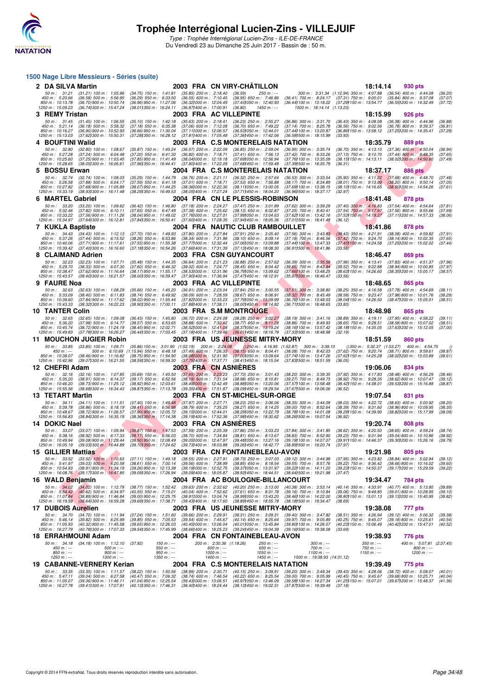![](_page_33_Picture_0.jpeg)

Type : Trophée Interrégional Lucien-Zins - ILE-DE-FRANCE Du Vendredi 23 au Dimanche 25 Juin 2017 - Bassin de : 50 m.

### F F N - R É SIN - R É SIN - R É SIN - R É SIN - R É SIN - R É SIN - R É SIN - R É SIN - R É SIN - R É SIN - R É SIN - R É SIN - R É SIN - R É SIN - R É SIN - R É SIN - R É SIN - R É SIN - R É SIN - R É SIN - R É SIN - R É **1500 Nage Libre Messieurs - Séries (suite) 2 DA SILVA Martin** 2003 FRA CN VIRY-CHÂTILLON 18:14.14 930 pts<br>
50 m: 31.21 (31.21) 100 m: 1:05.96 (34.75) 150 m: 1:41.81 (35.85) 200 m: 2:18.40 (36.59) 250 m: -- 300 m: 3:31.34 (1:12.94) 350 m: 4:07.88 (36.54) 400 m: 4:4 50 m: 31.21 (31.21) 100 m: 1:05.96 (34.75) 150 m: 1:41.81 (35.85) 200 m: 2:18.40 (36.59) 250 m:--- 300 m: 3:31.34 (1:12.94) 350 m: 4:07.88 (36.54) 400 m: 4:44.08 (36.20)<br>450 m: 5:20.66 (36.59) 500 m: 5:56.95 (36.39 550 1260 m : 13:21 (31.21) 100 m : 1:05.96 (34.75) 150 m : 1:41.81 (35.85) 200 m : 2:18.40 (36.59)<br>1250 m : 5:20.66 (36.58) 500 m : 5:56.95 (36.29) 550 m : 6:33.50 (36.55) 600 m : 7:10.45 (36.95)<br>1250 m : 15:03.23 (36.74) 300 **3 REMY Tristan 2003 FRA AC VILLEPINTE 18:15.99 926 pts** 50 m : 31.45 (31.45) 100 m : 1:06.55 (35.10) 150 m : 1:42.18 (35.63) 200 m : 2:18.41 (36.23) 250 m : 2:55.27 (36.86) 300 m : 3:31.70 (36.43) 350 m : 4:06.08 (36.38) 400 m : 4:44.96 (36.88)<br>450 m : 10:16.27 (36.18) 500 m : **4 BOUFTINI Walid** 2003 FRA C.S MONTERELAIS NATATION 18:35.79 889 pts<br>
50 m: 32.80 (32.80) 100 m: 1:08.67 (35.87) 150 m: 1:45.24 (36.57) 200 m: 2:22.09 (36.85) 250 m: 2:59.04 (36.95) 300 m: 3:35.74 (36.70) 350 m: 4:13.10 ( 50 m : 32.80 (32.80) 100 m : 1:08.67 (35.87) 150 m : 1:45.24 (36.57) 200 m : 2:22.09 (36.85) 250 m : 2:59.04 (36.95) 300 m : 3:35.74 (36.70) 350 m : 4:13.10 (37.36) 400 m : 4:50.04 (36.94)<br>450 m : 10:25.60 (37.25) 300 m : **5 BOSSU Erwan** 2004 FRA C.S MONTERELAIS NATATION 18:37.17 886 pts 2004 FRA C.S MONTERELAIS NATATION 18:37.4 (32.74) 100 m: 1:08.03 (35.29) 150 m: 1:44.79 (36.76) 200 m: 2:21.11 (36.32) 250 m: 2:57.64 (36.53) 300 m: 3:33.5 50 m : 32.74 (32.74) 100 m : 1:08.03 (35.29) 150 m : 1:44.79 (36.76) 200 m : 2:51.11 (36.32) 250 m : 2:57.64 (36.53) 300 m : 3:33.54 (35.90) 350 m : 4:11.22 (37.68) 400 m : 4:48.70 (37.48)<br>450 m : 10:25.88 (37.68) 500 m : **6 MARTEL Gabriel 2004 FRA CN LE PLESSIS-ROBINSON** 18:41.48 878 pts<br>
50 m: 33.20 (33.20) 100 m: 1:09.62 (36.42) 150 m: 1:46.80 (37.18) 200 m: 2:24.27 (37.47) 250 m: 3:01.89 (37.62) 300 m: 3:39.29 (37.40) 350 m: 4:16.83 (37 50 m: 3320 (3320) 100 m: 1:09.62 (36.42) 150 m: 1:46.80 (37.18) 200 m: 2:24.27 (37.47) 250 m: 3:01.89 (37.62) 300 m: 3:39.29 (37.40) 350 m: 4:16.83 (37.54) 400 m: 4:54.64 (37.81)<br>450 m: 10:33.42 (37.56) 900 m: 61:10.11 (37 **7 KUKLA Baptiste 2004 FRA NAUTIC CLUB RAMBOUILLET**<br>
50 m: 34.43 (34.43) 100 m: 1:12.13 (37.70) 150 m: 1:49.93 (37.80) 200 m: 2:27.84 (37.91) 250 m: 3:05.40 (37.56) 300 m: 3:43.88 (38.43) 350 m: 4:21.91 (38.08) 400 m: 4:59 50 m: 3443 (3443) 100 m: 1:12.13 (37.70) 150 m: 1:49.93 (37.80) 200 m: 2:27.84 (37.91) 250 m: 3:0540 (37.56) 300 m: 3:43.83 (38.43) 350 m: 4:21.91 (38.08) 400 m: 4:59.82 (37.91)<br>450 m: 10:40.06 (37.41) 500 m: 61:552 (38.26 **8 CLAIMAND Adrien** 2003 FRA CSN GUYANCOURT 18:46.47 869 pts<br>
50 m : 32.23 (32.23) 100 m : 1:07.71 (35.48) 150 m : 1:44.35 (36.64) 200 m : 2:21.23 (36.88) 250 m : 2:37.62 (36.39) 300 m : 335.58 (37.96) 350 m : 4:3.41 (37.8 50 m: 32.23 (32.23) 100 m: 1:07.71 (35.48) 150 m: 1:44.35 (36.64) 200 m: 2:21.23 (36.88) 250 m: 2:57.62 (36.39) 300 m: 3:35.58 (37.96) 350 m: 4:13.41 (37.83) 400 m: 4:51.37 (37.96)<br>450 m: 5:29.70 (38.33) 500 m: 6:07.30 (37 .850 m : 10:38.47 (37.62)900 m : 11:16.64 (38.67) (38.79.700 m : 12:31.96 (36.791050 m : 16:98.671050 m : 13:48.25 (38.631150 m : 14:26.60 (38.491300 m : 15:05.17 (38.57)<br>1250 m : 15:43.57 (38.4013 **9 FAURE Noa** 2003 FRA AC VILLEPINTE 18:48.65 18:48.65 865 pts<br>
50 m : 32.63 (32.63) 100 m : 1:08.29 (35.66) 150 m : 1:45.20 (36.91) 200 m : 2:23.04 (37.84) 250 m : 3:00.55 (37.51) 300 m : 3:38.80 (38.25) 350 m : 4:16.58 ( 50 m : 32.63 (32.63) 100 m : 1:08.29 (35.66) 150 m : 1:45.20 (36.91) 200 m : 2:23.04 (37.84) 250 m : 3:00.55 (37.51) 300 m : 3:38.80 (38.25) 350 m : 4:16.58 (37.78) 400 m : 4:54.69 (38.11)<br>450 m : 10:39.60 (38.48) 900 m : **10 TANTER Colin 2003 FRA S.M MONTROUGE 18:48.98 18:48.98 865 pts**<br>
50 m: 32.65 (32.65) 100 m: 1:09.08 (36.43) 150 m: 1:45.80 (36.72) 200 m: 2:24.08 (38.28) 250 m: 3:02.27 (38.19) 300 m: 3:41.16 (38.89) 350 m: 4:19.11 (37. 50 m : 32.65 (32.65) 100 m : 1:09.08 (36.43) 150 m : 1:45.80 (36.72) 200 m : 2:24.08 (38.28) 250 m : 3:41.30 (38.39) 350 m : 4:19.11 (37.95) 400 m : 4:58.22 (39.11)<br>450 m : 5:36.20 (37.98) 500 m : 6:14.77 (38.55) 500 m : 6 **11 MOUCHON JUGIER Robin 2003 FRA US JEUNESSE MITRY-MORY 18:51.59 860 pts** 50 m : 33.85 (33.85) 100 m : 1:09.71 (35.86)150 m : 3:01.90 (1:52.19) 200 m : 2:24.08 ()250 m : 4:16.95 (1:52.87) 300 m : 3:39.10 ()350 m : 5:32.37 (1:53.27) 400 m : 4:54.75 () 450 m : --- 500 m : 6:10.69 (1:15.94) 550 m : 6:48.18 (37.49) 600 m : 7:26.33 (38.15) 650 m : 8:04.41 (38.08) 700 m : 8:42.03 (37.62) 750 m : 9:20.74 (38.71) 800 m : 9:59.61 (38.87) 850 m : 10:38.07 (38.46)900 m : 11:16.82 (38.75)950 m : 11:54.90 (38.08)1000 m : 12:31.90 (37.00)1050 m : 13:09.64 (37.74)1100 m : 13:47.26 (37.62)1150 m : 14:25.28 (38.02)1200 m : 15:03.89 (38.61) 1250 m : 15:42.96 (39.07)1300 m : 16:21.55 (38.59)1350 m : 16:59.30 (37.75)1400 m : 17:37.71 (38.41)1450 m : 18:15.54 (37.83)1500 m : 18:51.59 (36.05) **12 CHEFRI Adam 10:06.06 13:06.06 13:06.06 13:06.06 13:06.06 13:06.06 13:06.06 13:06.06 13:06.06 13:06.06 13:06.06 13:06.06 13:06.06 14:08:09 13:06.06 14:08:09 14:08:09 14:08:09 14:08:** 50 m : 32.16 (32.16) 100 m : 1:07.85 (35.69) 150 m : 1:45.50 (37.65) 200 m : 2:23.23 (37.73) 250 m : 3:01.43 (38.20) 300 m : 3:39.35 (37.32) 350 m : 4:17.83 (38.48) 400 m : 4:56.29 (38.46)<br>450 m : 10:46.20 (38.71) 500 m : **13 TETART Martin 2003 FRA CN ST-MICHEL-SUR-ORGE 19:07.54 831 pts**<br>
50 m : 34.11 (34.11) 100 m : 1:11.51 (37.40) 150 m : 1:49.48 (37.97) 200 m : 2:27.71 (38.23) 250 m : 3:06.06 (38.35) 300 m : 3:44.09 (38.03) 350 m : 4:22. 50 m : 34.11 (34.11) 100 m : 1:1.51 (37.40) 150 m : 1:49.48 (37.97) 200 m : 2:27.71 (38.23) 250 m : 3:06.06 (38.35) 300 m : 3:44.09 (38.03) 350 m : 4:22.72 (38.63) 400 m : 5:00.92 (38.20)<br>450 m : 10:48.67 (38.66) 500 m : 6 **14 DOKIC Nael 2003 FRA CN ASNIÈRES 19:20.74 19:20.74 19:20.74 19:20.74 2003 FRA CN ASNIÈRES 19:20.76 19:20.74 19:20.74 19:20.74 19:20.74 19:20.74 19:20.74 19:20.74 19:20.74 19:20.74 19:20.7** 50 m : 33.07 (33.07) 100 m : 1:09.94 (36.87) 150 m : 1:47.53 (37.59) 200 m : 2:25.39 (37.86) 250 m : 3:03.23 (37.84) 300 m : 3:41.85 (38.62) 350 m : 4:20.50 (38.65) 400 m : 4:59.24 (38.74)<br>450 m : 5:38.16 (38.92) 500 m : 6 **15 GILLIER Mattias** 2003 FRA CN FONTAINEBLEAU-AVON 19:21.98 805 pts<br>
50 m: 33.52 (33.52) 100 m: 1:10.63 (37.11) 150 m: 1:49.18 (38.55) 200 m: 2:27.91 (38.73) 250 m: 3:07.03 (39.12) 300 m: 3:44.98 (37.95) 350 m: 4:23.82 (3 50 m : 33.52 (33.52) 100 m i 1:10.63 (37.11) 150 m : 1:49.18 (38.55) 200 m : 2:27.91 (38.73) 250 m : 3:07.03 (39.12) 300 m : 3:44.98 (37.95) 350 m : 4:23.82 (38.84) 400 m : 5:02.94 (39.12)<br>150 m : 10:54.93 (38.91) 900 m : **16 WALD Benjamin 2004 FRA AC BOULOGNE-BILLANCOURT 19:34.47 784 pts**<br>
50 m : **34.02** (34.02) 100 m : 1:12.79 (38.77) 150 m : 1:52.42 (39.63) 200 m : 2:32.62 (40.20) 250 m : 3:13.00 (40.38) 300 m : 3:53.14 (40.14) 350 m : 50 m : 3402 (34,02) 100 m : 1:12.79 (38.77) 150 m : 1:52.42 (39.63) 200 m : 2:32.62 (40.20) 250 m : 3:13.00 (40.38) 300 m : 3:53.14 (40.14) 350 m : 4:33.91 (40.77) 400 m : 5:13.80 (39.89)<br>450 m : 5:134.42 (40.62) 500 m : 6 **17 DUBOIS Aurelien 2003 FRA US JEUNESSE MITRY-MORY 19:38.08** 777 pts<br>
50 m: 34.70 (34.70) 100 m: 1:11.94 (37.24) 150 m: 1:51.60 (39.66) 200 m: 2:29.91 (38.31) 250 m: 3:09.31 (39.40) 300 m: 3:47.82 (38.51) 350 m: 4:26.94 ( 50 m: 34.70 (34.70) 100 m: 1:11.94 (37.24) 150 m: 1:51.60 (39.66) 200 m: 2:29.91 (38.31) 250 m: 3:09.31 (39.40) 300 m: 3:47.82 (38.51) 350 m: 4:26.94 (39.12) 400 m: 5:06.32 (39.38)<br>450 m: 51:05.93 (30.2) 500 m: 62:25.99 (3 **18 ERRAHMOUNI Adam 2004 FRA CN FONTAINEBLEAU-AVON 19:38.93 176 pts**<br> **18 ERRAHMOUNI Adam 19:20** m: 1:12.10 (37.92) **150 m:** 200 m: 2:30.36 (1:18.26) **250 m:** 200 m: 34.18 (34.18) 100 m: 5:07.81 (2:37.45)<br> **180 m:** 50 m : 34.18 (34.18) 100 m : 1:12.10 (37.92) 150 m : --- 200 m : 2:30.36 (1:18.26) 250 m : --- 300 m : --- 350 m : --- 400 m : 5:07.81 (2:37.45) 450 m : --- 500 m : --- 550 m : --- 600 m : --- 650 m : --- 700 m : --- 750 m : --- 800 m : --- 850 m : --- 900 m : --- 950 m : --- 1000 m : --- 1050 m : --- 1100 m : --- 1150 m : --- 1200 m : --- 1250 m : --- 1300 m : --- 1350 m : --- 1400 m : --- 1450 m : --- 1500 m : 19:38.93 (14:31.12) **19 CABANNE-VERNERY Kerian 2004 FRA C.S MONTERELAIS NATATION 19:39.49 775 pts** 50 m : 33.35 (33.35) 100 m : 1:11.57 (38.22) 150 m : 1:50.56 (38.99) 200 m : 2:30.71 (40.15) 250 m : 3:09.91 (39.20) 300 m : 3:49.34 (39.43) 350 m : 4:28.06 (38.72) 400 m : 5:08.07 (40.01)<br>450 m : 5: 850 m : 11:05.07 (39.36)900 m : 11:46.11 (41.04)950 m : 12:25.54 (39.431000 m : 13:06.51 (39.61100 m : 12:04.44 (39.61100 m : 15:0101 (39.671200 m : 15:48.37 (41.36,91<br>1250 m : 16:27.78 (39.411300 m : 17:07.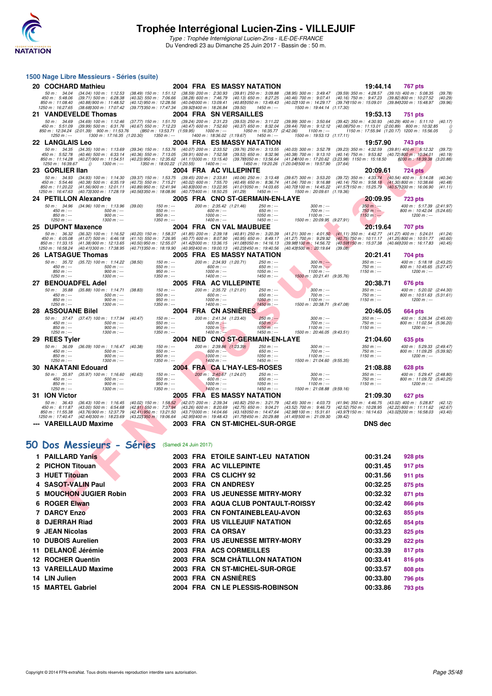![](_page_34_Picture_0.jpeg)

Type : Trophée Interrégional Lucien-Zins - ILE-DE-FRANCE Du Vendredi 23 au Dimanche 25 Juin 2017 - Bassin de : 50 m.

|                                                                         | 1500 Nage Libre Messieurs - Séries (suite)                                                                                                                                                 |                                                                                                                  |                                                             |                                                                                                                |                                                                                                                                                                                                                                                                                                                    |                                                                                                                |                                                                                                                                                                                                    |                                                                                                      |                               |
|-------------------------------------------------------------------------|--------------------------------------------------------------------------------------------------------------------------------------------------------------------------------------------|------------------------------------------------------------------------------------------------------------------|-------------------------------------------------------------|----------------------------------------------------------------------------------------------------------------|--------------------------------------------------------------------------------------------------------------------------------------------------------------------------------------------------------------------------------------------------------------------------------------------------------------------|----------------------------------------------------------------------------------------------------------------|----------------------------------------------------------------------------------------------------------------------------------------------------------------------------------------------------|------------------------------------------------------------------------------------------------------|-------------------------------|
| 20 COCHARD Mathieu                                                      |                                                                                                                                                                                            |                                                                                                                  |                                                             |                                                                                                                | 2004 FRA ES MASSY NATATION                                                                                                                                                                                                                                                                                         |                                                                                                                | 19:44.14                                                                                                                                                                                           | <b>767 pts</b>                                                                                       |                               |
| 50 m : 34.04<br>450 m: 5:48.06<br>850 m: 11:08.40<br>1250 m: 16:27.65   | (34.04) 100 m : 1:12.53<br>$(39.71)$ 500 m : 6:28.38<br>(40.88) 900 m : 11:48.52<br>(38.681300 m : 17:07.42)                                                                               | $(38.49)$ 150 m : 1:51.12<br>$(40.32)$ 550 m : 7:06.66<br>$(40.12)$ 950 m : 12:28.56<br>(39.77) 350 m : 17:47.34 |                                                             | $(38.59)$ 200 m : 2:30.93<br>$(38.28)$ 600 m : 7:46.79<br>(40.041000 m: 13:09.41<br>(39.92) 400 m : 18:26.84   | $(39.81)$ 250 m : 3:09.88<br>$(40.13)$ 650 m : 8:27.25<br>(40.851050 m: 13:49.43)<br>(39.50)<br>$1450 m: -$                                                                                                                                                                                                        | $(40.46)$ 700 m : 9:07.41<br>(40.02) 100 m : 14:29.17<br>1500 m: 19:44.14 (1:17.30)                            | (38.95) 300 m: 3:49.47 (39.59) 350 m: 4:28.57 (39.10) 400 m: 5:08.35<br>(40.16) 750 m : 9:47.23 (39.82) 800 m : 10:27.52<br>(39.74) 150 m: 15:09.01 (39.84) 200 m: 15:48.97                        |                                                                                                      | (39.78)<br>(40.29)<br>(39.96) |
| 21 VANDEVELDE Thomas                                                    |                                                                                                                                                                                            |                                                                                                                  |                                                             |                                                                                                                | 2004 FRA SN VERSAILLES                                                                                                                                                                                                                                                                                             |                                                                                                                | 19:53.13                                                                                                                                                                                           | <b>751 pts</b>                                                                                       |                               |
| 50 m : 34.69<br>$1250 m : -$                                            | (34.69) 100 m: 1:12.46 (37.77) 150 m: 1:51.70 (39.24) 200 m: 2:31.23<br>450 m : 5:51.09 (39.99) 500 m : 6:31.76<br>850 m: 12:34.24 (2:01.39) 900 m: 11:53.76<br>1300 m: 17:16.35 (1:20.30) | (40.67) 550 m : 7:12.23 (40.47) 600 m : 7:52.60                                                                  | $(950 \text{ m} : 13.53.71 \quad (1.59.95)$<br>$1350 m : -$ | 1000 m : ---<br>1400 m: 18:36.02 (1:19.67)                                                                     | $(39.53)$ 250 m : 3:11.22<br>(40.37) 650 m : 8:32.04<br>1050 m: 16:35.77 (2:42.06)<br>1450 m : ---                                                                                                                                                                                                                 | $(39.99)$ 300 m : 3:50.64<br>1100 m : ---<br>1500 m: 19:53.13 (1:17.11)                                        | (39.44) 700 m: 9:12.12 (40.08)750 m: 11:13.01 (2:00.89) 800 m: 10:32.85                                                                                                                            | (39.42) 350 m: 4:30.93 (40.29) 400 m: 5:11.10 (40.17)<br>1150 m: 17:55.94 (1:20.17) 1200 m: 15:56.05 | 0<br>$\theta$                 |
| <b>22 LANGLAIS Leo</b>                                                  |                                                                                                                                                                                            |                                                                                                                  |                                                             |                                                                                                                | 2004 FRA ES MASSY NATATION                                                                                                                                                                                                                                                                                         |                                                                                                                | 19:57.90                                                                                                                                                                                           | 743 pts                                                                                              |                               |
| 50 m: 34.35<br>450 m : 5:52.78<br>850 m : 11:14.28<br>1250 m: 16:39.67  | $(34.35)$ 100 m : 1:13.69<br>$(40.46)$ 500 m : 6:33.14<br>$(40.27)$ 900 m : 11:54.51<br>$1300 m$ : ---<br>$\theta$                                                                         | $(39.34)$ 150 m : 1:53.76<br>$(40.36)$ 550 m : 7:13.05<br>(40.23) 950 m : 12:35.62 (41.111000 m : 13:15.40)      | 1350 m: 18:00.22 (1:20.55)                                  | (40.07) 200 m : 2:33.52<br>(39.91) 600 m : 7:52.58<br>$1400 m$ : ---                                           | $(39.76)$ 250 m : 3:13.55<br>$(39.53)$ 650 m : 8:32.96<br>(39.781050 m : 13.56.64                                                                                                                                                                                                                                  | (40.03) 300 m : 3:52.78<br>$(40.38)$ 700 m : 9:13.10<br>1450 m: 19:20.26 (1:20.041500 m: 19:57.90              | $(39.23)$ 350 m : 4:32.59 $(39.81)$ 400 m : 5:12.32<br>(40.14) 750 m : 9:53.82 (40.72) 800 m : 10:34.01<br>(41.24)100 m: 17:20.62 (3:23.98) 1150 m: 15:18.50<br>(37.64)                            | (200 m : 18:39.38 (3:20.88)                                                                          | (39.73)<br>(40.19)            |
| 23 GORLIER Ilan                                                         |                                                                                                                                                                                            |                                                                                                                  |                                                             |                                                                                                                | 2004 FRA AC VILLEPINTE                                                                                                                                                                                                                                                                                             |                                                                                                                | 20:09.61                                                                                                                                                                                           | <b>724 pts</b>                                                                                       |                               |
| 50 m: 34.93<br>450 m: 5:54.46<br>850 m: 11:20.22<br>1250 m : 16:47.63   | $(34.93)$ 100 m : 1:14.30<br>$(40.38)$ 500 m : 6:35.19<br>$(41.56)$ 900 m : 12:01.11<br>(40.731300 m : 17:28.19)                                                                           | $(39.37)$ 150 m : 1:53.75<br>$(40.73)$ 550 m : 7:15.21<br>(40.89) 950 m : 12:41.94<br>(40.561350 m : 18:08.96    |                                                             | $(39.45)$ 200 m : 2:33.81<br>$(40.02)$ 600 m : 7:55.70<br>(40.83) 000 m : 13:22.95<br>(40.77) 400 m : 18:50.25 | $(40.06)$ 250 m : 3:13.48<br>$(40.49)$ 650 m : 8:36.74<br>(41.011050 m: 14:03.65<br>(41.29)<br>$1450 m$ : ---                                                                                                                                                                                                      | (39.67) 300 m : 3:53.20<br>$(41.04)$ 700 m : 9:16.88<br>(40.70) 100 m : 14:45.22<br>1500 m: 20:09.61 (1:19.36) | $(39.72)$ 350 m : 4:33.74<br>(40.14) 750 m : 9:58.18 (41.30) 800 m : 10:38.66<br>(41.57) 150 m : 15:25.79                                                                                          | $(40.54)$ 400 m : 5:14.08<br>(40.571200 m : 16:06.90                                                 | (40.34)<br>(40.48)<br>(41.11) |
| 24 PETILLON Alexandre                                                   |                                                                                                                                                                                            |                                                                                                                  |                                                             |                                                                                                                | 2005 FRA CNO ST-GERMAIN-EN-LAYE                                                                                                                                                                                                                                                                                    |                                                                                                                | 20:09.95                                                                                                                                                                                           | <b>723 pts</b>                                                                                       |                               |
| $450 m : -$<br>$850 m: -$<br>$1250 m : -$                               | 50 m: 34.96 (34.96) 100 m: 1:13.96 (39.00)<br>$500 m$ : ---<br>$900 m: -$<br>$1300 m : -$                                                                                                  |                                                                                                                  | $150 m: -$<br>$550 m: -$<br>$950 m: -$<br>$1350 m : -$      | 200 m: 2:35.42 (1:21.46)<br>$600 m: -$<br>$1000 m$ : ---<br>$1400 m$ : ---                                     | $250 m: -$<br>$650 m: -$<br>$1050 m$ : ---<br>$1450 m: -$                                                                                                                                                                                                                                                          | $300 m : -$<br>$700 m: -$<br>$1100 m: -$<br>1500 m: 20:09.95 (9:27.91)                                         | $350 m: -$<br>$750 m: -$<br>$1150 m: -$                                                                                                                                                            | 400 m: 5:17.39 (2:41.97)<br>800 m: 10:42.04 (5:24.65)<br>$1200 m : -$                                |                               |
| 25 DUPONT Maxence                                                       |                                                                                                                                                                                            |                                                                                                                  |                                                             |                                                                                                                | 2004 FRA CN VAL MAUBUEE                                                                                                                                                                                                                                                                                            |                                                                                                                | 20:19.64                                                                                                                                                                                           | <b>707 pts</b>                                                                                       |                               |
| 50 m: 36.32<br>450 m : 6:05.08<br>850 m : 11:33.15<br>1250 m: 16:58.24  | $(36.32)$ 100 m : 1:16.52<br>$(41.07)$ 500 m : 6:46.18<br>$(41.38)$ 900 m : 12:13.65<br>(40.41) 300 m : 17:38.95                                                                           |                                                                                                                  |                                                             |                                                                                                                | (40.20) 150 m: 1:58.37 (41.85) 200 m: 2:39.18 (40.81) 250 m: 3:20.39<br>$(41.10)$ 550 m : 7:26.95 $(40.77)$ 600 m : 8:07.90 $(40.95)$ 650 m : 8:49.17<br>$(40.50)$ 950 m : 12:55.07 $(41.42)$ 000 m : 13:36.15 $(41.08)$ 050 m : 14:16.13<br>(40.711350 m: 18:19.90 (40.951400 m: 19:00.13 (40.231450 m: 19:40.56) | (41.27) 700 m : 9:29.92<br>(39.98) 100 m : 14:56.72<br>(40.43) 500 m : 20:19.64                                | $(41.21)$ 300 m : 4:01.50 $(41.11)$ 350 m : 4:42.77 $(41.27)$ 400 m : 5:24.01<br>(40.75) 750 m : 10:11.17 (41.25) 800 m : 10:51.77<br>(40.59) 150 m : 15:37.38 (40.66) 200 m : 16:17.83<br>(39.08) |                                                                                                      | (41.24)<br>(40.60)<br>(40.45) |
| <b>26 LATSAGUE Thomas</b>                                               |                                                                                                                                                                                            |                                                                                                                  |                                                             |                                                                                                                | 2005 FRA ES MASSY NATATION                                                                                                                                                                                                                                                                                         |                                                                                                                | 20:21.41                                                                                                                                                                                           | 704 pts                                                                                              |                               |
| $450 m : -$<br>$850 m: -$<br>$1250 m : -$                               | 50 m: 35.72 (35.72) 100 m: 1:14.22<br>$500 m$ : ---<br>$900 m: -$<br>$1300 m : -$                                                                                                          | (38.50)                                                                                                          | $150 m : -$<br>$550 m : -$<br>$950 m: -$<br>$1350 m : -$    | 200 m: 2:34.93 (1:20.71)<br>$600 m$ : ---<br>$1000 m$ : ---<br>$1400 m$ : ---                                  | $250 m$ : ---<br>650 m : ---<br>$1050 m$ : ---<br>$1450 m: -$                                                                                                                                                                                                                                                      | $300 m: -$<br>$700 m: -$<br>$1100 m: -$<br>1500 m: 20:21.41 (9:35.76)                                          | $350 m : -$<br>$750 m: -$<br>$1150 m: -$                                                                                                                                                           | 400 m: 5:18.18 (2:43.25)<br>800 m: 10:45.65 (5:27.47)<br>$1200 m: -$                                 |                               |
| 27 BENOUADFEL Adel                                                      |                                                                                                                                                                                            |                                                                                                                  |                                                             |                                                                                                                | 2005 FRA AC VILLEPINTE                                                                                                                                                                                                                                                                                             |                                                                                                                | 20:38.71                                                                                                                                                                                           | 676 pts                                                                                              |                               |
| $450 m: -$<br>$850 m: -$<br>$1250 m : -$                                | 50 m: 35.88 (35.88) 100 m: 1:14.71 (38.83)<br>$500 m$ : ---<br>$900 m: -$<br>$1300 m: -$                                                                                                   |                                                                                                                  | $150 m: -$<br>$550 m: -$<br>$950 m: -$<br>$1350 m: -$       | 200 m: 2:35.72 (1:21.01)<br>$600 m: -$<br>$1000 m: -$<br>$1400 m: -$                                           | 250 m : ---<br>$650 m: -$<br>$1050 m$ : ---<br>$1450 m$ : ---                                                                                                                                                                                                                                                      | $300 m : -$<br>$700 m: -$<br>$1100 m: -$<br>1500 m: 20:38.71 (9:47.08)                                         | $350 m : -$<br>$750 m: -$<br>$1150 m: -$                                                                                                                                                           | 400 m: 5:20.02 (2:44.30)<br>800 m: 10:51.63 (5:31.61)<br>$1200 m$ : ---                              |                               |
| <b>28 ASSOUANE Bilel</b>                                                |                                                                                                                                                                                            |                                                                                                                  |                                                             |                                                                                                                | 2004 FRA CN ASNIERES                                                                                                                                                                                                                                                                                               |                                                                                                                | 20:46.05                                                                                                                                                                                           | 664 pts                                                                                              |                               |
| $450 m : -$<br>$850 m: -$<br>$1250 m : -$                               | 50 m: 37.47 (37.47) 100 m: 1:17.94 (40.47)<br>$500 m$ : ---<br>$900 m: -$<br>1300 m : ---                                                                                                  |                                                                                                                  | $150 m: -$<br>550 m : ---<br>$950 m: -$<br>1350 m : ---     | 200 m: 2:41.34 (1:23.40)<br>$600 m$ : ---<br>$1000 m: -$<br>$1400 m : -$                                       | $250 m$ : ---<br>$650 m: -$<br>$1050 m: -$<br>$1450 m: -$                                                                                                                                                                                                                                                          | $300 m: -$<br>$700 m: -$<br>$1100 m: -$<br>1500 m: 20:46.05 (9:43.51)                                          | $350 m : -$<br>$750 m: -$<br>$1150 m: -$                                                                                                                                                           | 400 m: 5:26.34 (2:45.00)<br>800 m: 11:02.54 (5:36.20)<br>$1200 m : -$                                |                               |
| 29 REES Tyler                                                           |                                                                                                                                                                                            |                                                                                                                  |                                                             |                                                                                                                | 2004 NED CNO ST-GERMAIN-EN-LAYE                                                                                                                                                                                                                                                                                    |                                                                                                                | 21:04.60                                                                                                                                                                                           | 635 pts                                                                                              |                               |
| 50 m : 36.09<br>$450 m : -$<br>$850 m: -$<br>$1250 m : -$               | (36.09) 100 m : 1:16.47<br>$500 m$ : ---<br>$900 m: -$<br>$1300 m$ : ---                                                                                                                   | (40.38)                                                                                                          | $150 m: -$<br>$550 m: -$<br>$950 m: -$<br>$1350 m$ : ---    | 200 m: 2:39.86 (1:23.39)<br>$600 m: --$<br>$1000 m$ : ---<br>$1400 m$ : ---                                    | 250 m : ---<br>$650 m: -$<br>$1050 m$ : ---<br>$1450 m$ : ---                                                                                                                                                                                                                                                      | $300 m: -$<br>$700 m : -$<br>$1100 m: -$<br>1500 m: 21:04.60 (9:55.35)                                         | $350 m : -$<br>$750 m: -$<br>$1150 m: -$                                                                                                                                                           | 400 m: 5:29.33 (2:49.47)<br>800 m: 11:09.25 (5:39.92)<br>$1200 m : -$                                |                               |
| <b>30 NAKATANI Edouard</b>                                              |                                                                                                                                                                                            |                                                                                                                  |                                                             |                                                                                                                | 2004 FRA CA L'HAY-LES-ROSES                                                                                                                                                                                                                                                                                        |                                                                                                                | 21:08.88                                                                                                                                                                                           | <b>628 pts</b>                                                                                       |                               |
| $450 m: -$<br>$850 m: -$<br>$1250 m : -$                                | 50 m: 35.97 (35.97) 100 m: 1:16.60 (40.63)<br>$500 m$ : ---<br>$900 m: -$<br>$1300 m : -$                                                                                                  |                                                                                                                  | $150 m : -$<br>$550 m: -$<br>$950 m: -$<br>$1350 m : -$     | 200 m: 2:40.67 (1:24.07)<br>$600 m: -$<br>$1000 m: -$<br>$1400 m: -$                                           | 250 m : ---<br>$650 m: -$<br>$1050 m$ : ---<br>$1450 m : -$                                                                                                                                                                                                                                                        | $300 m : -$<br>$700 m: -$<br>$1100 m: -$<br>1500 m: 21:08.88 (9:59.16)                                         | $350 m: -$<br>$750 m: -$<br>$1150 m: -$                                                                                                                                                            | 400 m: 5:29.47 (2:48.80)<br>800 m: 11:09.72 (5:40.25)<br>$1200 m$ : ---                              |                               |
| 31 ION Victor                                                           |                                                                                                                                                                                            |                                                                                                                  |                                                             |                                                                                                                | 2005 FRA ES MASSY NATATION                                                                                                                                                                                                                                                                                         |                                                                                                                | 21:09.30                                                                                                                                                                                           | 627 pts                                                                                              |                               |
| 50 m: 36.43<br>450 m : 6:11.87<br>850 m : 11:55.38<br>1250 m : 17:40.47 | $(36.43)$ 100 m : 1:16.45<br>$(43.00)$ 500 m : 6:54.68<br>(43.76) 900 m : 12:37.79<br>(42.441300 m : 18:23.69)                                                                             | (42.81) 550 m : 7:37.94 (43.26) 600 m : 8:20.69<br>(42.41) 950 m : 13:21.50<br>(43.221350 m : 19:06.64           |                                                             | $(43.71)000 \text{ m}: 14.04.66$                                                                               | (40.02) 150 m: 1:58.52 (42.07) 200 m: 2:39.34 (40.82) 250 m: 3:21.79<br>$(42.75)$ 650 m : 9:04.21<br>(43.16) 050 m: 14:47.64 (42.98) 100 m: 15:31.61<br>(42.95) 400 m : 19:48.43 (41.79) 450 m : 20:29.88 (41.45) 500 m : 21:09.30                                                                                 | $(43.52)$ 700 m : 9:46.73                                                                                      | (42.45) 300 m: 4:03.73 (41.94) 350 m: 4:46.75 (43.02) 400 m: 5:28.87<br>(42.52) 750 m : 10:28.95<br>(43.97) 150 m : 16:14.63 (43.02) 200 m : 16:58.03<br>(39.42)                                   | (42.22) 800 m : 11:11.62                                                                             | (42.12)<br>(42.67)<br>(43.40) |
| --- VAREILLAUD Maxime                                                   |                                                                                                                                                                                            |                                                                                                                  |                                                             |                                                                                                                | 2003 FRA CN ST-MICHEL-SUR-ORGE                                                                                                                                                                                                                                                                                     |                                                                                                                | <b>DNS</b> dec                                                                                                                                                                                     |                                                                                                      |                               |
| 50 Dos Messieurs                                                        |                                                                                                                                                                                            | <b>Séries</b> (Samedi 24 Juin 2017)                                                                              |                                                             |                                                                                                                |                                                                                                                                                                                                                                                                                                                    |                                                                                                                |                                                                                                                                                                                                    |                                                                                                      |                               |
| 1 PAILLARD Yanis                                                        |                                                                                                                                                                                            |                                                                                                                  |                                                             |                                                                                                                | 2003 FRA ETOILE SAINT-LEU NATATION                                                                                                                                                                                                                                                                                 |                                                                                                                | 00:31.24                                                                                                                                                                                           | 928 pts                                                                                              |                               |
| 2 PICHON Titouan                                                        |                                                                                                                                                                                            |                                                                                                                  |                                                             |                                                                                                                | 2003 FRA AC VILLEPINTE                                                                                                                                                                                                                                                                                             |                                                                                                                | 00:31.45                                                                                                                                                                                           | 917 pts                                                                                              |                               |
|                                                                         |                                                                                                                                                                                            |                                                                                                                  |                                                             |                                                                                                                |                                                                                                                                                                                                                                                                                                                    |                                                                                                                |                                                                                                                                                                                                    |                                                                                                      |                               |
| 3 HUET Titouan                                                          |                                                                                                                                                                                            |                                                                                                                  |                                                             |                                                                                                                | 2003 FRA CS CLICHY 92                                                                                                                                                                                                                                                                                              |                                                                                                                | 00:31.56                                                                                                                                                                                           | 911 pts                                                                                              |                               |
| 4 SASOT-VALIN Paul                                                      |                                                                                                                                                                                            |                                                                                                                  |                                                             |                                                                                                                | 2003 FRA CN ANDRESY                                                                                                                                                                                                                                                                                                |                                                                                                                | 00:32.25                                                                                                                                                                                           | 875 pts                                                                                              |                               |
|                                                                         | 5 MOUCHON JUGIER Robin                                                                                                                                                                     |                                                                                                                  |                                                             |                                                                                                                | 2003 FRA US JEUNESSE MITRY-MORY                                                                                                                                                                                                                                                                                    |                                                                                                                | 00:32.32                                                                                                                                                                                           | 871 pts                                                                                              |                               |
| 6 ROGER Elwan                                                           |                                                                                                                                                                                            |                                                                                                                  |                                                             |                                                                                                                | 2003 FRA AQUA CLUB PONTAULT-ROISSY                                                                                                                                                                                                                                                                                 |                                                                                                                | 00:32.42                                                                                                                                                                                           | 866 pts                                                                                              |                               |
| 7.0400V E <sub>max</sub>                                                |                                                                                                                                                                                            |                                                                                                                  |                                                             |                                                                                                                | 3003 EDA ON FONTAINEDI EAU AVON                                                                                                                                                                                                                                                                                    |                                                                                                                | 00.00 CO                                                                                                                                                                                           | OFF.                                                                                                 |                               |

### **[50 Dos Messieurs - Séries](http://www.ffnatation.fr/webffn/resultats.php?idact=nat&go=epr&idcpt=47281&idepr=61)** (Samedi 24 Juin 2017)

| 1 PAILLARD Yanis            |  | 2003 FRA ETOILE SAINT-LEU NATATION    | 00:31.24 | 928 pts        |
|-----------------------------|--|---------------------------------------|----------|----------------|
| 2 PICHON Titouan            |  | 2003 FRA AC VILLEPINTE                | 00:31.45 | 917 pts        |
| 3 HUET Titouan              |  | 2003 FRA CS CLICHY 92                 | 00:31.56 | 911 pts        |
| 4 SASOT-VALIN Paul          |  | 2003 FRA CN ANDRESY                   | 00:32.25 | 875 pts        |
| 5 MOUCHON JUGIER Robin      |  | 2003 FRA US JEUNESSE MITRY-MORY       | 00:32.32 | 871 pts        |
| 6 ROGER Elwan               |  | 2003 FRA AQUA CLUB PONTAULT-ROISSY    | 00:32.42 | <b>866 pts</b> |
| 7 DARCY Enzo                |  | 2003 FRA CN FONTAINEBLEAU-AVON        | 00:32.63 | 855 pts        |
| 8 DJERRAH Riad              |  | <b>2003 FRA US VILLEJUIF NATATION</b> | 00:32.65 | 854 pts        |
| 9 JEAN Nicolas              |  | 2003 FRA CA ORSAY                     | 00:33.23 | <b>825 pts</b> |
| 10 DUBOIS Aurelien          |  | 2003 FRA US JEUNESSE MITRY-MORY       | 00:33.29 | <b>822 pts</b> |
| 11 DELANOË Jérémie          |  | 2003 FRA ACS CORMEILLES               | 00:33.39 | 817 pts        |
| 12 ROCHER Quentin           |  | 2003 FRA SCM CHÂTILLON NATATION       | 00:33.41 | <b>816 pts</b> |
| <b>13 VAREILLAUD Maxime</b> |  | 2003 FRA CN ST-MICHEL-SUR-ORGE        | 00:33.57 | <b>808 pts</b> |
| 14 LIN Julien               |  | 2003 FRA CN ASNIERES                  | 00:33.80 | 796 pts        |
| <b>15 MARTEL Gabriel</b>    |  | 2004 FRA CN LE PLESSIS-ROBINSON       | 00:33.86 | 793 pts        |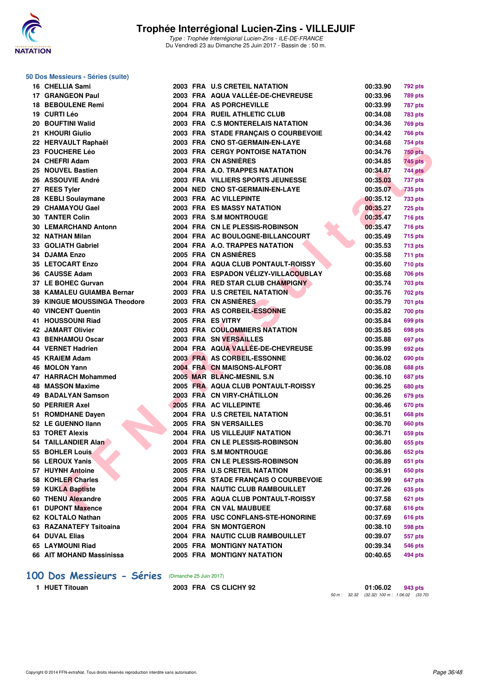![](_page_35_Picture_0.jpeg)

#### **50 Dos Messieurs - Séries (suite)**

| 16 CHELLIA Sami                     |  | 2003 FRA U.S CRETEIL NATATION           | 00:33.90 | 792 pts        |
|-------------------------------------|--|-----------------------------------------|----------|----------------|
| 17 GRANGEON Paul                    |  | 2003 FRA AQUA VALLÉE-DE-CHEVREUSE       | 00:33.96 | <b>789 pts</b> |
| 18 BEBOULENE Remi                   |  | 2004 FRA AS PORCHEVILLE                 | 00:33.99 | 787 pts        |
| 19 CURTI Léo                        |  | 2004 FRA RUEIL ATHLETIC CLUB            | 00:34.08 | 783 pts        |
| 20 BOUFTINI Walid                   |  | 2003 FRA C.S MONTERELAIS NATATION       | 00:34.36 | <b>769 pts</b> |
| 21 KHOURI Giulio                    |  | 2003 FRA STADE FRANCAIS O COURBEVOIE    | 00:34.42 | <b>766 pts</b> |
| 22 HERVAULT Raphaël                 |  | 2003 FRA CNO ST-GERMAIN-EN-LAYE         | 00:34.68 | 754 pts        |
| 23 FOUCHERE Léo                     |  | <b>2003 FRA CERGY PONTOISE NATATION</b> | 00:34.76 | <b>750 pts</b> |
| 24 CHEFRI Adam                      |  | 2003 FRA CN ASNIÈRES                    | 00:34.85 | <b>745 pts</b> |
| 25 NOUVEL Bastien                   |  | 2004 FRA A.O. TRAPPES NATATION          | 00:34.87 | 744 pts        |
| <b>26 ASSOUVIE André</b>            |  | 2003 FRA VILLIERS SPORTS JEUNESSE       | 00:35.03 | 737 pts        |
| 27 REES Tyler                       |  | 2004 NED CNO ST-GERMAIN-EN-LAYE         | 00:35.07 | 735 pts        |
| 28 KEBLI Soulaymane                 |  | 2003 FRA AC VILLEPINTE                  | 00:35.12 | 733 pts        |
| 29 CHAMAYOU Gael                    |  | 2003 FRA ES MASSY NATATION              | 00:35.27 | <b>725 pts</b> |
| <b>30 TANTER Colin</b>              |  | 2003 FRA S.M MONTROUGE                  | 00:35.47 | <b>716 pts</b> |
| 30 LEMARCHAND Antonn                |  | 2004 FRA CN LE PLESSIS-ROBINSON         | 00:35.47 | <b>716 pts</b> |
| 32 NATHAN Milan                     |  | 2004 FRA AC BOULOGNE-BILLANCOURT        | 00:35.49 | <b>715 pts</b> |
| 33 GOLIATH Gabriel                  |  | 2004 FRA A.O. TRAPPES NATATION          | 00:35.53 | 713 pts        |
| 34 DJAMA Enzo                       |  | 2005 FRA CN ASNIERES                    | 00:35.58 | 711 pts        |
| <b>35 LETOCART Enzo</b>             |  | 2004 FRA AQUA CLUB PONTAULT-ROISSY      | 00:35.60 | <b>710 pts</b> |
| 36 CAUSSE Adam                      |  | 2003 FRA ESPADON VÉLIZY-VILLACOUBLAY    | 00:35.68 | 706 pts        |
| 37 LE BOHEC Gurvan                  |  | 2004 FRA RED STAR CLUB CHAMPIGNY        | 00:35.74 | 703 pts        |
| 38 KAMALEU GUIAMBA Bernar           |  | 2003 FRA U.S CRETEIL NATATION           | 00:35.76 | <b>702 pts</b> |
| <b>39 KINGUE MOUSSINGA Theodore</b> |  | 2003 FRA CN ASNIERES                    | 00:35.79 | <b>701 pts</b> |
| 40 VINCENT Quentin                  |  | 2003 FRA AS CORBEIL-ESSONNE             | 00:35.82 | <b>700 pts</b> |
| 41 HOUSSOUNI Riad                   |  | 2005 FRA ES VITRY                       | 00:35.84 | <b>699 pts</b> |
| 42 JAMART Olivier                   |  | 2003 FRA COULOMMIERS NATATION           | 00:35.85 | 698 pts        |
| 43 BENHAMOU Oscar                   |  | 2003 FRA SN VERSAILLES                  | 00:35.88 | 697 pts        |
| 44 VERNET Hadrien                   |  | 2004 FRA AQUA VALLEE-DE-CHEVREUSE       | 00:35.99 | 692 pts        |
| 45 KRAIEM Adam                      |  | 2003 FRA AS CORBEIL-ESSONNE             | 00:36.02 | 690 pts        |
| 46 MOLON Yann                       |  | 2004 FRA CN MAISONS-ALFORT              | 00:36.08 | 688 pts        |
| 47 HARRACH Mohammed                 |  | 2005 MAR BLANC-MESNIL S.N               | 00:36.10 | 687 pts        |
| 48 MASSON Maxime                    |  | 2005 FRA AQUA CLUB PONTAULT-ROISSY      | 00:36.25 | 680 pts        |
| 49 BADALYAN Samson                  |  | 2003 FRA CN VIRY-CHÂTILLON              | 00:36.26 | 679 pts        |
| 50 PERRIER Axel                     |  | 2005 FRA AC VILLEPINTE                  | 00:36.46 | 670 pts        |
| 51 ROMDHANE Dayen                   |  | 2004 FRA U.S CRETEIL NATATION           | 00:36.51 | 668 pts        |
| 52 LE GUENNO llann                  |  | 2005 FRA SN VERSAILLES                  | 00:36.70 | 660 pts        |
| 53 TORET Alexis                     |  | 2004 FRA US VILLEJUIF NATATION          | 00:36.71 | 659 pts        |
| 54 TAILLANDIER Alan                 |  | 2004 FRA CN LE PLESSIS-ROBINSON         | 00:36.80 | 655 pts        |
| 55 BOHLER Louis                     |  | 2003 FRA S.M MONTROUGE                  | 00:36.86 | <b>652 pts</b> |
| 56 LEROUX Yanis                     |  | 2005 FRA CN LE PLESSIS-ROBINSON         | 00:36.89 | 651 pts        |
| 57 HUYNH Antoine                    |  | 2005 FRA U.S CRETEIL NATATION           | 00:36.91 | 650 pts        |
| 58 KOHLER Charles                   |  | 2005 FRA STADE FRANÇAIS O COURBEVOIE    | 00:36.99 | 647 pts        |
| 59 KUKLA Baptiste                   |  | 2004 FRA NAUTIC CLUB RAMBOUILLET        | 00:37.26 | 635 pts        |
| 60 THENU Alexandre                  |  | 2005 FRA AQUA CLUB PONTAULT-ROISSY      | 00:37.58 | 621 pts        |
| 61 DUPONT Maxence                   |  | 2004 FRA CN VAL MAUBUEE                 | 00:37.68 | 616 pts        |
| 62 KOLTALO Nathan                   |  | 2005 FRA USC CONFLANS-STE-HONORINE      | 00:37.69 | 616 pts        |
| 63 RAZANATEFY Tsitoaina             |  | 2004 FRA SN MONTGERON                   | 00:38.10 | 598 pts        |
| 64 DUVAL Elias                      |  | 2004 FRA NAUTIC CLUB RAMBOUILLET        | 00:39.07 | 557 pts        |
| 65 LAYMOUNI Riad                    |  | 2005 FRA MONTIGNY NATATION              | 00:39.34 | 546 pts        |
| 66 AIT MOHAND Massinissa            |  | 2005 FRA MONTIGNY NATATION              | 00:40.65 | 494 pts        |

#### **[100 Dos Messieurs - Séries](http://www.ffnatation.fr/webffn/resultats.php?idact=nat&go=epr&idcpt=47281&idepr=62)** (Dimanche 25 Juin 2017)

**1 HUET Titouan 2003 FRA CS CLICHY 92 01:06.02 943 pts** 50 m : 32.32 (32.32) 100 m : 1:06.02 (33.70)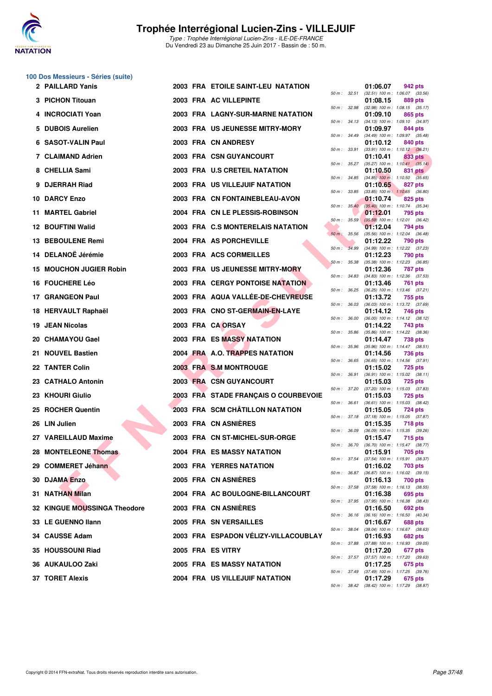![](_page_36_Picture_0.jpeg)

|  | 100 Dos Messieurs - Séries (suite) |  |  |
|--|------------------------------------|--|--|
|--|------------------------------------|--|--|

| 2 PAILLARD Yanis               |  | 2003 FRA ETOILE SAINT-LEU NATATION    |                |              | 01:06.07 | 942 pts                                                 |
|--------------------------------|--|---------------------------------------|----------------|--------------|----------|---------------------------------------------------------|
| 3 PICHON Titouan               |  | 2003 FRA AC VILLEPINTE                | 50 m: 32.51    |              | 01:08.15 | $(32.51)$ 100 m : 1:06.07 $(33.56)$<br>889 pts          |
| 4 INCROCIATI Yoan              |  | 2003 FRA LAGNY-SUR-MARNE NATATION     | 50 m : 32.98   |              | 01:09.10 | $(32.98)$ 100 m : 1:08.15 $(35.17)$<br>865 pts          |
| 5 DUBOIS Aurelien              |  | 2003 FRA US JEUNESSE MITRY-MORY       |                | 50 m : 34.13 | 01:09.97 | $(34.13)$ 100 m : 1:09.10 $(34.97)$<br>844 pts          |
| 6 SASOT-VALIN Paul             |  | 2003 FRA CN ANDRESY                   |                | 50 m : 34.49 | 01:10.12 | $(34.49)$ 100 m : 1:09.97 $(35.48)$<br>840 pts          |
| 7 CLAIMAND Adrien              |  | 2003 FRA CSN GUYANCOURT               |                | 50 m : 33.91 | 01:10.41 | $(33.91)$ 100 m : 1:10.12 $(36.21)$<br>833 pts          |
| 8 CHELLIA Sami                 |  | 2003 FRA U.S CRETEIL NATATION         |                | 50 m : 35.27 | 01:10.50 | $(35.27)$ 100 m : 1:10.41 $(35.14)$<br>831 pts          |
| 9 DJERRAH Riad                 |  | <b>2003 FRA US VILLEJUIF NATATION</b> |                |              | 01:10.65 | 50 m : 34.85 (34.85) 100 m : 1:10.50 (35.65)<br>827 pts |
| 10 DARCY Enzo                  |  | 2003 FRA CN FONTAINEBLEAU-AVON        | 50 m : 33.85   |              | 01:10.74 | $(33.85)$ 100 m : 1:10.65 $(36.80)$<br>825 pts          |
| 11 MARTEL Gabriel              |  | 2004 FRA CN LE PLESSIS-ROBINSON       |                | 50 m: 35.40  | 01:12.01 | $(35.40)$ 100 m : 1:10.74 $(35.34)$<br><b>795 pts</b>   |
| <b>12 BOUFTINI Walid</b>       |  | 2003 FRA C.S MONTERELAIS NATATION     |                | 50 m: 35.59  | 01:12.04 | $(35.59)$ 100 m : 1:12.01 $(36.42)$<br>794 pts          |
| 13 BEBOULENE Remi              |  | 2004 FRA AS PORCHEVILLE               | $50 m$ : 35.56 |              | 01:12.22 | $(35.56)$ 100 m : 1:12.04 $(36.48)$<br>790 pts          |
| 14 DELANOË Jérémie             |  | 2003 FRA ACS CORMEILLES               |                | 50 m : 34.99 | 01:12.23 | $(34.99)$ 100 m : 1:12.22 $(37.23)$<br><b>790 pts</b>   |
| <b>15 MOUCHON JUGIER Robin</b> |  | 2003 FRA US JEUNESSE MITRY-MORY       | 50 m: 35.38    |              | 01:12.36 | $(35.38)$ 100 m : 1:12.23 $(36.85)$<br>787 pts          |
| 16 FOUCHERE Léo                |  | 2003 FRA CERGY PONTOISE NATATION      | 50 m : 34.83   |              | 01:13.46 | $(34.83)$ 100 m : 1:12.36 $(37.53)$<br>761 pts          |
| <b>17 GRANGEON Paul</b>        |  | 2003 FRA AQUA VALLÉE-DE-CHEVREUSE     | 50 m: 36.25    |              | 01:13.72 | (36.25) 100 m: 1:13.46 (37.21)<br>755 pts               |
| 18 HERVAULT Raphaël            |  | 2003 FRA CNO ST-GERMAIN-EN-LAYE       |                | 50 m : 36.03 | 01:14.12 | $(36.03)$ 100 m : 1:13.72 $(37.69)$<br>746 pts          |
| 19 JEAN Nicolas                |  | 2003 FRA CA ORSAY                     |                | 50 m : 36.00 | 01:14.22 | $(36.00)$ 100 m : 1:14.12 $(38.12)$<br>743 pts          |
| 20 CHAMAYOU Gael               |  | 2003 FRA ES MASSY NATATION            | 50 m: 35.86    |              | 01:14.47 | $(35.86)$ 100 m : 1:14.22 $(38.36)$<br>738 pts          |
| 21 NOUVEL Bastien              |  | 2004 FRA A.O. TRAPPES NATATION        |                |              | 01:14.56 | 50 m: 35.96 (35.96) 100 m: 1:14.47 (38.51)<br>736 pts   |
| 22 TANTER Colin                |  | 2003 FRA S.M MONTROUGE                | 50 m: 36.65    |              | 01:15.02 | $(36.65)$ 100 m : 1:14.56 $(37.91)$<br>725 pts          |
| 23 CATHALO Antonin             |  | 2003 FRA CSN GUYANCOURT               |                | 50 m : 36.91 | 01:15.03 | $(36.91)$ 100 m : 1:15.02 $(38.11)$<br>725 pts          |
| 23 KHOURI Giulio               |  | 2003 FRA STADE FRANÇAIS O COURBEVOIE  |                | 50 m : 37.20 | 01:15.03 | $(37.20)$ 100 m : 1:15.03 $(37.83)$<br>725 pts          |
| 25 ROCHER Quentin              |  | 2003 FRA SCM CHÂTILLON NATATION       | 50 m : 36.61   |              | 01:15.05 | $(36.61)$ 100 m : 1:15.03 $(38.42)$<br>724 pts          |
| 26 LIN Julien                  |  | 2003 FRA CN ASNIERES                  |                |              | 01:15.35 | 50 m: 37.18 (37.18) 100 m: 1:15.05 (37.87)<br>718 pts   |
| 27 VAREILLAUD Maxime           |  | 2003 FRA CN ST-MICHEL-SUR-ORGE        | 50 m : 36.09   |              | 01:15.47 | $(36.09)$ 100 m : 1:15.35 $(39.26)$<br>715 pts          |
| 28 MONTELEONE Thomas           |  | <b>2004 FRA ES MASSY NATATION</b>     | 50 m : 36.70   |              | 01:15.91 | $(36.70)$ 100 m : 1:15.47 $(38.77)$<br>705 pts          |
| 29 COMMERET Jéhann             |  | 2003 FRA YERRES NATATION              |                |              | 01:16.02 | 50 m: 37.54 (37.54) 100 m: 1:15.91 (38.37)<br>703 pts   |
| 30 DJAMA Enzo                  |  | 2005 FRA CN ASNIERES                  | 50 m : 36.87   |              | 01:16.13 | $(36.87)$ 100 m : 1:16.02 $(39.15)$<br>700 pts          |
| 31 NATHAN Milan                |  | 2004 FRA AC BOULOGNE-BILLANCOURT      |                | 50 m : 37.58 | 01:16.38 | $(37.58)$ 100 m : 1:16.13 $(38.55)$<br>695 pts          |
| 32 KINGUE MOUSSINGA Theodore   |  | 2003 FRA CN ASNIERES                  |                |              | 01:16.50 | 50 m: 37.95 (37.95) 100 m: 1:16.38 (38.43)<br>692 pts   |
| 33 LE GUENNO Ilann             |  | 2005 FRA SN VERSAILLES                | 50 m: 36.16    |              | 01:16.67 | $(36.16)$ 100 m : 1:16.50 $(40.34)$<br>688 pts          |
| 34 CAUSSE Adam                 |  | 2003 FRA ESPADON VELIZY-VILLACOUBLAY  | 50 m : 38.04   |              | 01:16.93 | (38.04) 100 m: 1:16.67 (38.63)<br>682 pts               |
| 35 HOUSSOUNI Riad              |  | 2005 FRA ES VITRY                     | 50 m : 37.88   |              | 01:17.20 | $(37.88)$ 100 m : 1:16.93 $(39.05)$<br>677 pts          |
| 36 AUKAULOO Zaki               |  | 2005 FRA ES MASSY NATATION            |                | 50 m : 37.57 | 01:17.25 | $(37.57)$ 100 m : 1:17.20 $(39.63)$<br>675 pts          |
| <b>37 TORET Alexis</b>         |  | 2004 FRA US VILLEJUIF NATATION        |                | 50 m : 37.49 | 01:17.29 | $(37.49)$ 100 m : 1:17.25 $(39.76)$<br>675 pts          |
|                                |  |                                       |                |              |          | 50 m: 38.42 (38.42) 100 m: 1:17.29 (38.87)              |

|          |       | 01:06.07                      | 942 pts                              |
|----------|-------|-------------------------------|--------------------------------------|
| 50 m :   | 32.51 | $(32.51)$ 100 m :             | 1:06.07<br>(33.56)<br>889 pts        |
| $50 m$ : | 32.98 | 01:08.15<br>$(32.98) 100 m$ : | 1:08.15<br>(35.17)                   |
|          |       | 01:09.10                      | 865 pts                              |
| 50 m :   | 34.13 | (34.13) 100 m :               | 1:09.10<br>(34.97)                   |
|          | 34.49 | 01:09.97<br>$(34.49) 100 m$ : | 844 pts<br>(35.48)                   |
| 50 m :   |       | 01:10.12                      | 1:09.97<br>840 pts                   |
| 50 m :   | 33.91 | $(33.91)$ 100 m :             | 1:10.12<br>(36.21)                   |
|          |       | 01:10.41                      | 833 pts                              |
| $50 m$ : | 35.27 | $(35.27) 100 m$ :<br>01:10.50 | 1:10.41<br>(35.14)                   |
| $50 m$ : | 34.85 | $(34.85)$ 100 m :             | 831 pts<br>1:10.50<br>(35.65)        |
|          |       | 01:10.65                      | 827 pts                              |
| $50 m$ : | 33.85 | $(33.85)$ 100 m :             | 1:10.65<br>(36.80)                   |
| $50 m$ : | 35.40 | 01:10.74                      | 825 pts<br>1:10.74<br>(35.34)        |
|          |       | $(35.40)$ 100 m :<br>01:12.01 | 795 pts                              |
| 50 m :   | 35.59 | $(35.59)$ 100 m :             | 1:12.01<br>(36.42)                   |
|          |       | 01:12.04                      | 794 pts                              |
| $50 m$ : | 35.56 | $(35.56) 100 m$ :<br>01:12.22 | 1:12.04<br>(36.48)                   |
| $50 m$ : | 34.99 | $(34.99)$ 100 m :             | <b>790 pts</b><br>1:12.22<br>(37.23) |
|          |       | 01:12.23                      | <b>790 pts</b>                       |
| 50 m :   | 35.38 | $(35.38) 100 m$ :             | 1:12.23<br>(36.85)                   |
| 50 m :   | 34.83 | 01:12.36<br>$(34.83) 100 m$ : | <b>787 pts</b><br>(37.53)<br>1:12.36 |
|          |       | 01:13.46                      | 761<br>pts                           |
| $50 m$ : | 36.25 | $(36.25)$ 100 m :             | 1:13.46<br>(37.21)                   |
|          |       | 01:13.72                      | 755 pts                              |
| 50 m :   | 36.03 | $(36.03)$ 100 m :<br>01:14.12 | 1:13.72<br>(37.69)<br>746 pts        |
| 50 m :   | 36.00 | $(36.00)$ 100 m :             | 1:14.12<br>(38.12)                   |
|          |       | 01:14.22                      | 743 pts                              |
| 50 m :   | 35.86 | $(35.86) 100 m$ :             | 1:14.22<br>(38.36)                   |
| 50 m :   | 35.96 | 01:14.47<br>(35.96) 100 m :   | 738 pts<br>1:14.47<br>(38.51)        |
|          |       | 01:14.56                      | 736 pts                              |
| $50 m$ : | 36.65 | $(36.65)$ 100 m :             | 1:14.56<br>(37.91)                   |
| $50 m$ : | 36.91 | 01:15.02<br>$(36.91)$ 100 m : | <b>725 pts</b>                       |
|          |       | 01:15.03                      | 1:15.02<br>(38.11)<br>725 pts        |
| 50 m :   | 37.20 | $(37.20)$ 100 m :             | (37.83)<br>1:15.03                   |
|          |       | 01:15.03                      | <b>725 pts</b>                       |
| $50 m$ : | 36.61 | $(36.61)$ 100 m :<br>01:15.05 | 1:15.03<br>(38.42)<br><b>724 pts</b> |
| $50 m$ : | 37.18 | $(37.18) 100 m$ :             | 1:15.05<br>(37.87)                   |
|          |       | 01:15.35                      | <b>718 pts</b>                       |
| 50 m :   | 36.09 | (36.09) 100 m :<br>01:15.47   | 1:15.35<br>(39.26)                   |
| $50 m$ : | 36.70 | $(36.70)$ 100 m :             | <b>715 pts</b><br>1:15.47<br>(38.77) |
|          |       | 01:15.91                      | 705 pts                              |
| $50 m$ : | 37.54 | $(37.54) 100 m$ :             | 1:15.91<br>(38.37)                   |
| $50 m$ : | 36.87 | 01:16.02<br>$(36.87) 100 m$ : | 703 pts<br>1:16.02<br>(39.15)        |
|          |       | 01:16.13                      | <b>700 pts</b>                       |
| $50 m$ : | 37.58 | $(37.58) 100 m$ :             | 1:16.13<br>(38.55)                   |
|          |       | 01:16.38                      | <b>695 pts</b>                       |
| $50 m$ : | 37.95 | (37.95) 100 m :<br>01:16.50   | 1:16.38<br>(38.43)<br>692 pts        |
| 50 m :   | 36.16 | $(36.16) 100 m$ :             | 1:16.50<br>(40.34)                   |
|          |       | 01:16.67                      | <b>688 pts</b>                       |
| $50 m$ : | 38.04 | (38.04) 100 m :               | 1:16.67<br>(38.63)                   |
| $50 m$ : | 37.88 | 01:16.93<br>$(37.88) 100 m$ : | 682 pts<br>1:16.93<br>(39.05)        |
|          |       | 01:17.20                      | 677 pts                              |
| $50 m$ : | 37.57 | (37.57) 100 m :               | 1:17.20<br>(39.63)                   |
| $50 m$ : | 37.49 | 01:17.25<br>(37.49) 100 m :   | 675 pts<br>1:17.25<br>(39.76)        |
|          |       | 01:17.29                      | 675 pts                              |
| 50 m :   | 38.42 | $(38.42) 100 m$ :             | 1:17.29<br>(38.87)                   |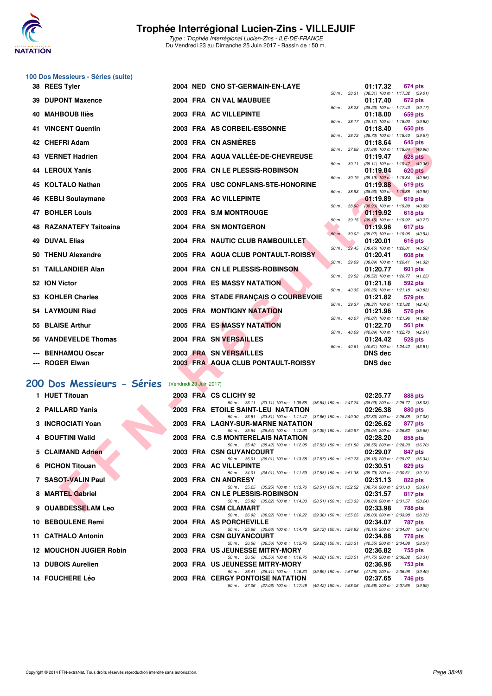![](_page_37_Picture_0.jpeg)

|     | 100 Dos Messieurs - Séries (suite) |                         |                                                                                                   |                                                                   |
|-----|------------------------------------|-------------------------|---------------------------------------------------------------------------------------------------|-------------------------------------------------------------------|
|     | 38 REES Tyler                      |                         | 2004 NED CNO ST-GERMAIN-EN-LAYE<br>50 m : 38.31                                                   | 01:17.32<br>674 pts                                               |
| 39  | <b>DUPONT Maxence</b>              |                         | 2004 FRA CN VAL MAUBUEE                                                                           | $(38.31)$ 100 m : 1:17.32 $(39.01)$<br>01:17.40<br>672 pts        |
| 40  | <b>MAHBOUB Iliès</b>               |                         | 50 m : 38.23<br>2003 FRA AC VILLEPINTE                                                            | $(38.23)$ 100 m : 1:17.40 $(39.17)$<br>01:18.00<br>659 pts        |
|     | 41 VINCENT Quentin                 |                         | 50 m : 38.17<br>2003 FRA AS CORBEIL-ESSONNE                                                       | $(38.17)$ 100 m : 1:18.00 $(39.83)$<br>01:18.40<br>650 pts        |
|     | 42 CHEFRI Adam                     |                         | 50 m : 38.73<br>2003 FRA CN ASNIERES                                                              | $(38.73)$ 100 m : 1:18.40 $(39.67)$<br>01:18.64<br>645 pts        |
|     | <b>43 VERNET Hadrien</b>           |                         | 50 m : 37.68<br>2004 FRA AQUA VALLÉE-DE-CHEVREUSE                                                 | $(37.68)$ 100 m : 1:18.64 $(40.96)$<br>01:19.47<br><b>628 pts</b> |
|     | 44 LEROUX Yanis                    |                         | 50 m : 39.11<br>2005 FRA CN LE PLESSIS-ROBINSON                                                   | (39.11) 100 m: 1:19.47 (40.36)                                    |
|     |                                    |                         | 50 m : 39.19                                                                                      | 01:19.84<br><b>620 pts</b><br>$(39.19)$ 100 m : 1:19.84 $(40.65)$ |
|     | 45 KOLTALO Nathan                  |                         | 2005 FRA USC CONFLANS-STE-HONORINE<br>50 m : 38.93                                                | 01:19.88<br>619 pts<br>(38.93) 100 m: 1:19.88 (40.95)             |
| 46  | <b>KEBLI Soulaymane</b>            |                         | 2003 FRA AC VILLEPINTE<br>50 m : 38.90                                                            | 01:19.89<br>619 pts<br>$(38.90)$ 100 m : 1:19.89 $(40.99)$        |
| 47  | <b>BOHLER Louis</b>                |                         | 2003 FRA S.M MONTROUGE<br>$50 m$ : $39.15$                                                        | 01:19.92<br>618 pts<br>(39.15) 100 m: 1:19.92 (40.77)             |
| 48. | <b>RAZANATEFY Tsitoaina</b>        |                         | <b>2004 FRA SN MONTGERON</b>                                                                      | 01:19.96<br>617 pts                                               |
| 49  | <b>DUVAL Elias</b>                 |                         | $50 m$ : $39.02$<br>2004 FRA NAUTIC CLUB RAMBOUILLET                                              | (39.02) 100 m: 1:19.96 (40.94)<br>01:20.01<br>616 pts             |
| 50  | <b>THENU Alexandre</b>             |                         | 50 m: 39.45<br>2005 FRA AQUA CLUB PONTAULT-ROISSY                                                 | $(39.45)$ 100 m : 1:20.01 $(40.56)$<br>01:20.41<br>608 pts        |
| 51  | <b>TAILLANDIER Alan</b>            |                         | 50 m: 39.09<br>2004 FRA CN LE PLESSIS-ROBINSON                                                    | (39.09) 100 m: 1:20.41 (41.32)<br>01:20.77<br>601 pts             |
|     | 52 ION Victor                      |                         | 50 m : 39.52<br>2005 FRA ES MASSY NATATION                                                        | (39.52) 100 m: 1:20.77 (41.25)<br>01:21.18<br>592 pts             |
|     |                                    |                         | 50 m : 40.35                                                                                      | $(40.35)$ 100 m : 1:21.18 $(40.83)$                               |
|     | 53 KOHLER Charles                  |                         | 2005 FRA STADE FRANÇAIS O COURBEVOIE<br>50 m : 39.37                                              | 01:21.82<br>579 pts<br>(39.37) 100 m: 1:21.82 (42.45)             |
|     | 54 LAYMOUNI Riad                   |                         | 2005 FRA MONTIGNY NATATION<br>50 m: 40.07                                                         | 01:21.96<br>576 pts<br>(40.07) 100 m: 1:21.96 (41.89)             |
| 55. | <b>BLAISE Arthur</b>               |                         | <b>2005 FRA ES MASSY NATATION</b><br>50 m: 40.09                                                  | 01:22.70<br>561 pts<br>(40.09) 100 m: 1:22.70 (42.61)             |
| 56  | <b>VANDEVELDE Thomas</b>           |                         | 2004 FRA SN VERSAILLES<br>$50 m$ : $40.61$                                                        | 01:24.42<br>528 pts<br>$(40.61)$ 100 m : 1:24.42 $(43.81)$        |
|     | <b>BENHAMOU Oscar</b>              |                         | 2003 FRA SN VERSAILLES                                                                            | <b>DNS</b> dec                                                    |
|     | <b>ROGER Elwan</b>                 |                         | <b>2003 FRA AQUA CLUB PONTAULT-ROISSY</b>                                                         | <b>DNS</b> dec                                                    |
|     | 200 Dos Messieurs - Séries         | (Vendredi 23 Juin 2017) |                                                                                                   |                                                                   |
|     | 1 HUET Titouan                     |                         | 2003 FRA CS CLICHY 92                                                                             | 02:25.77<br>888 pts                                               |
|     | 2 PAILLARD Yanis                   |                         | 50 m: 33.11 (33.11) 100 m: 1:09.65 (36.54) 150 m: 1:47.74<br>2003 FRA ETOILE SAINT-LEU NATATION   | $(38.09)$ 200 m : 2:25.77 $(38.03)$<br>02:26.38<br>880 pts        |
|     |                                    |                         | 50 m: 33.81 (33.81) 100 m: 1:11.47 (37.66) 150 m: 1:49.30                                         | $(37.83)$ 200 m : 2:26.38 $(37.08)$                               |
|     | 3 INCROCIATI Yoan                  |                         | 2003 FRA LAGNY-SUR-MARNE NATATION<br>50 m : 35.54 (35.54) 100 m : 1:12.93 (37.39) 150 m : 1:50.97 | 02:26.62<br>877 pts<br>$(38.04)$ 200 m : 2:26.62 $(35.65)$        |
|     | 4 BOUFTINI Walid                   |                         | 2003 FRA C.S MONTERELAIS NATATION<br>50 m : 35.42 (35.42) 100 m : 1:12.95 (37.53) 150 m : 1:51.50 | 02:28.20<br>858 pts<br>(38.55) 200 m : 2:28.20 (36.70)            |
|     | 5 CLAIMAND Adrien                  |                         | 2003 FRA CSN GUYANCOURT<br>50 m: 36.01 (36.01) 100 m: 1:13.58 (37.57) 150 m: 1:52.73              | 02:29.07<br>847 pts<br>(39.15) 200 m : 2:29.07 (36.34)            |
|     | 6 PICHON Titouan                   |                         | 2003 FRA AC VILLEPINTE<br>50 m: 34.01 (34.01) 100 m: 1:11.59 (37.58) 150 m: 1:51.38               | 02:30.51<br>829 pts<br>$(39.79)$ 200 m : 2:30.51 $(39.13)$        |
|     | 7 SASOT-VALIN Paul                 |                         | 2003 FRA CN ANDRESY                                                                               | 02:31.13<br>822 pts                                               |
|     | 8 MARTEL Gabriel                   |                         | 50 m: 35.25 (35.25) 100 m: 1:13.76 (38.51) 150 m: 1:52.52<br>2004 FRA CN LE PLESSIS-ROBINSON      | (38.76) 200 m : 2:31.13 (38.61)<br>02:31.57<br>817 pts            |
|     | 9 OUABDESSELAM Leo                 |                         | 50 m: 35.82 (35.82) 100 m: 1:14.33 (38.51) 150 m: 1:53.33<br>2003 FRA CSM CLAMART                 | (39.00) 200 m : 2:31.57 (38.24)<br>02:33.98<br>788 pts            |
|     | 10 BEBOULENE Remi                  |                         | 50 m : 36.92 (36.92) 100 m : 1:16.22 (39.30) 150 m : 1:55.25<br>2004 FRA AS PORCHEVILLE           | $(39.03)$ 200 m : 2:33.98 $(38.73)$<br>02:34.07<br>787 pts        |

11 CATHALO Antonin 2003 FRA CSN GUYANCOURT 12 MOUCHON JUGIER Robin 2003 FRA US JEUNESSE MITRY-MORY

**13 DUBOIS Aurelien 2003 FRA US JEUNESSE MITRY-MORY 02:36.96 753 pts** 50 m : 36.41 (36.41) 100 m : 1:16.30 (39.89) 150 m : 1:57.56 (41.26) 200 m : 2:36.96 (39.40) **14 FOUCHERE Léo 2003 FRA CERGY PONTOISE NATATION 02:37.65 746 pts**

50 m :  $35.66$  (35.66) 100 m :  $1:14.78$  (39.12) 150 m :  $1:54.93$  (40.15) 200 m :  $2:34.07$  (39.14)<br>**GUYANCOURT** 

50 m : 36.56 (36.56) 100 m : 1:15.76 (39.20) 150 m : 1:56.31 (40.55) 200 m : 2:34.88 (38.57)<br>EUNESSE MITRY-MORY 02:36.82 755 pts

50 m : 37.06 (37.06) 100 m : 1:17.48 (40.42) 150 m : 1:58.06 (40.58) 200 m : 2:37.65 (39.59)

50 m : 36.56 (36.56) 100 m : 1:16.76 (40.20) 150 m : 1:58.51 (41.75) 200 m : 2:36.82 (38.31)<br>2003 FRA US JEUNESSE MITRY-MORY 02:36.96 753 pts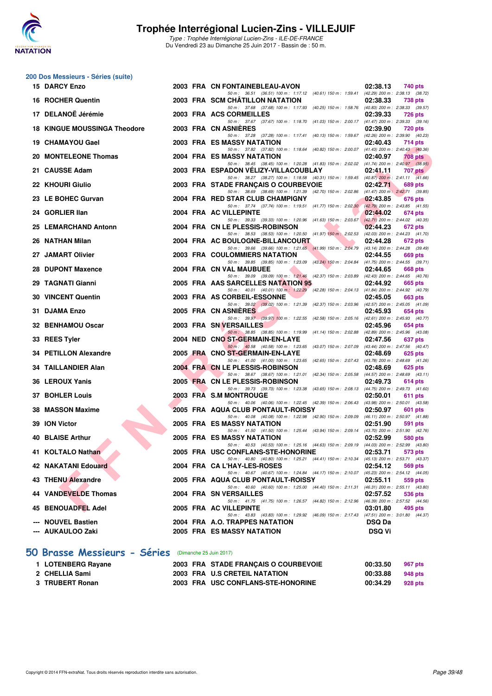![](_page_38_Picture_0.jpeg)

#### **200 Dos Messieurs - Séries (suite)**

| 15 DARCY Enzo                       |  | 2003 FRA CN FONTAINEBLEAU-AVON                                                                                                     | 02:38.13      | 740 pts        |
|-------------------------------------|--|------------------------------------------------------------------------------------------------------------------------------------|---------------|----------------|
| 16 ROCHER Quentin                   |  | 50 m: 36.51 (36.51) 100 m: 1:17.12 (40.61) 150 m: 1:59.41 (42.29) 200 m: 2:38.13 (38.72)<br>2003 FRA SCM CHATILLON NATATION        | 02:38.33      | 738 pts        |
| 17 DELANOË Jérémie                  |  | 50 m: 37.68 (37.68) 100 m: 1:17.93 (40.25) 150 m: 1:58.76 (40.83) 200 m: 2:38.33 (39.57)<br>2003 FRA ACS CORMEILLES                | 02:39.33      | <b>726 pts</b> |
| <b>18 KINGUE MOUSSINGA Theodore</b> |  | 50 m: 37.67 (37.67) 100 m: 1:18.70 (41.03) 150 m: 2:00.17 (41.47) 200 m: 2:39.33 (39.16)<br>2003 FRA CN ASNIERES                   | 02:39.90      | 720 pts        |
|                                     |  | 50 m: 37.28 (37.28) 100 m: 1:17.41 (40.13) 150 m: 1:59.67 (42.26) 200 m: 2:39.90 (40.23)                                           |               |                |
| 19 CHAMAYOU Gael                    |  | <b>2003 FRA ES MASSY NATATION</b><br>50 m: 37.82 (37.82) 100 m: 1:18.64 (40.82) 150 m: 2:00.07 (41.43) 200 m: 2:40.43 (40.36)      | 02:40.43      | 714 pts        |
| 20 MONTELEONE Thomas                |  | 2004 FRA ES MASSY NATATION<br>50 m: 38.45 (38.45) 100 m: 1:20.28 (41.83) 150 m: 2:02.02 (41.74) 200 m: 2:40.97 (38.95)             | 02:40.97      | <b>708 pts</b> |
| 21 CAUSSE Adam                      |  | 2003 FRA ESPADON VELIZY-VILLACOUBLAY                                                                                               | 02:41.11      | 707 pts        |
| 22 KHOURI Giulio                    |  | 50 m: 38.27 (38.27) 100 m: 1:18.58 (40.31) 150 m: 1:59.45 (40.87) 200 m: 2:41.11 (41.66)<br>2003 FRA STADE FRANÇAIS O COURBEVOIE   | 02:42.71      | 689 pts        |
| 23 LE BOHEC Gurvan                  |  | 50 m: 38.69 (38.69) 100 m: 1:21.39 (42.70) 150 m: 2:02.86 (41.47) 200 m: 2:42.71 (39.85)<br>2004 FRA RED STAR CLUB CHAMPIGNY       | 02:43.85      | 676 pts        |
| 24 GORLIER IIan                     |  | 50 m: 37.74 (37.74) 100 m: 1:19.51 (41.77) 150 m: 2:02.30 (42.79) 200 m: 2:43.85 (41.55)<br>2004 FRA AC VILLEPINTE                 | 02:44.02      | 674 pts        |
|                                     |  | 50 m: 39.33 (39.33) 100 m: 1:20.96 (41.63) 150 m: 2:03.67 (42.71) 200 m: 2:44.02 (40.35)                                           |               |                |
| 25 LEMARCHAND Antonn                |  | 2004 FRA CN LE PLESSIS-ROBINSON<br>50 m: 38.53 (38.53) 100 m: 1:20.50 (41.97) 150 m: 2:02.53 (42.03) 200 m: 2:44.23 (41.70)        | 02:44.23      | 672 pts        |
| 26 NATHAN Milan                     |  | 2004 FRA AC BOULOGNE-BILLANCOURT                                                                                                   | 02:44.28      | 672 pts        |
| 27 JAMART Olivier                   |  | 50 m: 39.66 (39.66) 100 m: 1:21.65 (41.99) 150 m: 2:04.79 (43.14) 200 m: 2:44.28 (39.49)<br><b>2003 FRA COULOMMIERS NATATION</b>   | 02:44.55      | 669 pts        |
| 28 DUPONT Maxence                   |  | 50 m: 39.85 (39.85) 100 m: 1:23.09 (43.24) 150 m: 2:04.84 (41.75) 200 m: 2:44.55 (39.71)<br>2004 FRA CN VAL MAUBUEE                | 02:44.65      | 668 pts        |
|                                     |  | 50 m: 39.09 (39.09) 100 m: 1:21.46 (42.37) 150 m: 2:03.89 (42.43) 200 m: 2:44.65 (40.76)<br>2005 FRA AAS SARCELLES NATATION 95     |               |                |
| 29 TAGNATI Gianni                   |  | 50 m: 40.01 (40.01) 100 m: 1:22.29 (42.28) 150 m: 2:04.13 (41.84) 200 m: 2:44.92 (40.79)                                           | 02:44.92      | 665 pts        |
| <b>30 VINCENT Quentin</b>           |  | 2003 FRA AS CORBEIL-ESSONNE<br>50 m: 39.02 (39.02) 100 m: 1:21.39 (42.37) 150 m: 2:03.96 (42.57) 200 m: 2:45.05 (41.09)            | 02:45.05      | 663 pts        |
| 31 DJAMA Enzo                       |  | 2005 FRA CN ASNIERES                                                                                                               | 02:45.93      | 654 pts        |
| 32 BENHAMOU Oscar                   |  | 50 m: 39.97 (39.97) 100 m: 1:22.55 (42.58) 150 m: 2:05.16 (42.61) 200 m: 2:45.93 (40.77)<br><b>2003 FRA SN VERSAILLES</b>          | 02:45.96      | 654 pts        |
| 33 REES Tyler                       |  | 50 m : 38.85 (38.85) 100 m : 1:19.99 (41.14) 150 m : 2:02.88 (42.89) 200 m : 2:45.96 (43.08)<br>2004 NED CNO ST-GERMAIN-EN-LAYE    | 02:47.56      | 637 pts        |
|                                     |  | 50 m: 40.58 (40.58) 100 m: 1:23.65 (43.07) 150 m: 2:07.09 (43.44) 200 m: 2:47.56 (40.47)                                           |               |                |
| 34 PETILLON Alexandre               |  | 2005 FRA CNO ST-GERMAIN-EN-LAYE<br>50 m: 41.00 (41.00) 100 m: 1:23.65 (42.65) 150 m: 2:07.43 (43.78) 200 m: 2:48.69 (41.26)        | 02:48.69      | $625$ pts      |
| <b>34 TAILLANDIER Alan</b>          |  | 2004 FRA CN LE PLESSIS-ROBINSON                                                                                                    | 02:48.69      | 625 pts        |
| 36 LEROUX Yanis                     |  | 50 m: 38.67 (38.67) 100 m: 1:21.01 (42.34) 150 m: 2:05.58 (44.57) 200 m: 2:48.69 (43.11)<br>2005 FRA CN LE PLESSIS-ROBINSON        | 02:49.73      | 614 pts        |
| <b>37 BOHLER Louis</b>              |  | 50 m: 39.73 (39.73) 100 m: 1:23.38 (43.65) 150 m: 2:08.13 (44.75) 200 m: 2:49.73 (41.60)<br>2003 FRA S.M MONTROUGE                 | 02:50.01      | 611 pts        |
|                                     |  | 50 m: 40.06 (40.06) 100 m: 1:22.45 (42.39) 150 m: 2:06.43 (43.98) 200 m: 2:50.01 (43.58)                                           |               |                |
| 38 MASSON Maxime                    |  | 2005 FRA AQUA CLUB PONTAULT-ROISSY<br>50 m: 40.08 (40.08) 100 m: 1:22.98 (42.90) 150 m: 2:09.09 (46.11) 200 m: 2:50.97 (41.88)     | 02:50.97      | 601 pts        |
| 39 ION Victor                       |  | <b>2005 FRA ES MASSY NATATION</b><br>50 m: 41.50 (41.50) 100 m: 1:25.44 (43.94) 150 m: 2:09.14 (43.70) 200 m: 2:51.90 (42.76)      | 02:51.90      | 591 pts        |
| <b>40 BLAISE Arthur</b>             |  | 2005 FRA ES MASSY NATATION                                                                                                         | 02:52.99      | 580 pts        |
| 41 KOLTALO Nathan                   |  | 50 m: 40.53 (40.53) 100 m: 1:25.16 (44.63) 150 m: 2:09.19 (44.03) 200 m: 2:52.99 (43.80)<br>2005 FRA USC CONFLANS-STE-HONORINE     | 02:53.71      | 573 pts        |
| 42 NAKATANI Edouard                 |  | 50 m: 40.80 (40.80) 100 m: 1:25.21 (44.41) 150 m: 2:10.34 (45.13) 200 m: 2:53.71 (43.37)<br>2004 FRA CA L'HAY-LES-ROSES            | 02:54.12      | 569 pts        |
|                                     |  | 50 m: 40.67 (40.67) 100 m: 1:24.84 (44.17) 150 m: 2:10.07 (45.23) 200 m: 2:54.12 (44.05)                                           |               |                |
| 43 THENU Alexandre                  |  | 2005 FRA AQUA CLUB PONTAULT-ROISSY<br>50 m : 40.60 (40.60) 100 m : 1:25.00 (44.40) 150 m : 2:11.31 (46.31) 200 m : 2:55.11 (43.80) | 02:55.11      | 559 pts        |
| 44 VANDEVELDE Thomas                |  | 2004 FRA SN VERSAILLES<br>50 m: 41.75 (41.75) 100 m: 1:26.57 (44.82) 150 m: 2:12.96 (46.39) 200 m: 2:57.52 (44.56)                 | 02:57.52      | 536 pts        |
| 45 BENOUADFEL Adel                  |  | 2005 FRA AC VILLEPINTE                                                                                                             | 03:01.80      | 495 pts        |
| --- NOUVEL Bastien                  |  | 50 m: 43.83 (43.83) 100 m: 1:29.92 (46.09) 150 m: 2:17.43 (47.51) 200 m: 3:01.80 (44.37)<br>2004 FRA A.O. TRAPPES NATATION         | <b>DSQ Da</b> |                |
| --- AUKAULOO Zaki                   |  | 2005 FRA ES MASSY NATATION                                                                                                         | <b>DSQ Vi</b> |                |
|                                     |  |                                                                                                                                    |               |                |

### **[50 Brasse Messieurs - Séries](http://www.ffnatation.fr/webffn/resultats.php?idact=nat&go=epr&idcpt=47281&idepr=71)** (Dimanche 25 Juin 2017)

| 1 LOTENBERG Rayane | 2003 FRA STADE FRANCAIS O COURBEVOIE | 00:33.50 | 967 pts |
|--------------------|--------------------------------------|----------|---------|
| 2 CHELLIA Sami     | 2003 FRA U.S CRETEIL NATATION        | 00:33.88 | 948 pts |
| 3 TRUBERT Ronan    | 2003 FRA USC CONFLANS-STE-HONORINE   | 00:34.29 | 928 pts |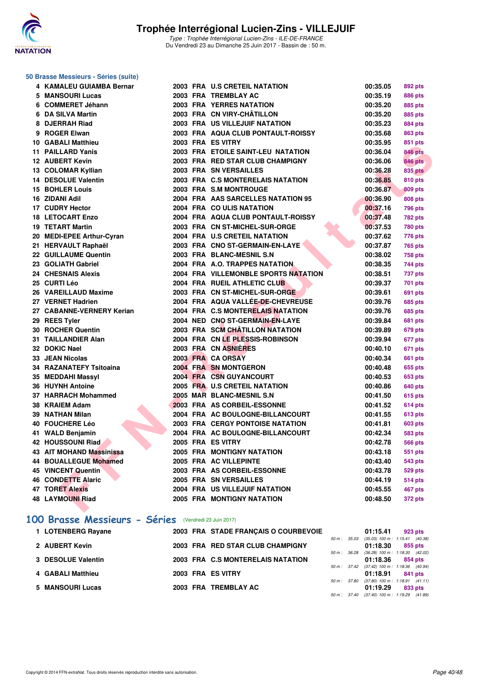![](_page_39_Picture_0.jpeg)

#### **50 Brasse Messieurs - Séries (suite)**

| 4 KAMALEU GUIAMBA Bernar   |  | 2003 FRA U.S CRETEIL NATATION           | 00:35.05 | 892 pts        |
|----------------------------|--|-----------------------------------------|----------|----------------|
| 5 MANSOURI Lucas           |  | 2003 FRA TREMBLAY AC                    | 00:35.19 | <b>886 pts</b> |
| 6 COMMERET Jéhann          |  | <b>2003 FRA YERRES NATATION</b>         | 00:35.20 | <b>885 pts</b> |
| 6 DA SILVA Martin          |  | 2003 FRA CN VIRY-CHÂTILLON              | 00:35.20 | <b>885 pts</b> |
| 8 DJERRAH Riad             |  | 2003 FRA US VILLEJUIF NATATION          | 00:35.23 | <b>884 pts</b> |
| 9 ROGER Elwan              |  | 2003 FRA AQUA CLUB PONTAULT-ROISSY      | 00:35.68 | <b>863 pts</b> |
| <b>10 GABALI Matthieu</b>  |  | 2003 FRA ES VITRY                       | 00:35.95 | 851 pts        |
| 11 PAILLARD Yanis          |  | 2003 FRA ETOILE SAINT-LEU NATATION      | 00:36.04 | <b>846 pts</b> |
| <b>12 AUBERT Kevin</b>     |  | 2003 FRA RED STAR CLUB CHAMPIGNY        | 00:36.06 | <b>846 pts</b> |
| 13 COLOMAR Kyllian         |  | 2003 FRA SN VERSAILLES                  | 00:36.28 | <b>835 pts</b> |
| 14 DESOLUE Valentin        |  | 2003 FRA C.S MONTERELAIS NATATION       | 00:36.85 | <b>810 pts</b> |
| 15 BOHLER Louis            |  | 2003 FRA S.M MONTROUGE                  | 00:36.87 | <b>809 pts</b> |
| 16 ZIDANI Adil             |  | 2004 FRA AAS SARCELLES NATATION 95      | 00:36.90 | <b>808 pts</b> |
| 17 CUDRY Hector            |  | 2004 FRA CO ULIS NATATION               | 00:37.16 | <b>796 pts</b> |
| <b>18 LETOCART Enzo</b>    |  | 2004 FRA AQUA CLUB PONTAULT-ROISSY      | 00:37.48 | <b>782 pts</b> |
| <b>19 TETART Martin</b>    |  | 2003 FRA CN ST-MICHEL-SUR-ORGE          | 00:37.53 | <b>780 pts</b> |
| 20 MEDI-EPEE Arthur-Cyran  |  | 2004 FRA U.S CRETEIL NATATION           | 00:37.62 | 776 pts        |
| 21 HERVAULT Raphaël        |  | 2003 FRA CNO ST-GERMAIN-EN-LAYE         | 00:37.87 | <b>765 pts</b> |
| 22 GUILLAUME Quentin       |  | 2003 FRA BLANC-MESNIL S.N.              | 00:38.02 | <b>758 pts</b> |
| 23 GOLIATH Gabriel         |  | 2004 FRA A.O. TRAPPES NATATION.         | 00:38.35 | 744 pts        |
| <b>24 CHESNAIS Alexis</b>  |  | 2004 FRA VILLEMONBLE SPORTS NATATION    | 00:38.51 | 737 pts        |
| 25 CURTI Léo               |  | 2004 FRA RUEIL ATHLETIC CLUB            | 00:39.37 | <b>701 pts</b> |
| 26 VAREILLAUD Maxime       |  | 2003 FRA CN ST-MICHEL-SUR-ORGE          | 00:39.61 | <b>691 pts</b> |
| 27 VERNET Hadrien          |  | 2004 FRA AQUA VALLÉE-DE-CHEVREUSE       | 00:39.76 | <b>685 pts</b> |
| 27 CABANNE-VERNERY Kerian  |  | 2004 FRA C.S MONTERELAIS NATATION       | 00:39.76 | <b>685 pts</b> |
| 29 REES Tyler              |  | 2004 NED CNO ST-GERMAIN-EN-LAYE         | 00:39.84 | 681 pts        |
| 30 ROCHER Quentin          |  | 2003 FRA SCM CHÂTILLON NATATION         | 00:39.89 | 679 pts        |
| <b>31 TAILLANDIER Alan</b> |  | 2004 FRA CN LE PLESSIS-ROBINSON         | 00:39.94 | 677 pts        |
| 32 DOKIC Nael              |  | 2003 FRA CN ASNIERES                    | 00:40.10 | 671 pts        |
| 33 JEAN Nicolas            |  | 2003 FRA CA ORSAY                       | 00:40.34 | <b>661 pts</b> |
| 34 RAZANATEFY Tsitoaina    |  | 2004 FRA SN MONTGERON                   | 00:40.48 | <b>655 pts</b> |
| 35 MEDDAHI Massyl          |  | 2004 FRA CSN GUYANCOURT                 | 00:40.53 | 653 pts        |
| 36 HUYNH Antoine           |  | 2005 FRA U.S CRETEIL NATATION           | 00:40.86 | <b>640 pts</b> |
| 37 HARRACH Mohammed        |  | 2005 MAR BLANC-MESNIL S.N               | 00:41.50 | 615 pts        |
| 38 KRAIEM Adam             |  | 2003 FRA AS CORBEIL-ESSONNE             | 00:41.52 | <b>614 pts</b> |
| 39 NATHAN Milan            |  | 2004 FRA AC BOULOGNE-BILLANCOURT        | 00:41.55 | 613 pts        |
| 40 FOUCHERE Léo            |  | <b>2003 FRA CERGY PONTOISE NATATION</b> | 00:41.81 | <b>603 pts</b> |
| 41 WALD Benjamin           |  | 2004 FRA AC BOULOGNE-BILLANCOURT        | 00:42.34 | <b>583 pts</b> |
| <b>42 HOUSSOUNI Riad</b>   |  | 2005 FRA ES VITRY                       | 00:42.78 | <b>566 pts</b> |
| 43 AIT MOHAND Massinissa   |  | <b>2005 FRA MONTIGNY NATATION</b>       | 00:43.18 | <b>551 pts</b> |
| 44 BOUALLEGUE Mohamed      |  | 2005 FRA AC VILLEPINTE                  | 00:43.40 | <b>543 pts</b> |
| 45 VINCENT Quentin         |  | 2003 FRA AS CORBEIL-ESSONNE             | 00:43.78 | <b>529 pts</b> |
| <b>46 CONDETTE Alaric</b>  |  | 2005 FRA SN VERSAILLES                  | 00:44.19 | <b>514 pts</b> |
| <b>47 TORET Alexis</b>     |  | 2004 FRA US VILLEJUIF NATATION          | 00:45.55 | 467 pts        |
| <b>48 LAYMOUNI Riad</b>    |  | 2005 FRA MONTIGNY NATATION              | 00:48.50 | 372 pts        |
|                            |  |                                         |          |                |

### **[100 Brasse Messieurs - Séries](http://www.ffnatation.fr/webffn/resultats.php?idact=nat&go=epr&idcpt=47281&idepr=72)** (Vendredi 23 Juin 2017)

| 1 LOTENBERG Rayane |  | 2003 FRA STADE FRANCAIS O COURBEVOIE |              | 01:15.41                                     |         | 923 pts |
|--------------------|--|--------------------------------------|--------------|----------------------------------------------|---------|---------|
|                    |  |                                      | 50 m : 35.03 | $(35.03)$ 100 m : 1:15.41 $(40.38)$          |         |         |
| 2 AUBERT Kevin     |  | 2003 FRA RED STAR CLUB CHAMPIGNY     |              | 01:18.30                                     | 855 pts |         |
|                    |  |                                      |              | 50 m : 36.28 (36.28) 100 m : 1:18.30 (42.02) |         |         |
| 3 DESOLUE Valentin |  | 2003 FRA C.S MONTERELAIS NATATION    |              | 01:18.36                                     | 854 pts |         |
|                    |  |                                      |              | 50 m: 37.42 (37.42) 100 m: 1:18.36 (40.94)   |         |         |
| 4 GABALI Matthieu  |  | 2003 FRA ES VITRY                    |              | 01:18.91                                     | 841 pts |         |
|                    |  |                                      |              | 50 m: 37.80 (37.80) 100 m: 1:18.91 (41.11)   |         |         |
| 5 MANSOURI Lucas   |  | 2003 FRA TREMBLAY AC                 |              | 01:19.29                                     | 833 pts |         |
|                    |  |                                      |              | 50 m: 37.40 (37.40) 100 m: 1:19.29 (41.89)   |         |         |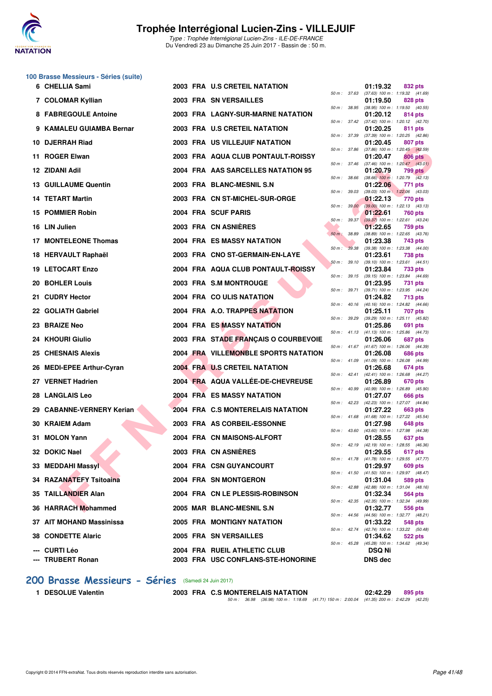![](_page_40_Picture_0.jpeg)

### **100 Brasse Messieurs - Séries (suite)**

| 6 CHELLIA Sami                     |  | 2003 FRA U.S CRETEIL NATATION                                      |              |                | 01:19.32                        | 832 pts                                                        |
|------------------------------------|--|--------------------------------------------------------------------|--------------|----------------|---------------------------------|----------------------------------------------------------------|
| 7 COLOMAR Kyllian                  |  | 2003 FRA SN VERSAILLES                                             |              |                | 01:19.50                        | 50 m: 37.63 (37.63) 100 m: 1:19.32 (41.69)<br>828 pts          |
| 8 FABREGOULE Antoine               |  | 2003 FRA LAGNY-SUR-MARNE NATATION                                  |              |                | 01:20.12                        | 50 m: 38.95 (38.95) 100 m: 1:19.50 (40.55)<br>814 pts          |
| 9 KAMALEU GUIAMBA Bernar           |  | 2003 FRA U.S CRETEIL NATATION                                      |              |                | 01:20.25                        | 50 m: 37.42 (37.42) 100 m: 1:20.12 (42.70)<br>811 pts          |
| 10 DJERRAH Riad                    |  | <b>2003 FRA US VILLEJUIF NATATION</b>                              |              |                | 01:20.45                        | 50 m: 37.39 (37.39) 100 m: 1:20.25 (42.86)<br>807 pts          |
| 11 ROGER Elwan                     |  | 2003 FRA AQUA CLUB PONTAULT-ROISSY                                 | 50 m : 37.86 |                | 01:20.47                        | $(37.86)$ 100 m : 1:20.45 $(42.59)$<br>806 pts                 |
| 12 ZIDANI Adil                     |  | 2004 FRA AAS SARCELLES NATATION 95                                 | 50 m: 37.46  |                | 01:20.79                        | $(37.46)$ 100 m : 1:20.47 $(43.01)$<br>799 pts                 |
| <b>13 GUILLAUME Quentin</b>        |  | 2003 FRA BLANC-MESNIL S.N.                                         | 50 m : 38.66 |                | 01:22.06                        | $(38.66)$ 100 m : 1:20.79 $(42.13)$<br>771 pts                 |
| <b>14 TETART Martin</b>            |  | 2003 FRA CN ST-MICHEL-SUR-ORGE                                     | 50 m : 39.03 |                | 01:22.13                        | $(39.03)$ 100 m : 1:22.06 $(43.03)$<br>770 pts                 |
| 15 POMMIER Robin                   |  | 2004 FRA SCUF PARIS                                                |              |                | 01:22.61                        | 50 m : 39.00 (39.00) 100 m : 1:22.13 (43.13)<br>760 pts        |
| 16 LIN Julien                      |  | 2003 FRA CN ASNIÈRES                                               |              | $50 m$ : 39.37 | 01:22.65                        | (39.37) 100 m: 1:22.61 (43.24)<br>759 pts                      |
|                                    |  |                                                                    | 50 m : 38.89 |                |                                 | $(38.89)$ 100 m : 1:22.65 $(43.76)$                            |
| 17 MONTELEONE Thomas               |  | 2004 FRA ES MASSY NATATION                                         | 50 m: 39.38  |                | 01:23.38                        | 743 pts<br>$(39.38)$ 100 m : 1:23.38 $(44.00)$                 |
| 18 HERVAULT Raphaël                |  | 2003 FRA CNO ST-GERMAIN-EN-LAYE                                    | 50 m: 39.10  |                | 01:23.61                        | <b>738 pts</b><br>$(39.10)$ 100 m : 1:23.61 $(44.51)$          |
| <b>19 LETOCART Enzo</b>            |  | 2004 FRA AQUA CLUB PONTAULT-ROISSY                                 |              |                | 01:23.84                        | 733 pts<br>50 m: 39.15 (39.15) 100 m: 1:23.84 (44.69)          |
| 20 BOHLER Louis                    |  | 2003 FRA S.M MONTROUGE                                             |              |                | 01:23.95                        | 731 pts                                                        |
| 21 CUDRY Hector                    |  | 2004 FRA CO ULIS NATATION                                          |              | 50 m : 39.71   | 01:24.82                        | (39.71) 100 m: 1:23.95 (44.24)<br>713 pts                      |
| 22 GOLIATH Gabriel                 |  | 2004 FRA A.O. TRAPPES NATATION                                     |              |                | 01:25.11                        | 50 m : 40.16 (40.16) 100 m : 1:24.82 (44.66)<br><b>707 pts</b> |
| 23 BRAIZE Neo                      |  | <b>2004 FRA ES MASSY NATATION</b>                                  | 50 m: 39.29  |                | 01:25.86                        | (39.29) 100 m : 1:25.11 (45.82)<br>691 pts                     |
| 24 KHOURI Giulio                   |  | 2003 FRA STADE FRANÇAIS O COURBEVOIE                               |              |                | 01:26.06                        | 50 m: 41.13 (41.13) 100 m: 1:25.86 (44.73)<br>687 pts          |
| 25 CHESNAIS Alexis                 |  | 2004 FRA VILLEMONBLE SPORTS NATATION                               |              |                | 01:26.08                        | 50 m: 41.67 (41.67) 100 m: 1:26.06 (44.39)<br>686 pts          |
| 26 MEDI-EPEE Arthur-Cyran          |  | 2004 FRA U.S CRETEIL NATATION                                      |              |                | 01:26.68                        | 50 m: 41.09 (41.09) 100 m: 1:26.08 (44.99)<br>674 pts          |
| 27 VERNET Hadrien                  |  | 2004 FRA AQUA VALLÉE-DE-CHEVREUSE                                  |              |                |                                 | 50 m: 42.41 (42.41) 100 m: 1:26.68 (44.27)                     |
|                                    |  |                                                                    |              | 50 m : 40.99   | 01:26.89                        | 670 pts<br>(40.99) 100 m: 1:26.89 (45.90)                      |
| 28 LANGLAIS Leo                    |  | 2004 FRA ES MASSY NATATION                                         |              |                | 01:27.07                        | 666 pts<br>50 m: 42.23 (42.23) 100 m: 1:27.07 (44.84)          |
| 29 CABANNE-VERNERY Kerian          |  | 2004 FRA C.S MONTERELAIS NATATION                                  |              |                | 01:27.22                        | <b>663 pts</b><br>50 m: 41.68 (41.68) 100 m: 1:27.22 (45.54)   |
| 30 KRAIEM Adam                     |  | 2003 FRA AS CORBEIL-ESSONNE                                        |              |                | 01:27.98                        | 648 pts<br>50 m: 43.60 (43.60) 100 m: 1:27.98 (44.38)          |
| 31 MOLON Yann                      |  | 2004 FRA CN MAISONS-ALFORT                                         |              |                | 01:28.55                        | 637 pts                                                        |
| 32 DOKIC Nael                      |  | 2003 FRA CN ASNIÈRES                                               |              |                | 01:29.55                        | 50 m: 42.19 (42.19) 100 m: 1:28.55 (46.36)<br>617 pts          |
| 33 MEDDAHI Massyl                  |  | 2004 FRA CSN GUYANCOURT                                            |              |                | 01:29.97                        | 50 m: 41.78 (41.78) 100 m: 1:29.55 (47.77)<br>609 pts          |
| 34 RAZANATEFY Tsitoaina            |  | 2004 FRA SN MONTGERON                                              |              |                | 01:31.04                        | 50 m: 41.50 (41.50) 100 m: 1:29.97 (48.47)<br>589 pts          |
| 35 TAILLANDIER Alan                |  | 2004 FRA CN LE PLESSIS-ROBINSON                                    |              |                | 01:32.34                        | 50 m : 42.88 (42.88) 100 m : 1:31.04 (48.16)<br>564 pts        |
| 36 HARRACH Mohammed                |  | 2005 MAR BLANC-MESNIL S.N                                          |              |                | 01:32.77                        | 50 m: 42.35 (42.35) 100 m: 1:32.34 (49.99)<br>556 pts          |
| 37 AIT MOHAND Massinissa           |  | <b>2005 FRA MONTIGNY NATATION</b>                                  |              |                | 01:33.22                        | 50 m: 44.56 (44.56) 100 m: 1:32.77 (48.21)<br>548 pts          |
| <b>38 CONDETTE Alaric</b>          |  | 2005 FRA SN VERSAILLES                                             |              |                | 01:34.62                        | 50 m: 42.74 (42.74) 100 m: 1:33.22 (50.48)<br>522 pts          |
|                                    |  |                                                                    |              |                |                                 | 50 m: 45.28 (45.28) 100 m: 1:34.62 (49.34)                     |
| --- CURTI Léo<br>--- TRUBERT Ronan |  | 2004 FRA RUEIL ATHLETIC CLUB<br>2003 FRA USC CONFLANS-STE-HONORINE |              |                | <b>DSQ Ni</b><br><b>DNS</b> dec |                                                                |

|          |       | 01:19.32                      | 832 pts                    |                |
|----------|-------|-------------------------------|----------------------------|----------------|
| 50 m :   | 37.63 | $(37.63) 100 m$ :             | 1:19.32                    | (41.69)        |
| 50 m :   | 38.95 | 01:19.50<br>$(38.95)$ 100 m : | 828 pts<br>1:19.50         | (40.55)        |
|          |       | 01:20.12                      | 814 pts                    |                |
| $50 m$ : | 37.42 | $(37.42) 100 m$ :             | 1:20.12                    | (42.70)        |
|          |       | 01:20.25                      | 811                        | pts            |
| 50 m :   | 37.39 | $(37.39) 100 m$ :<br>01:20.45 | 1:20.25<br>807             | (42.86)<br>pts |
| 50 m :   | 37.86 | (37.86) 100 m :               | 1:20.45                    | (42.59)        |
|          |       | 01:20.47                      | <b>806 pts</b>             |                |
| $50 m$ : | 37.46 | $(37.46) 100 m$ :             | 1:20.47                    | (43.01)        |
| $50 m$ : | 38.66 | 01:20.79<br>$(38.66)$ 100 m : | 799<br>1:20.79             | pts<br>(42.13) |
|          |       | 01:22.06                      | 771                        | pts            |
| 50 m :   | 39.03 | $(39.03)$ 100 m :             | 1:22.06                    | (43.03)        |
|          |       | 01:22.13                      | 770 pts                    |                |
| $50 m$ : | 39.00 | $(39.00)$ 100 m :<br>01:22.61 | 1:22.13<br>760             | (43.13)        |
| 50 m :   | 39.37 | $(39.37)$ 100 m :             | 1:22.61                    | pts<br>(43.24) |
|          |       | 01:22.65                      | 759                        | pts            |
| $50 m$ : | 38.89 | (38.89) 100 m :               | 1:22.65                    | (43.76)        |
|          |       | 01:23.38<br>$(39.38) 100 m$ : | 743                        | pts            |
| 50 m :   | 39.38 | 01:23.61                      | 1:23.38<br><b>738 pts</b>  | (44.00)        |
| $50 m$ : | 39.10 | $(39.10) 100 m$ :             | 1:23.61                    | (44.51)        |
|          |       | 01:23.84                      | 733 pts                    |                |
| 50 m :   | 39.15 | (39.15) 100 m :<br>01:23.95   | 1:23.84                    | (44.69)        |
| 50 m :   | 39.71 | $(39.71)$ 100 m :             | 731<br>1:23.95             | pts<br>(44.24) |
|          |       | 01:24.82                      | 713 pts                    |                |
| 50 m :   | 40.16 | $(40.16) 100 m$ :             | 1:24.82                    | (44.66)        |
| 50 m :   | 39.29 | 01:25.11<br>(39.29) 100 m :   | 707<br>1:25.11             | pts<br>(45.82) |
|          |       | 01:25.86                      | 691                        | pts            |
| 50 m :   | 41.13 | $(41.13) 100 m$ :             | 1:25.86                    | (44.73)        |
|          |       | 01:26.06                      | 687                        | pts            |
| 50 m :   | 41.67 | (41.67) 100 m :<br>01:26.08   | 1:26.06<br><b>686 pts</b>  | (44.39)        |
| 50 m :   | 41.09 | $(41.09) 100 m$ :             | 1:26.08                    | (44.99)        |
|          |       | 01:26.68                      | 674 pts                    |                |
| 50 m :   | 42.41 | $(42.41)$ 100 m :             | 1:26.68                    | (44.27)        |
| 50 m :   | 40.99 | 01:26.89<br>(40.99) 100 m :   | 670 pts<br>1:26.89         | (45.90)        |
|          |       | 01:27.07                      | 666 pts                    |                |
| $50 m$ : | 42.23 | (42.23) 100 m :               | 1:27.07                    | (44.84)        |
|          | 41.68 | 01:27.22<br>$(41.68) 100 m$ : | <b>663 pts</b><br>1:27.22  |                |
| 50 m :   |       | 01:27.98                      | <b>648 pts</b>             | (45.54)        |
| $50 m$ : | 43.60 | $(43.60)$ 100 m :             | 1:27.98                    | (44.38)        |
|          |       | 01:28.55                      | 637 pts                    |                |
| $50 m$ : | 42.19 | $(42.19) 100 m$ :<br>01:29.55 | 1:28.55 (46.36)<br>617 pts |                |
| $50 m$ : | 41.78 | (41.78) 100 m:                | 1:29.55                    | (47.77)        |
|          |       | 01:29.97                      | 609 pts                    |                |
| $50 m$ : | 41.50 | $(41.50) 100 m$ :             | 1:29.97                    | (48.47)        |
| $50 m$ : | 42.88 | 01:31.04<br>$(42.88) 100 m$ : | <b>589 pts</b><br>1:31.04  | (48.16)        |
|          |       | 01:32.34                      | <b>564 pts</b>             |                |
| $50 m$ : | 42.35 | $(42.35) 100 m$ :             | 1:32.34                    | (49.99)        |
|          |       | 01:32.77                      | 556 pts                    |                |
| $50 m$ : | 44.56 | $(44.56) 100 m$ :<br>01:33.22 | 1:32.77<br><b>548 pts</b>  | (48.21)        |
| $50 m$ : | 42.74 | $(42.74)$ 100 m :             | 1:33.22                    | (50.48)        |
|          |       | 01:34.62                      | 522 pts                    |                |
| 50 m :   | 45.28 | $(45.28) 100 m$ :             | 1:34.62                    | (49.34)        |
|          |       | DSQ Ni                        |                            |                |
|          |       | DNS dec                       |                            |                |

#### **[200 Brasse Messieurs - Séries](http://www.ffnatation.fr/webffn/resultats.php?idact=nat&go=epr&idcpt=47281&idepr=73)** (Samedi 24 Juin 2017)

**1 DESOLUE Valentin 2003 FRA C.S MONTERELAIS NATATION 02:42.29 895 pts**

50 m : 36.98 (36.98) 100 m : 1:18.69 (41.71) 150 m : 2:00.04 (41.35) 200 m : 2:42.29 (42.25)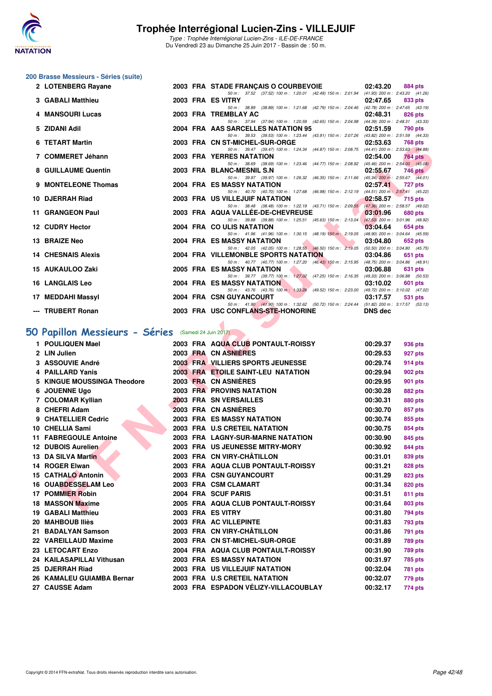![](_page_41_Picture_0.jpeg)

### **200 Brasse Messieurs - Séries (suite)**

| 2 LOTENBERG Rayane        |  | 2003 FRA STADE FRANÇAIS O COURBEVOIE 02:43.20                                                                                                                                                                                                                          |          | 884 pts        |                |
|---------------------------|--|------------------------------------------------------------------------------------------------------------------------------------------------------------------------------------------------------------------------------------------------------------------------|----------|----------------|----------------|
|                           |  | 50 m: 37.52 (37.52) 100 m: 1:20.01 (42.49) 150 m: 2:01.94 (41.93) 200 m: 2:43.20 (41.26)                                                                                                                                                                               |          |                |                |
| <b>3 GABALI Matthieu</b>  |  | 2003 FRA ES VITRY                                                                                                                                                                                                                                                      | 02:47.65 |                | 833 pts        |
|                           |  | 50 m: 38.89 (38.89) 100 m: 1:21.68 (42.79) 150 m: 2:04.46 (42.78) 200 m: 2:47.65 (43.19)                                                                                                                                                                               |          |                |                |
| 4 MANSOURI Lucas          |  | 2003 FRA TREMBLAY AC                                                                                                                                                                                                                                                   | 02:48.31 | <b>826 pts</b> |                |
|                           |  | 50 m: 37.94 (37.94) 100 m: 1:20.59 (42.65) 150 m: 2:04.98 (44.39) 200 m: 2:48.31 (43.33)                                                                                                                                                                               |          |                |                |
| 5 ZIDANI Adil             |  | 2004 FRA AAS SARCELLES NATATION 95 02:51.59                                                                                                                                                                                                                            |          | 790 pts        |                |
|                           |  | 50 m: 39.53 (39.53) 100 m: 1:23.44 (43.91) 150 m: 2:07.26 (43.82) 200 m: 2:51.59 (44.33)                                                                                                                                                                               |          |                |                |
| 6 TETART Martin           |  | 2003 FRA CN ST-MICHEL-SUR-ORGE 02:53.63                                                                                                                                                                                                                                |          |                | 768 pts        |
|                           |  | 50 m: 39.47 (39.47) 100 m: 1:24.34 (44.87) 150 m: 2:08.75 (44.41) 200 m: 2:53.63 (44.88)                                                                                                                                                                               |          |                |                |
| 7 COMMERET Jéhann         |  | <b>2003 FRA YERRES NATATION</b>                                                                                                                                                                                                                                        | 02:54.00 |                | <b>764 pts</b> |
|                           |  | 50 m: 38.69 (38.69) 100 m: 1:23.46 (44.77) 150 m: 2:08.92 (45.46) 200 m: 2:54.00 (45.08)                                                                                                                                                                               |          |                |                |
| 8 GUILLAUME Quentin       |  | 2003 FRA BLANC-MESNIL S.N                                                                                                                                                                                                                                              | 02:55.67 |                | 746 pts        |
|                           |  | 50 m: 39.97 (39.97) 100 m: 1:26.32 (46.35) 150 m: 2:11.66 (45.34) 200 m: 2:55.67 (44.01)                                                                                                                                                                               |          |                |                |
| 9 MONTELEONE Thomas       |  | <b>2004 FRA ES MASSY NATATION</b>                                                                                                                                                                                                                                      | 02:57.41 | 727 pts        |                |
|                           |  | 50 m: 40.70 (40.70) 100 m: 1:27.68 (46.98) 150 m: 2:12.19 (44.51) 200 m: 2:57.41 (45.22)                                                                                                                                                                               |          |                |                |
| 10 DJERRAH Riad           |  | 2003 FRA US VILLEJUIF NATATION 02:58.57 715 pts                                                                                                                                                                                                                        |          |                |                |
|                           |  | 50 m: 38.48 (38.48) 100 m: 1:22.19 (43.71) 150 m: 2:09.55 (47.36) 200 m: 2:58.57 (49.02)                                                                                                                                                                               |          |                |                |
| 11 GRANGEON Paul          |  | 2003 FRA AQUA VALLÉE-DE-CHEVREUSE 2003 03:01.96                                                                                                                                                                                                                        |          | <b>680 pts</b> |                |
|                           |  | 50 m: 39.88 (39.88) 100 m: 1:25.51 (45.63) 150 m: 2:13.04 (47.53) 200 m: 3:01.96 (48.92)                                                                                                                                                                               |          |                |                |
| 12 CUDRY Hector           |  | <b><i>Contract Contract Contract Contract Contract Contract Contract Contract Contract Contract Contract Contract Contract Contract Contract Contract Contract Contract Contract Contract Contract Contract Contract Contract Cont</i></b><br>2004 FRA COULIS NATATION | 03:04.64 | 654 pts        |                |
|                           |  | 50 m: 41.96 (41.96) 100 m: 1:30.15 (48.19) 150 m: 2:19.05 (48.90) 200 m: 3:04.64 (45.59)                                                                                                                                                                               |          |                |                |
| 13 BRAIZE Neo             |  | <b>2004 FRA ES MASSY NATATION</b>                                                                                                                                                                                                                                      | 03:04.80 | 652 pts        |                |
|                           |  | 50 m: 42.05 (42.05) 100 m: 1:28.55 (46.50) 150 m: 2:19.05 (50.50) 200 m: 3:04.80 (45.75)                                                                                                                                                                               |          |                |                |
| <b>14 CHESNAIS Alexis</b> |  | 2004 FRA VILLEMONBLE SPORTS NATATION 03:04.86                                                                                                                                                                                                                          |          | 651 pts        |                |
|                           |  | 50 m: 40.77 (40.77) 100 m: 1:27.20 (46.43) 150 m: 2:15.95 (48.75) 200 m: 3:04.86 (48.91)                                                                                                                                                                               |          |                |                |
| 15 AUKAULOO Zaki          |  | <b>2005 FRA ES MASSY NATATION</b>                                                                                                                                                                                                                                      | 03:06.88 |                | 631 pts        |
|                           |  | 50 m: 39.77 (39.77) 100 m: 1:27.02 (47.25) 150 m: 2:16.35 (49.33) 200 m: 3:06.88 (50.53)                                                                                                                                                                               |          |                |                |
| <b>16 LANGLAIS Leo</b>    |  | 2004 FRA ES MASSY NATATION                                                                                                                                                                                                                                             | 03:10.02 | 601 pts        |                |
|                           |  | 50 m: 43.76 (43.76) 100 m: 1:33.28 (49.52) 150 m: 2:23.00 (49.72) 200 m: 3:10.02 (47.02)                                                                                                                                                                               |          |                |                |
| 17 MEDDAHI Massyl         |  | 2004 FRA CSN GUYANCOURT                                                                                                                                                                                                                                                | 03:17.57 |                | 531 pts        |
|                           |  | 50 m: 41.90 (41.90) 100 m: 1:32.62 (50.72) 150 m: 2:24.44 (51.82) 200 m: 3:17.57 (53.13)                                                                                                                                                                               |          |                |                |
| --- TRUBERT Ronan         |  | 2003 FRA USC CONFLANS-STE-HONORINE DNS dec                                                                                                                                                                                                                             |          |                |                |

# **[50 Papillon Messieurs - Séries](http://www.ffnatation.fr/webffn/resultats.php?idact=nat&go=epr&idcpt=47281&idepr=81)** (Samedi 24 Juin 2017)

| ILIANI MAILII                                       |  |  | <b>UN JI-MIUILL-JUN-UNUL</b>                                                                                                     | <u>02.00.00 </u> | <b>TUO PIS</b> |  |  |  |  |  |
|-----------------------------------------------------|--|--|----------------------------------------------------------------------------------------------------------------------------------|------------------|----------------|--|--|--|--|--|
| 7 COMMERET Jéhann                                   |  |  | 50 m: 39.47 (39.47) 100 m: 1:24.34 (44.87) 150 m: 2:08.75 (44.41) 200 m: 2:53.63 (44.88)<br><b>2003 FRA YERRES NATATION</b>      | 02:54.00         | 764 pts        |  |  |  |  |  |
| 8 GUILLAUME Quentin                                 |  |  | 50 m: 38.69 (38.69) 100 m: 1:23.46 (44.77) 150 m: 2:08.92 (45.46) 200 m: 2:54.00 (45.08)<br>2003 FRA BLANC-MESNIL S.N.           | 02:55.67         | <b>746 pts</b> |  |  |  |  |  |
|                                                     |  |  | 50 m: 39.97 (39.97) 100 m: 1:26.32 (46.35) 150 m: 2:11.66 (45.34) 200 m: 2:55.67 (44.01)                                         |                  |                |  |  |  |  |  |
| 9 MONTELEONE Thomas                                 |  |  | 2004 FRA ES MASSY NATATION<br>50 m: 40.70 (40.70) 100 m: 1:27.68 (46.98) 150 m: 2:12.19 (44.51) 200 m: 2:57.41 (45.22)           | 02:57.41         | 727 pts        |  |  |  |  |  |
| 10 DJERRAH Riad                                     |  |  | 2003 FRA US VILLEJUIF NATATION                                                                                                   | 02:58.57         | 715 pts        |  |  |  |  |  |
| 11 GRANGEON Paul                                    |  |  | 50 m: 38.48 (38.48) 100 m: 1:22.19 (43.71) 150 m: 2:09.55 (47.36) 200 m: 2:58.57 (49.02)<br>2003 FRA AQUA VALLÉE-DE-CHEVREUSE    |                  |                |  |  |  |  |  |
|                                                     |  |  | 50 m: 39.88 (39.88) 100 m: 1:25.51 (45.63) 150 m: 2:13.04 (47.53) 200 m: 3:01.96 (48.92)                                         | 03:01.96         | <b>680 pts</b> |  |  |  |  |  |
| <b>12 CUDRY Hector</b>                              |  |  | 2004 FRA CO ULIS NATATION                                                                                                        | 03:04.64         | 654 pts        |  |  |  |  |  |
| 13 BRAIZE Neo                                       |  |  | 50 m: 41.96 (41.96) 100 m: 1:30.15 (48.19) 150 m: 2:19.05 (48.90) 200 m: 3:04.64 (45.59)<br>2004 FRA ES MASSY NATATION           | 03:04.80         | 652 pts        |  |  |  |  |  |
| <b>14 CHESNAIS Alexis</b>                           |  |  | 50 m: 42.05 (42.05) 100 m: 1:28.55 (46.50) 150 m: 2:19.05 (50.50) 200 m: 3:04.80 (45.75)<br>2004 FRA VILLEMONBLE SPORTS NATATION | 03:04.86         | 651 pts        |  |  |  |  |  |
| 15 AUKAULOO Zaki                                    |  |  | 50 m: 40.77 (40.77) 100 m: 1:27.20 (46.43) 150 m: 2:15.95 (48.75) 200 m: 3:04.86 (48.91)<br>2005 FRA ES MASSY NATATION           | 03:06.88         | 631 pts        |  |  |  |  |  |
|                                                     |  |  | 50 m: 39.77 (39.77) 100 m: 1:27.02 (47.25) 150 m: 2:16.35 (49.33) 200 m: 3:06.88 (50.53)                                         |                  |                |  |  |  |  |  |
| <b>16 LANGLAIS Leo</b>                              |  |  | 2004 FRA ES MASSY NATATION<br>50 m: 43.76 (43.76) 100 m: 1:33.28 (49.52) 150 m: 2:23.00 (49.72) 200 m: 3:10.02 (47.02)           | 03:10.02         | 601 pts        |  |  |  |  |  |
| 17 MEDDAHI Massyl                                   |  |  | 2004 FRA CSN GUYANCOURT                                                                                                          | 03:17.57         | 531 pts        |  |  |  |  |  |
| --- TRUBERT Ronan                                   |  |  | 50 m: 41.90 (41.90) 100 m: 1:32.62 (50.72) 150 m: 2:24.44 (51.82) 200 m: 3:17.57 (53.13)<br>2003 FRA USC CONFLANS-STE-HONORINE   | <b>DNS</b> dec   |                |  |  |  |  |  |
|                                                     |  |  |                                                                                                                                  |                  |                |  |  |  |  |  |
| O Papillon Messieurs - Séries (Samedi 24 Juin 2017) |  |  |                                                                                                                                  |                  |                |  |  |  |  |  |
| 1 POULIQUEN Mael                                    |  |  | 2003 FRA AQUA CLUB PONTAULT-ROISSY                                                                                               | 00:29.37         | 936 pts        |  |  |  |  |  |
| 2 LIN Julien                                        |  |  | 2003 FRA CN ASNIERES                                                                                                             | 00:29.53         | 927 pts        |  |  |  |  |  |
| 3 ASSOUVIE André                                    |  |  | 2003 FRA VILLIERS SPORTS JEUNESSE                                                                                                | 00:29.74         | 914 pts        |  |  |  |  |  |
| 4 PAILLARD Yanis                                    |  |  | 2003 FRA ETOILE SAINT-LEU NATATION                                                                                               | 00:29.94         | 902 pts        |  |  |  |  |  |
| 5 KINGUE MOUSSINGA Theodore                         |  |  | 2003 FRA CN ASNIERES                                                                                                             | 00:29.95         | 901 pts        |  |  |  |  |  |
| 6 JOUENNE Ugo                                       |  |  | <b>2003 FRA PROVINS NATATION</b>                                                                                                 | 00:30.28         | 882 pts        |  |  |  |  |  |
| 7 COLOMAR Kyllian                                   |  |  | 2003 FRA SN VERSAILLES                                                                                                           | 00:30.31         | 880 pts        |  |  |  |  |  |
| 8 CHEFRI Adam                                       |  |  | 2003 FRA CN ASNIERES                                                                                                             | 00:30.70         | 857 pts        |  |  |  |  |  |
| 9 CHATELLIER Cedric                                 |  |  | <b>2003 FRA ES MASSY NATATION</b>                                                                                                | 00:30.74         | 855 pts        |  |  |  |  |  |
| 10 CHELLIA Sami                                     |  |  | 2003 FRA U.S CRETEIL NATATION                                                                                                    | 00:30.75         | 854 pts        |  |  |  |  |  |
| 11 FABREGOULE Antoine                               |  |  | 2003 FRA LAGNY-SUR-MARNE NATATION                                                                                                | 00:30.90         | 845 pts        |  |  |  |  |  |
| 12 DUBOIS Aurelien                                  |  |  | 2003 FRA US JEUNESSE MITRY-MORY                                                                                                  | 00:30.92         | 844 pts        |  |  |  |  |  |
| 13 DA SILVA Martin                                  |  |  | 2003 FRA CN VIRY-CHÂTILLON                                                                                                       | 00:31.01         | 839 pts        |  |  |  |  |  |
| 14 ROGER Elwan                                      |  |  | 2003 FRA AQUA CLUB PONTAULT-ROISSY                                                                                               | 00:31.21         | 828 pts        |  |  |  |  |  |
| <b>15 CATHALO Antonin</b>                           |  |  | 2003 FRA CSN GUYANCOURT                                                                                                          | 00:31.29         | 823 pts        |  |  |  |  |  |
| <b>16 OUABDESSELAM Leo</b>                          |  |  | 2003 FRA CSM CLAMART                                                                                                             | 00:31.34         | 820 pts        |  |  |  |  |  |
| <b>17 POMMIER Robin</b>                             |  |  | 2004 FRA SCUF PARIS                                                                                                              | 00:31.51         | 811 pts        |  |  |  |  |  |
| 18 MASSON Maxime                                    |  |  | 2005 FRA AQUA CLUB PONTAULT-ROISSY                                                                                               | 00:31.64         | 803 pts        |  |  |  |  |  |
| 19 GABALI Matthieu                                  |  |  | 2003 FRA ES VITRY                                                                                                                | 00:31.80         | 794 pts        |  |  |  |  |  |
| 20 MAHBOUB Iliès                                    |  |  | 2003 FRA AC VILLEPINTE                                                                                                           | 00:31.83         | <b>793 pts</b> |  |  |  |  |  |
| 21 BADALYAN Samson                                  |  |  | 2003 FRA CN VIRY-CHÂTILLON                                                                                                       | 00:31.86         | 791 pts        |  |  |  |  |  |
| 22 VAREILLAUD Maxime                                |  |  | 2003 FRA CN ST-MICHEL-SUR-ORGE                                                                                                   | 00:31.89         | 789 pts        |  |  |  |  |  |
| 23 LETOCART Enzo                                    |  |  | 2004 FRA AQUA CLUB PONTAULT-ROISSY                                                                                               | 00:31.90         | 789 pts        |  |  |  |  |  |
| 24 KAILASAPILLAI Vithusan                           |  |  | <b>2003 FRA ES MASSY NATATION</b>                                                                                                | 00:31.97         | <b>785 pts</b> |  |  |  |  |  |
| 25 DJERRAH Riad                                     |  |  | 2003 FRA US VILLEJUIF NATATION                                                                                                   | 00:32.04         | 781 pts        |  |  |  |  |  |
| 26 KAMALEU GUIAMBA Bernar                           |  |  | 2003 FRA U.S CRETEIL NATATION                                                                                                    | 00:32.07         | 779 pts        |  |  |  |  |  |
| 27 CAUSSE Adam                                      |  |  | 2003 FRA ESPADON VÉLIZY-VILLACOUBLAY                                                                                             | 00:32.17         | 774 pts        |  |  |  |  |  |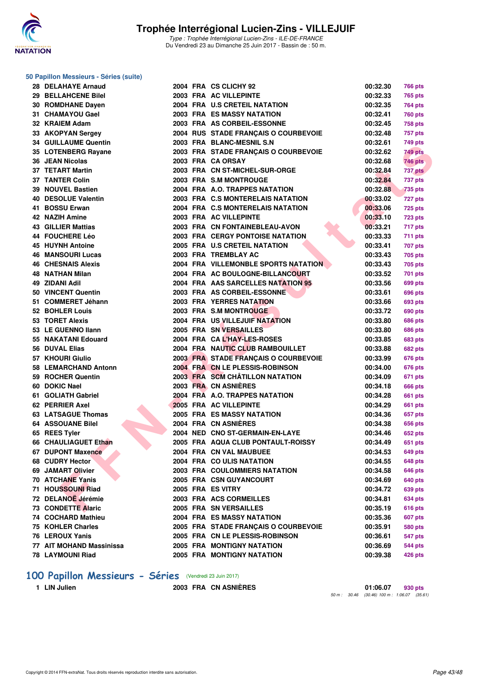![](_page_42_Picture_0.jpeg)

#### **50 Papillon Messieurs - Séries (suite)**

| 28 DELAHAYE Arnaud          |  | 2004 FRA CS CLICHY 92                   | 00:32.30 | <b>766 pts</b> |
|-----------------------------|--|-----------------------------------------|----------|----------------|
| 29 BELLAHCENE Bilel         |  | 2003 FRA AC VILLEPINTE                  | 00:32.33 | 765 pts        |
| 30 ROMDHANE Dayen           |  | 2004 FRA U.S CRETEIL NATATION           | 00:32.35 | 764 pts        |
| 31 CHAMAYOU Gael            |  | <b>2003 FRA ES MASSY NATATION</b>       | 00:32.41 | <b>760 pts</b> |
| 32 KRAIEM Adam              |  | 2003 FRA AS CORBEIL-ESSONNE             | 00:32.45 | 758 pts        |
| 33 AKOPYAN Sergey           |  | 2004 RUS STADE FRANÇAIS O COURBEVOIE    | 00:32.48 | 757 pts        |
| <b>34 GUILLAUME Quentin</b> |  | 2003 FRA BLANC-MESNIL S.N.              | 00:32.61 | 749 pts        |
| 35 LOTENBERG Rayane         |  | 2003 FRA STADE FRANÇAIS O COURBEVOIE    | 00:32.62 | 749 pts        |
| 36 JEAN Nicolas             |  | 2003 FRA CA ORSAY                       | 00:32.68 | <b>746 pts</b> |
| <b>37 TETART Martin</b>     |  | 2003 FRA CN ST-MICHEL-SUR-ORGE          | 00:32.84 | 737 pts        |
| <b>37 TANTER Colin</b>      |  | 2003 FRA S.M MONTROUGE                  | 00:32.84 | 737 pts        |
| 39 NOUVEL Bastien           |  | 2004 FRA A.O. TRAPPES NATATION          | 00:32.88 | <b>735 pts</b> |
| 40 DESOLUE Valentin         |  | 2003 FRA C.S MONTERELAIS NATATION       | 00:33.02 | 727 pts        |
| 41 BOSSU Erwan              |  | 2004 FRA C.S MONTERELAIS NATATION       | 00:33.06 | <b>725 pts</b> |
| 42 NAZIH Amine              |  | 2003 FRA AC VILLEPINTE                  | 00:33.10 | <b>723 pts</b> |
| <b>43 GILLIER Mattias</b>   |  | 2003 FRA CN FONTAINEBLEAU-AVON          | 00:33.21 | 717 pts        |
| 44 FOUCHERE Léo             |  | <b>2003 FRA CERGY PONTOISE NATATION</b> | 00:33.33 | 711 pts        |
| <b>45 HUYNH Antoine</b>     |  | 2005 FRA U.S CRETEIL NATATION           | 00:33.41 | <b>707 pts</b> |
| <b>46 MANSOURI Lucas</b>    |  | 2003 FRA TREMBLAY AC                    | 00:33.43 | <b>705 pts</b> |
| <b>46 CHESNAIS Alexis</b>   |  | 2004 FRA VILLEMONBLE SPORTS NATATION    | 00:33.43 | 705 pts        |
| <b>48 NATHAN Milan</b>      |  | 2004 FRA AC BOULOGNE-BILLANCOURT        | 00:33.52 | 701 pts        |
| 49 ZIDANI Adil              |  | 2004 FRA AAS SARCELLES NATATION 95      | 00:33.56 | 699 pts        |
| 50 VINCENT Quentin          |  | 2003 FRA AS CORBEIL-ESSONNE             | 00:33.61 | 696 pts        |
| 51 COMMERET Jéhann          |  | <b>2003 FRA YERRES NATATION</b>         | 00:33.66 | 693 pts        |
| <b>52 BOHLER Louis</b>      |  | 2003 FRA S.M MONTROUGE                  | 00:33.72 | 690 pts        |
| 53 TORET Alexis             |  | 2004 FRA US VILLEJUIF NATATION          | 00:33.80 | 686 pts        |
| 53 LE GUENNO Ilann          |  | 2005 FRA SN VERSAILLES                  | 00:33.80 | <b>686 pts</b> |
| 55 NAKATANI Edouard         |  | 2004 FRA CAL'HAY-LES-ROSES              | 00:33.85 | <b>683 pts</b> |
| 56 DUVAL Elias              |  | 2004 FRA NAUTIC CLUB RAMBOUILLET        | 00:33.88 | <b>682 pts</b> |
| 57 KHOURI Giulio            |  | 2003 FRA STADE FRANÇAIS O COURBEVOIE    | 00:33.99 | 676 pts        |
| 58 LEMARCHAND Antonn        |  | 2004 FRA CN LE PLESSIS-ROBINSON         | 00:34.00 | 676 pts        |
| 59 ROCHER Quentin           |  | 2003 FRA SCM CHÂTILLON NATATION         | 00:34.09 | 671 pts        |
| 60 DOKIC Nael               |  | 2003 FRA CN ASNIÈRES                    | 00:34.18 | 666 pts        |
| 61 GOLIATH Gabriel          |  | 2004 FRA A.O. TRAPPES NATATION          | 00:34.28 | 661 pts        |
| 62 PERRIER Axel             |  | 2005 FRA AC VILLEPINTE                  | 00:34.29 | 661 pts        |
| <b>63 LATSAGUE Thomas</b>   |  | <b>2005 FRA ES MASSY NATATION</b>       | 00:34.36 | 657 pts        |
| <b>64 ASSOUANE Bilel</b>    |  | 2004 FRA CN ASNIÈRES                    | 00:34.38 | 656 pts        |
| 65 REES Tyler               |  | 2004 NED CNO ST-GERMAIN-EN-LAYE         | 00:34.46 | 652 pts        |
| 66 CHAULIAGUET Ethan        |  | 2005 FRA AQUA CLUB PONTAULT-ROISSY      | 00:34.49 | 651 pts        |
| <b>67 DUPONT Maxence</b>    |  | 2004 FRA CN VAL MAUBUEE                 | 00:34.53 | <b>649 pts</b> |
| 68 CUDRY Hector             |  | 2004 FRA COULIS NATATION                | 00:34.55 | 648 pts        |
| 69 JAMART Olivier           |  | 2003 FRA COULOMMIERS NATATION           | 00:34.58 | 646 pts        |
| 70 ATCHANE Yanis            |  | 2005 FRA CSN GUYANCOURT                 | 00:34.69 | 640 pts        |
| 71 HOUSSOUNI Riad           |  | 2005 FRA ES VITRY                       | 00:34.72 | 639 pts        |
| 72 DELANOË Jérémie          |  | 2003 FRA ACS CORMEILLES                 | 00:34.81 | 634 pts        |
| <b>73 CONDETTE Alaric</b>   |  | 2005 FRA SN VERSAILLES                  | 00:35.19 | <b>616 pts</b> |
| 74 COCHARD Mathieu          |  | <b>2004 FRA ES MASSY NATATION</b>       | 00:35.36 | <b>607 pts</b> |
| 75 KOHLER Charles           |  | 2005 FRA STADE FRANÇAIS O COURBEVOIE    | 00:35.91 | 580 pts        |
| 76 LEROUX Yanis             |  | 2005 FRA CN LE PLESSIS-ROBINSON         | 00:36.61 | 547 pts        |
| 77 AIT MOHAND Massinissa    |  | <b>2005 FRA MONTIGNY NATATION</b>       | 00:36.69 | <b>544 pts</b> |
| 78 LAYMOUNI Riad            |  | 2005 FRA MONTIGNY NATATION              | 00:39.38 | 426 pts        |

# **100 Papillon Messieurs - Séries** (Vendredi 23 Juin 2017)<br>1 LIN Julien 2003 FRA CN ASNIÈRES

**1 LIN Julien 2003 FRA CN ASNIÈRES 01:06.07 930 pts** 50 m : 30.46 (30.46) 100 m : 1:06.07 (35.61)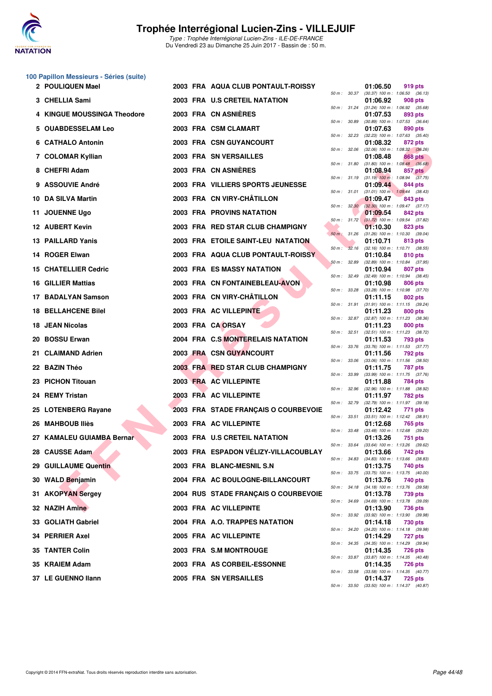![](_page_43_Picture_0.jpeg)

## **100 Papillon Messieurs - Séries (suite)**

| 2 POULIQUEN Mael            |  | 2003 FRA AQUA CLUB PONTAULT-ROISSY   |              |                        | 01:06.50 | 919 pts                                                      |
|-----------------------------|--|--------------------------------------|--------------|------------------------|----------|--------------------------------------------------------------|
| 3 CHELLIA Sami              |  | 2003 FRA U.S CRETEIL NATATION        |              | 50 m : 30.37           | 01:06.92 | $(30.37)$ 100 m : 1:06.50 $(36.13)$<br>908 pts               |
| 4 KINGUE MOUSSINGA Theodore |  | 2003 FRA CN ASNIÈRES                 |              |                        | 01:07.53 | 50 m: 31.24 (31.24) 100 m: 1:06.92 (35.68)<br>893 pts        |
| 5 OUABDESSELAM Leo          |  | 2003 FRA CSM CLAMART                 |              | 50 m : 30.89           | 01:07.63 | $(30.89)$ 100 m : 1:07.53 $(36.64)$<br>890 pts               |
| 6 CATHALO Antonin           |  | 2003 FRA CSN GUYANCOURT              |              |                        | 01:08.32 | 50 m: 32.23 (32.23) 100 m: 1:07.63 (35.40)<br>872 pts        |
| 7 COLOMAR Kyllian           |  | 2003 FRA SN VERSAILLES               | 50 m: 32.06  |                        | 01:08.48 | $(32.06)$ 100 m : 1:08.32 $(36.26)$<br>868 pts               |
| 8 CHEFRI Adam               |  | 2003 FRA CN ASNIERES                 |              |                        | 01:08.94 | 50 m : 31.80 (31.80) 100 m : 1:08.48 (36.68)<br>857 pts      |
| 9 ASSOUVIE André            |  | 2003 FRA VILLIERS SPORTS JEUNESSE    |              |                        | 01:09.44 | 50 m: 31.19 (31.19) 100 m: 1:08.94 (37.75)<br>844 pts        |
|                             |  | 2003 FRA CN VIRY-CHÂTILLON           |              | 50 m : 31.01           |          | $(31.01)$ 100 m : 1:09.44 $(38.43)$                          |
| 10 DA SILVA Martin          |  |                                      |              |                        | 01:09.47 | 843 pts<br>50 m : 32.30 (32.30) 100 m : 1:09.47 (37.17)      |
| 11 JOUENNE Ugo              |  | <b>2003 FRA PROVINS NATATION</b>     |              |                        | 01:09.54 | 842 pts<br>50 m: 31.72 (31.72) 100 m: 1:09.54 (37.82)        |
| 12 AUBERT Kevin             |  | 2003 FRA RED STAR CLUB CHAMPIGNY     |              | $50 \text{ m}$ : 31.26 | 01:10.30 | 823 pts<br>$(31.26)$ 100 m : 1:10.30 $(39.04)$               |
| 13 PAILLARD Yanis           |  | 2003 FRA ETOILE SAINT-LEU NATATION   |              |                        | 01:10.71 | 813 pts<br>50 m: 32.16 (32.16) 100 m: 1:10.71 (38.55)        |
| 14 ROGER Elwan              |  | 2003 FRA AQUA CLUB PONTAULT-ROISSY   |              |                        | 01:10.84 | 810 pts                                                      |
| 15 CHATELLIER Cedric        |  | 2003 FRA ES MASSY NATATION           |              | 50 m: 32.89            | 01:10.94 | $(32.89)$ 100 m : 1:10.84 $(37.95)$<br>807 pts               |
| 16 GILLIER Mattias          |  | 2003 FRA CN FONTAINEBLEAU-AVON       |              | 50 m : 32.49           | 01:10.98 | $(32.49)$ 100 m : 1:10.94 $(38.45)$<br>806 pts               |
| 17 BADALYAN Samson          |  | 2003 FRA CN VIRY-CHÂTILLON           |              |                        | 01:11.15 | 50 m: 33.28 (33.28) 100 m: 1:10.98 (37.70)<br>802 pts        |
| <b>18 BELLAHCENE Bilel</b>  |  | 2003 FRA AC VILLEPINTE               |              |                        | 01:11.23 | 50 m: 31.91 (31.91) 100 m: 1:11.15 (39.24)<br><b>800 pts</b> |
|                             |  |                                      | 50 m : 32.87 |                        |          | $(32.87)$ 100 m : 1:11.23 $(38.36)$                          |
| 18 JEAN Nicolas             |  | 2003 FRA CA ORSAY                    |              | 50 m: 32.51            | 01:11.23 | 800 pts<br>$(32.51)$ 100 m : 1:11.23 $(38.72)$               |
| 20 BOSSU Erwan              |  | 2004 FRA C.S MONTERELAIS NATATION    |              |                        | 01:11.53 | 793 pts<br>50 m: 33.76 (33.76) 100 m: 1:11.53 (37.77)        |
| 21 CLAIMAND Adrien          |  | 2003 FRA CSN GUYANCOURT              |              | 50 m : 33.06           | 01:11.56 | 792 pts<br>$(33.06)$ 100 m : 1:11.56 $(38.50)$               |
| 22 BAZIN Théo               |  | 2003 FRA RED STAR CLUB CHAMPIGNY     |              | 50 m : 33.99           | 01:11.75 | 787 pts<br>$(33.99)$ 100 m : 1:11.75 $(37.76)$               |
| 23 PICHON Titouan           |  | 2003 FRA AC VILLEPINTE               |              |                        | 01:11.88 | 784 pts                                                      |
| 24 REMY Tristan             |  | 2003 FRA AC VILLEPINTE               | 50 m : 32.96 |                        | 01:11.97 | $(32.96)$ 100 m : 1:11.88 $(38.92)$<br>782 pts               |
| 25 LOTENBERG Rayane         |  | 2003 FRA STADE FRANÇAIS O COURBEVOIE |              | 50 m: 32.79            | 01:12.42 | $(32.79)$ 100 m : 1:11.97 $(39.18)$<br>771 pts               |
| 26 MAHBOUB Iliès            |  | 2003 FRA AC VILLEPINTE               |              | 50 m : 33.51           | 01:12.68 | $(33.51)$ 100 m : 1:12.42 $(38.91)$<br>765 pts               |
| 27   KAMALEU GUIAMBA Bernar |  | 2003 FRA U.S CRETEIL NATATION        |              |                        | 01:13.26 | 50 m: 33.48 (33.48) 100 m: 1:12.68 (39.20)<br>751 pts        |
| 28 CAUSSE Adam              |  | 2003 FRA ESPADON VÉLIZY-VILLACOUBLAY |              | 50 m : 33.64           | 01:13.66 | $(33.64)$ 100 m : 1:13.26 $(39.62)$<br>742 pts               |
| 29 GUILLAUME Quentin        |  | 2003 FRA BLANC-MESNIL S.N            |              |                        | 01:13.75 | 50 m: 34.83 (34.83) 100 m: 1:13.66 (38.83)<br>740 pts        |
| 30 WALD Benjamin            |  | 2004 FRA AC BOULOGNE-BILLANCOURT     |              |                        | 01:13.76 | 50 m: 33.75 (33.75) 100 m: 1:13.75 (40.00)                   |
|                             |  |                                      |              |                        |          | 740 pts<br>50 m: 34.18 (34.18) 100 m: 1:13.76 (39.58)        |
| 31 AKOPYAN Sergey           |  | 2004 RUS STADE FRANÇAIS O COURBEVOIE |              |                        | 01:13.78 | 739 pts<br>50 m: 34.69 (34.69) 100 m: 1:13.78 (39.09)        |
| 32 NAZIH Amine              |  | 2003 FRA AC VILLEPINTE               |              |                        | 01:13.90 | 736 pts<br>50 m : 33.92 (33.92) 100 m : 1:13.90 (39.98)      |
| 33 GOLIATH Gabriel          |  | 2004 FRA A.O. TRAPPES NATATION       |              |                        | 01:14.18 | 730 pts<br>50 m: 34.20 (34.20) 100 m: 1:14.18 (39.98)        |
| 34   PERRIER Axel           |  | 2005 FRA AC VILLEPINTE               |              |                        | 01:14.29 | 727 pts<br>50 m: 34.35 (34.35) 100 m: 1:14.29 (39.94)        |
| 35 TANTER Colin             |  | 2003 FRA S.M MONTROUGE               |              |                        | 01:14.35 | <b>726 pts</b><br>50 m: 33.87 (33.87) 100 m: 1:14.35 (40.48) |
| 35 KRAIEM Adam              |  | 2003 FRA AS CORBEIL-ESSONNE          |              |                        | 01:14.35 | <b>726 pts</b>                                               |
| 37 LE GUENNO Ilann          |  | 2005 FRA SN VERSAILLES               |              |                        | 01:14.37 | 50 m: 33.58 (33.58) 100 m: 1:14.35 (40.77)<br><b>725 pts</b> |

| $50 m$ : | 30.37 | 01:06.50<br>$(30.37) 100 m$ : | 919 pts<br>1:06.50<br>(36.13)        |
|----------|-------|-------------------------------|--------------------------------------|
|          |       | 01:06.92                      | <b>908 pts</b>                       |
| $50 m$ : | 31.24 | $(31.24) 100 m$ :<br>01:07.53 | 1:06.92<br>(35.68)<br>893 pts        |
| $50 m$ : | 30.89 | $(30.89)$ 100 m :             | 1:07.53<br>(36.64)                   |
| $50 m$ : | 32.23 | 01:07.63<br>$(32.23)$ 100 m : | 890 pts<br>1:07.63<br>(35.40)        |
|          |       | 01:08.32                      | 872 pts                              |
| $50 m$ : | 32.06 | $(32.06)$ 100 m :             | 1:08.32<br>(36.26)                   |
| 50 m :   | 31.80 | 01:08.48<br>$(31.80) 100 m$ : | 868 pts<br>1:08.48<br>(36.68)        |
|          |       | 01:08.94                      | 857 pts                              |
| $50 m$ : | 31.19 | $(31.19) 100 m$ :<br>01:09.44 | 1:08.94<br>(37.75)<br><b>844 pts</b> |
| $50 m$ : | 31.01 | $(31.01)$ 100 m :             | 1:09.44<br>(38.43)                   |
| 50 m :   | 32.30 | 01:09.47<br>$(32.30)$ 100 m : | 843 pts<br>(37.17)<br>1:09.47        |
|          |       | 01:09.54                      | 842 pts                              |
| $50 m$ : | 31.72 | $(31.72) 100 m$ :<br>01:10.30 | 1:09.54<br>(37.82)<br><b>823 pts</b> |
| $50 m$ : | 31.26 | (31.26) 100 m :               | 1:10.30<br>(39.04)                   |
|          |       | 01:10.71                      | 813 pts                              |
| 50 m :   | 32.16 | $(32.16) 100 m$ :<br>01:10.84 | 1:10.71<br>(38.55)<br>810 pts        |
| $50 m$ : | 32.89 | $(32.89)$ 100 m :             | 1:10.84<br>(37.95)                   |
| $50 m$ : | 32.49 | 01:10.94<br>(32.49) 100 m :   | <b>807 pts</b><br>1:10.94<br>(38.45) |
|          |       | 01:10.98                      | 806 pts                              |
| $50 m$ : | 33.28 | $(33.28)$ 100 m :<br>01:11.15 | 1:10.98<br>(37.70)<br>802 pts        |
| $50 m$ : | 31.91 | (31.91) 100 m :               | 1:11.15<br>(39.24)                   |
| $50 m$ : | 32.87 | 01:11.23<br>$(32.87)$ 100 m : | 800 pts<br>1:11.23<br>(38.36)        |
|          |       | 01:11.23                      | <b>800 pts</b>                       |
| 50 m :   | 32.51 | $(32.51)$ 100 m :             | 1:11.23<br>(38.72)                   |
| $50 m$ : | 33.76 | 01:11.53<br>(33.76) 100 m :   | 793 pts<br>1:11.53<br>(37.77)        |
|          |       | 01:11.56                      | 792 pts                              |
| $50 m$ : | 33.06 | $(33.06) 100 m$ :<br>01:11.75 | 1:11.56<br>(38.50)<br>787 pts        |
| 50 m :   | 33.99 | $(33.99)$ 100 m :             | 1:11.75<br>(37.76)                   |
| $50 m$ : | 32.96 | 01:11.88<br>(32.96) 100 m :   | <b>784 pts</b><br>1:11.88<br>(38.92) |
|          |       | 01:11.97                      | <b>782 pts</b>                       |
| $50 m$ : | 32.79 | (32.79) 100 m :<br>01:12.42   | 1:11.97<br>(39.18)<br>771 pts        |
| $50 m$ : | 33.51 | $(33.51)$ 100 m :             | 1:12.42<br>(38.91)                   |
| $50 m$ : | 33.48 | 01:12.68<br>(33.48) 100 m :   | 765 pts<br>1:12.68<br>(39.20)        |
|          |       | 01:13.26                      | 751 pts                              |
| 50 m :   | 33.64 | (33.64) 100 m :<br>01:13.66   | 1:13.26<br>(39.62)<br>742 pts        |
| 50 m :   | 34.83 | $(34.83) 100 m$ :             | 1:13.66<br>(38.83)                   |
| $50 m$ : | 33.75 | 01:13.75<br>$(33.75) 100 m$ : | <b>740 pts</b><br>1:13.75<br>(40.00) |
|          |       | 01:13.76                      | 740 pts                              |
| $50 m$ : | 34.18 | $(34.18) 100 m$ :             | 1:13.76<br>(39.58)                   |
| $50 m$ : | 34.69 | 01:13.78<br>$(34.69) 100 m$ : | 739 pts<br>1:13.78<br>(39.09)        |
|          |       | 01:13.90                      | <b>736 pts</b>                       |
| $50 m$ : | 33.92 | (33.92) 100 m :<br>01:14.18   | 1:13.90<br>(39.98)<br><b>730 pts</b> |
| $50 m$ : | 34.20 | (34.20) 100 m :               | 1:14.18<br>(39.98)                   |
| $50 m$ : | 34.35 | 01:14.29<br>(34.35) 100 m :   | 727 pts<br>1:14.29<br>(39.94)        |
|          |       | 01:14.35                      | <b>726 pts</b>                       |
| $50 m$ : | 33.87 | $(33.87) 100 m$ :<br>01:14.35 | 1:14.35<br>(40.48)<br><b>726 pts</b> |
| $50 m$ : | 33.58 | (33.58) 100 m :               | 1:14.35<br>(40.77)                   |
| $50 m$ : | 33.50 | 01:14.37<br>(33.50) 100 m :   | <b>725 pts</b><br>1:14.37<br>(40.87) |
|          |       |                               |                                      |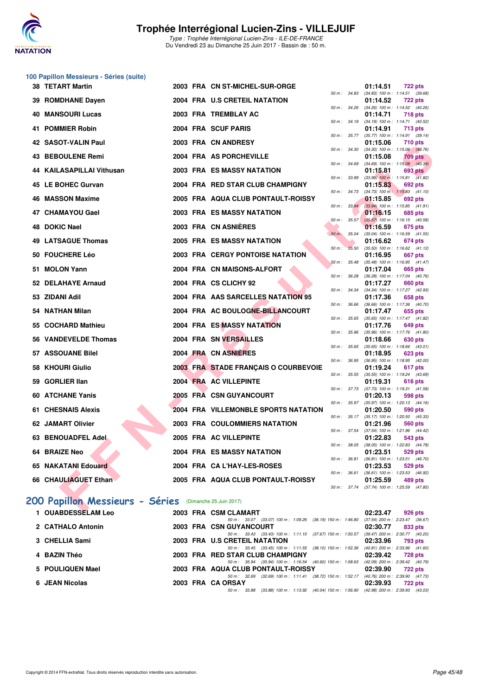![](_page_44_Picture_0.jpeg)

#### **100 Papillon Messieurs - Séries (suite)**

| <b>38 TETART Martin</b>                                |  | 2003 FRA CN ST-MICHEL-SUR-ORGE          |                          |       | 01:14.51                                               | <b>722 pts</b> |  |
|--------------------------------------------------------|--|-----------------------------------------|--------------------------|-------|--------------------------------------------------------|----------------|--|
| 39 ROMDHANE Dayen                                      |  | 2004 FRA U.S CRETEIL NATATION           | $50 \text{ m}$ : $34.83$ |       | $(34.83)$ 100 m : 1:14.51 $(39.68)$<br>01:14.52        | <b>722 pts</b> |  |
| <b>40 MANSOURI Lucas</b>                               |  | 2003 FRA TREMBLAY AC                    | 50 m: 34.26              |       | $(34.26)$ 100 m : 1:14.52 $(40.26)$<br>01:14.71        | <b>718 pts</b> |  |
| 41 POMMIER Robin                                       |  | 2004 FRA SCUF PARIS                     | 50 m: 34.19              |       | (34.19) 100 m: 1:14.71 (40.52)<br>01:14.91             | <b>713 pts</b> |  |
|                                                        |  |                                         | $50 m$ : $35.77$         |       | $(35.77)$ 100 m : 1:14.91 $(39.14)$                    |                |  |
| 42 SASOT-VALIN Paul                                    |  | 2003 FRA CN ANDRESY                     | $50 m$ : $34.30$         |       | 01:15.06<br>$(34.30)$ 100 m : 1:15.06 $(40.76)$        | 710 pts        |  |
| 43 BEBOULENE Remi                                      |  | 2004 FRA AS PORCHEVILLE                 |                          |       | 01:15.08                                               | <b>709 pts</b> |  |
| 44 KAILASAPILLAI Vithusan                              |  | 2003 FRA ES MASSY NATATION              | 50 m : 34.69             |       | $(34.69)$ 100 m : 1:15.08 $(40.39)$<br>01:15.81        | <b>693 pts</b> |  |
| 45 LE BOHEC Gurvan                                     |  | 2004 FRA RED STAR CLUB CHAMPIGNY        | 50 m: 33.99              |       | $(33.99)$ 100 m : 1:15.81 $(41.82)$<br>01:15.83        | 692 pts        |  |
|                                                        |  |                                         | 50 m: 34.73              |       | $(34.73)$ 100 m : 1:15.83 $(41.10)$                    |                |  |
| 46 MASSON Maxime                                       |  | 2005 FRA AQUA CLUB PONTAULT-ROISSY      | 50 m: 33.94              |       | 01:15.85<br>$(33.94)$ 100 m : 1:15.85 $(41.91)$        | 692 pts        |  |
| 47 CHAMAYOU Gael                                       |  | <b>2003 FRA ES MASSY NATATION</b>       |                          |       | 01:16.15                                               | 685 pts        |  |
| 48 DOKIC Nael                                          |  | 2003 FRA CN ASNIERES                    | $50 m$ : $35.57$         |       | $(35.57)$ 100 m : 1:16.15 $(40.58)$<br>01:16.59        | 675 pts        |  |
|                                                        |  |                                         | $50 m$ : 35.04           |       | $(35.04)$ 100 m : 1:16.59 $(41.55)$                    |                |  |
| 49 LATSAGUE Thomas                                     |  | 2005 FRA ES MASSY NATATION              |                          |       | 01:16.62                                               | 674 pts        |  |
| 50 FOUCHERE Léo                                        |  | <b>2003 FRA CERGY PONTOISE NATATION</b> | $50 m$ :                 | 35.50 | $(35.50)$ 100 m : 1:16.62 $(41.12)$<br>01:16.95        | <b>667 pts</b> |  |
|                                                        |  |                                         | 50 m: 35.48              |       | $(35.48)$ 100 m : 1:16.95 $(41.47)$                    |                |  |
| 51 MOLON Yann                                          |  | 2004 FRA CN MAISONS-ALFORT              | 50 m: 36.28              |       | 01:17.04<br>(36.28) 100 m: 1:17.04 (40.76)             | 665 pts        |  |
| 52 DELAHAYE Arnaud                                     |  | 2004 FRA CS CLICHY 92                   |                          |       | 01:17.27                                               | 660 pts        |  |
| 53 ZIDANI Adil                                         |  | 2004 FRA AAS SARCELLES NATATION 95      | $50 m$ : 34.34           |       | (34.34) 100 m: 1:17.27 (42.93)<br>01:17.36             | 658 pts        |  |
|                                                        |  |                                         | 50 m : 36.66             |       | $(36.66)$ 100 m : 1:17.36 $(40.70)$                    |                |  |
| 54 NATHAN Milan                                        |  | 2004 FRA AC BOULOGNE-BILLANCOURT        | 50 m: 35.65              |       | 01:17.47<br>$(35.65)$ 100 m : 1:17.47 $(41.82)$        | 655 pts        |  |
| 55 COCHARD Mathieu                                     |  | 2004 FRA ES MASSY NATATION              |                          |       | 01:17.76                                               | 649 pts        |  |
| 56 VANDEVELDE Thomas                                   |  | 2004 FRA SN VERSAILLES                  | 50 m: 35.96              |       | $(35.96)$ 100 m : 1:17.76 $(41.80)$<br>01:18.66        | 630 pts        |  |
|                                                        |  |                                         | 50 m: 35.65              |       | $(35.65)$ 100 m : 1:18.66 $(43.01)$                    |                |  |
| 57 ASSOUANE Bilel                                      |  | 2004 FRA CN ASNIERES                    | 50 m: 36.95              |       | 01:18.95                                               | <b>623 pts</b> |  |
| 58 KHOURI Giulio                                       |  | 2003 FRA STADE FRANÇAIS O COURBEVOIE    |                          |       | (36.95) 100 m: 1:18.95 (42.00)<br>01:19.24             | 617 pts        |  |
|                                                        |  |                                         | 50 m : 35.55             |       | (35.55) 100 m: 1:19.24 (43.69)                         |                |  |
| 59 GORLIER IIan                                        |  | 2004 FRA AC VILLEPINTE                  |                          |       | 01:19.31<br>50 m: 37.73 (37.73) 100 m: 1:19.31 (41.58) | 616 pts        |  |
| 60 ATCHANE Yanis                                       |  | 2005 FRA CSN GUYANCOURT                 |                          |       | 01:20.13                                               | 598 pts        |  |
| <b>61 CHESNAIS Alexis</b>                              |  | 2004 FRA VILLEMONBLE SPORTS NATATION    | 50 m: 35.97              |       | (35.97) 100 m: 1:20.13 (44.16)<br>01:20.50             | 590 pts        |  |
|                                                        |  |                                         |                          |       | 50 m : 35.17 (35.17) 100 m : 1:20.50 (45.33)           |                |  |
| 62 JAMART Olivier                                      |  | <b>2003 FRA COULOMMIERS NATATION</b>    | 50 m: 37.54              |       | 01:21.96<br>(37.54) 100 m: 1:21.96 (44.42)             | 560 pts        |  |
| 63 BENOUADFEL Adel                                     |  | 2005 FRA AC VILLEPINTE                  |                          |       | 01:22.83                                               | 543 pts        |  |
| 64 BRAIZE Neo                                          |  | <b>2004 FRA ES MASSY NATATION</b>       | 50 m: 38.05              |       | $(38.05)$ 100 m : 1:22.83 $(44.78)$<br>01:23.51        | 529 pts        |  |
|                                                        |  |                                         | 50 m : 36.81             |       | $(36.81)$ 100 m : 1:23.51 $(46.70)$                    |                |  |
| 65 NAKATANI Edouard                                    |  | 2004 FRA CA L'HAY-LES-ROSES             | $50 m$ : 36.61           |       | 01:23.53                                               | 529 pts        |  |
| 66 CHAULIAGUET Ethan                                   |  | 2005 FRA AQUA CLUB PONTAULT-ROISSY      |                          |       | $(36.61)$ 100 m : 1:23.53 $(46.92)$<br>01:25.59        | 489 pts        |  |
|                                                        |  |                                         | 50 m : 37.74             |       | $(37.74)$ 100 m : 1:25.59 $(47.85)$                    |                |  |
| 00 Papillon Messieurs - Séries (Dimanche 25 Juin 2017) |  |                                         |                          |       |                                                        |                |  |
| OUADDECOFIAMIL.                                        |  | 0000 FBA OCH OLAHADT                    |                          |       | 00.00.07                                               | $000 - 1$      |  |

### **[200 Papillon Messieurs - Séries](http://www.ffnatation.fr/webffn/resultats.php?idact=nat&go=epr&idcpt=47281&idepr=83)** (Dimanche 25 Juin 2017)

| 1 OUABDESSELAM Leo |  | 2003 FRA CSM CLAMART                                                                        | 02:23.47                        | 926 pts |
|--------------------|--|---------------------------------------------------------------------------------------------|---------------------------------|---------|
|                    |  | 50 m: 33.07 (33.07) 100 m: 1:09.26 (36.19) 150 m: 1:46.80                                   | (37.54) 200 m : 2:23.47 (36.67  |         |
| 2 CATHALO Antonin  |  | 2003 FRA CSN GUYANCOURT                                                                     | 02:30.77                        | 833 pts |
|                    |  | 50 m: 33.43 (33.43) 100 m: 1:11.10 (37.67) 150 m: 1:50.57                                   | (39.47) 200 m : 2:30.77 (40.20) |         |
| 3 CHELLIA Sami     |  | 2003 FRA U.S CRETEIL NATATION                                                               | 02:33.96                        | 793 pts |
|                    |  | 50 m: 33.45 (33.45) 100 m: 1:11.55 (38.10) 150 m: 1:52.36                                   | (40.81) 200 m : 2:33.96 (41.60) |         |
| 4 BAZIN Théo       |  | 2003 FRA RED STAR CLUB CHAMPIGNY                                                            | 02:39.42                        | 728 pts |
|                    |  | 50 m: 35.94 (35.94) 100 m: 1:16.54 (40.60) 150 m: 1:58.63                                   | (42.09) 200 m : 2:39.42 (40.79  |         |
| 5 POULIQUEN Mael   |  | 2003 FRA AQUA CLUB PONTAULT-ROISSY                                                          | 02:39.90                        | 722 pts |
|                    |  | 50 m: 32.69 (32.69) 100 m: 1:11.41 (38.72) 150 m: 1:52.17                                   | (40.76) 200 m : 2:39.90 (47.73  |         |
| 6 JEAN Nicolas     |  | 2003 FRA CA ORSAY                                                                           | 02:39.93                        | 722 pts |
|                    |  | 50 m : 33.88 (33.88) 100 m : 1:13.92 (40.04) 150 m : 1:56.90 (42.98) 200 m : 2:39.93 (43.03 |                                 |         |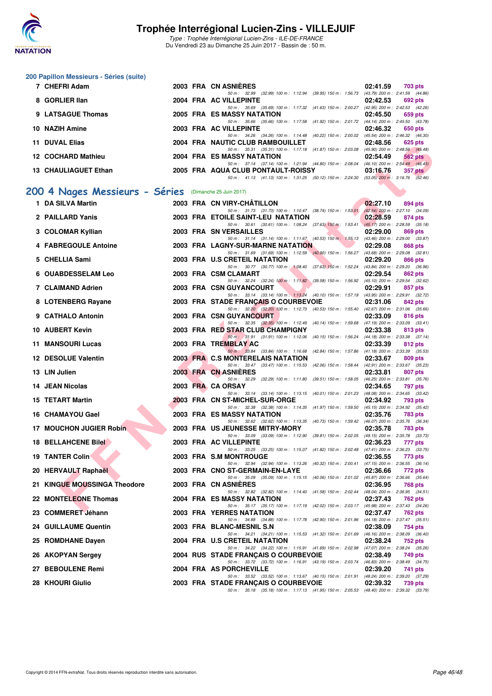![](_page_45_Picture_0.jpeg)

Type : Trophée Interrégional Lucien-Zins - ILE-DE-FRANCE Du Vendredi 23 au Dimanche 25 Juin 2017 - Bassin de : 50 m.

#### **200 Papillon Messieurs - Séries (suite)**

|    | 7 CHEFRI Adam                  |  | 2003 FRA CN ASNIÈRES                                                                                                             | 02:41.59<br>703 pts                                        |
|----|--------------------------------|--|----------------------------------------------------------------------------------------------------------------------------------|------------------------------------------------------------|
|    | 8 GORLIER IIan                 |  | 50 m: 32.99 (32.99) 100 m: 1:12.94 (39.95) 150 m: 1:56.73 (43.79) 200 m: 2:41.59 (44.86)<br>2004 FRA AC VILLEPINTE               | 02:42.53<br>692 pts                                        |
|    | 9 LATSAGUE Thomas              |  | 50 m: 35.69 (35.69) 100 m: 1:17.32 (41.63) 150 m: 2:00.27 (42.95) 200 m: 2:42.53 (42.26)<br>2005 FRA ES MASSY NATATION           | 02:45.50<br>659 pts                                        |
|    | 10 NAZIH Amine                 |  | 50 m: 35.66 (35.66) 100 m: 1:17.58 (41.92) 150 m: 2:01.72 (44.14) 200 m: 2:45.50 (43.78)<br>2003 FRA AC VILLEPINTE               | 02:46.32<br>650 pts                                        |
| 11 | <b>DUVAL Elias</b>             |  | 50 m: 34.26 (34.26) 100 m: 1:14.48 (40.22) 150 m: 2:00.02 (45.54) 200 m: 2:46.32 (46.30)<br>2004 FRA NAUTIC CLUB RAMBOUILLET     | 02:48.56<br>625 pts                                        |
|    | 12 COCHARD Mathieu             |  | 50 m: 35.31 (35.31) 100 m: 1:17.18 (41.87) 150 m: 2:03.08 (45.90) 200 m: 2:48.56 (45.48)<br>2004 FRA ES MASSY NATATION           | 02:54.49<br>562 pts                                        |
|    | 13 CHAULIAGUET Ethan           |  | 50 m: 37.14 (37.14) 100 m: 1:21.94 (44.80) 150 m: 2:08.04 (46.10) 200 m: 2:54.49 (46.45)<br>2005 FRA AQUA CLUB PONTAULT-ROISSY   | 03:16.76<br><b>357 pts</b>                                 |
|    |                                |  | 50 m: 41.13 (41.13) 100 m: 1:31.25 (50.12) 150 m: 2:24.30 (53.05) 200 m: 3:16.76 (52.46)                                         |                                                            |
|    | 200 4 Nages Messieurs - Séries |  | (Dimanche 25 Juin 2017)                                                                                                          |                                                            |
|    | 1 DA SILVA Martin              |  | 2003 FRA CN VIRY-CHATILLON                                                                                                       | 02:27.10<br>894 pts                                        |
|    | 2 PAILLARD Yanis               |  | 50 m: 31.73 (31.73) 100 m: 1:10.47 (38.74) 150 m: 1:53.01 (42.54) 200 m: 2:27.10 (34.09)<br>2003 FRA ETOILE SAINT-LEU NATATION   | 02:28.59<br>874 pts                                        |
|    | 3 COLOMAR Kyllian              |  | 50 m: 30.61 (30.61) 100 m: 1:08.24 (37.63) 150 m: 1:53.41 (45.17) 200 m: 2:28.59 (35.18)<br>2003 FRA SN VERSAILLES               | 02:29.00<br>869 pts                                        |
|    | 4 FABREGOULE Antoine           |  | 50 m: 31.14 (31.14) 100 m: 1:11.67 (40.53) 150 m: 1:55.13 (43.46) 200 m: 2:29.00 (33.87)<br>2003 FRA LAGNY-SUR-MARNE NATATION    | 02:29.08<br>868 pts                                        |
|    |                                |  | 50 m: 31.69 (31.69) 100 m: 1:12.59 (40.90) 150 m: 1:56.27                                                                        | (43.68) 200 m : 2:29.08 (32.81)                            |
|    | 5 CHELLIA Sami                 |  | 2003 FRA U.S CRETEIL NATATION<br>50 m: 30.77 (30.77) 100 m: 1:08.40 (37.63) 150 m: 1:52.24 (43.84) 200 m: 2:29.20 (36.96)        | 02:29.20<br>866 pts                                        |
|    | <b>6 OUABDESSELAM Leo</b>      |  | 2003 FRA CSM CLAMART<br>50 m: 32.24 (32.24) 100 m: 1:11.82 (39.58) 150 m: 1:56.92 (45.10) 200 m: 2:29.54 (32.62)                 | 02:29.54<br>862 pts                                        |
|    | 7 CLAIMAND Adrien              |  | 2003 FRA CSN GUYANCOURT                                                                                                          | 02:29.91<br>857 pts                                        |
|    | 8 LOTENBERG Rayane             |  | 50 m: 33.14 (33.14) 100 m: 1:13.24 (40.10) 150 m: 1:57.19 (43.95) 200 m: 2:29.91 (32.72)<br>2003 FRA STADE FRANÇAIS O COURBEVOIE | 02:31.06<br>842 pts                                        |
|    | 9 CATHALO Antonin              |  | 50 m: 32.20 (32.20) 100 m: 1:12.73 (40.53) 150 m: 1:55.40 (42.67) 200 m: 2:31.06 (35.66)<br>2003 FRA CSN GUYANCOURT              | 02:33.09<br>816 pts                                        |
|    |                                |  | 50 m: 32.35 (32.35) 100 m: 1:12.49 (40.14) 150 m: 1:59.68 (47.19) 200 m: 2:33.09 (33.41)                                         |                                                            |
|    | 10 AUBERT Kevin                |  | 2003 FRA RED STAR CLUB CHAMPIGNY<br>50 m: 31.91 (31.91) 100 m: 1:12.06 (40.15) 150 m: 1:56.24                                    | 02:33.38<br>813 pts<br>$(44.18)$ 200 m : 2:33.38 $(37.14)$ |
|    | 11 MANSOURI Lucas              |  | 2003 FRA TREMBLAY AC<br>50 m: 33.84 (33.84) 100 m: 1:16.68 (42.84) 150 m: 1:57.86 (41.18) 200 m: 2:33.39 (35.53)                 | 02:33.39<br>812 pts                                        |
|    | 12 DESOLUE Valentin            |  | 2003 FRA C.S MONTERELAIS NATATION                                                                                                | 02:33.67<br>809 pts                                        |
|    | 13 LIN Julien                  |  | 50 m: 33.47 (33.47) 100 m: 1:15.53 (42.06) 150 m: 1:58.44 (42.91) 200 m: 2:33.67 (35.23)<br>2003 FRA CN ASNIERES                 | 02:33.81<br>807 pts                                        |
|    | 14 JEAN Nicolas                |  | 50 m: 32.29 (32.29) 100 m: 1:11.80 (39.51) 150 m: 1:58.05 (46.25) 200 m: 2:33.81 (35.76)<br>2003 FRA CA ORSAY                    | 02:34.65<br>797 pts                                        |
|    | <b>15 TETART Martin</b>        |  | 50 m: 33.14 (33.14) 100 m: 1:13.15 (40.01) 150 m: 2:01.23 (48.08) 200 m: 2:34.65 (33.42)<br>2003 FRA CN ST-MICHEL-SUR-ORGE       | 02:34.92<br>793 pts                                        |
|    | 16 CHAMAYOU Gael               |  | 50 m: 32.38 (32.38) 100 m: 1:14.35 (41.97) 150 m: 1:59.50 (45.15) 200 m: 2:34.92 (35.42)<br>2003 FRA ES MASSY NATATION           | 02:35.76<br>783 pts                                        |
|    |                                |  | 50 m: 32.62 (32.62) 100 m: 1:13.35 (40.73) 150 m: 1:59.42 (46.07) 200 m: 2:35.76 (36.34)                                         |                                                            |
| 17 | <b>MOUCHON JUGIER Robin</b>    |  | 2003 FRA US JEUNESSE MITRY-MORY<br>50 m: 33.09 (33.09) 100 m: 1:12.90 (39.81) 150 m: 2:02.05 (49.15) 200 m: 2:35.78 (33.73)      | 02:35.78<br>783 pts                                        |
|    | 18 BELLAHCENE Bilel            |  | 2003 FRA AC VILLEPINTE                                                                                                           | 02:36.23<br>777 pts                                        |
|    | <b>19 TANTER Colin</b>         |  | 50 m: 33.25 (33.25) 100 m: 1:15.07 (41.82) 150 m: 2:02.48 (47.41) 200 m: 2:36.23 (33.75)<br>2003 FRA S.M MONTROUGE               | 02:36.55<br>773 pts                                        |
|    | 20 HERVAULT Raphaël            |  | 50 m : 32.94 (32.94) 100 m : 1:13.26 (40.32) 150 m : 2:00.41<br>2003 FRA CNO ST-GERMAIN-EN-LAYE                                  | (47.15) 200 m : 2:36.55 (36.14)<br>02:36.66<br>772 pts     |
|    | 21 KINGUE MOUSSINGA Theodore   |  | 50 m: 35.09 (35.09) 100 m: 1:15.15 (40.06) 150 m: 2:01.02 (45.87) 200 m: 2:36.66 (35.64)<br>2003 FRA CN ASNIERES                 | 02:36.95<br>768 pts                                        |
|    | 22 MONTELEONE Thomas           |  | 50 m: 32.82 (32.82) 100 m: 1:14.40 (41.58) 150 m: 2:02.44<br>2004 FRA ES MASSY NATATION                                          | $(48.04)$ 200 m : 2:36.95 $(34.51)$                        |
|    |                                |  | 50 m: 35.17 (35.17) 100 m: 1:17.19 (42.02) 150 m: 2:03.17                                                                        | 02:37.43<br>762 pts<br>(45.98) 200 m : 2:37.43 (34.26)     |
|    | 23 COMMERET Jéhann             |  | 2003 FRA YERRES NATATION<br>50 m: 34.88 (34.88) 100 m: 1:17.78 (42.90) 150 m: 2:01.96                                            | 02:37.47<br>762 pts<br>$(44.18)$ 200 m : 2:37.47 $(35.51)$ |
|    | <b>24 GUILLAUME Quentin</b>    |  | 2003 FRA BLANC-MESNIL S.N<br>50 m: 34.21 (34.21) 100 m: 1:15.53 (41.32) 150 m: 2:01.69                                           | 02:38.09<br>754 pts<br>$(46.16)$ 200 m : 2:38.09 $(36.40)$ |
|    | 25 ROMDHANE Dayen              |  | 2004 FRA U.S CRETEIL NATATION                                                                                                    | 02:38.24<br>752 pts                                        |
|    | 26 AKOPYAN Sergey              |  | 50 m: 34.22 (34.22) 100 m: 1:15.91 (41.69) 150 m: 2:02.98 (47.07) 200 m: 2:38.24 (35.26)<br>2004 RUS STADE FRANÇAIS O COURBEVOIE | 02:38.49<br>749 pts                                        |
|    | 27 BEBOULENE Remi              |  | 50 m: 33.72 (33.72) 100 m: 1:16.91 (43.19) 150 m: 2:03.74 (46.83) 200 m: 2:38.49 (34.75)<br>2004 FRA AS PORCHEVILLE              | 02:39.20<br>741 pts                                        |
|    | 28 KHOURI Giulio               |  | 50 m: 33.52 (33.52) 100 m: 1:13.67 (40.15) 150 m: 2:01.91 (48.24) 200 m: 2:39.20 (37.29)<br>2003 FRA STADE FRANÇAIS O COURBEVOIE | 02:39.32<br>739 pts                                        |
|    |                                |  |                                                                                                                                  |                                                            |

**JE FRANÇAIS O COURBEVOIE**<br>50 m : 35.18 (35.18) 100 m : 1:17.13 (41.95) 150 m : 2:05.53 (48.40) 200 m : 2:39.32 (33.79)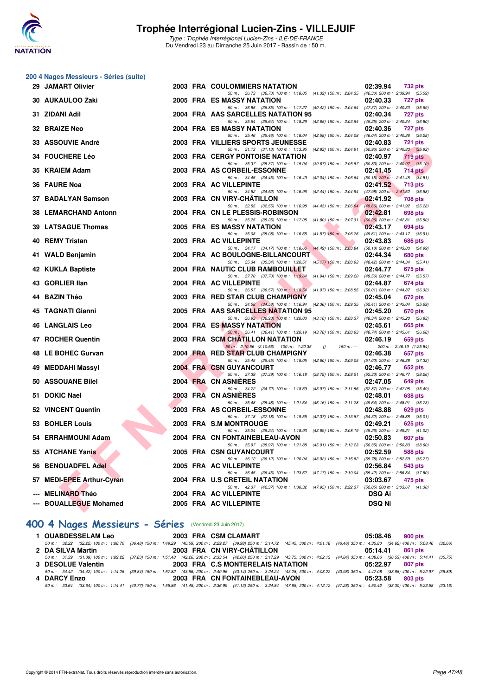![](_page_46_Picture_0.jpeg)

|    | 200 4 Nages Messieurs - Séries (suite) |  |                                                                                                                                |                                                            |
|----|----------------------------------------|--|--------------------------------------------------------------------------------------------------------------------------------|------------------------------------------------------------|
|    | 29 JAMART Olivier                      |  | <b>2003 FRA COULOMMIERS NATATION</b>                                                                                           | 02:39.94<br><b>732 pts</b>                                 |
|    | 30 AUKAULOO Zaki                       |  | 50 m: 36.73 (36.73) 100 m: 1:18.05 (41.32) 150 m: 2:04.35 (46.30) 200 m: 2:39.94 (35.59)<br>2005 FRA ES MASSY NATATION         | 02:40.33<br><b>727 pts</b>                                 |
|    | 31 ZIDANI Adil                         |  | 50 m: 36.85 (36.85) 100 m: 1:17.27 (40.42) 150 m: 2:04.64 (47.37) 200 m: 2:40.33 (35.69)<br>2004 FRA AAS SARCELLES NATATION 95 | 02:40.34<br>727 pts                                        |
|    |                                        |  | 50 m: 35.64 (35.64) 100 m: 1:18.29 (42.65) 150 m: 2:03.54                                                                      | $(45.25)$ 200 m : 2:40.34 $(36.80)$                        |
|    | 32 BRAIZE Neo                          |  | 2004 FRA ES MASSY NATATION<br>50 m : 35.46 (35.46) 100 m : 1:18.04 (42.58) 150 m : 2:04.08                                     | 02:40.36<br>727 pts<br>(46.04) 200 m : 2:40.36 (36.28)     |
|    | 33 ASSOUVIE André                      |  | 2003 FRA VILLIERS SPORTS JEUNESSE                                                                                              | 02:40.83<br><b>721 pts</b>                                 |
|    | 34 FOUCHERE Léo                        |  | 50 m: 31.13 (31.13) 100 m: 1:13.95 (42.82) 150 m: 2:04.91<br><b>2003 FRA CERGY PONTOISE NATATION</b>                           | $(50.96)$ 200 m : 2:40.83 $(35.92)$<br>02:40.97<br>719 pts |
|    | 35 KRAIEM Adam                         |  | 50 m: 35.37 (35.37) 100 m: 1:15.04 (39.67) 150 m: 2:05.87 (50.83) 200 m: 2:40.97 (35.10)<br>2003 FRA AS CORBEIL-ESSONNE        | 02:41.45<br>$714$ pts                                      |
|    |                                        |  | 50 m: 34.45 (34.45) 100 m: 1:16.49 (42.04) 150 m: 2:06.64 (50.15) 200 m: 2:41.45 (34.81)                                       |                                                            |
|    | 36 FAURE Noa                           |  | 2003 FRA AC VILLEPINTE<br>50 m: 34.52 (34.52) 100 m: 1:16.96 (42.44) 150 m: 2:04.94 (47.98) 200 m: 2:41.52 (36.58)             | 02:41.52<br><b>713 pts</b>                                 |
|    | 37 BADALYAN Samson                     |  | 2003 FRA CN VIRY-CHATILLON                                                                                                     | 02:41.92<br>708 pts                                        |
|    | 38 LEMARCHAND Antonn                   |  | 50 m: 32.55 (32.55) 100 m: 1:16.98 (44.43) 150 m: 2:06.64<br>2004 FRA CN LE PLESSIS-ROBINSON                                   | (49.66) 200 m : 2:41.92 (35.28)<br>02:42.81<br>698 pts     |
|    |                                        |  | 50 m: 35.25 (35.25) 100 m: 1:17.05 (41.80) 150 m: 2:07.31                                                                      | $(50.26)$ 200 m : 2:42.81 $(35.50)$                        |
|    | 39 LATSAGUE Thomas                     |  | 2005 FRA ES MASSY NATATION                                                                                                     | 02:43.17<br>694 pts                                        |
| 40 | <b>REMY Tristan</b>                    |  | 50 m : 35.08 (35.08) 100 m : 1:16.65 (41.57) 150 m : 2:06.26<br>2003 FRA AC VILLEPINTE                                         | $(49.61)$ 200 m : 2:43.17 $(36.91)$<br>02:43.83<br>686 pts |
|    |                                        |  | 50 m: 34.17 (34.17) 100 m: 1:18.66 (44.49) 150 m: 2:08.84                                                                      | (50.18) 200 m : 2:43.83 (34.99)                            |
|    | 41 WALD Benjamin                       |  | 2004 FRA AC BOULOGNE-BILLANCOURT                                                                                               | 02:44.34<br>680 pts                                        |
|    | 42 KUKLA Baptiste                      |  | 50 m: 35.34 (35.34) 100 m: 1:20.51 (45.17) 150 m: 2:08.93 (48.42) 200 m: 2:44.34 (35.41)<br>2004 FRA NAUTIC CLUB RAMBOUILLET   | 02:44.77<br>675 pts                                        |
|    |                                        |  | 50 m: 37.70 (37.70) 100 m: 1:19.64 (41.94) 150 m: 2:09.20 (49.56) 200 m: 2:44.77 (35.57)                                       |                                                            |
|    | 43 GORLIER IIan                        |  | 2004 FRA AC VILLEPINTE<br>50 m: 36.57 (36.57) 100 m: 1:18.54 (41.97) 150 m: 2:08.55 (50.01) 200 m: 2:44.87 (36.32)             | 02:44.87<br>674 pts                                        |
|    | 44 BAZIN Théo                          |  | 2003 FRA RED STAR CLUB CHAMPIGNY                                                                                               | 02:45.04<br>672 pts                                        |
|    | 45 TAGNATI Gianni                      |  | 50 m: 34.58 (34.58) 100 m: 1:16.94 (42.36) 150 m: 2:09.35 (52.41) 200 m: 2:45.04 (35.69)<br>2005 FRA AAS SARCELLES NATATION 95 | 02:45.20<br>670 pts                                        |
|    |                                        |  | 50 m: 36.93 (36.93) 100 m: 1:20.03 (43.10) 150 m: 2:08.37 (48.34) 200 m: 2:45.20 (36.83)                                       |                                                            |
|    | <b>46 LANGLAIS Leo</b>                 |  | 2004 FRA ES MASSY NATATION                                                                                                     | 02:45.61<br>665 pts                                        |
|    | 47 ROCHER Quentin                      |  | 50 m: 36.41 (36.41) 100 m: 1:20.19 (43.78) 150 m: 2:08.93 (48.74) 200 m: 2:45.61 (36.68)<br>2003 FRA SCM CHATILLON NATATION    | 02:46.19<br>659 pts                                        |
|    |                                        |  | 50 m: 2:10.56 (2:10.56) 100 m: 1:20.35<br>$150 m : -$<br>$\theta$                                                              | 200 m: 2:46.19 (1:25.84)                                   |
|    | 48 LE BOHEC Gurvan                     |  | 2004 FRA RED STAR CLUB CHAMPIGNY                                                                                               | 02:46.38<br>657 pts                                        |
|    | MEDDAHI Massyl                         |  | 50 m: 35.45 (35.45) 100 m: 1:18.05 (42.60) 150 m: 2:09.05 (51.00) 200 m: 2:46.38 (37.33)<br><b>2004 FRA CSN GUYANCOURT</b>     | 02:46.77<br>652 pts                                        |
|    |                                        |  | 50 m: 37.39 (37.39) 100 m: 1:16.18 (38.79) 150 m: 2:08.51                                                                      | (52.33) 200 m : 2:46.77 (38.26)                            |
|    | 50 ASSOUANE Bilel                      |  | 2004 FRA CN ASNIERES<br>50 m: 34.72 (34.72) 100 m: 1:18.69 (43.97) 150 m: 2:11.56                                              | 02:47.05<br>649 pts<br>(52.87) 200 m : 2:47.05 (35.49)     |
|    | 51 DOKIC Nael                          |  | 2003 FRA CN ASNIERES                                                                                                           | 02:48.01<br>638 pts                                        |
|    | 52 VINCENT Quentin                     |  | 50 m: 35.48 (35.48) 100 m: 1:21.64 (46.16) 150 m: 2:11.28<br>2003 FRA AS CORBEIL-ESSONNE                                       | (49.64) 200 m : 2:48.01 (36.73)<br>02:48.88<br>629 pts     |
|    |                                        |  | 50 m: 37.18 (37.18) 100 m: 1:19.55 (42.37) 150 m: 2:13.87 (54.32) 200 m: 2:48.88 (35.01)                                       |                                                            |
|    | 53 BOHLER Louis                        |  | 2003 FRA S.M MONTROUGE<br>50 m : 35.24 (35.24) 100 m : 1:18.93 (43.69) 150 m : 2:08.19                                         | 02:49.21<br>625 pts<br>(49.26) 200 m : 2:49.21 (41.02)     |
|    | 54 ERRAHMOUNI Adam                     |  | 2004 FRA CN FONTAINEBLEAU-AVON                                                                                                 | 02:50.83<br>607 pts                                        |
|    | 55 ATCHANE Yanis                       |  | 50 m: 35.97 (35.97) 100 m: 1:21.88 (45.91) 150 m: 2:12.23<br><b>2005 FRA CSN GUYANCOURT</b>                                    | (50.35) 200 m : 2:50.83 (38.60)<br>02:52.59<br>588 pts     |
|    |                                        |  | 50 m: 36.12 (36.12) 100 m: 1:20.04 (43.92) 150 m: 2:15.82 (55.78) 200 m: 2:52.59 (36.77)                                       |                                                            |
|    | 56 BENOUADFEL Adel                     |  | 2005 FRA AC VILLEPINTE<br>50 m: 36.45 (36.45) 100 m: 1:23.62 (47.17) 150 m: 2:19.04                                            | 02:56.84<br>543 pts<br>$(55.42)$ 200 m : 2:56.84 $(37.80)$ |
|    | 57 MEDI-EPEE Arthur-Cyran              |  | 2004 FRA U.S CRETEIL NATATION<br>50 m: 42.37 (42.37) 100 m: 1:30.32 (47.95) 150 m: 2:22.37                                     | 03:03.67<br>475 pts<br>$(52.05)$ 200 m : 3:03.67 $(41.30)$ |
|    | <b>MELINARD Théo</b>                   |  | 2004 FRA AC VILLEPINTE                                                                                                         | <b>DSQ Ai</b>                                              |
|    | <b>BOUALLEGUE Mohamed</b>              |  | 2005 FRA AC VILLEPINTE                                                                                                         | <b>DSQ Ni</b>                                              |
|    |                                        |  |                                                                                                                                |                                                            |

### **[400 4 Nages Messieurs - Séries](http://www.ffnatation.fr/webffn/resultats.php?idact=nat&go=epr&idcpt=47281&idepr=92)** (Vendredi 23 Juin 2017)

| <b>1 OUABDESSELAM Leo</b> | 2003 FRA CSM CLAMART                                                                                                                                                                         | 05:08.46 900 pts |
|---------------------------|----------------------------------------------------------------------------------------------------------------------------------------------------------------------------------------------|------------------|
|                           | 50 m : 32.22 (32.22) 100 m : 1:08.70 (36.48) 150 m : 1:49.29 (40.59) 200 m : 2:29.27 (39.98) 250 m : 3:14.72 (45.45) 300 m : 4:01.18 (46.46) 350 m : 4:35.80 (34.62) 400 m : 5:08.46 (32.66) |                  |
| 2 DA SILVA Martin         | 2003 FRA CN VIRY-CHATILLON                                                                                                                                                                   | 05:14.41 861 pts |
|                           | 50 m: 31.39 (31.39) 100 m: 1:09.22 (37.83) 150 m: 1:51.48 (42.26) 200 m: 2:33.54 (42.06) 250 m: 3:17.29 (43.75) 300 m: 4:02.13 (44.84) 350 m: 4:38.66 (36.53) 400 m: 5:14.41 (35.75)         |                  |
| 3 DESOLUE Valentin        | 2003 FRA C.S MONTERELAIS NATATION                                                                                                                                                            | 05:22.97 807 pts |
|                           | 50 m : 34.42 (34.42) 100 m : 1:14.26 (39.84) 150 m : 1:57.82 (43.56) 200 m : 2:40.96 (43.14) 250 m : 3:24.24 (43.28) 300 m : 4:08.22 (43.98) 350 m : 4:47.08 (38.86) 400 m : 5:22.97 (35.89) |                  |
| 4 DARCY Enzo              | 2003 FRA CN FONTAINEBLEAU-AVON                                                                                                                                                               | 05:23.58 803 pts |
|                           | 50 m : 33.64 (33.64) 100 m : 1:14.41 (40.77) 150 m : 1:55.86 (41.45) 200 m : 2:36.99 (41.13) 250 m : 3:24.84 (47.85) 300 m : 4:12.12 (47.28) 350 m : 4:50.42 (38.30) 400 m : 5:23.58 (33.16) |                  |